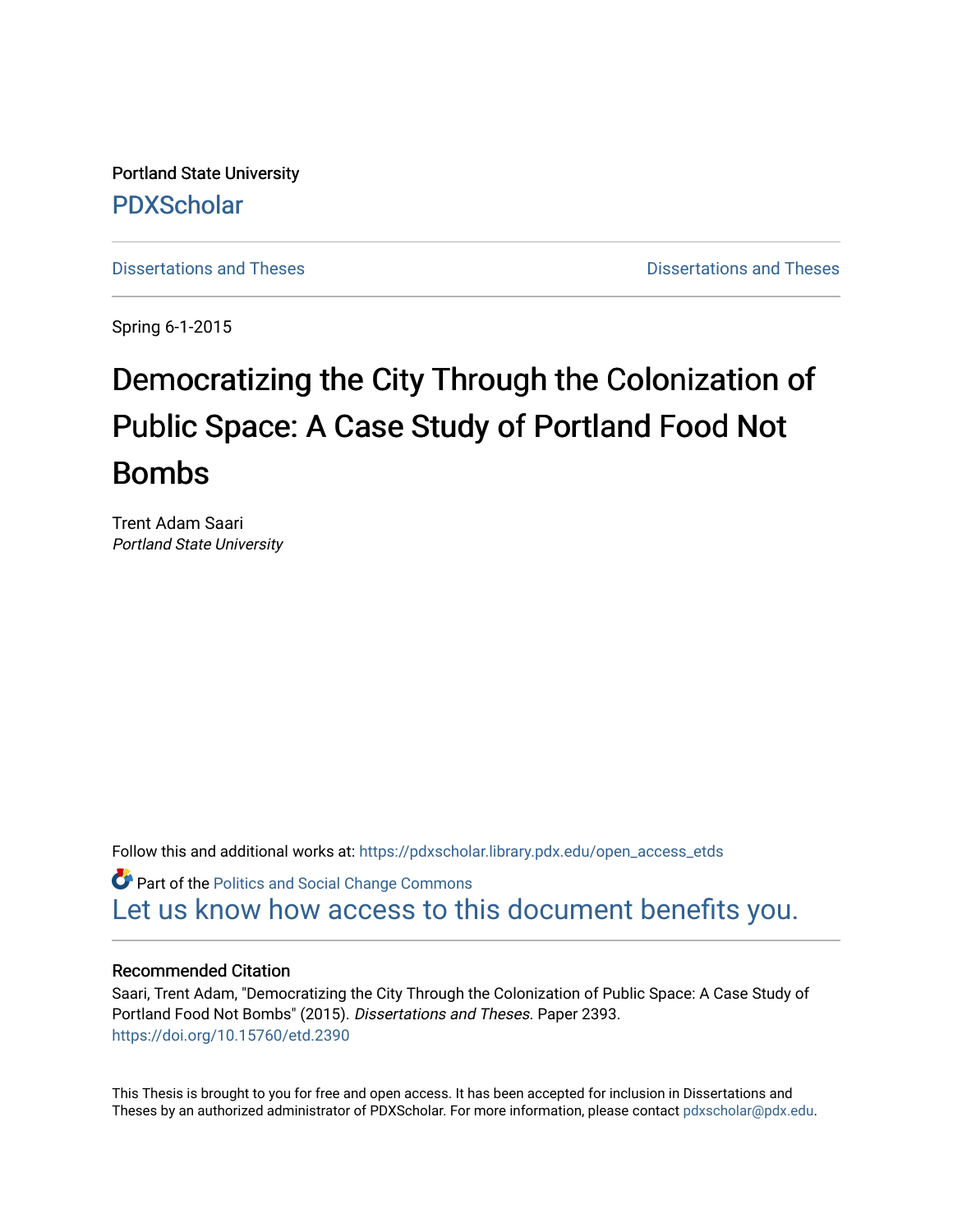Portland State University [PDXScholar](https://pdxscholar.library.pdx.edu/)

[Dissertations and Theses](https://pdxscholar.library.pdx.edu/open_access_etds) **Dissertations** and Theses **Dissertations and Theses** 

Spring 6-1-2015

# Democratizing the City Through the Colonization of Public Space: A Case Study of Portland Food Not Bombs

Trent Adam Saari Portland State University

Follow this and additional works at: [https://pdxscholar.library.pdx.edu/open\\_access\\_etds](https://pdxscholar.library.pdx.edu/open_access_etds?utm_source=pdxscholar.library.pdx.edu%2Fopen_access_etds%2F2393&utm_medium=PDF&utm_campaign=PDFCoverPages)

**C** Part of the Politics and Social Change Commons [Let us know how access to this document benefits you.](http://library.pdx.edu/services/pdxscholar-services/pdxscholar-feedback/) 

#### Recommended Citation

Saari, Trent Adam, "Democratizing the City Through the Colonization of Public Space: A Case Study of Portland Food Not Bombs" (2015). Dissertations and Theses. Paper 2393. <https://doi.org/10.15760/etd.2390>

This Thesis is brought to you for free and open access. It has been accepted for inclusion in Dissertations and Theses by an authorized administrator of PDXScholar. For more information, please contact [pdxscholar@pdx.edu](mailto:pdxscholar@pdx.edu).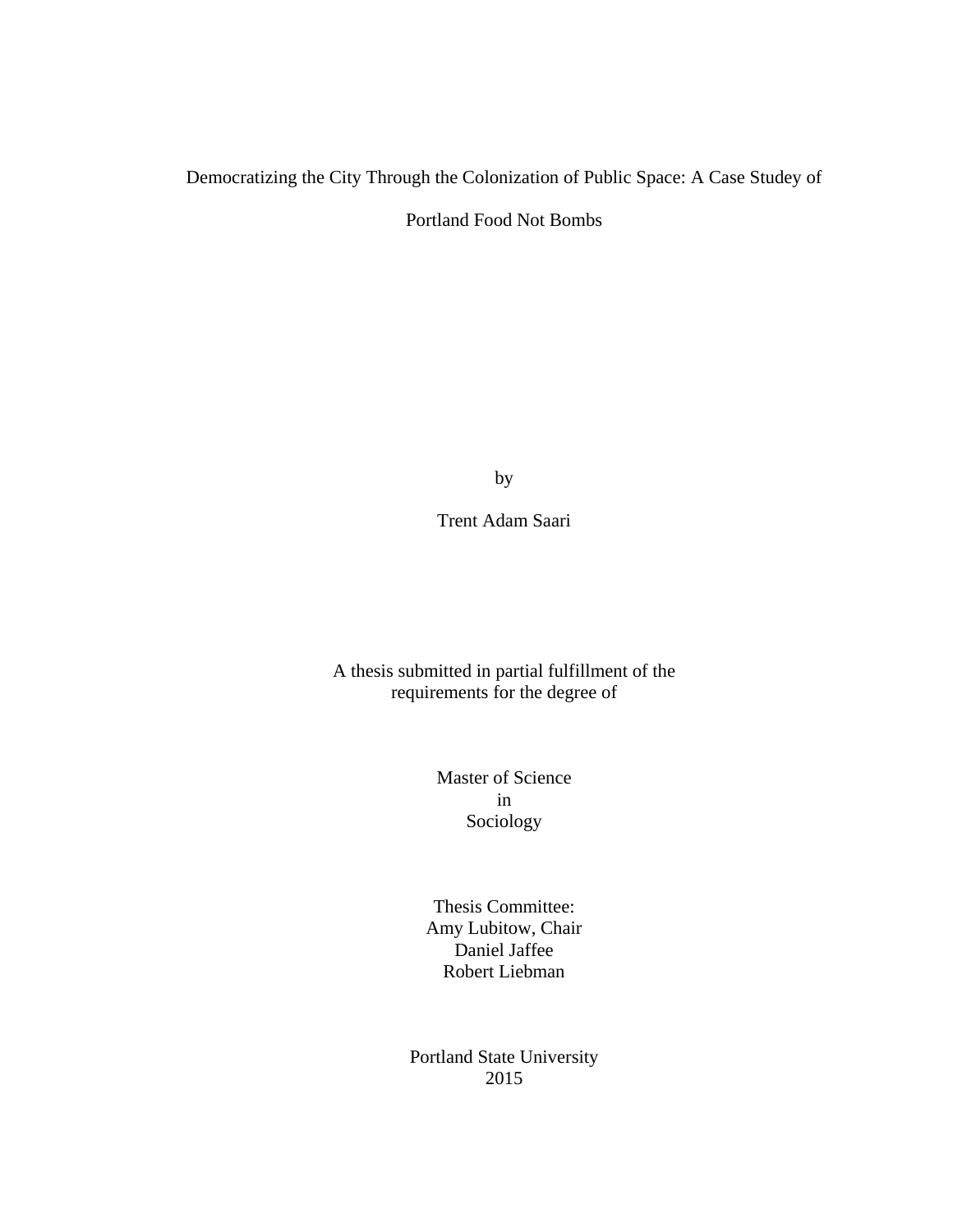### Democratizing the City Through the Colonization of Public Space: A Case Studey of

Portland Food Not Bombs

by

Trent Adam Saari

A thesis submitted in partial fulfillment of the requirements for the degree of

> Master of Science in Sociology

Thesis Committee: Amy Lubitow, Chair Daniel Jaffee Robert Liebman

Portland State University 2015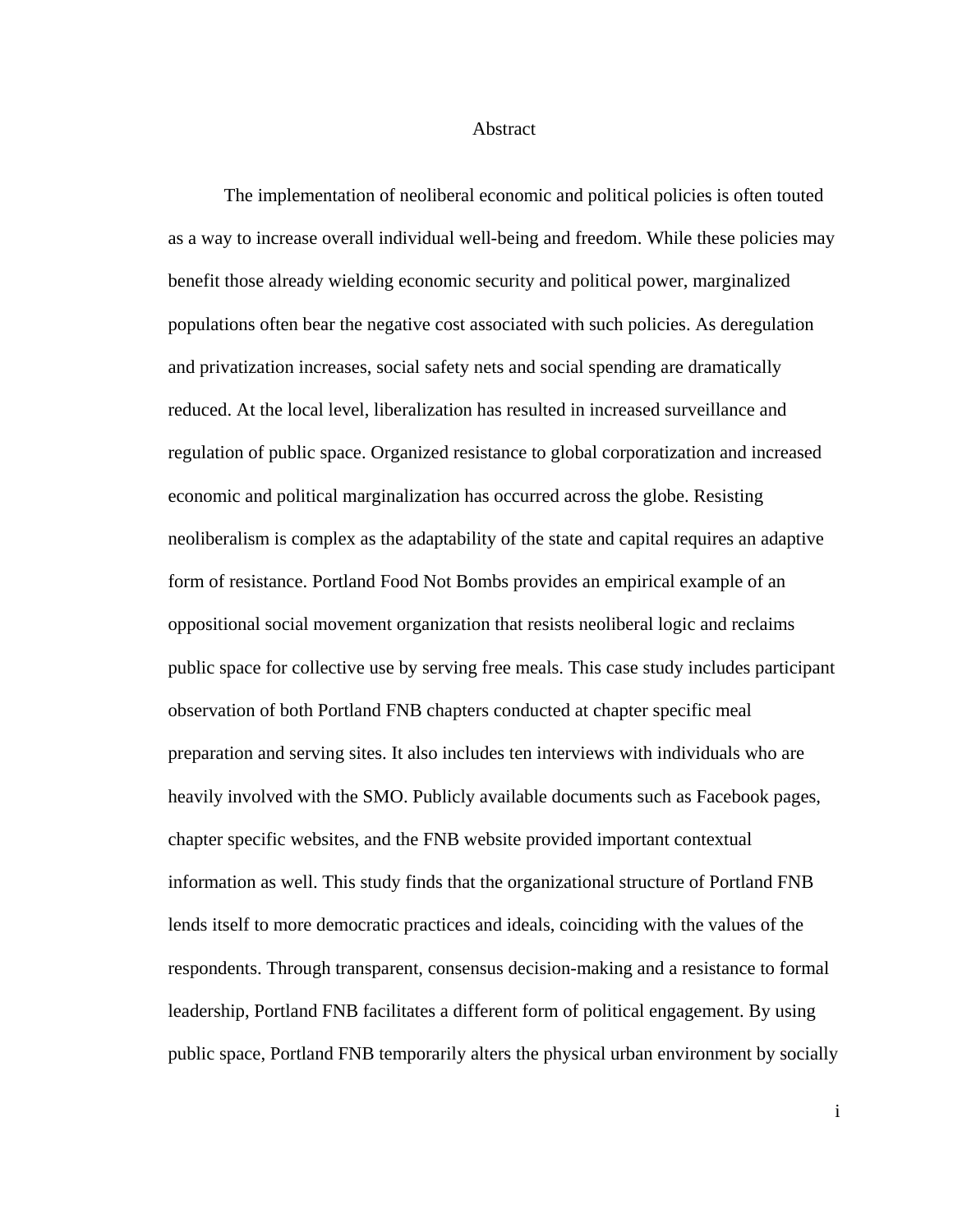Abstract

 The implementation of neoliberal economic and political policies is often touted as a way to increase overall individual well-being and freedom. While these policies may benefit those already wielding economic security and political power, marginalized populations often bear the negative cost associated with such policies. As deregulation and privatization increases, social safety nets and social spending are dramatically reduced. At the local level, liberalization has resulted in increased surveillance and regulation of public space. Organized resistance to global corporatization and increased economic and political marginalization has occurred across the globe. Resisting neoliberalism is complex as the adaptability of the state and capital requires an adaptive form of resistance. Portland Food Not Bombs provides an empirical example of an oppositional social movement organization that resists neoliberal logic and reclaims public space for collective use by serving free meals. This case study includes participant observation of both Portland FNB chapters conducted at chapter specific meal preparation and serving sites. It also includes ten interviews with individuals who are heavily involved with the SMO. Publicly available documents such as Facebook pages, chapter specific websites, and the FNB website provided important contextual information as well. This study finds that the organizational structure of Portland FNB lends itself to more democratic practices and ideals, coinciding with the values of the respondents. Through transparent, consensus decision-making and a resistance to formal leadership, Portland FNB facilitates a different form of political engagement. By using public space, Portland FNB temporarily alters the physical urban environment by socially

i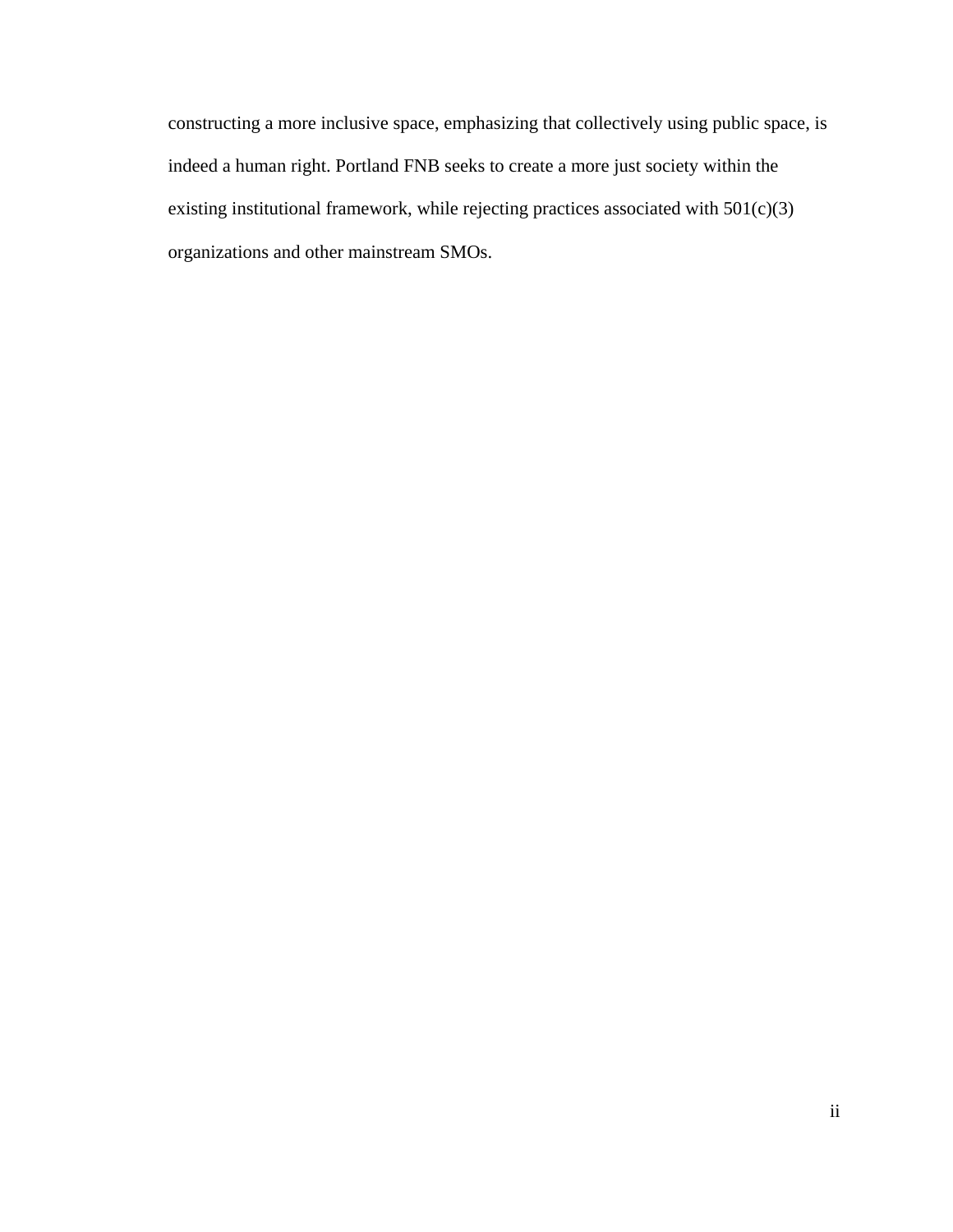constructing a more inclusive space, emphasizing that collectively using public space, is indeed a human right. Portland FNB seeks to create a more just society within the existing institutional framework, while rejecting practices associated with 501(c)(3) organizations and other mainstream SMOs.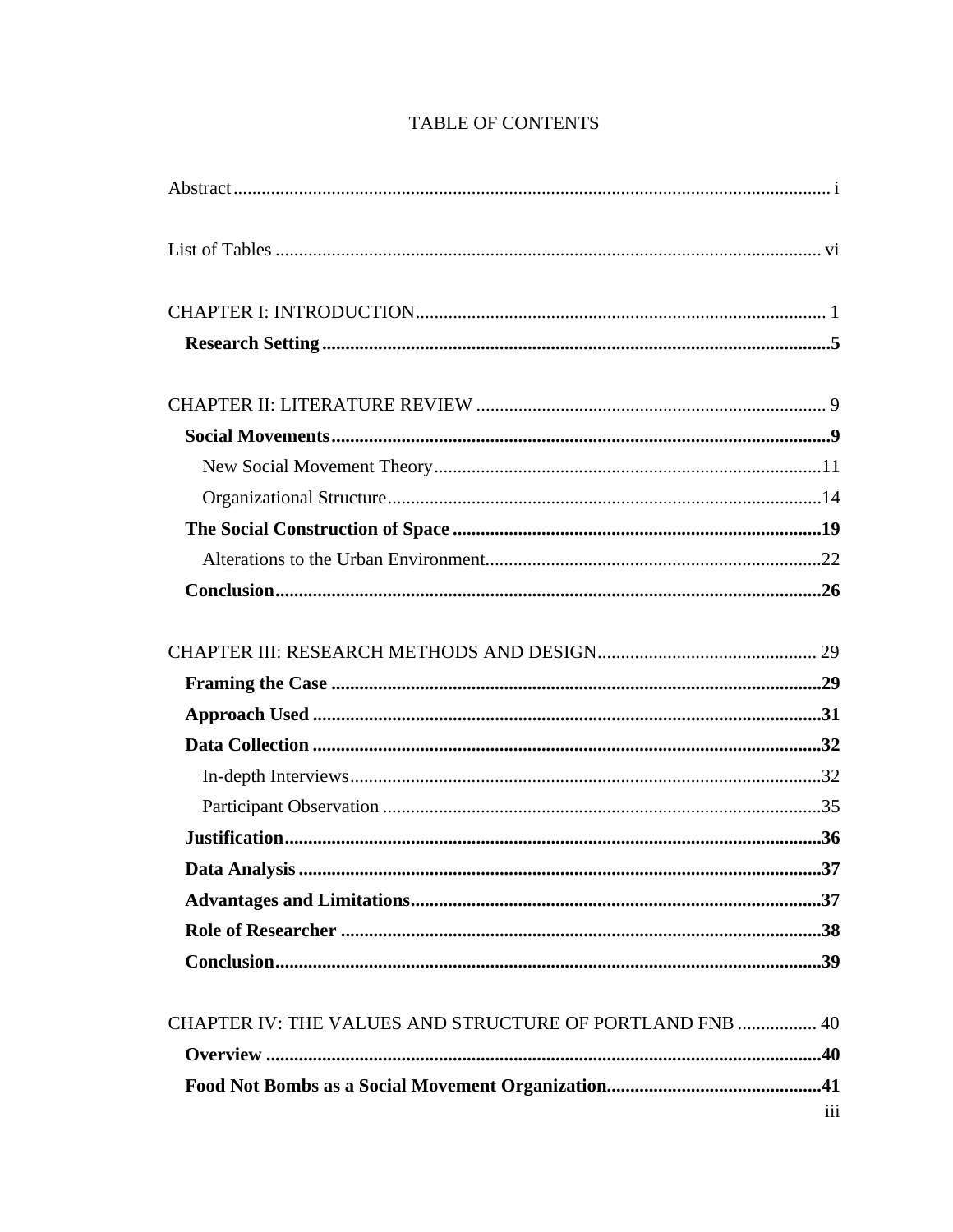|                                                                 | .37              |
|-----------------------------------------------------------------|------------------|
|                                                                 |                  |
|                                                                 |                  |
|                                                                 |                  |
| <b>CHAPTER IV: THE VALUES AND STRUCTURE OF PORTLAND FNB  40</b> |                  |
|                                                                 |                  |
|                                                                 |                  |
|                                                                 | $\overline{111}$ |

# TABLE OF CONTENTS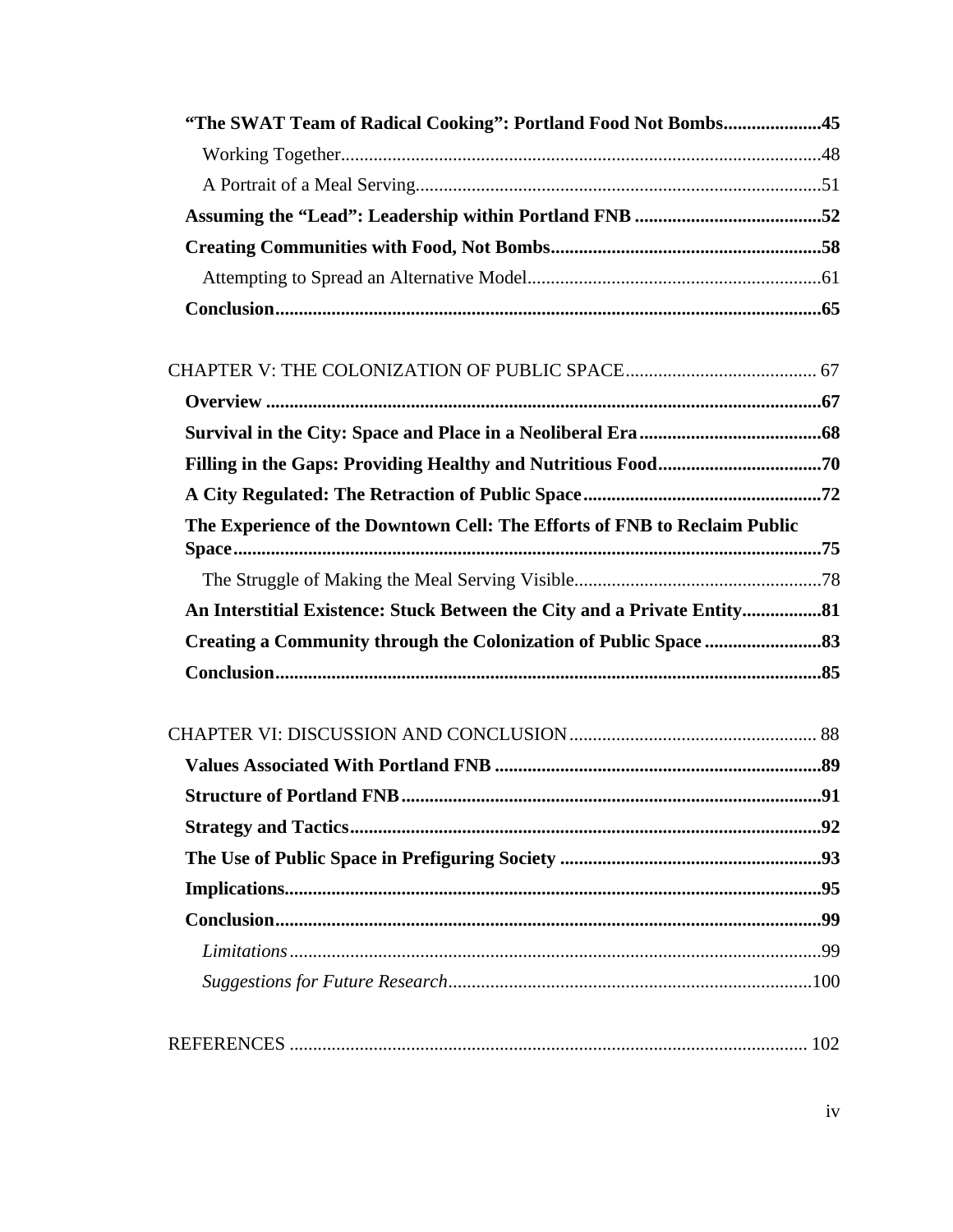| "The SWAT Team of Radical Cooking": Portland Food Not Bombs45             |     |
|---------------------------------------------------------------------------|-----|
|                                                                           |     |
|                                                                           |     |
|                                                                           |     |
|                                                                           |     |
|                                                                           |     |
|                                                                           |     |
|                                                                           |     |
|                                                                           |     |
|                                                                           |     |
|                                                                           |     |
|                                                                           |     |
| The Experience of the Downtown Cell: The Efforts of FNB to Reclaim Public |     |
|                                                                           |     |
| An Interstitial Existence: Stuck Between the City and a Private Entity 81 |     |
|                                                                           |     |
|                                                                           |     |
|                                                                           |     |
|                                                                           |     |
|                                                                           | .91 |
|                                                                           |     |
|                                                                           |     |
|                                                                           |     |
|                                                                           |     |
|                                                                           |     |
|                                                                           |     |
|                                                                           |     |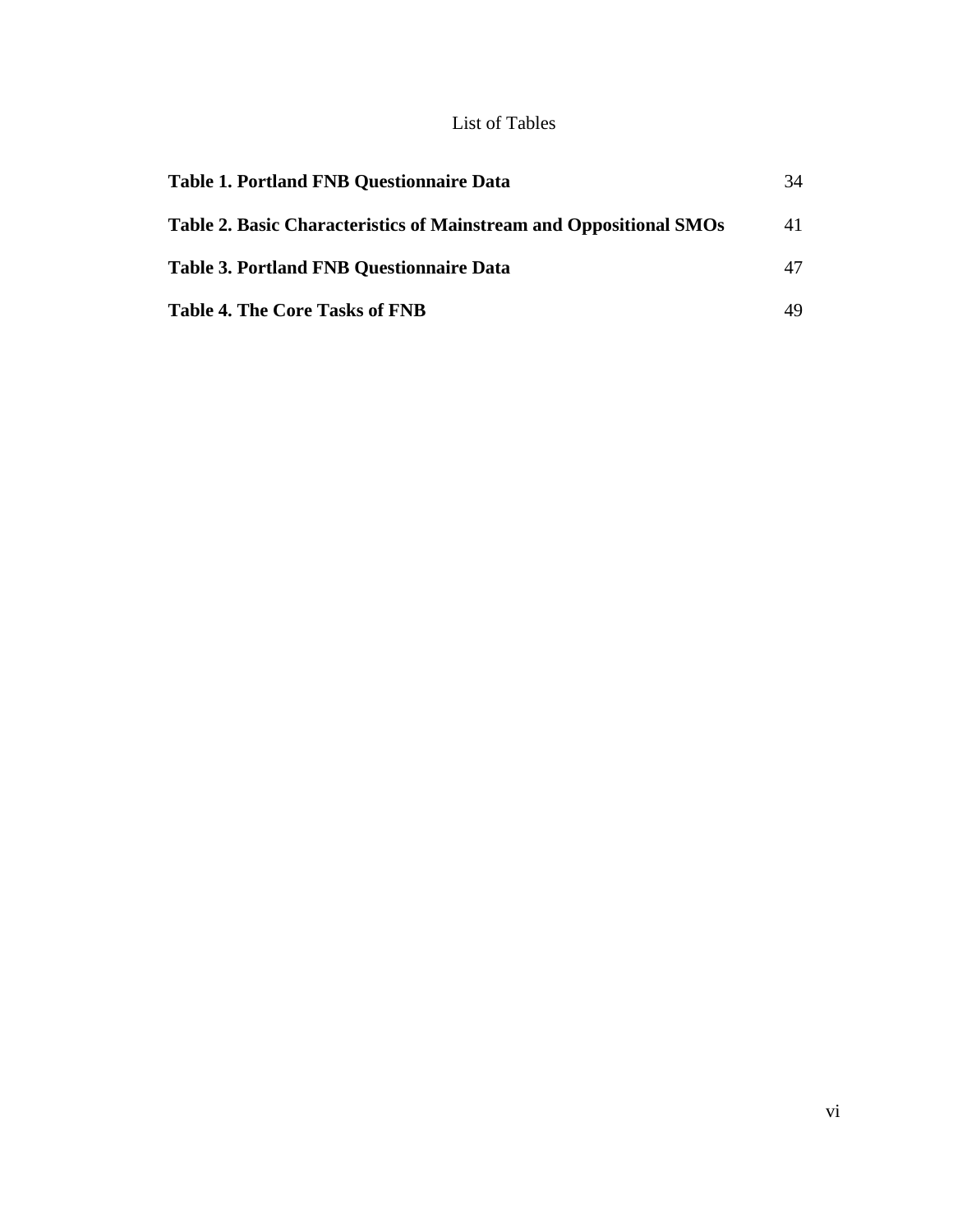## List of Tables

| <b>Table 1. Portland FNB Questionnaire Data</b>                    | 34 |
|--------------------------------------------------------------------|----|
| Table 2. Basic Characteristics of Mainstream and Oppositional SMOs | 41 |
| <b>Table 3. Portland FNB Questionnaire Data</b>                    | 47 |
| <b>Table 4. The Core Tasks of FNB</b>                              | 49 |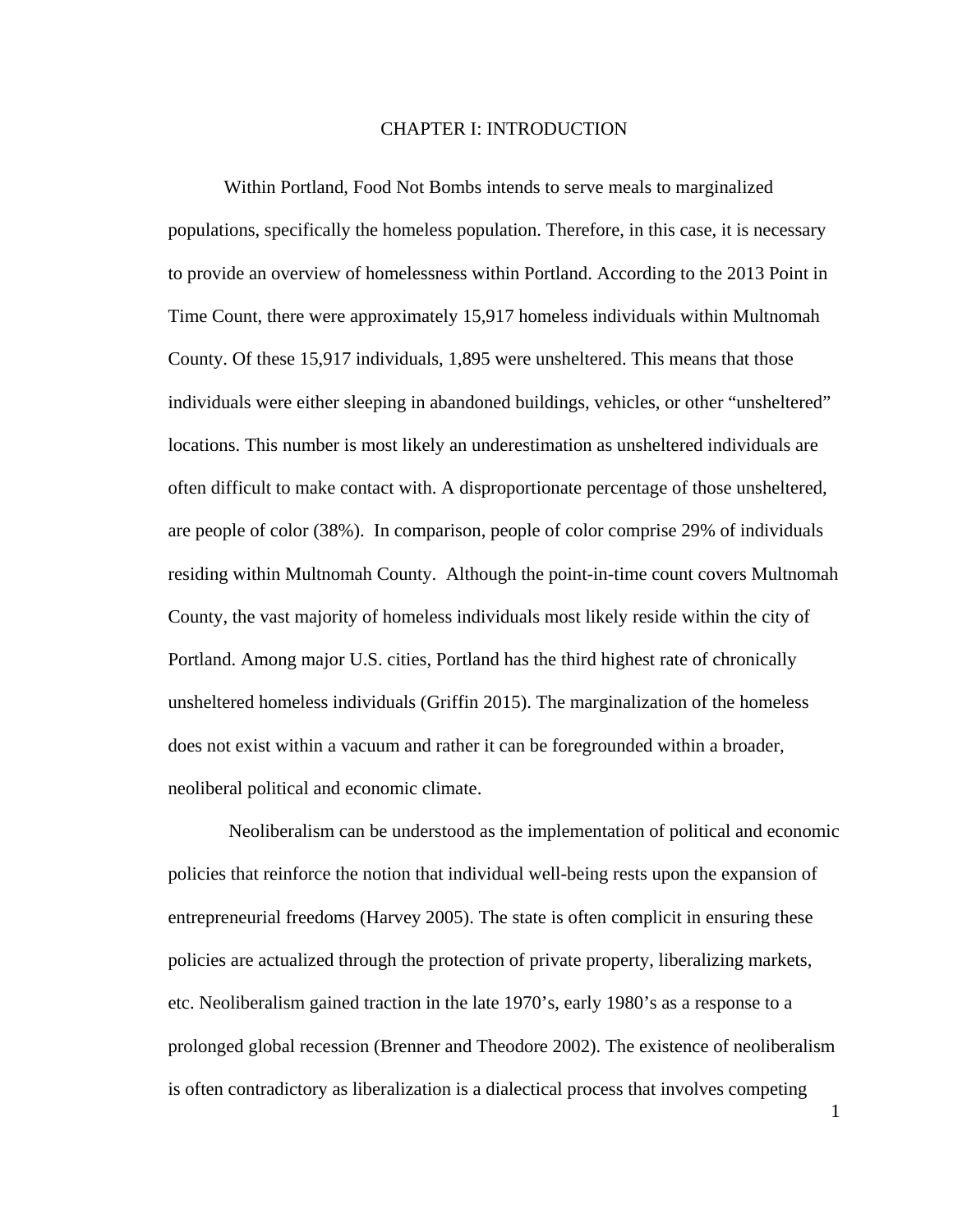#### CHAPTER I: INTRODUCTION

Within Portland, Food Not Bombs intends to serve meals to marginalized populations, specifically the homeless population. Therefore, in this case, it is necessary to provide an overview of homelessness within Portland. According to the 2013 Point in Time Count, there were approximately 15,917 homeless individuals within Multnomah County. Of these 15,917 individuals, 1,895 were unsheltered. This means that those individuals were either sleeping in abandoned buildings, vehicles, or other "unsheltered" locations. This number is most likely an underestimation as unsheltered individuals are often difficult to make contact with. A disproportionate percentage of those unsheltered, are people of color (38%). In comparison, people of color comprise 29% of individuals residing within Multnomah County. Although the point-in-time count covers Multnomah County, the vast majority of homeless individuals most likely reside within the city of Portland. Among major U.S. cities, Portland has the third highest rate of chronically unsheltered homeless individuals (Griffin 2015). The marginalization of the homeless does not exist within a vacuum and rather it can be foregrounded within a broader, neoliberal political and economic climate.

 Neoliberalism can be understood as the implementation of political and economic policies that reinforce the notion that individual well-being rests upon the expansion of entrepreneurial freedoms (Harvey 2005). The state is often complicit in ensuring these policies are actualized through the protection of private property, liberalizing markets, etc. Neoliberalism gained traction in the late 1970's, early 1980's as a response to a prolonged global recession (Brenner and Theodore 2002). The existence of neoliberalism is often contradictory as liberalization is a dialectical process that involves competing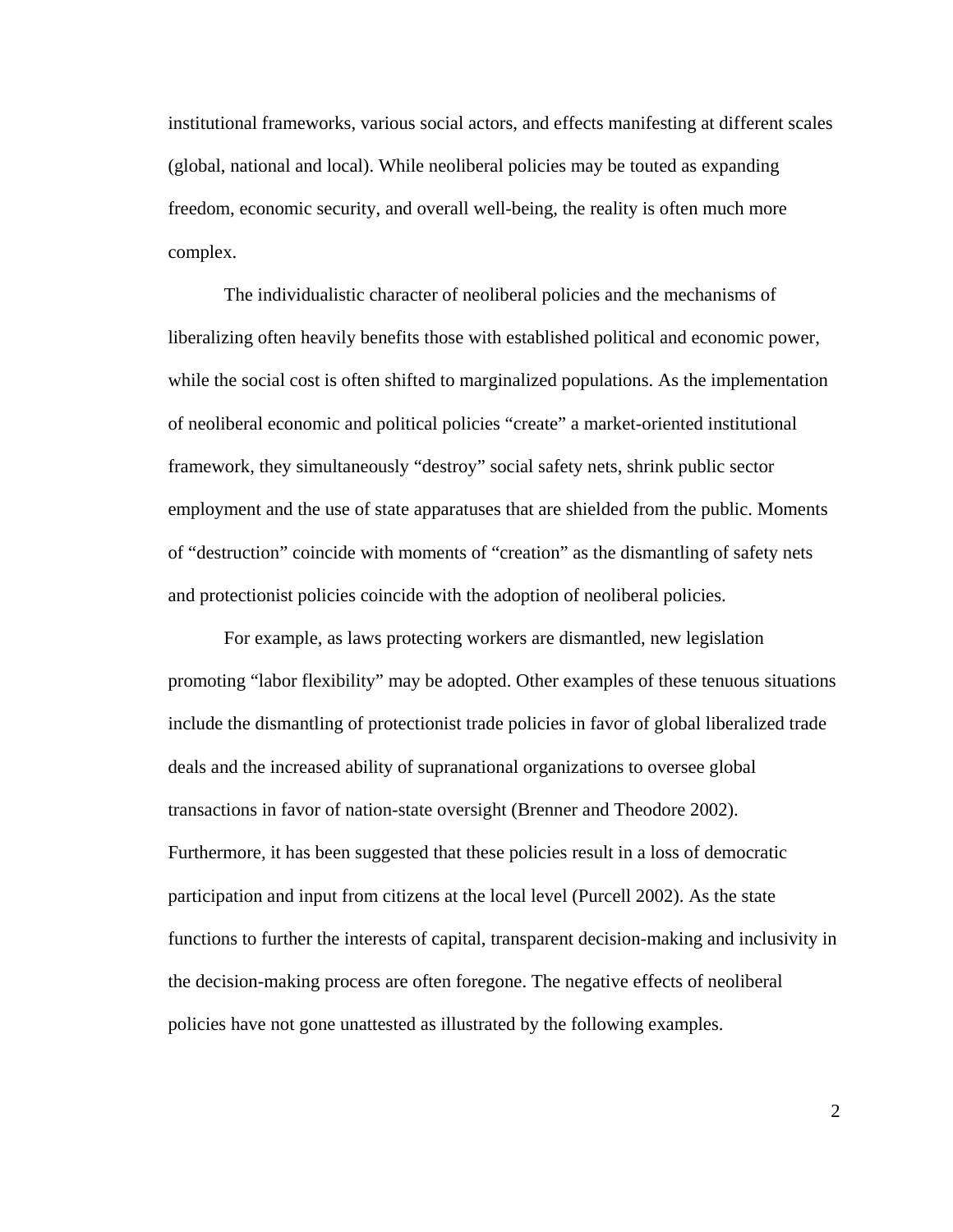institutional frameworks, various social actors, and effects manifesting at different scales (global, national and local). While neoliberal policies may be touted as expanding freedom, economic security, and overall well-being, the reality is often much more complex.

 The individualistic character of neoliberal policies and the mechanisms of liberalizing often heavily benefits those with established political and economic power, while the social cost is often shifted to marginalized populations. As the implementation of neoliberal economic and political policies "create" a market-oriented institutional framework, they simultaneously "destroy" social safety nets, shrink public sector employment and the use of state apparatuses that are shielded from the public. Moments of "destruction" coincide with moments of "creation" as the dismantling of safety nets and protectionist policies coincide with the adoption of neoliberal policies.

 For example, as laws protecting workers are dismantled, new legislation promoting "labor flexibility" may be adopted. Other examples of these tenuous situations include the dismantling of protectionist trade policies in favor of global liberalized trade deals and the increased ability of supranational organizations to oversee global transactions in favor of nation-state oversight (Brenner and Theodore 2002). Furthermore, it has been suggested that these policies result in a loss of democratic participation and input from citizens at the local level (Purcell 2002). As the state functions to further the interests of capital, transparent decision-making and inclusivity in the decision-making process are often foregone. The negative effects of neoliberal policies have not gone unattested as illustrated by the following examples.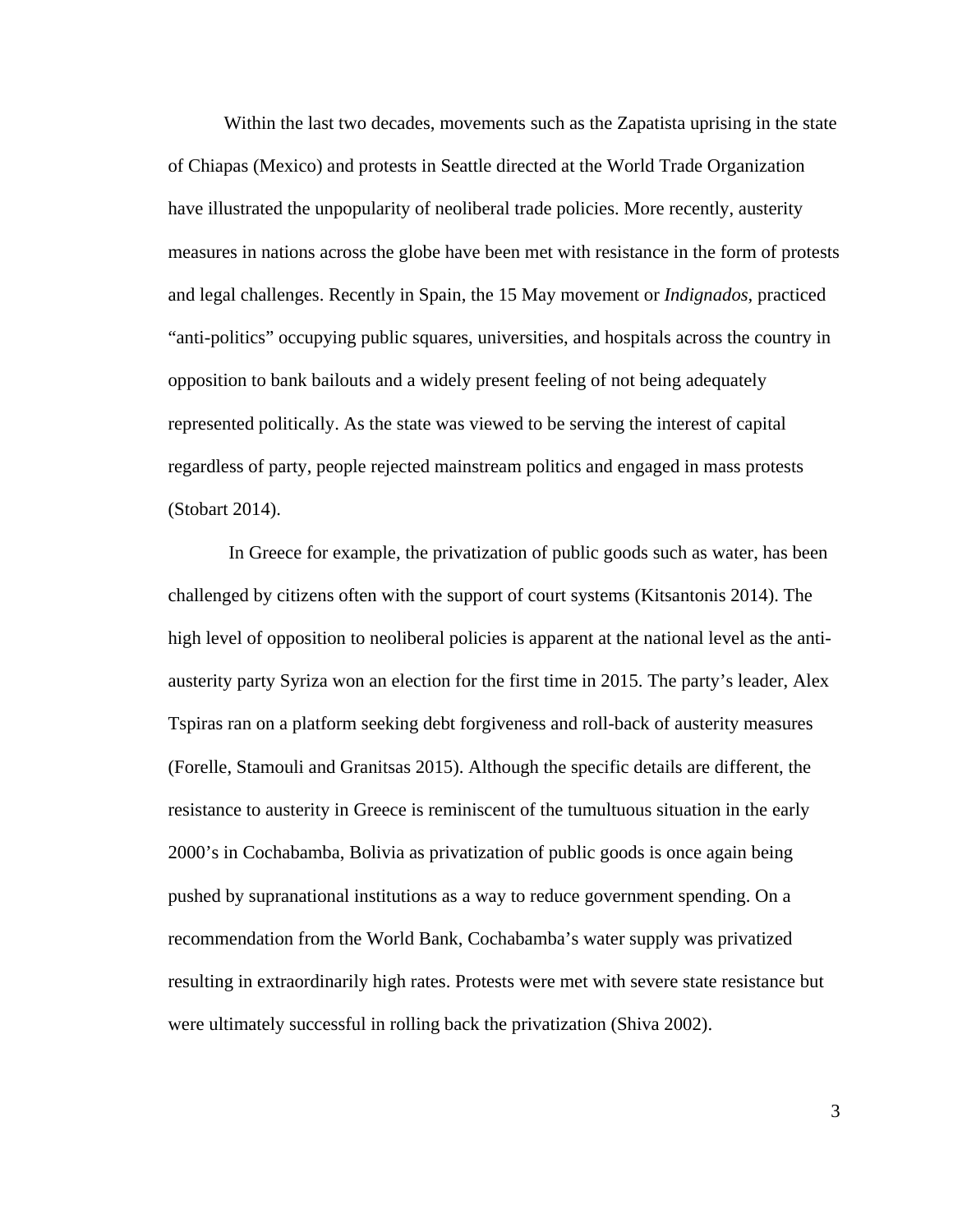Within the last two decades, movements such as the Zapatista uprising in the state of Chiapas (Mexico) and protests in Seattle directed at the World Trade Organization have illustrated the unpopularity of neoliberal trade policies. More recently, austerity measures in nations across the globe have been met with resistance in the form of protests and legal challenges. Recently in Spain, the 15 May movement or *Indignados,* practiced "anti-politics" occupying public squares, universities, and hospitals across the country in opposition to bank bailouts and a widely present feeling of not being adequately represented politically. As the state was viewed to be serving the interest of capital regardless of party, people rejected mainstream politics and engaged in mass protests (Stobart 2014).

In Greece for example, the privatization of public goods such as water, has been challenged by citizens often with the support of court systems (Kitsantonis 2014). The high level of opposition to neoliberal policies is apparent at the national level as the antiausterity party Syriza won an election for the first time in 2015. The party's leader, Alex Tspiras ran on a platform seeking debt forgiveness and roll-back of austerity measures (Forelle, Stamouli and Granitsas 2015). Although the specific details are different, the resistance to austerity in Greece is reminiscent of the tumultuous situation in the early 2000's in Cochabamba, Bolivia as privatization of public goods is once again being pushed by supranational institutions as a way to reduce government spending. On a recommendation from the World Bank, Cochabamba's water supply was privatized resulting in extraordinarily high rates. Protests were met with severe state resistance but were ultimately successful in rolling back the privatization (Shiva 2002).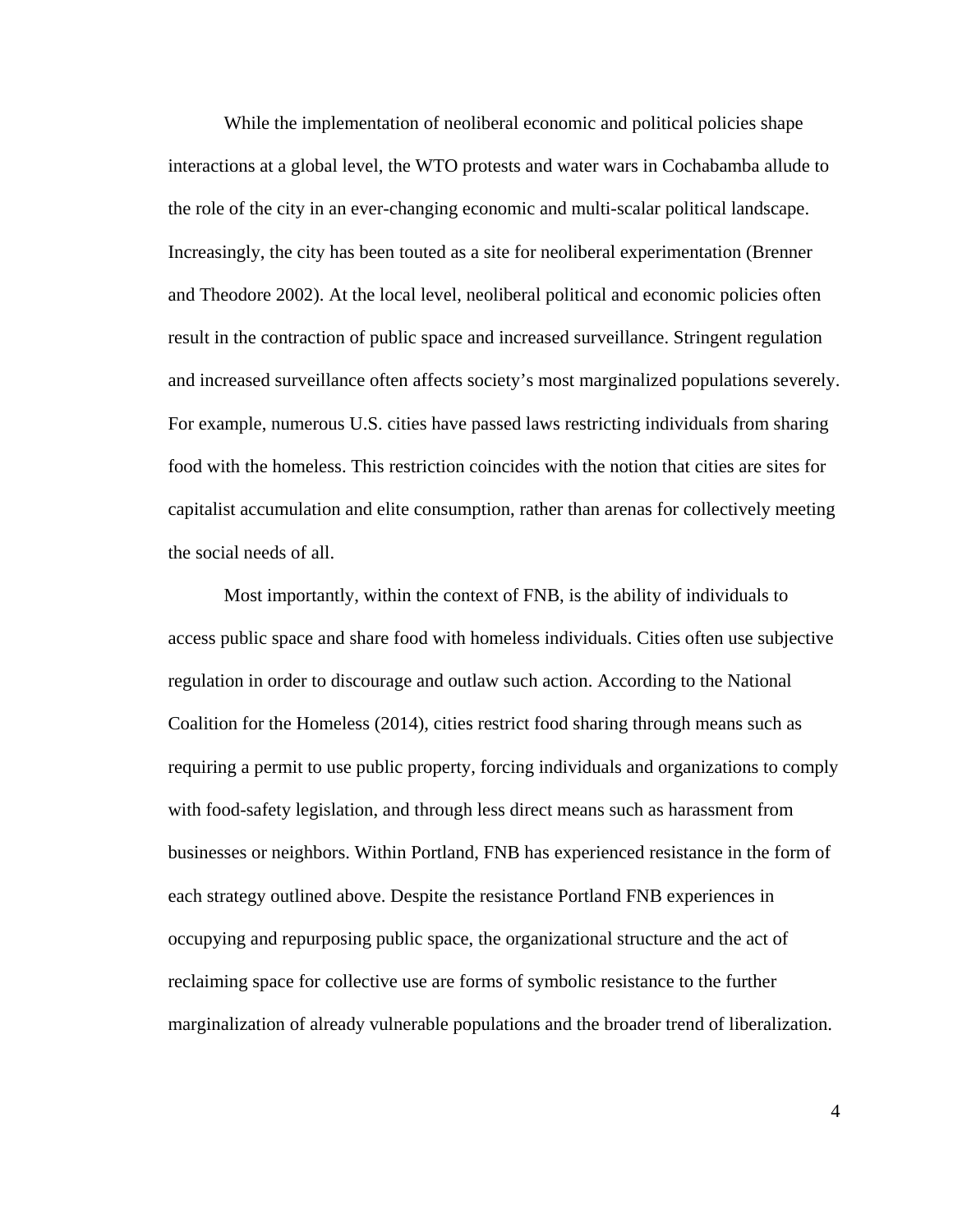While the implementation of neoliberal economic and political policies shape interactions at a global level, the WTO protests and water wars in Cochabamba allude to the role of the city in an ever-changing economic and multi-scalar political landscape. Increasingly, the city has been touted as a site for neoliberal experimentation (Brenner and Theodore 2002). At the local level, neoliberal political and economic policies often result in the contraction of public space and increased surveillance. Stringent regulation and increased surveillance often affects society's most marginalized populations severely. For example, numerous U.S. cities have passed laws restricting individuals from sharing food with the homeless. This restriction coincides with the notion that cities are sites for capitalist accumulation and elite consumption, rather than arenas for collectively meeting the social needs of all.

Most importantly, within the context of FNB, is the ability of individuals to access public space and share food with homeless individuals. Cities often use subjective regulation in order to discourage and outlaw such action. According to the National Coalition for the Homeless (2014), cities restrict food sharing through means such as requiring a permit to use public property, forcing individuals and organizations to comply with food-safety legislation, and through less direct means such as harassment from businesses or neighbors. Within Portland, FNB has experienced resistance in the form of each strategy outlined above. Despite the resistance Portland FNB experiences in occupying and repurposing public space, the organizational structure and the act of reclaiming space for collective use are forms of symbolic resistance to the further marginalization of already vulnerable populations and the broader trend of liberalization.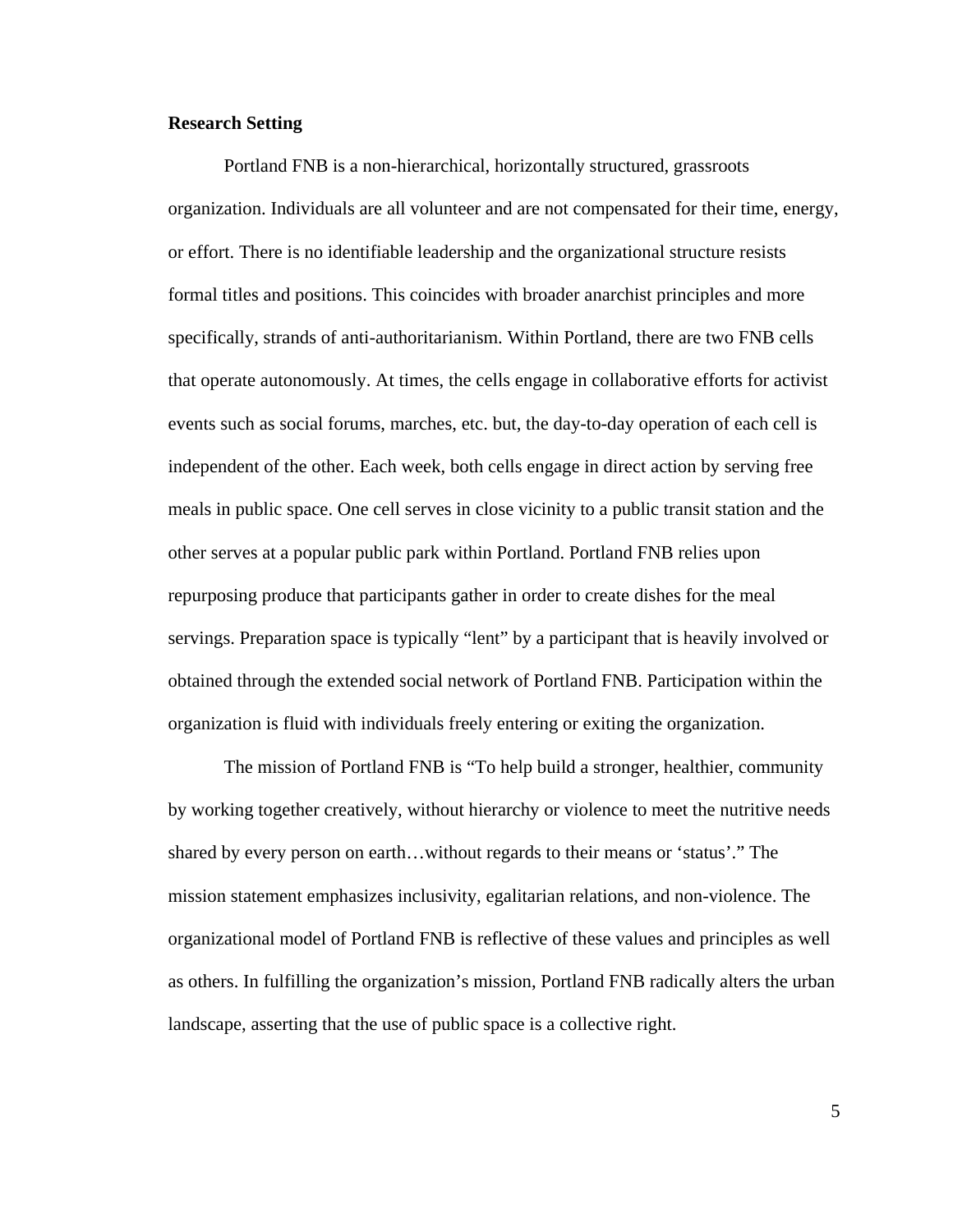#### **Research Setting**

Portland FNB is a non-hierarchical, horizontally structured, grassroots organization. Individuals are all volunteer and are not compensated for their time, energy, or effort. There is no identifiable leadership and the organizational structure resists formal titles and positions. This coincides with broader anarchist principles and more specifically, strands of anti-authoritarianism. Within Portland, there are two FNB cells that operate autonomously. At times, the cells engage in collaborative efforts for activist events such as social forums, marches, etc. but, the day-to-day operation of each cell is independent of the other. Each week, both cells engage in direct action by serving free meals in public space. One cell serves in close vicinity to a public transit station and the other serves at a popular public park within Portland. Portland FNB relies upon repurposing produce that participants gather in order to create dishes for the meal servings. Preparation space is typically "lent" by a participant that is heavily involved or obtained through the extended social network of Portland FNB. Participation within the organization is fluid with individuals freely entering or exiting the organization.

The mission of Portland FNB is "To help build a stronger, healthier, community by working together creatively, without hierarchy or violence to meet the nutritive needs shared by every person on earth…without regards to their means or 'status'." The mission statement emphasizes inclusivity, egalitarian relations, and non-violence. The organizational model of Portland FNB is reflective of these values and principles as well as others. In fulfilling the organization's mission, Portland FNB radically alters the urban landscape, asserting that the use of public space is a collective right.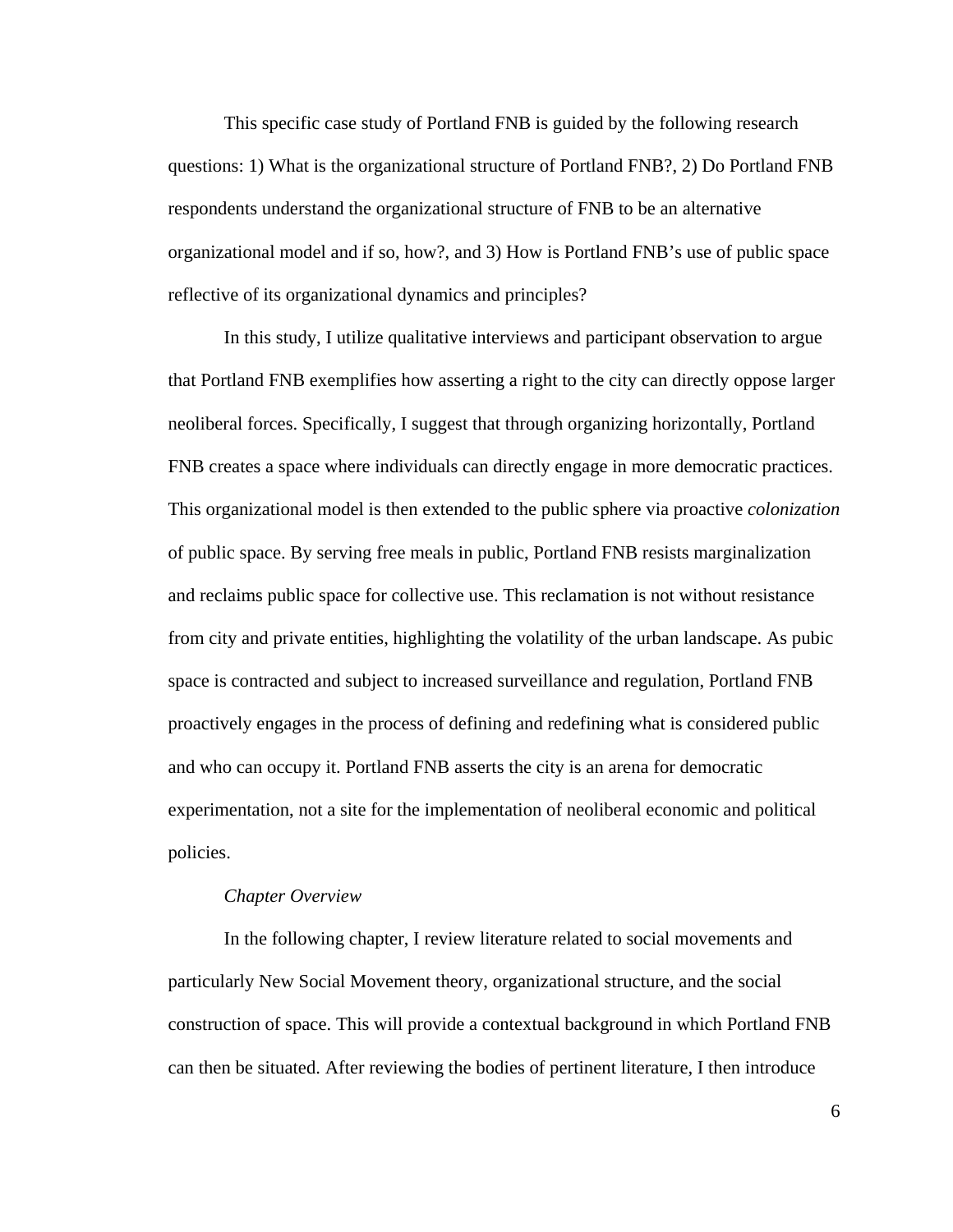This specific case study of Portland FNB is guided by the following research questions: 1) What is the organizational structure of Portland FNB?, 2) Do Portland FNB respondents understand the organizational structure of FNB to be an alternative organizational model and if so, how?, and 3) How is Portland FNB's use of public space reflective of its organizational dynamics and principles?

In this study, I utilize qualitative interviews and participant observation to argue that Portland FNB exemplifies how asserting a right to the city can directly oppose larger neoliberal forces. Specifically, I suggest that through organizing horizontally, Portland FNB creates a space where individuals can directly engage in more democratic practices. This organizational model is then extended to the public sphere via proactive *colonization*  of public space. By serving free meals in public, Portland FNB resists marginalization and reclaims public space for collective use. This reclamation is not without resistance from city and private entities, highlighting the volatility of the urban landscape. As pubic space is contracted and subject to increased surveillance and regulation, Portland FNB proactively engages in the process of defining and redefining what is considered public and who can occupy it. Portland FNB asserts the city is an arena for democratic experimentation, not a site for the implementation of neoliberal economic and political policies.

#### *Chapter Overview*

In the following chapter, I review literature related to social movements and particularly New Social Movement theory, organizational structure, and the social construction of space. This will provide a contextual background in which Portland FNB can then be situated. After reviewing the bodies of pertinent literature, I then introduce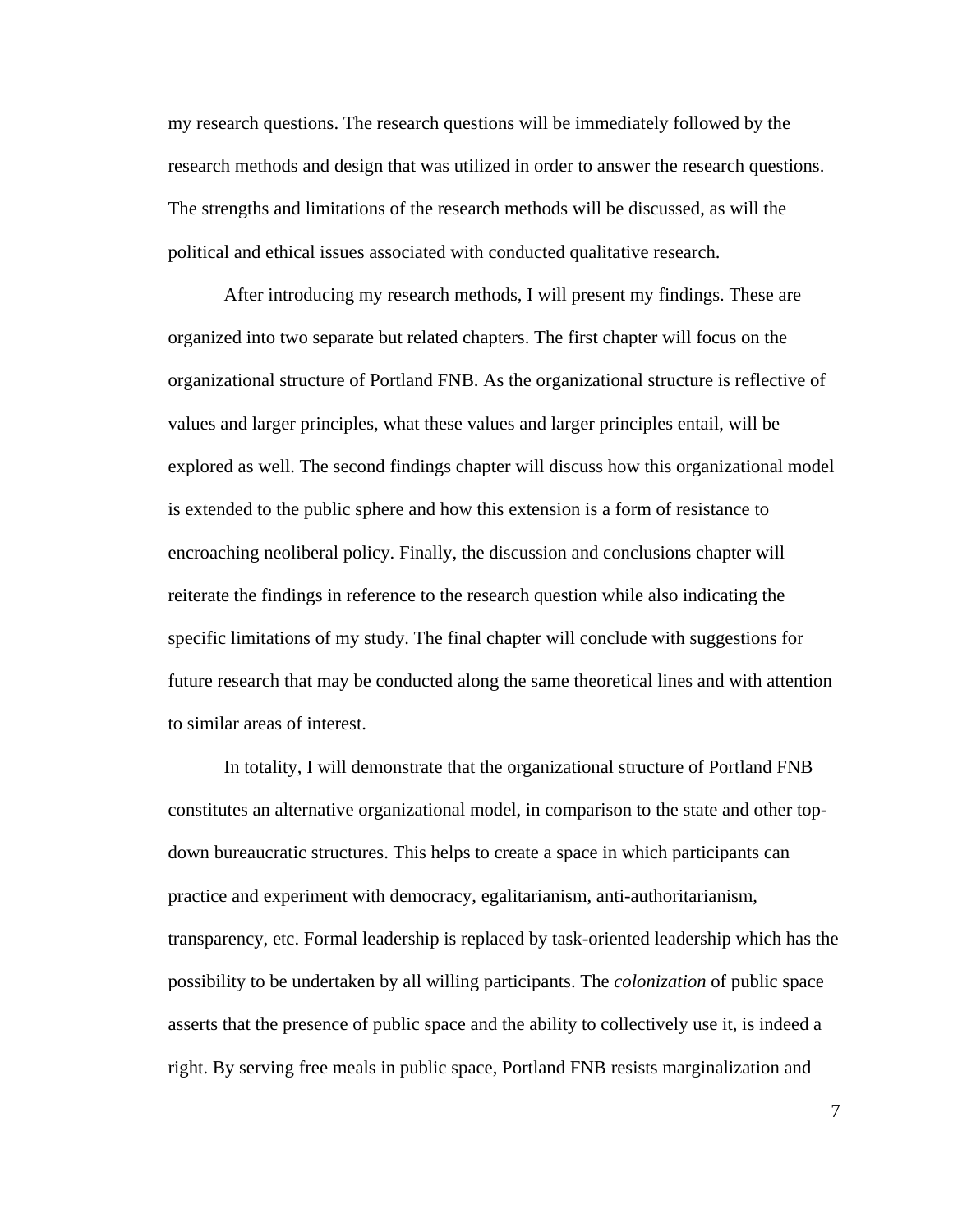my research questions. The research questions will be immediately followed by the research methods and design that was utilized in order to answer the research questions. The strengths and limitations of the research methods will be discussed, as will the political and ethical issues associated with conducted qualitative research.

After introducing my research methods, I will present my findings. These are organized into two separate but related chapters. The first chapter will focus on the organizational structure of Portland FNB. As the organizational structure is reflective of values and larger principles, what these values and larger principles entail, will be explored as well. The second findings chapter will discuss how this organizational model is extended to the public sphere and how this extension is a form of resistance to encroaching neoliberal policy. Finally, the discussion and conclusions chapter will reiterate the findings in reference to the research question while also indicating the specific limitations of my study. The final chapter will conclude with suggestions for future research that may be conducted along the same theoretical lines and with attention to similar areas of interest.

In totality, I will demonstrate that the organizational structure of Portland FNB constitutes an alternative organizational model, in comparison to the state and other topdown bureaucratic structures. This helps to create a space in which participants can practice and experiment with democracy, egalitarianism, anti-authoritarianism, transparency, etc. Formal leadership is replaced by task-oriented leadership which has the possibility to be undertaken by all willing participants. The *colonization* of public space asserts that the presence of public space and the ability to collectively use it, is indeed a right. By serving free meals in public space, Portland FNB resists marginalization and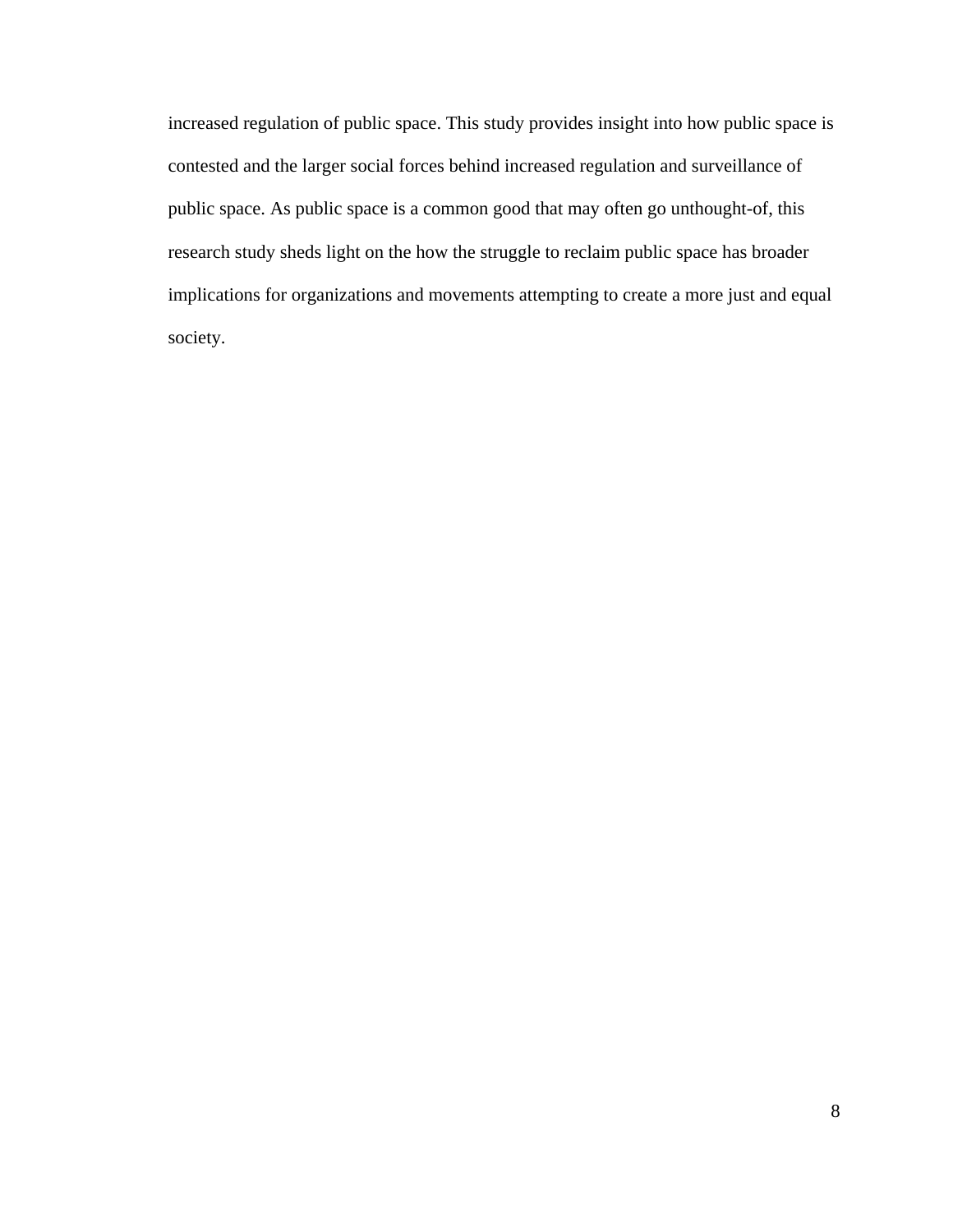increased regulation of public space. This study provides insight into how public space is contested and the larger social forces behind increased regulation and surveillance of public space. As public space is a common good that may often go unthought-of, this research study sheds light on the how the struggle to reclaim public space has broader implications for organizations and movements attempting to create a more just and equal society.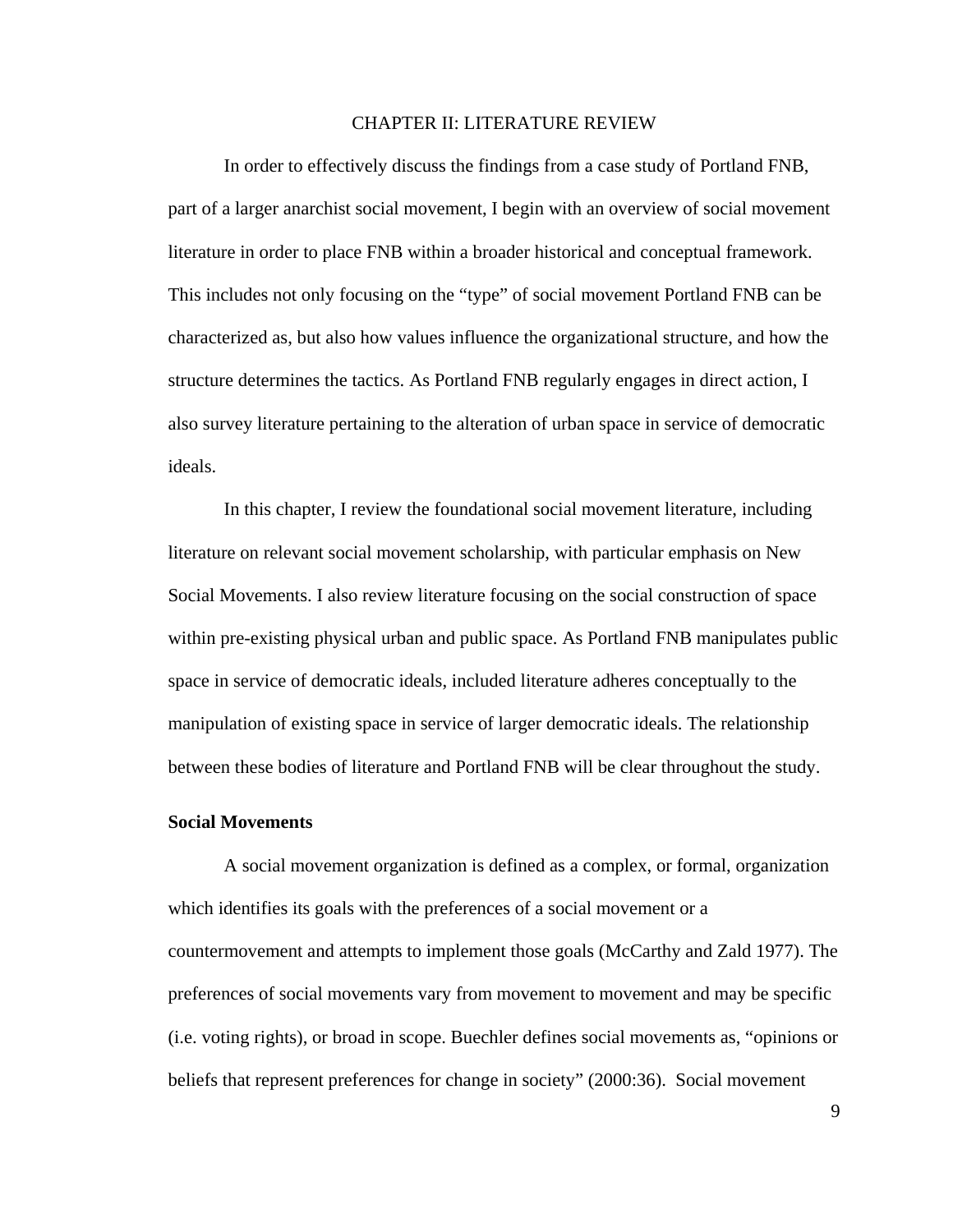#### CHAPTER II: LITERATURE REVIEW

In order to effectively discuss the findings from a case study of Portland FNB, part of a larger anarchist social movement, I begin with an overview of social movement literature in order to place FNB within a broader historical and conceptual framework. This includes not only focusing on the "type" of social movement Portland FNB can be characterized as, but also how values influence the organizational structure, and how the structure determines the tactics. As Portland FNB regularly engages in direct action, I also survey literature pertaining to the alteration of urban space in service of democratic ideals.

In this chapter, I review the foundational social movement literature, including literature on relevant social movement scholarship, with particular emphasis on New Social Movements. I also review literature focusing on the social construction of space within pre-existing physical urban and public space. As Portland FNB manipulates public space in service of democratic ideals, included literature adheres conceptually to the manipulation of existing space in service of larger democratic ideals. The relationship between these bodies of literature and Portland FNB will be clear throughout the study.

#### **Social Movements**

 A social movement organization is defined as a complex, or formal, organization which identifies its goals with the preferences of a social movement or a countermovement and attempts to implement those goals (McCarthy and Zald 1977). The preferences of social movements vary from movement to movement and may be specific (i.e. voting rights), or broad in scope. Buechler defines social movements as, "opinions or beliefs that represent preferences for change in society" (2000:36). Social movement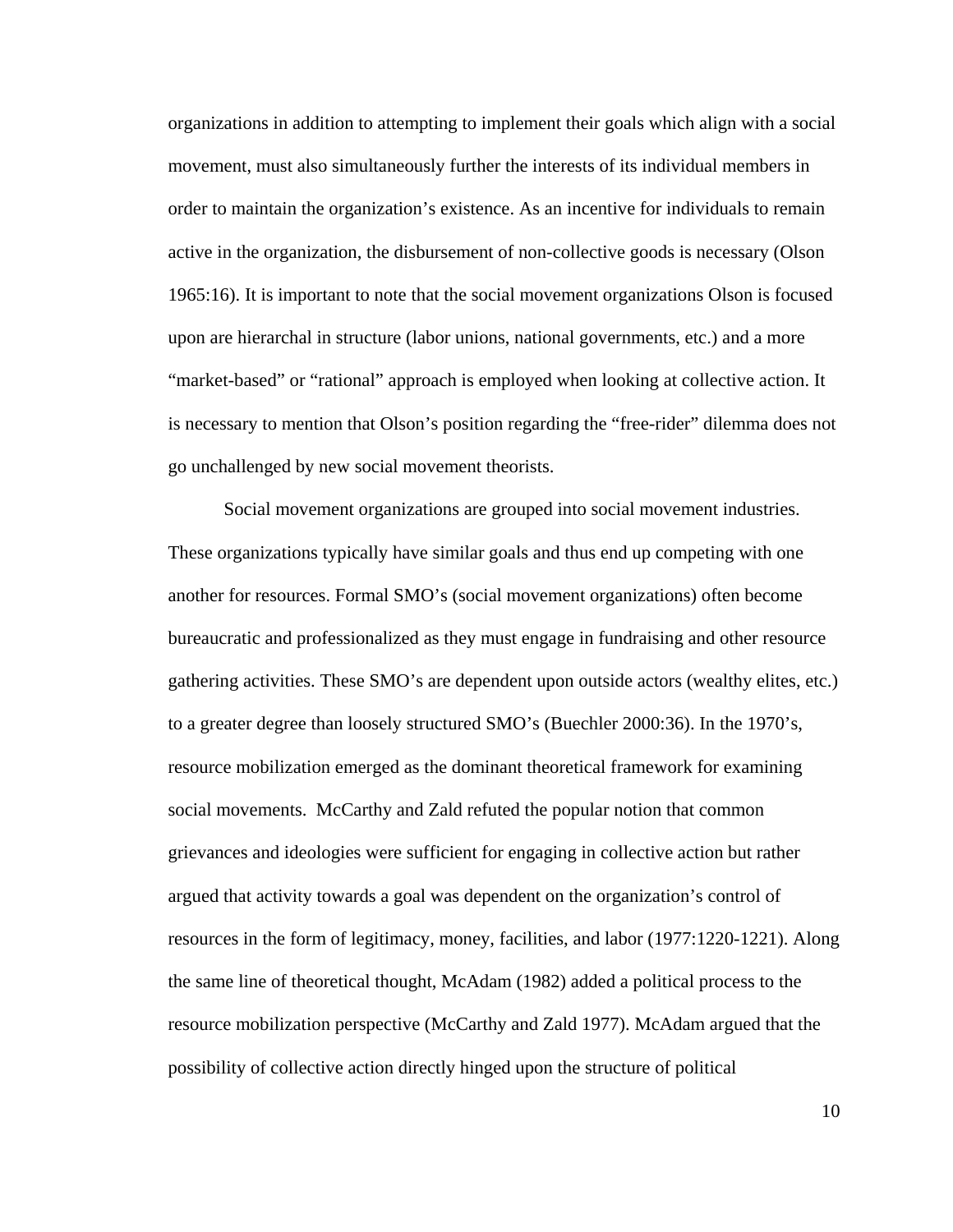organizations in addition to attempting to implement their goals which align with a social movement, must also simultaneously further the interests of its individual members in order to maintain the organization's existence. As an incentive for individuals to remain active in the organization, the disbursement of non-collective goods is necessary (Olson 1965:16). It is important to note that the social movement organizations Olson is focused upon are hierarchal in structure (labor unions, national governments, etc.) and a more "market-based" or "rational" approach is employed when looking at collective action. It is necessary to mention that Olson's position regarding the "free-rider" dilemma does not go unchallenged by new social movement theorists.

 Social movement organizations are grouped into social movement industries. These organizations typically have similar goals and thus end up competing with one another for resources. Formal SMO's (social movement organizations) often become bureaucratic and professionalized as they must engage in fundraising and other resource gathering activities. These SMO's are dependent upon outside actors (wealthy elites, etc.) to a greater degree than loosely structured SMO's (Buechler 2000:36). In the 1970's, resource mobilization emerged as the dominant theoretical framework for examining social movements. McCarthy and Zald refuted the popular notion that common grievances and ideologies were sufficient for engaging in collective action but rather argued that activity towards a goal was dependent on the organization's control of resources in the form of legitimacy, money, facilities, and labor (1977:1220-1221). Along the same line of theoretical thought, McAdam (1982) added a political process to the resource mobilization perspective (McCarthy and Zald 1977). McAdam argued that the possibility of collective action directly hinged upon the structure of political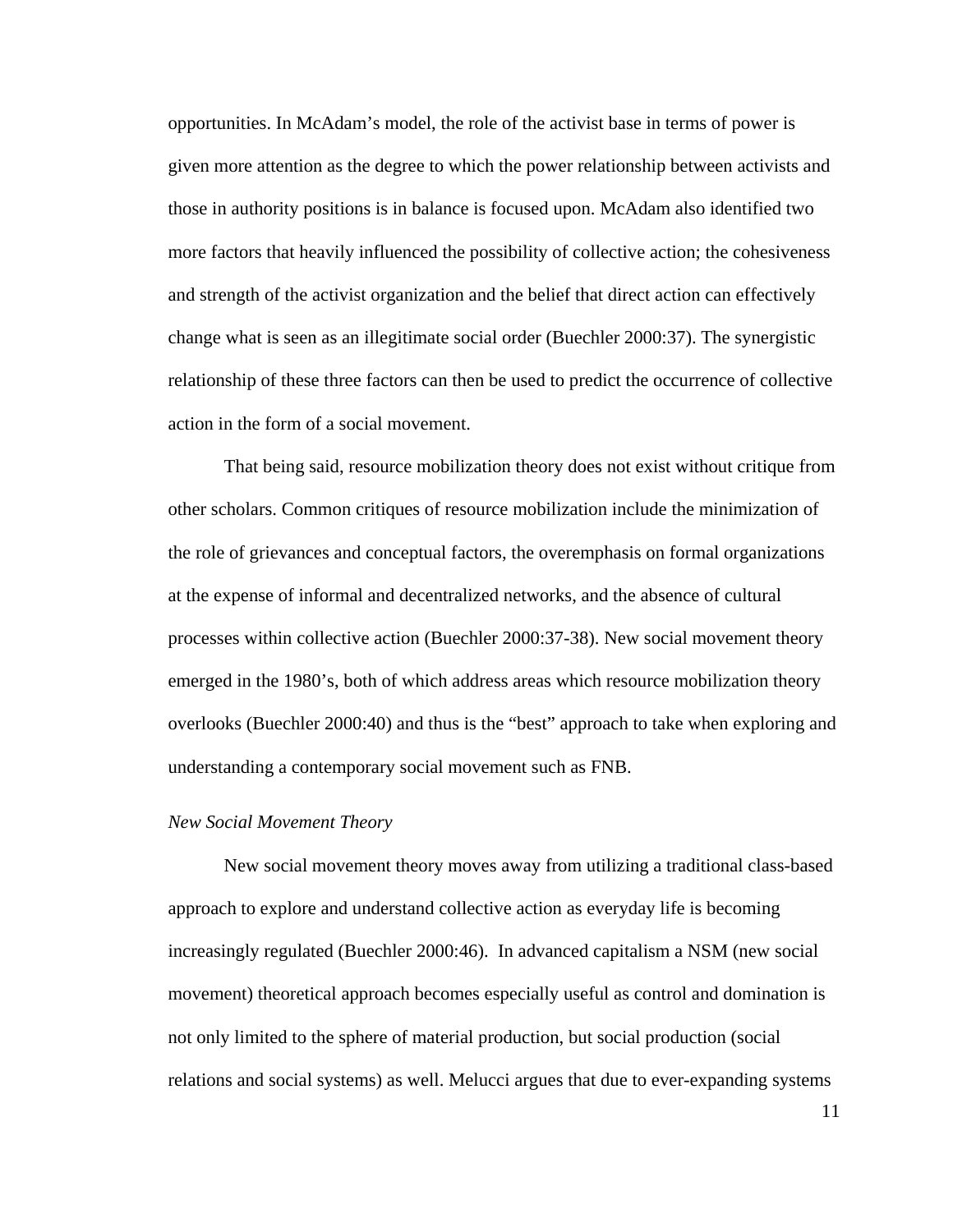opportunities. In McAdam's model, the role of the activist base in terms of power is given more attention as the degree to which the power relationship between activists and those in authority positions is in balance is focused upon. McAdam also identified two more factors that heavily influenced the possibility of collective action; the cohesiveness and strength of the activist organization and the belief that direct action can effectively change what is seen as an illegitimate social order (Buechler 2000:37). The synergistic relationship of these three factors can then be used to predict the occurrence of collective action in the form of a social movement.

 That being said, resource mobilization theory does not exist without critique from other scholars. Common critiques of resource mobilization include the minimization of the role of grievances and conceptual factors, the overemphasis on formal organizations at the expense of informal and decentralized networks, and the absence of cultural processes within collective action (Buechler 2000:37-38). New social movement theory emerged in the 1980's, both of which address areas which resource mobilization theory overlooks (Buechler 2000:40) and thus is the "best" approach to take when exploring and understanding a contemporary social movement such as FNB.

#### *New Social Movement Theory*

 New social movement theory moves away from utilizing a traditional class-based approach to explore and understand collective action as everyday life is becoming increasingly regulated (Buechler 2000:46). In advanced capitalism a NSM (new social movement) theoretical approach becomes especially useful as control and domination is not only limited to the sphere of material production, but social production (social relations and social systems) as well. Melucci argues that due to ever-expanding systems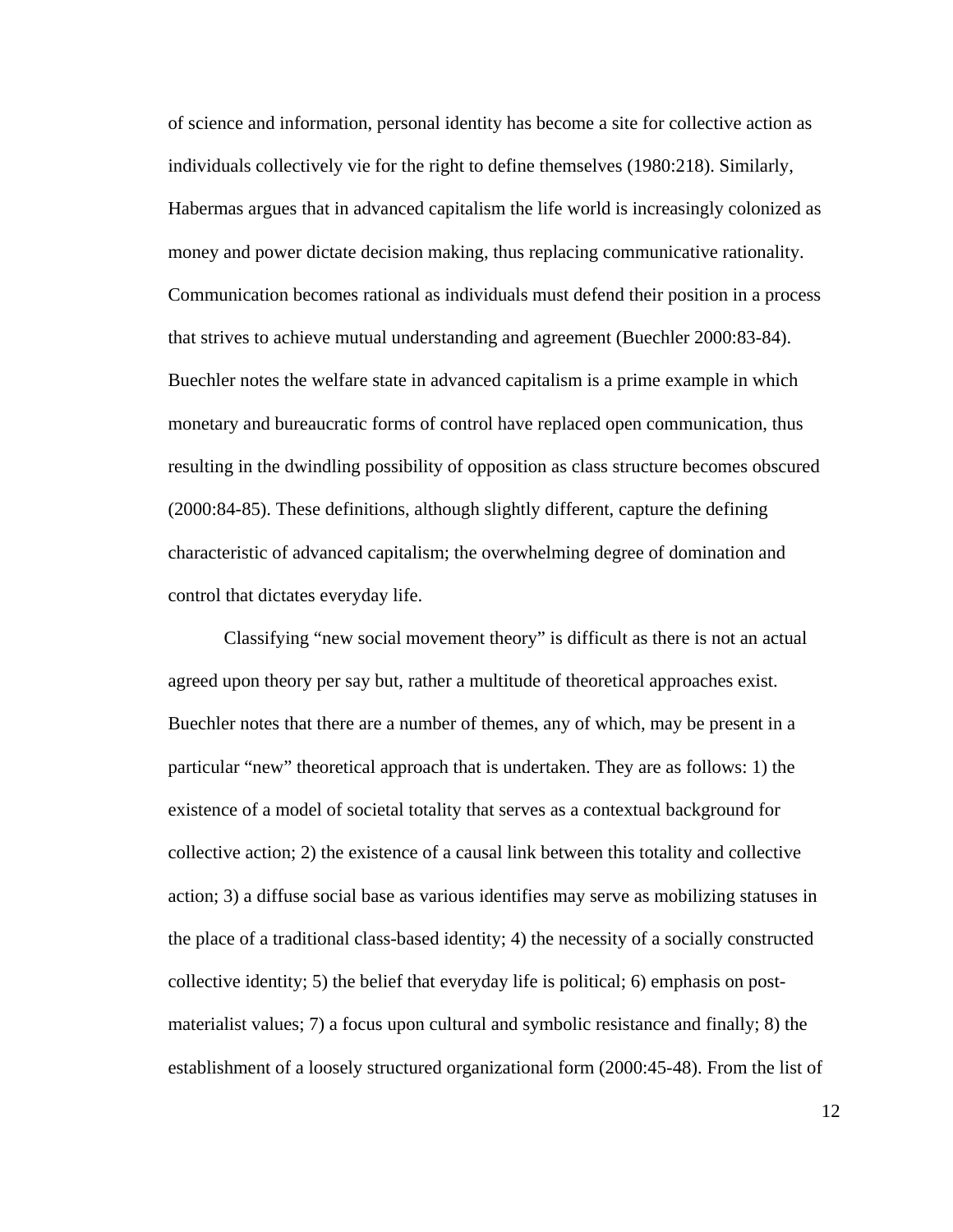of science and information, personal identity has become a site for collective action as individuals collectively vie for the right to define themselves (1980:218). Similarly, Habermas argues that in advanced capitalism the life world is increasingly colonized as money and power dictate decision making, thus replacing communicative rationality. Communication becomes rational as individuals must defend their position in a process that strives to achieve mutual understanding and agreement (Buechler 2000:83-84). Buechler notes the welfare state in advanced capitalism is a prime example in which monetary and bureaucratic forms of control have replaced open communication, thus resulting in the dwindling possibility of opposition as class structure becomes obscured (2000:84-85). These definitions, although slightly different, capture the defining characteristic of advanced capitalism; the overwhelming degree of domination and control that dictates everyday life.

 Classifying "new social movement theory" is difficult as there is not an actual agreed upon theory per say but, rather a multitude of theoretical approaches exist. Buechler notes that there are a number of themes, any of which, may be present in a particular "new" theoretical approach that is undertaken. They are as follows: 1) the existence of a model of societal totality that serves as a contextual background for collective action; 2) the existence of a causal link between this totality and collective action; 3) a diffuse social base as various identifies may serve as mobilizing statuses in the place of a traditional class-based identity; 4) the necessity of a socially constructed collective identity; 5) the belief that everyday life is political; 6) emphasis on postmaterialist values; 7) a focus upon cultural and symbolic resistance and finally; 8) the establishment of a loosely structured organizational form (2000:45-48). From the list of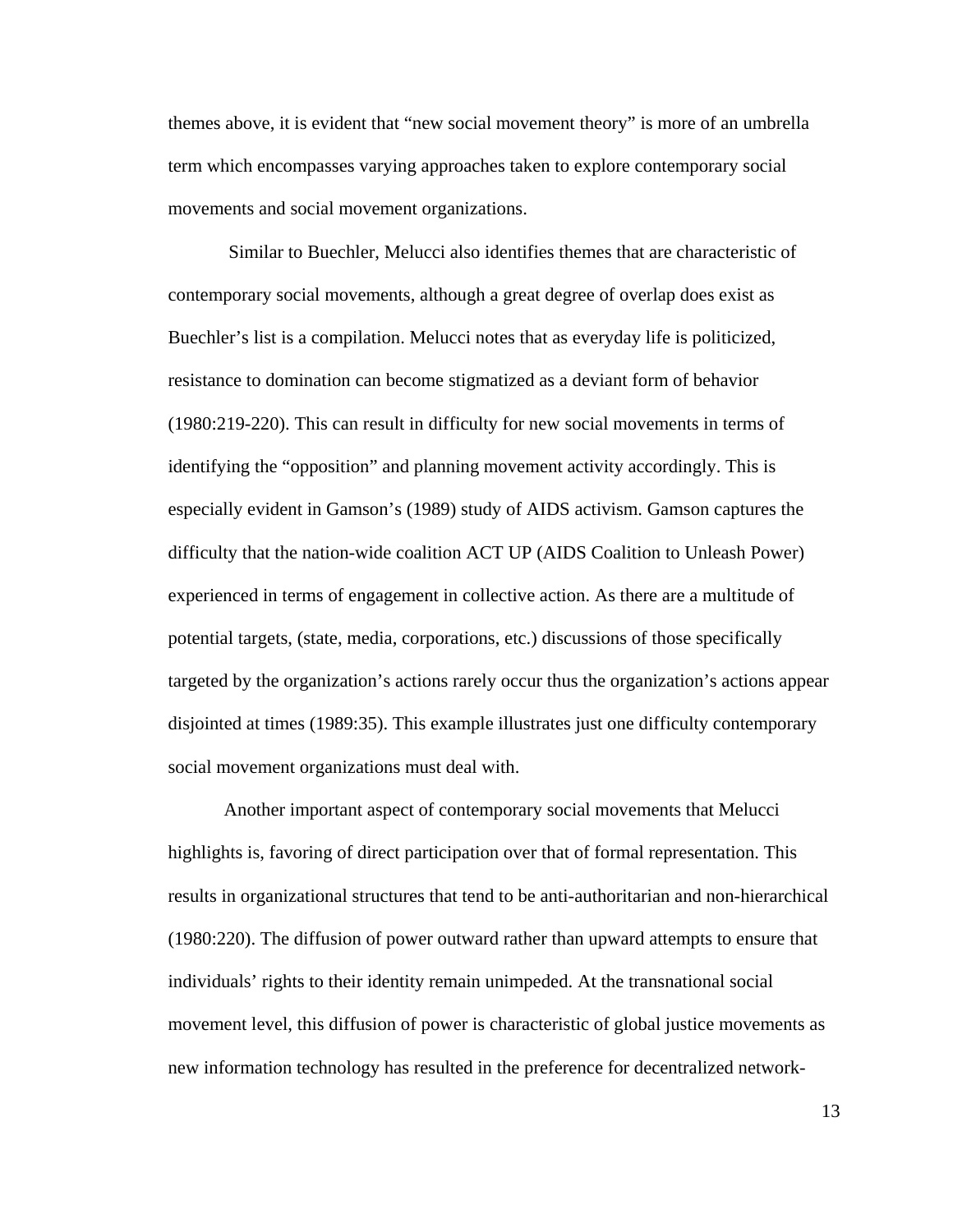themes above, it is evident that "new social movement theory" is more of an umbrella term which encompasses varying approaches taken to explore contemporary social movements and social movement organizations.

 Similar to Buechler, Melucci also identifies themes that are characteristic of contemporary social movements, although a great degree of overlap does exist as Buechler's list is a compilation. Melucci notes that as everyday life is politicized, resistance to domination can become stigmatized as a deviant form of behavior (1980:219-220). This can result in difficulty for new social movements in terms of identifying the "opposition" and planning movement activity accordingly. This is especially evident in Gamson's (1989) study of AIDS activism. Gamson captures the difficulty that the nation-wide coalition ACT UP (AIDS Coalition to Unleash Power) experienced in terms of engagement in collective action. As there are a multitude of potential targets, (state, media, corporations, etc.) discussions of those specifically targeted by the organization's actions rarely occur thus the organization's actions appear disjointed at times (1989:35). This example illustrates just one difficulty contemporary social movement organizations must deal with.

 Another important aspect of contemporary social movements that Melucci highlights is, favoring of direct participation over that of formal representation. This results in organizational structures that tend to be anti-authoritarian and non-hierarchical (1980:220). The diffusion of power outward rather than upward attempts to ensure that individuals' rights to their identity remain unimpeded. At the transnational social movement level, this diffusion of power is characteristic of global justice movements as new information technology has resulted in the preference for decentralized network-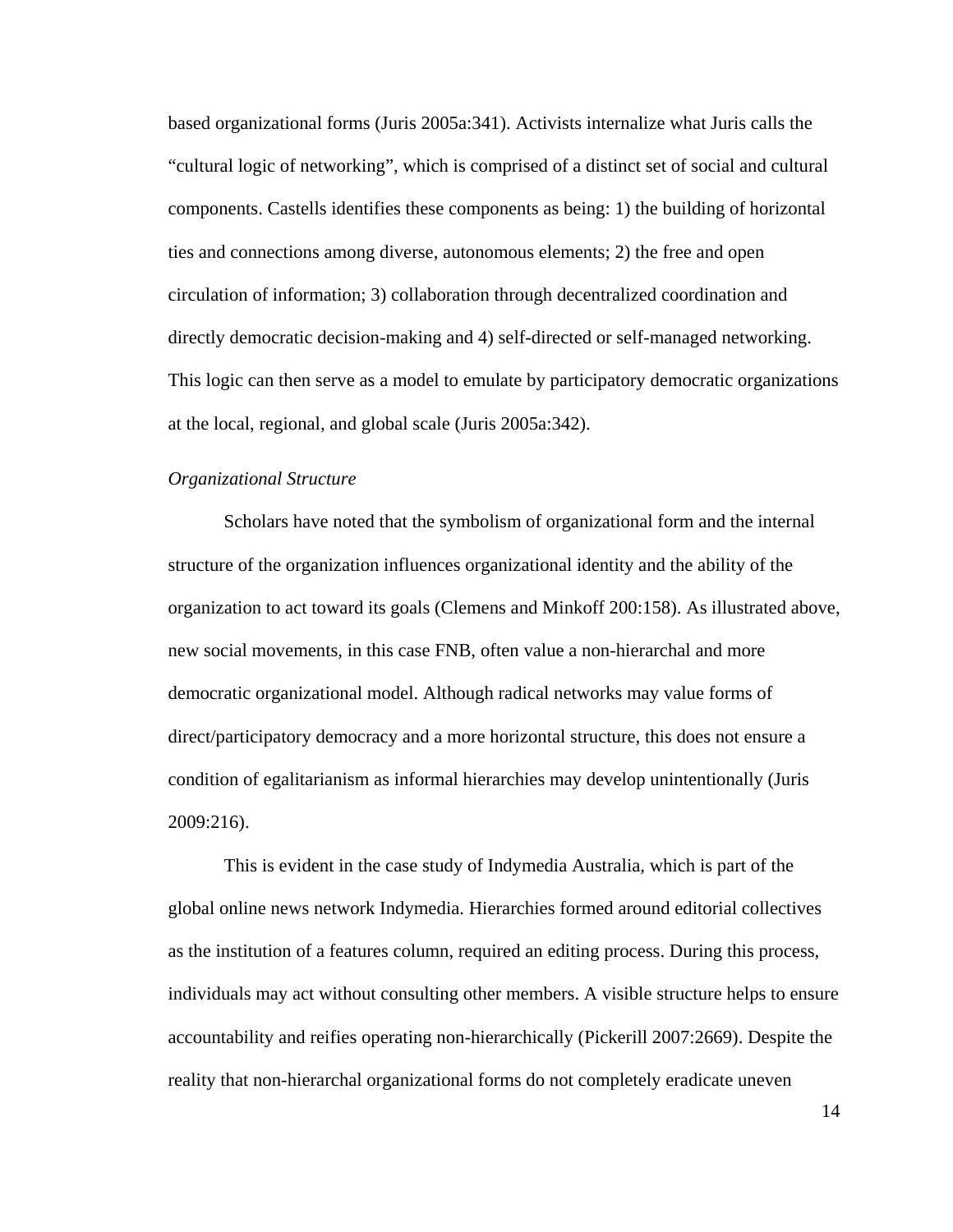based organizational forms (Juris 2005a:341). Activists internalize what Juris calls the "cultural logic of networking", which is comprised of a distinct set of social and cultural components. Castells identifies these components as being: 1) the building of horizontal ties and connections among diverse, autonomous elements; 2) the free and open circulation of information; 3) collaboration through decentralized coordination and directly democratic decision-making and 4) self-directed or self-managed networking. This logic can then serve as a model to emulate by participatory democratic organizations at the local, regional, and global scale (Juris 2005a:342).

#### *Organizational Structure*

Scholars have noted that the symbolism of organizational form and the internal structure of the organization influences organizational identity and the ability of the organization to act toward its goals (Clemens and Minkoff 200:158). As illustrated above, new social movements, in this case FNB, often value a non-hierarchal and more democratic organizational model. Although radical networks may value forms of direct/participatory democracy and a more horizontal structure, this does not ensure a condition of egalitarianism as informal hierarchies may develop unintentionally (Juris 2009:216).

 This is evident in the case study of Indymedia Australia, which is part of the global online news network Indymedia. Hierarchies formed around editorial collectives as the institution of a features column, required an editing process. During this process, individuals may act without consulting other members. A visible structure helps to ensure accountability and reifies operating non-hierarchically (Pickerill 2007:2669). Despite the reality that non-hierarchal organizational forms do not completely eradicate uneven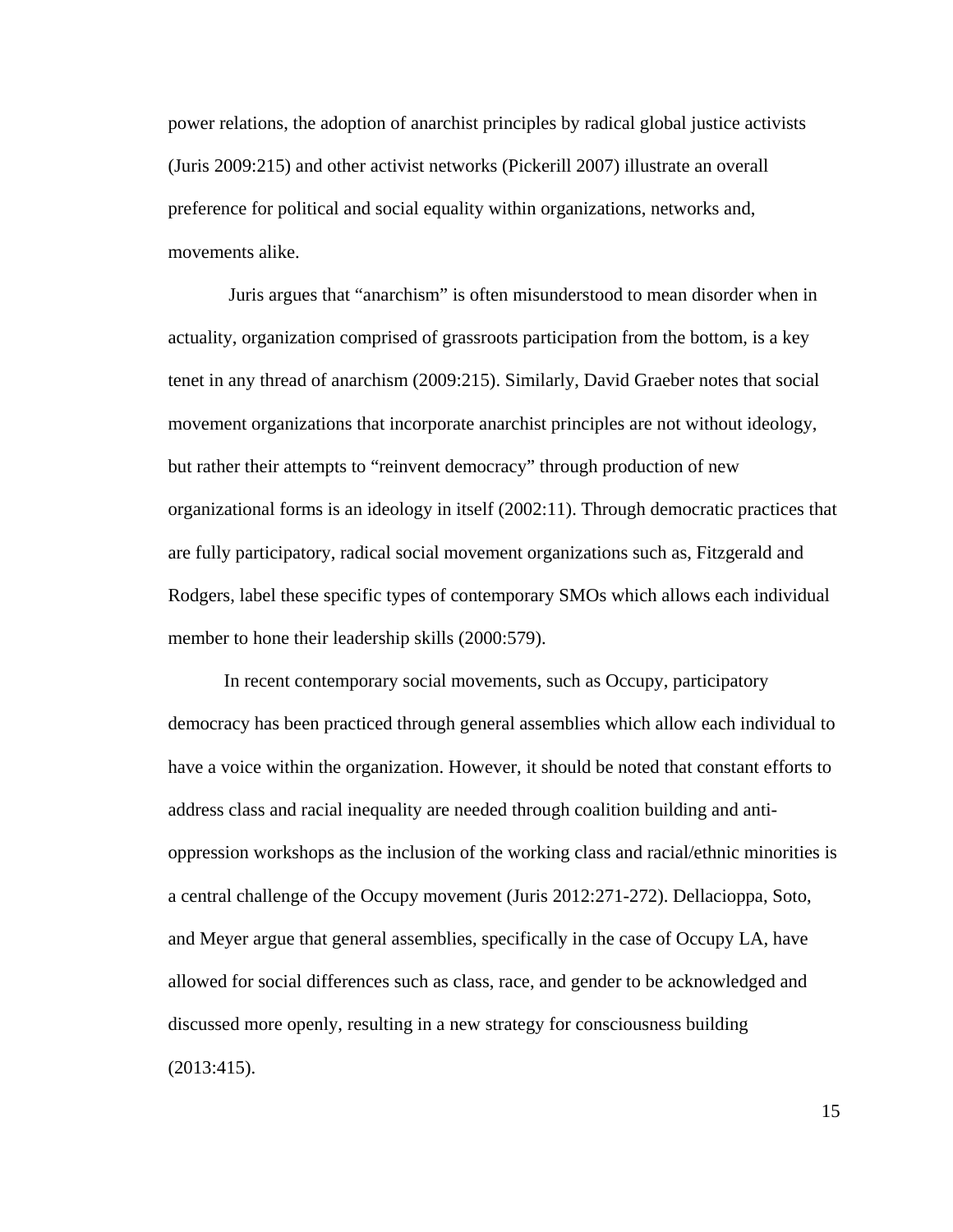power relations, the adoption of anarchist principles by radical global justice activists (Juris 2009:215) and other activist networks (Pickerill 2007) illustrate an overall preference for political and social equality within organizations, networks and, movements alike.

 Juris argues that "anarchism" is often misunderstood to mean disorder when in actuality, organization comprised of grassroots participation from the bottom, is a key tenet in any thread of anarchism (2009:215). Similarly, David Graeber notes that social movement organizations that incorporate anarchist principles are not without ideology, but rather their attempts to "reinvent democracy" through production of new organizational forms is an ideology in itself (2002:11). Through democratic practices that are fully participatory, radical social movement organizations such as, Fitzgerald and Rodgers, label these specific types of contemporary SMOs which allows each individual member to hone their leadership skills (2000:579).

 In recent contemporary social movements, such as Occupy, participatory democracy has been practiced through general assemblies which allow each individual to have a voice within the organization. However, it should be noted that constant efforts to address class and racial inequality are needed through coalition building and antioppression workshops as the inclusion of the working class and racial/ethnic minorities is a central challenge of the Occupy movement (Juris 2012:271-272). Dellacioppa, Soto, and Meyer argue that general assemblies, specifically in the case of Occupy LA, have allowed for social differences such as class, race, and gender to be acknowledged and discussed more openly, resulting in a new strategy for consciousness building (2013:415).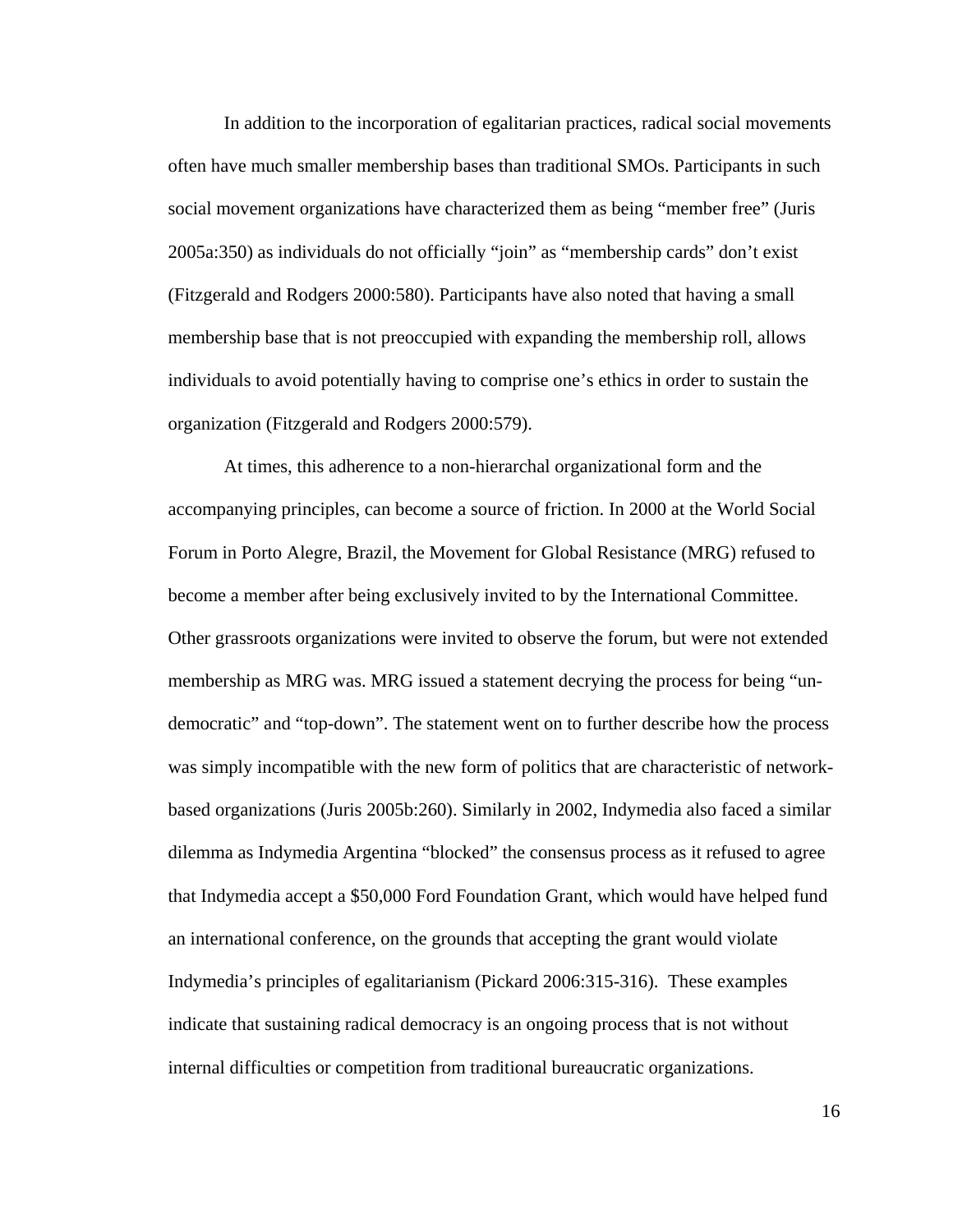In addition to the incorporation of egalitarian practices, radical social movements often have much smaller membership bases than traditional SMOs. Participants in such social movement organizations have characterized them as being "member free" (Juris 2005a:350) as individuals do not officially "join" as "membership cards" don't exist (Fitzgerald and Rodgers 2000:580). Participants have also noted that having a small membership base that is not preoccupied with expanding the membership roll, allows individuals to avoid potentially having to comprise one's ethics in order to sustain the organization (Fitzgerald and Rodgers 2000:579).

 At times, this adherence to a non-hierarchal organizational form and the accompanying principles, can become a source of friction. In 2000 at the World Social Forum in Porto Alegre, Brazil, the Movement for Global Resistance (MRG) refused to become a member after being exclusively invited to by the International Committee. Other grassroots organizations were invited to observe the forum, but were not extended membership as MRG was. MRG issued a statement decrying the process for being "undemocratic" and "top-down". The statement went on to further describe how the process was simply incompatible with the new form of politics that are characteristic of networkbased organizations (Juris 2005b:260). Similarly in 2002, Indymedia also faced a similar dilemma as Indymedia Argentina "blocked" the consensus process as it refused to agree that Indymedia accept a \$50,000 Ford Foundation Grant, which would have helped fund an international conference, on the grounds that accepting the grant would violate Indymedia's principles of egalitarianism (Pickard 2006:315-316). These examples indicate that sustaining radical democracy is an ongoing process that is not without internal difficulties or competition from traditional bureaucratic organizations.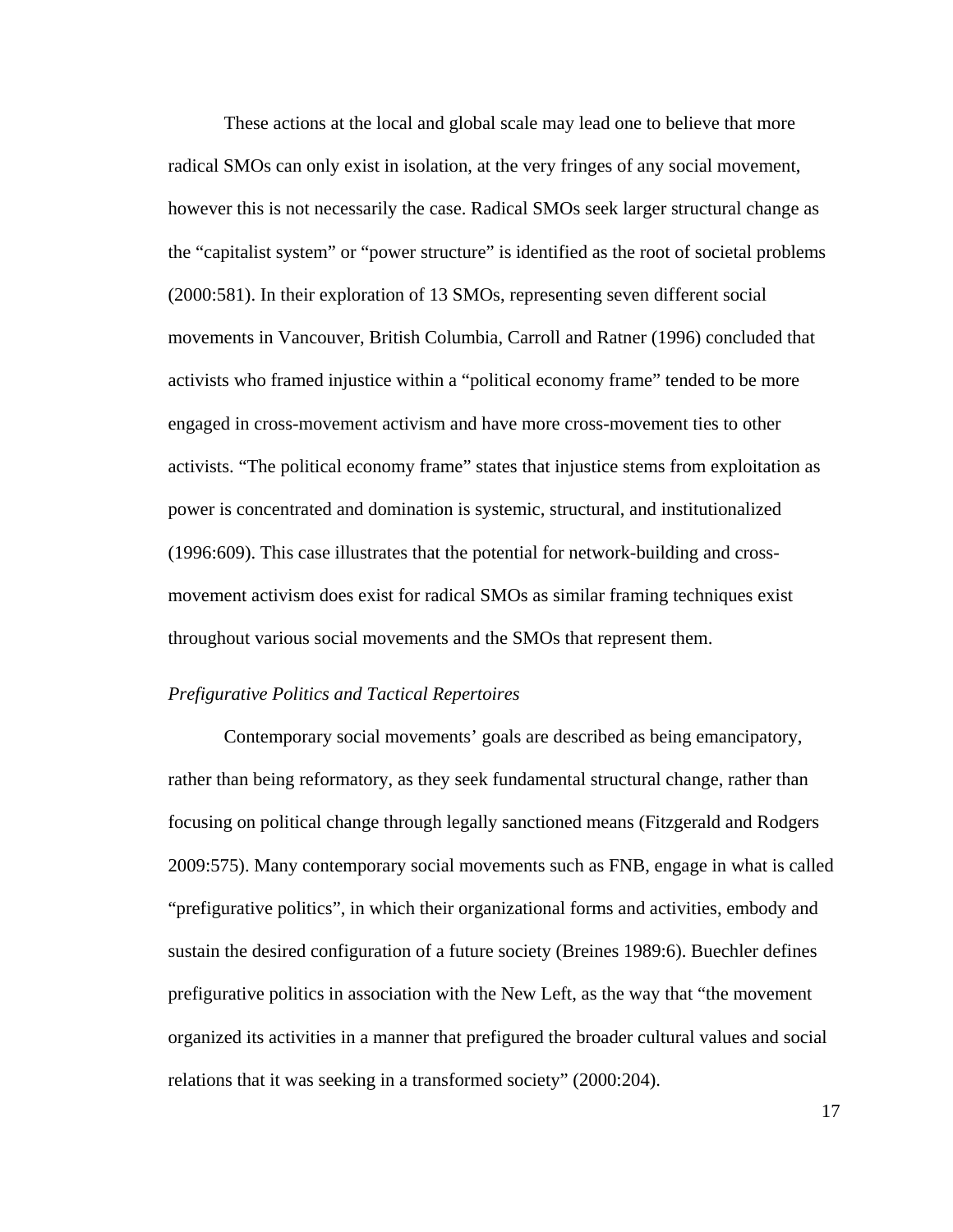These actions at the local and global scale may lead one to believe that more radical SMOs can only exist in isolation, at the very fringes of any social movement, however this is not necessarily the case. Radical SMOs seek larger structural change as the "capitalist system" or "power structure" is identified as the root of societal problems (2000:581). In their exploration of 13 SMOs, representing seven different social movements in Vancouver, British Columbia, Carroll and Ratner (1996) concluded that activists who framed injustice within a "political economy frame" tended to be more engaged in cross-movement activism and have more cross-movement ties to other activists. "The political economy frame" states that injustice stems from exploitation as power is concentrated and domination is systemic, structural, and institutionalized (1996:609). This case illustrates that the potential for network-building and crossmovement activism does exist for radical SMOs as similar framing techniques exist throughout various social movements and the SMOs that represent them.

#### *Prefigurative Politics and Tactical Repertoires*

Contemporary social movements' goals are described as being emancipatory, rather than being reformatory, as they seek fundamental structural change, rather than focusing on political change through legally sanctioned means (Fitzgerald and Rodgers 2009:575). Many contemporary social movements such as FNB, engage in what is called "prefigurative politics", in which their organizational forms and activities, embody and sustain the desired configuration of a future society (Breines 1989:6). Buechler defines prefigurative politics in association with the New Left, as the way that "the movement organized its activities in a manner that prefigured the broader cultural values and social relations that it was seeking in a transformed society" (2000:204).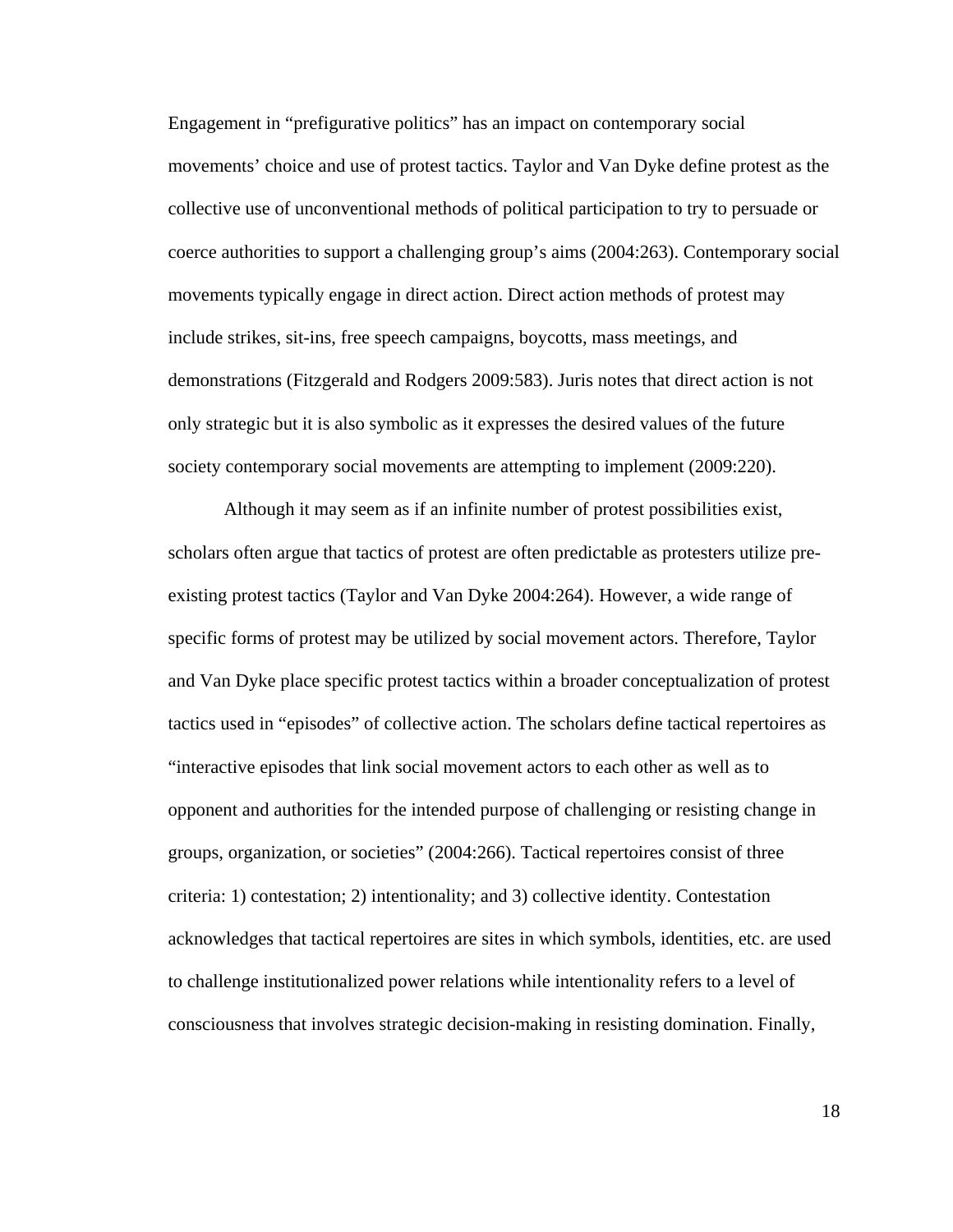Engagement in "prefigurative politics" has an impact on contemporary social movements' choice and use of protest tactics. Taylor and Van Dyke define protest as the collective use of unconventional methods of political participation to try to persuade or coerce authorities to support a challenging group's aims (2004:263). Contemporary social movements typically engage in direct action. Direct action methods of protest may include strikes, sit-ins, free speech campaigns, boycotts, mass meetings, and demonstrations (Fitzgerald and Rodgers 2009:583). Juris notes that direct action is not only strategic but it is also symbolic as it expresses the desired values of the future society contemporary social movements are attempting to implement (2009:220).

 Although it may seem as if an infinite number of protest possibilities exist, scholars often argue that tactics of protest are often predictable as protesters utilize preexisting protest tactics (Taylor and Van Dyke 2004:264). However, a wide range of specific forms of protest may be utilized by social movement actors. Therefore, Taylor and Van Dyke place specific protest tactics within a broader conceptualization of protest tactics used in "episodes" of collective action. The scholars define tactical repertoires as "interactive episodes that link social movement actors to each other as well as to opponent and authorities for the intended purpose of challenging or resisting change in groups, organization, or societies" (2004:266). Tactical repertoires consist of three criteria: 1) contestation; 2) intentionality; and 3) collective identity. Contestation acknowledges that tactical repertoires are sites in which symbols, identities, etc. are used to challenge institutionalized power relations while intentionality refers to a level of consciousness that involves strategic decision-making in resisting domination. Finally,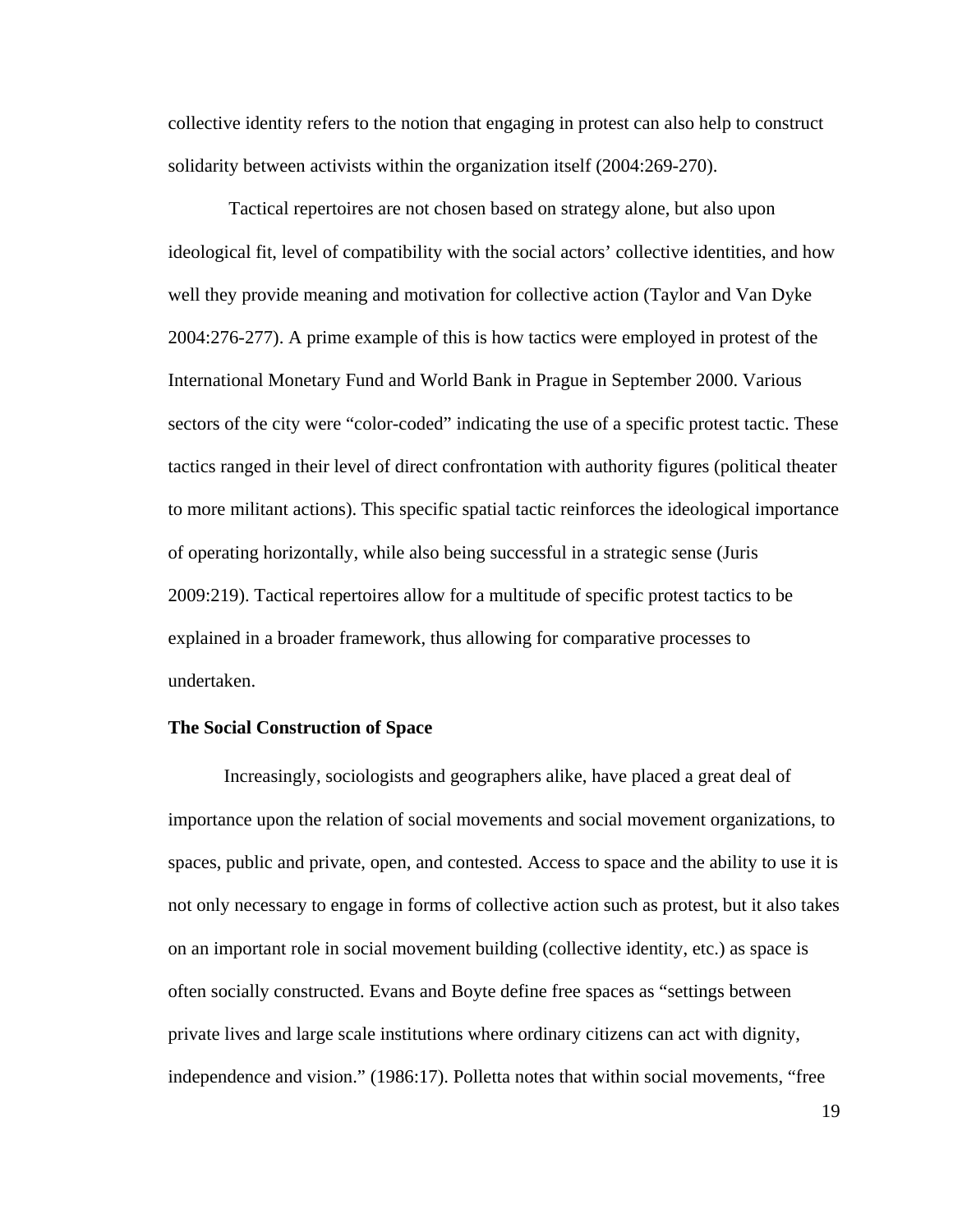collective identity refers to the notion that engaging in protest can also help to construct solidarity between activists within the organization itself (2004:269-270).

 Tactical repertoires are not chosen based on strategy alone, but also upon ideological fit, level of compatibility with the social actors' collective identities, and how well they provide meaning and motivation for collective action (Taylor and Van Dyke 2004:276-277). A prime example of this is how tactics were employed in protest of the International Monetary Fund and World Bank in Prague in September 2000. Various sectors of the city were "color-coded" indicating the use of a specific protest tactic. These tactics ranged in their level of direct confrontation with authority figures (political theater to more militant actions). This specific spatial tactic reinforces the ideological importance of operating horizontally, while also being successful in a strategic sense (Juris 2009:219). Tactical repertoires allow for a multitude of specific protest tactics to be explained in a broader framework, thus allowing for comparative processes to undertaken.

#### **The Social Construction of Space**

 Increasingly, sociologists and geographers alike, have placed a great deal of importance upon the relation of social movements and social movement organizations, to spaces, public and private, open, and contested. Access to space and the ability to use it is not only necessary to engage in forms of collective action such as protest, but it also takes on an important role in social movement building (collective identity, etc.) as space is often socially constructed. Evans and Boyte define free spaces as "settings between private lives and large scale institutions where ordinary citizens can act with dignity, independence and vision." (1986:17). Polletta notes that within social movements, "free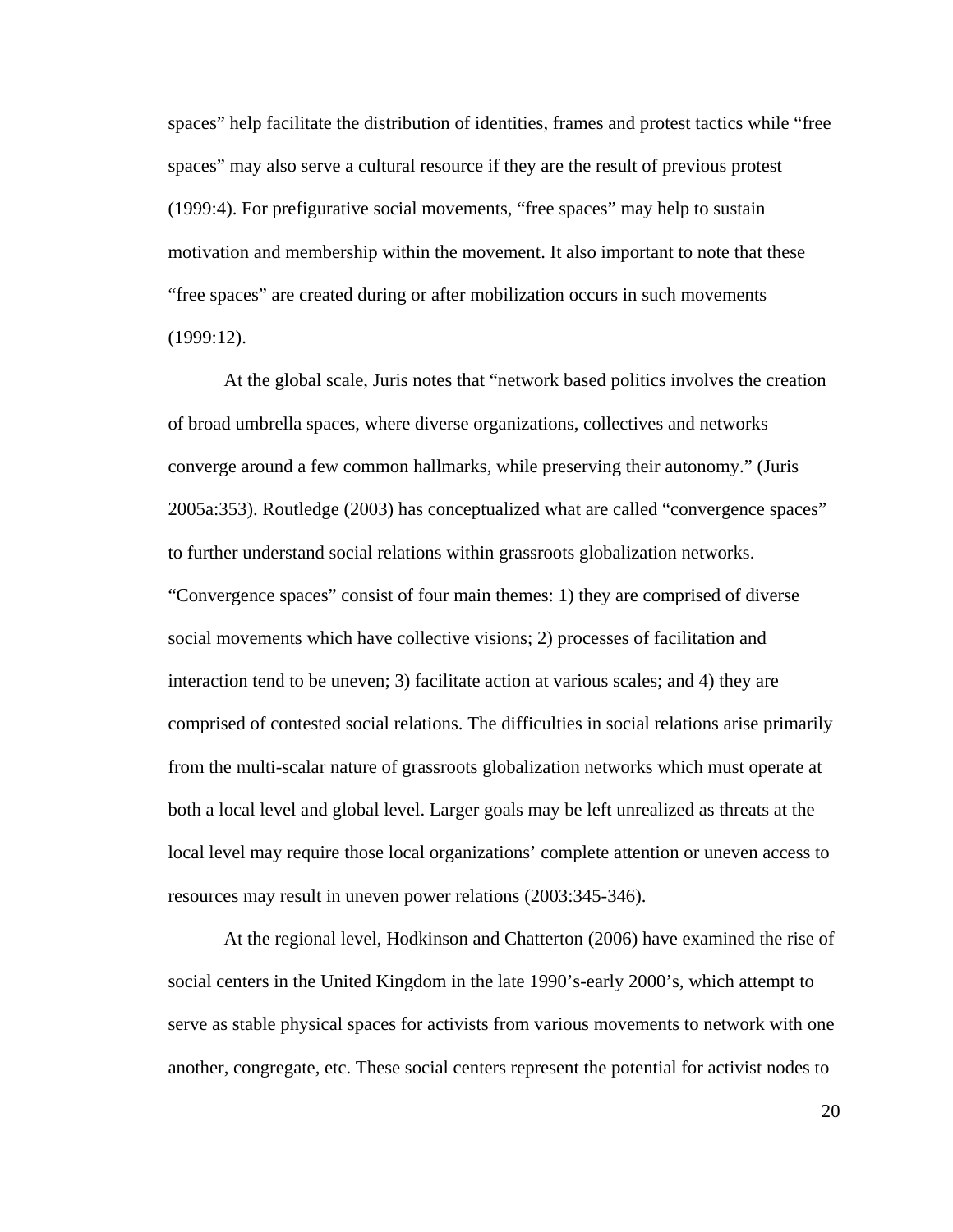spaces" help facilitate the distribution of identities, frames and protest tactics while "free spaces" may also serve a cultural resource if they are the result of previous protest (1999:4). For prefigurative social movements, "free spaces" may help to sustain motivation and membership within the movement. It also important to note that these "free spaces" are created during or after mobilization occurs in such movements (1999:12).

 At the global scale, Juris notes that "network based politics involves the creation of broad umbrella spaces, where diverse organizations, collectives and networks converge around a few common hallmarks, while preserving their autonomy." (Juris 2005a:353). Routledge (2003) has conceptualized what are called "convergence spaces" to further understand social relations within grassroots globalization networks. "Convergence spaces" consist of four main themes: 1) they are comprised of diverse social movements which have collective visions; 2) processes of facilitation and interaction tend to be uneven; 3) facilitate action at various scales; and 4) they are comprised of contested social relations. The difficulties in social relations arise primarily from the multi-scalar nature of grassroots globalization networks which must operate at both a local level and global level. Larger goals may be left unrealized as threats at the local level may require those local organizations' complete attention or uneven access to resources may result in uneven power relations (2003:345-346).

 At the regional level, Hodkinson and Chatterton (2006) have examined the rise of social centers in the United Kingdom in the late 1990's-early 2000's, which attempt to serve as stable physical spaces for activists from various movements to network with one another, congregate, etc. These social centers represent the potential for activist nodes to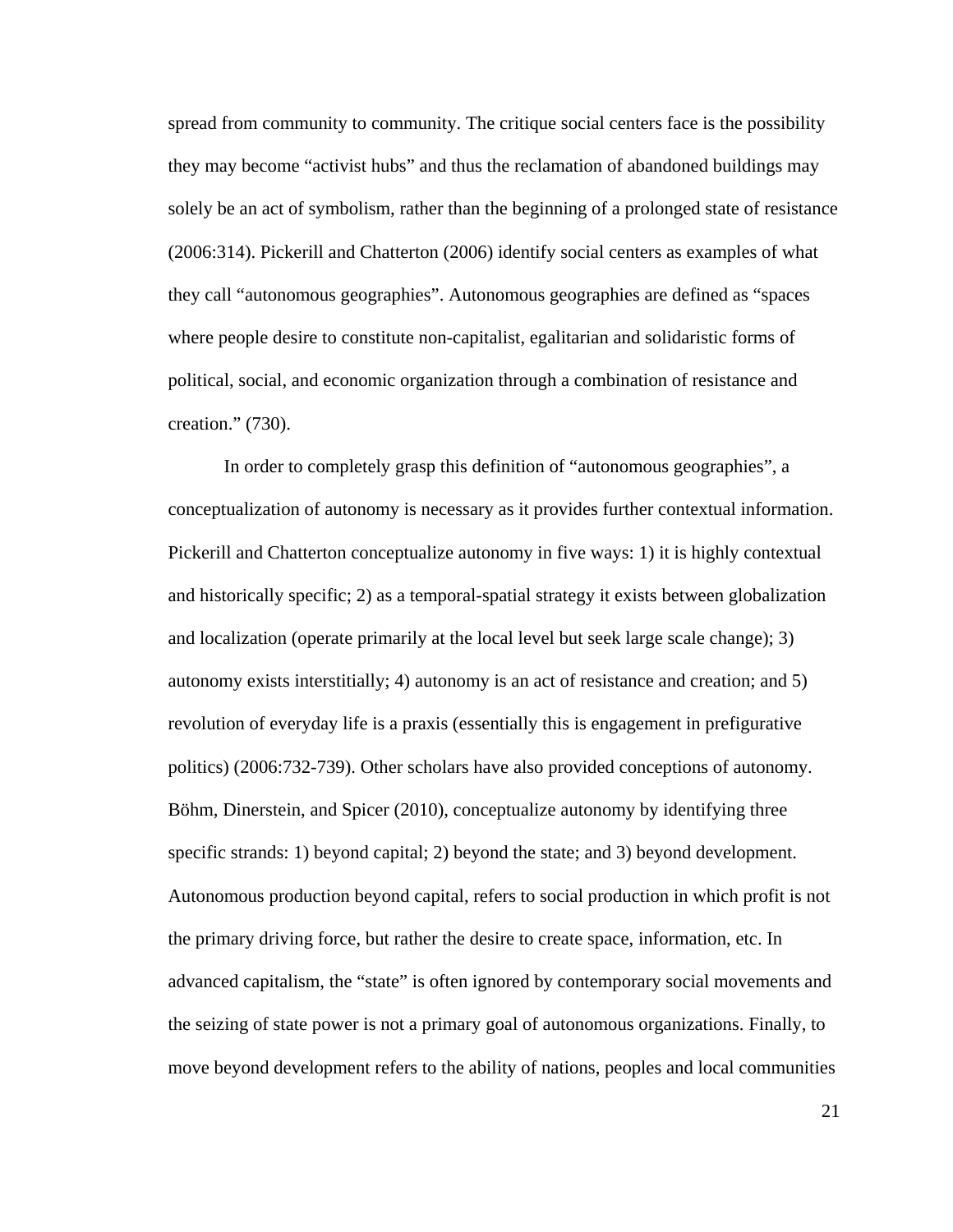spread from community to community. The critique social centers face is the possibility they may become "activist hubs" and thus the reclamation of abandoned buildings may solely be an act of symbolism, rather than the beginning of a prolonged state of resistance (2006:314). Pickerill and Chatterton (2006) identify social centers as examples of what they call "autonomous geographies". Autonomous geographies are defined as "spaces where people desire to constitute non-capitalist, egalitarian and solidaristic forms of political, social, and economic organization through a combination of resistance and creation." (730).

 In order to completely grasp this definition of "autonomous geographies", a conceptualization of autonomy is necessary as it provides further contextual information. Pickerill and Chatterton conceptualize autonomy in five ways: 1) it is highly contextual and historically specific; 2) as a temporal-spatial strategy it exists between globalization and localization (operate primarily at the local level but seek large scale change); 3) autonomy exists interstitially; 4) autonomy is an act of resistance and creation; and 5) revolution of everyday life is a praxis (essentially this is engagement in prefigurative politics) (2006:732-739). Other scholars have also provided conceptions of autonomy. Böhm, Dinerstein, and Spicer (2010), conceptualize autonomy by identifying three specific strands: 1) beyond capital; 2) beyond the state; and 3) beyond development. Autonomous production beyond capital, refers to social production in which profit is not the primary driving force, but rather the desire to create space, information, etc. In advanced capitalism, the "state" is often ignored by contemporary social movements and the seizing of state power is not a primary goal of autonomous organizations. Finally, to move beyond development refers to the ability of nations, peoples and local communities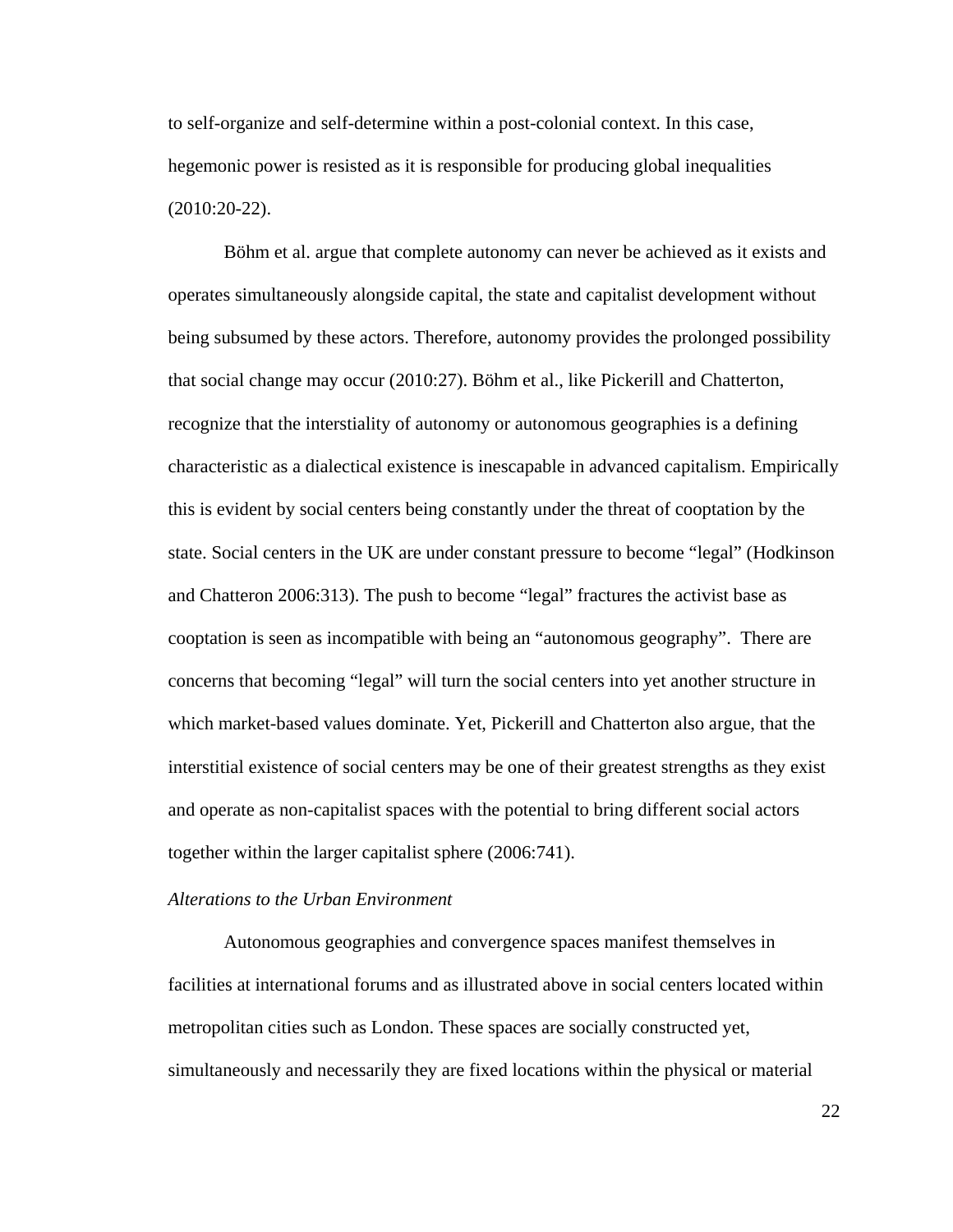to self-organize and self-determine within a post-colonial context. In this case, hegemonic power is resisted as it is responsible for producing global inequalities (2010:20-22).

 Böhm et al. argue that complete autonomy can never be achieved as it exists and operates simultaneously alongside capital, the state and capitalist development without being subsumed by these actors. Therefore, autonomy provides the prolonged possibility that social change may occur (2010:27). Böhm et al., like Pickerill and Chatterton, recognize that the interstiality of autonomy or autonomous geographies is a defining characteristic as a dialectical existence is inescapable in advanced capitalism. Empirically this is evident by social centers being constantly under the threat of cooptation by the state. Social centers in the UK are under constant pressure to become "legal" (Hodkinson and Chatteron 2006:313). The push to become "legal" fractures the activist base as cooptation is seen as incompatible with being an "autonomous geography". There are concerns that becoming "legal" will turn the social centers into yet another structure in which market-based values dominate. Yet, Pickerill and Chatterton also argue, that the interstitial existence of social centers may be one of their greatest strengths as they exist and operate as non-capitalist spaces with the potential to bring different social actors together within the larger capitalist sphere (2006:741).

#### *Alterations to the Urban Environment*

 Autonomous geographies and convergence spaces manifest themselves in facilities at international forums and as illustrated above in social centers located within metropolitan cities such as London. These spaces are socially constructed yet, simultaneously and necessarily they are fixed locations within the physical or material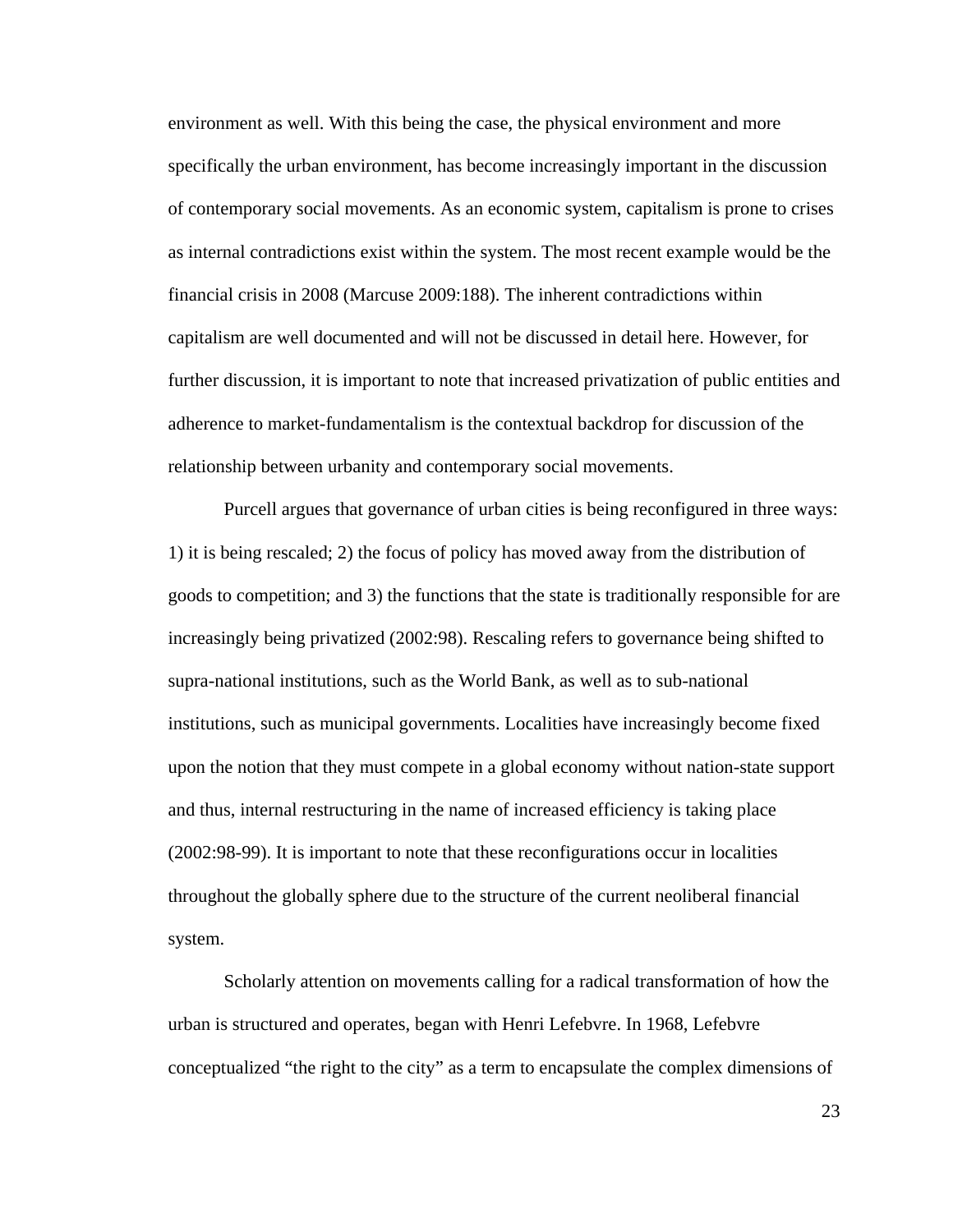environment as well. With this being the case, the physical environment and more specifically the urban environment, has become increasingly important in the discussion of contemporary social movements. As an economic system, capitalism is prone to crises as internal contradictions exist within the system. The most recent example would be the financial crisis in 2008 (Marcuse 2009:188). The inherent contradictions within capitalism are well documented and will not be discussed in detail here. However, for further discussion, it is important to note that increased privatization of public entities and adherence to market-fundamentalism is the contextual backdrop for discussion of the relationship between urbanity and contemporary social movements.

 Purcell argues that governance of urban cities is being reconfigured in three ways: 1) it is being rescaled; 2) the focus of policy has moved away from the distribution of goods to competition; and 3) the functions that the state is traditionally responsible for are increasingly being privatized (2002:98). Rescaling refers to governance being shifted to supra-national institutions, such as the World Bank, as well as to sub-national institutions, such as municipal governments. Localities have increasingly become fixed upon the notion that they must compete in a global economy without nation-state support and thus, internal restructuring in the name of increased efficiency is taking place (2002:98-99). It is important to note that these reconfigurations occur in localities throughout the globally sphere due to the structure of the current neoliberal financial system.

 Scholarly attention on movements calling for a radical transformation of how the urban is structured and operates, began with Henri Lefebvre. In 1968, Lefebvre conceptualized "the right to the city" as a term to encapsulate the complex dimensions of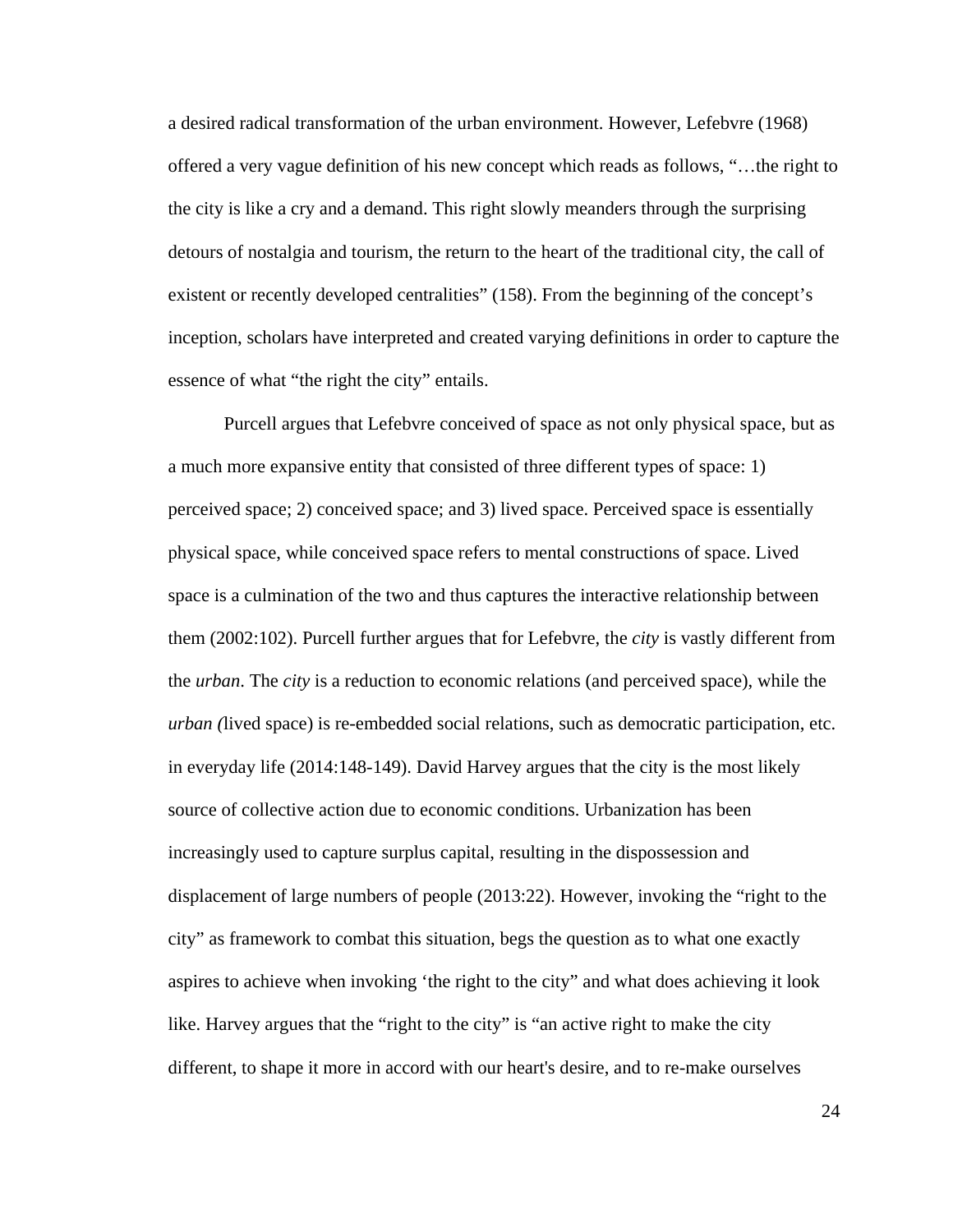a desired radical transformation of the urban environment. However, Lefebvre (1968) offered a very vague definition of his new concept which reads as follows, "…the right to the city is like a cry and a demand. This right slowly meanders through the surprising detours of nostalgia and tourism, the return to the heart of the traditional city, the call of existent or recently developed centralities" (158). From the beginning of the concept's inception, scholars have interpreted and created varying definitions in order to capture the essence of what "the right the city" entails.

 Purcell argues that Lefebvre conceived of space as not only physical space, but as a much more expansive entity that consisted of three different types of space: 1) perceived space; 2) conceived space; and 3) lived space. Perceived space is essentially physical space, while conceived space refers to mental constructions of space. Lived space is a culmination of the two and thus captures the interactive relationship between them (2002:102). Purcell further argues that for Lefebvre, the *city* is vastly different from the *urban*. The *city* is a reduction to economic relations (and perceived space), while the *urban (*lived space) is re-embedded social relations, such as democratic participation, etc. in everyday life (2014:148-149). David Harvey argues that the city is the most likely source of collective action due to economic conditions. Urbanization has been increasingly used to capture surplus capital, resulting in the dispossession and displacement of large numbers of people (2013:22). However, invoking the "right to the city" as framework to combat this situation, begs the question as to what one exactly aspires to achieve when invoking 'the right to the city" and what does achieving it look like. Harvey argues that the "right to the city" is "an active right to make the city different, to shape it more in accord with our heart's desire, and to re-make ourselves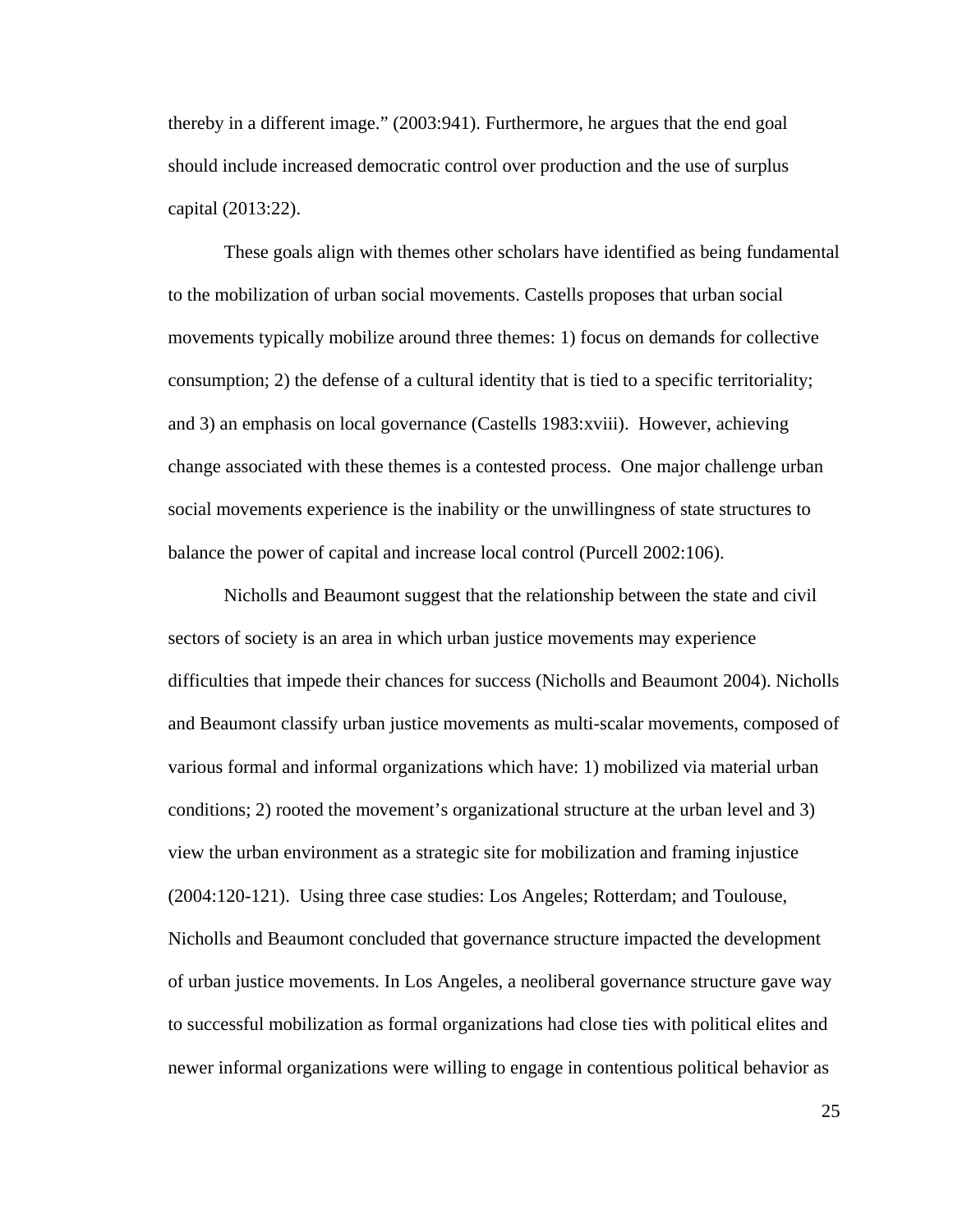thereby in a different image." (2003:941). Furthermore, he argues that the end goal should include increased democratic control over production and the use of surplus capital (2013:22).

 These goals align with themes other scholars have identified as being fundamental to the mobilization of urban social movements. Castells proposes that urban social movements typically mobilize around three themes: 1) focus on demands for collective consumption; 2) the defense of a cultural identity that is tied to a specific territoriality; and 3) an emphasis on local governance (Castells 1983:xviii). However, achieving change associated with these themes is a contested process. One major challenge urban social movements experience is the inability or the unwillingness of state structures to balance the power of capital and increase local control (Purcell 2002:106).

 Nicholls and Beaumont suggest that the relationship between the state and civil sectors of society is an area in which urban justice movements may experience difficulties that impede their chances for success (Nicholls and Beaumont 2004). Nicholls and Beaumont classify urban justice movements as multi-scalar movements, composed of various formal and informal organizations which have: 1) mobilized via material urban conditions; 2) rooted the movement's organizational structure at the urban level and 3) view the urban environment as a strategic site for mobilization and framing injustice (2004:120-121). Using three case studies: Los Angeles; Rotterdam; and Toulouse, Nicholls and Beaumont concluded that governance structure impacted the development of urban justice movements. In Los Angeles, a neoliberal governance structure gave way to successful mobilization as formal organizations had close ties with political elites and newer informal organizations were willing to engage in contentious political behavior as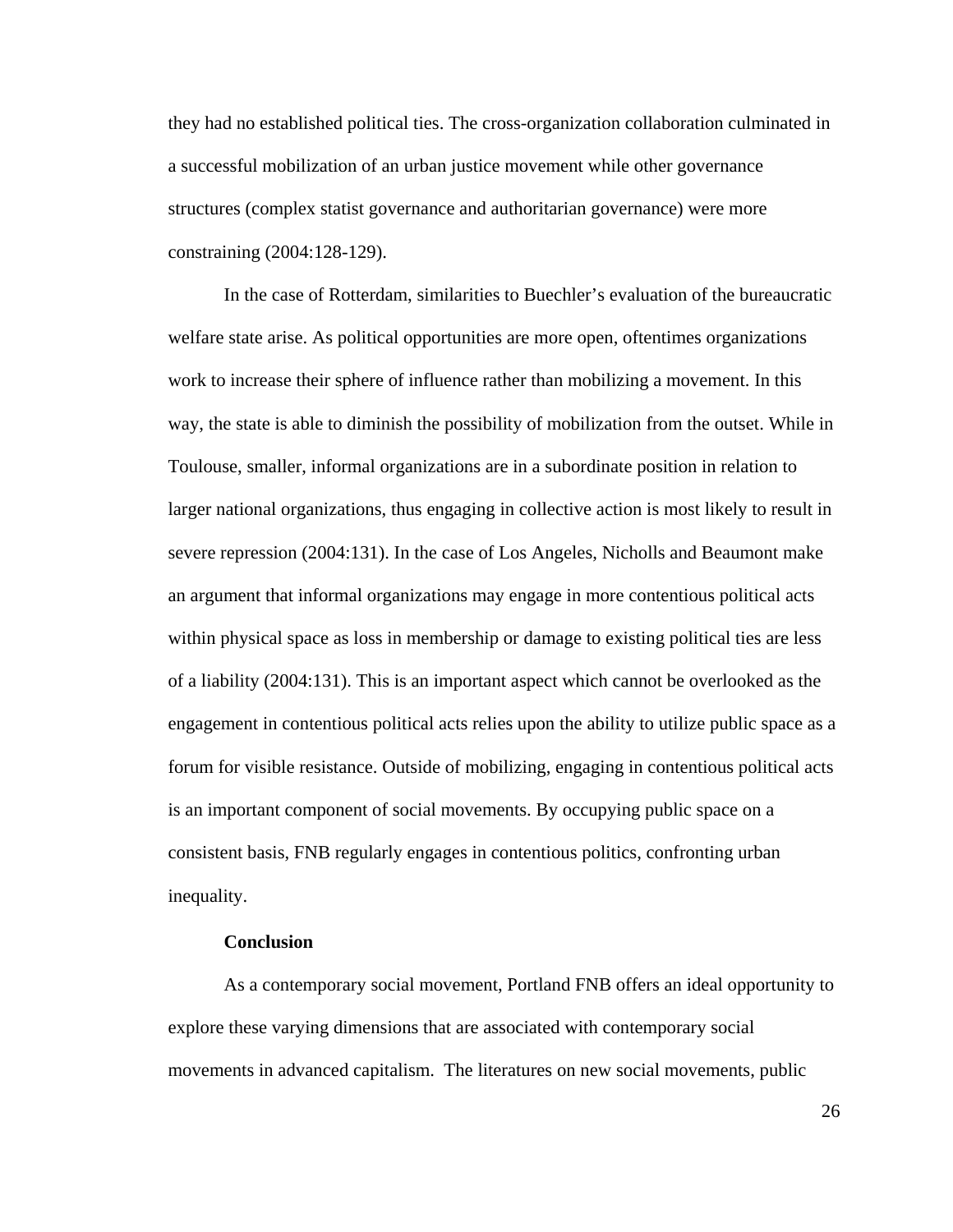they had no established political ties. The cross-organization collaboration culminated in a successful mobilization of an urban justice movement while other governance structures (complex statist governance and authoritarian governance) were more constraining (2004:128-129).

 In the case of Rotterdam, similarities to Buechler's evaluation of the bureaucratic welfare state arise. As political opportunities are more open, oftentimes organizations work to increase their sphere of influence rather than mobilizing a movement. In this way, the state is able to diminish the possibility of mobilization from the outset. While in Toulouse, smaller, informal organizations are in a subordinate position in relation to larger national organizations, thus engaging in collective action is most likely to result in severe repression (2004:131). In the case of Los Angeles, Nicholls and Beaumont make an argument that informal organizations may engage in more contentious political acts within physical space as loss in membership or damage to existing political ties are less of a liability (2004:131). This is an important aspect which cannot be overlooked as the engagement in contentious political acts relies upon the ability to utilize public space as a forum for visible resistance. Outside of mobilizing, engaging in contentious political acts is an important component of social movements. By occupying public space on a consistent basis, FNB regularly engages in contentious politics, confronting urban inequality.

#### **Conclusion**

 As a contemporary social movement, Portland FNB offers an ideal opportunity to explore these varying dimensions that are associated with contemporary social movements in advanced capitalism. The literatures on new social movements, public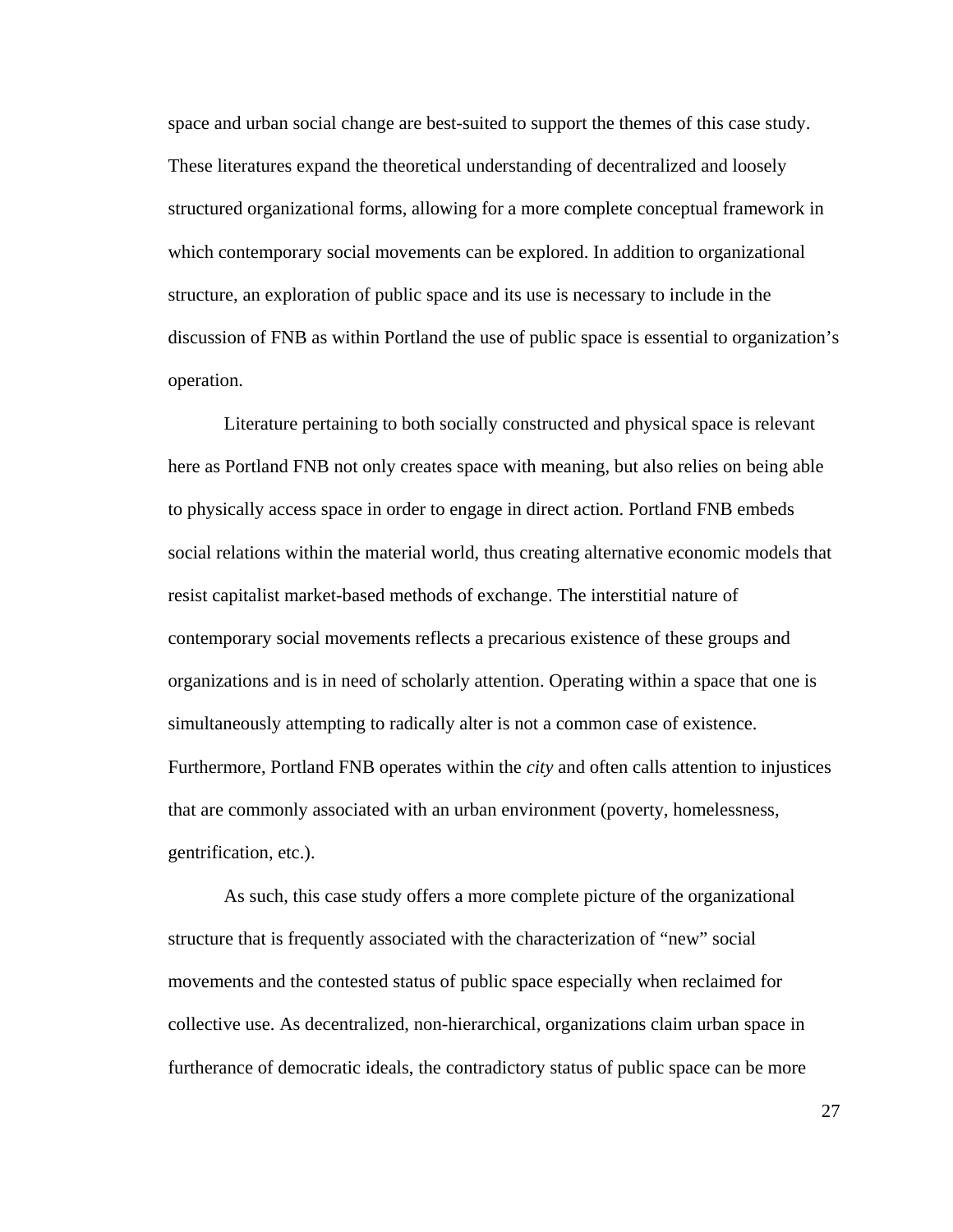space and urban social change are best-suited to support the themes of this case study. These literatures expand the theoretical understanding of decentralized and loosely structured organizational forms, allowing for a more complete conceptual framework in which contemporary social movements can be explored. In addition to organizational structure, an exploration of public space and its use is necessary to include in the discussion of FNB as within Portland the use of public space is essential to organization's operation.

 Literature pertaining to both socially constructed and physical space is relevant here as Portland FNB not only creates space with meaning, but also relies on being able to physically access space in order to engage in direct action. Portland FNB embeds social relations within the material world, thus creating alternative economic models that resist capitalist market-based methods of exchange. The interstitial nature of contemporary social movements reflects a precarious existence of these groups and organizations and is in need of scholarly attention. Operating within a space that one is simultaneously attempting to radically alter is not a common case of existence. Furthermore, Portland FNB operates within the *city* and often calls attention to injustices that are commonly associated with an urban environment (poverty, homelessness, gentrification, etc.).

 As such, this case study offers a more complete picture of the organizational structure that is frequently associated with the characterization of "new" social movements and the contested status of public space especially when reclaimed for collective use. As decentralized, non-hierarchical, organizations claim urban space in furtherance of democratic ideals, the contradictory status of public space can be more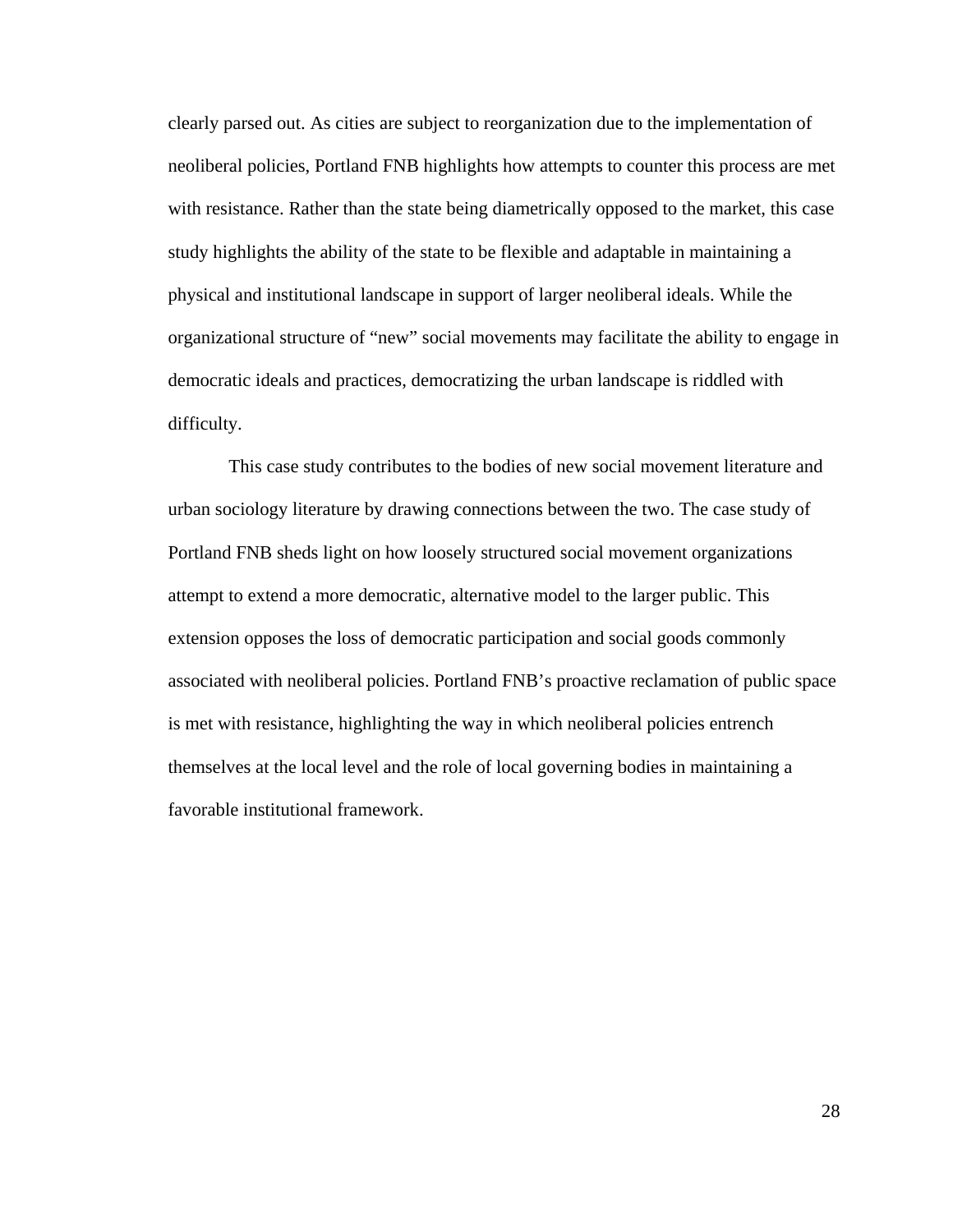clearly parsed out. As cities are subject to reorganization due to the implementation of neoliberal policies, Portland FNB highlights how attempts to counter this process are met with resistance. Rather than the state being diametrically opposed to the market, this case study highlights the ability of the state to be flexible and adaptable in maintaining a physical and institutional landscape in support of larger neoliberal ideals. While the organizational structure of "new" social movements may facilitate the ability to engage in democratic ideals and practices, democratizing the urban landscape is riddled with difficulty.

 This case study contributes to the bodies of new social movement literature and urban sociology literature by drawing connections between the two. The case study of Portland FNB sheds light on how loosely structured social movement organizations attempt to extend a more democratic, alternative model to the larger public. This extension opposes the loss of democratic participation and social goods commonly associated with neoliberal policies. Portland FNB's proactive reclamation of public space is met with resistance, highlighting the way in which neoliberal policies entrench themselves at the local level and the role of local governing bodies in maintaining a favorable institutional framework.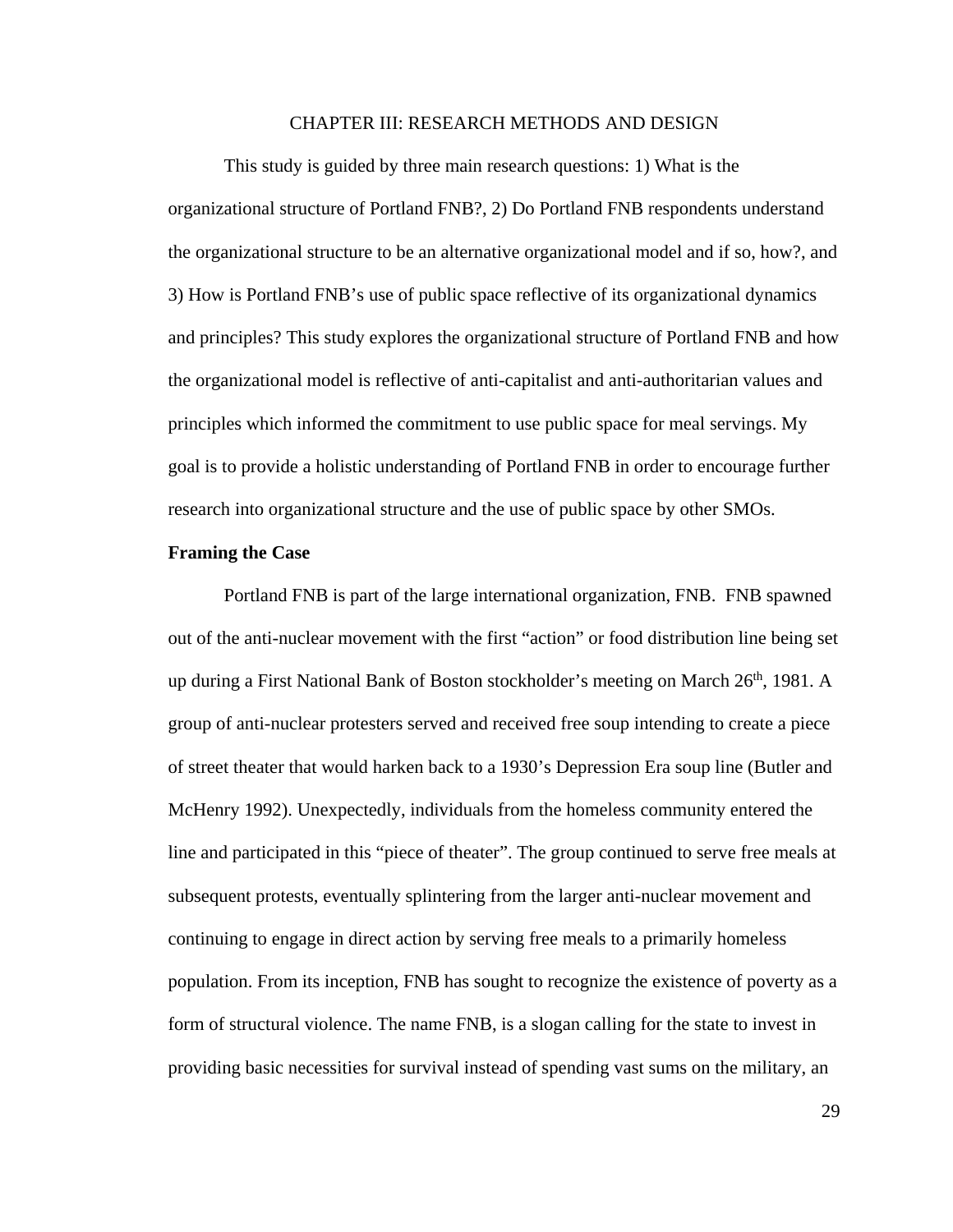### CHAPTER III: RESEARCH METHODS AND DESIGN

This study is guided by three main research questions: 1) What is the organizational structure of Portland FNB?, 2) Do Portland FNB respondents understand the organizational structure to be an alternative organizational model and if so, how?, and 3) How is Portland FNB's use of public space reflective of its organizational dynamics and principles? This study explores the organizational structure of Portland FNB and how the organizational model is reflective of anti-capitalist and anti-authoritarian values and principles which informed the commitment to use public space for meal servings. My goal is to provide a holistic understanding of Portland FNB in order to encourage further research into organizational structure and the use of public space by other SMOs.

#### **Framing the Case**

Portland FNB is part of the large international organization, FNB. FNB spawned out of the anti-nuclear movement with the first "action" or food distribution line being set up during a First National Bank of Boston stockholder's meeting on March  $26<sup>th</sup>$ , 1981. A group of anti-nuclear protesters served and received free soup intending to create a piece of street theater that would harken back to a 1930's Depression Era soup line (Butler and McHenry 1992). Unexpectedly, individuals from the homeless community entered the line and participated in this "piece of theater". The group continued to serve free meals at subsequent protests, eventually splintering from the larger anti-nuclear movement and continuing to engage in direct action by serving free meals to a primarily homeless population. From its inception, FNB has sought to recognize the existence of poverty as a form of structural violence. The name FNB, is a slogan calling for the state to invest in providing basic necessities for survival instead of spending vast sums on the military, an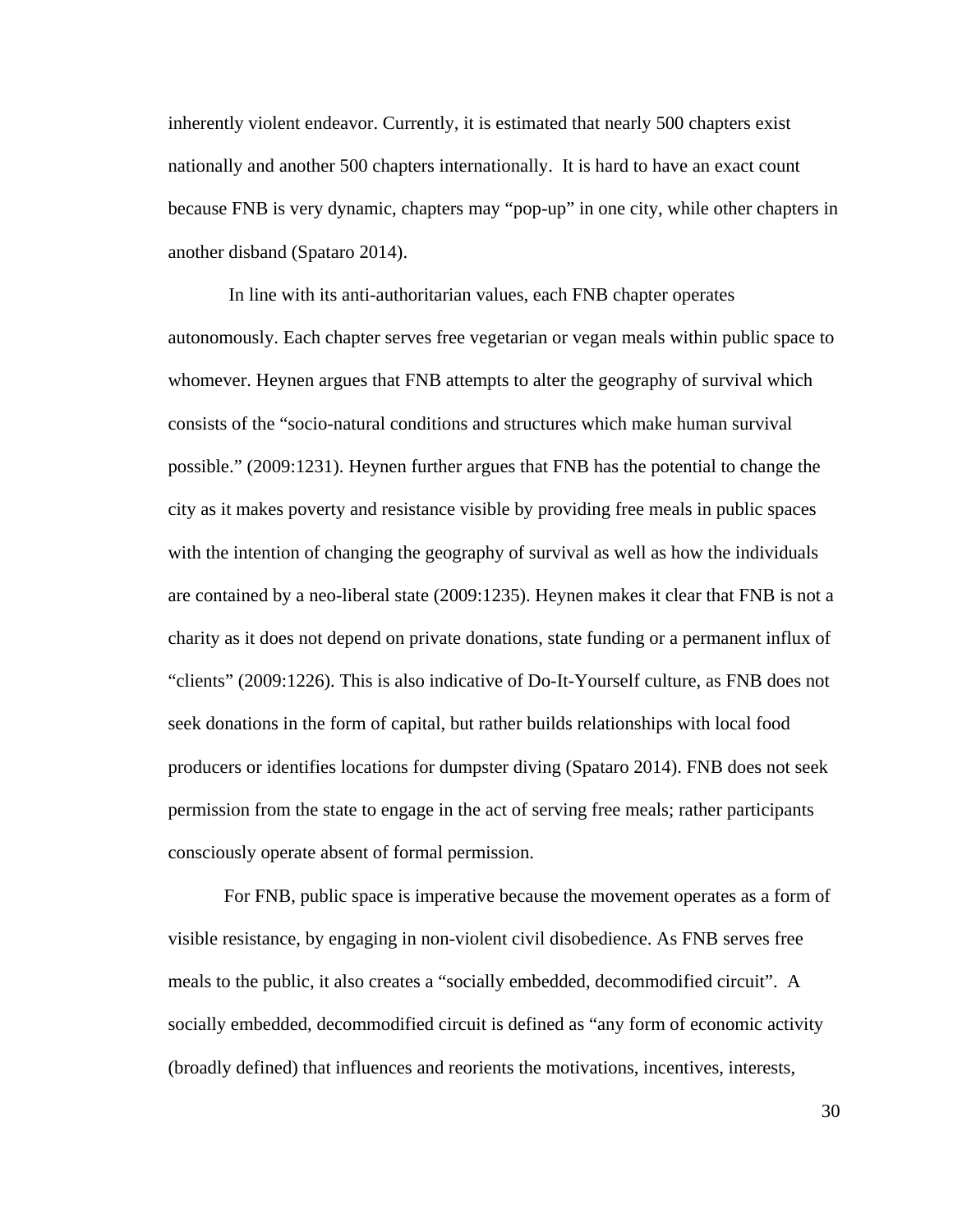inherently violent endeavor. Currently, it is estimated that nearly 500 chapters exist nationally and another 500 chapters internationally. It is hard to have an exact count because FNB is very dynamic, chapters may "pop-up" in one city, while other chapters in another disband (Spataro 2014).

 In line with its anti-authoritarian values, each FNB chapter operates autonomously. Each chapter serves free vegetarian or vegan meals within public space to whomever. Heynen argues that FNB attempts to alter the geography of survival which consists of the "socio-natural conditions and structures which make human survival possible." (2009:1231). Heynen further argues that FNB has the potential to change the city as it makes poverty and resistance visible by providing free meals in public spaces with the intention of changing the geography of survival as well as how the individuals are contained by a neo-liberal state (2009:1235). Heynen makes it clear that FNB is not a charity as it does not depend on private donations, state funding or a permanent influx of "clients" (2009:1226). This is also indicative of Do-It-Yourself culture, as FNB does not seek donations in the form of capital, but rather builds relationships with local food producers or identifies locations for dumpster diving (Spataro 2014). FNB does not seek permission from the state to engage in the act of serving free meals; rather participants consciously operate absent of formal permission.

For FNB, public space is imperative because the movement operates as a form of visible resistance, by engaging in non-violent civil disobedience. As FNB serves free meals to the public, it also creates a "socially embedded, decommodified circuit". A socially embedded, decommodified circuit is defined as "any form of economic activity (broadly defined) that influences and reorients the motivations, incentives, interests,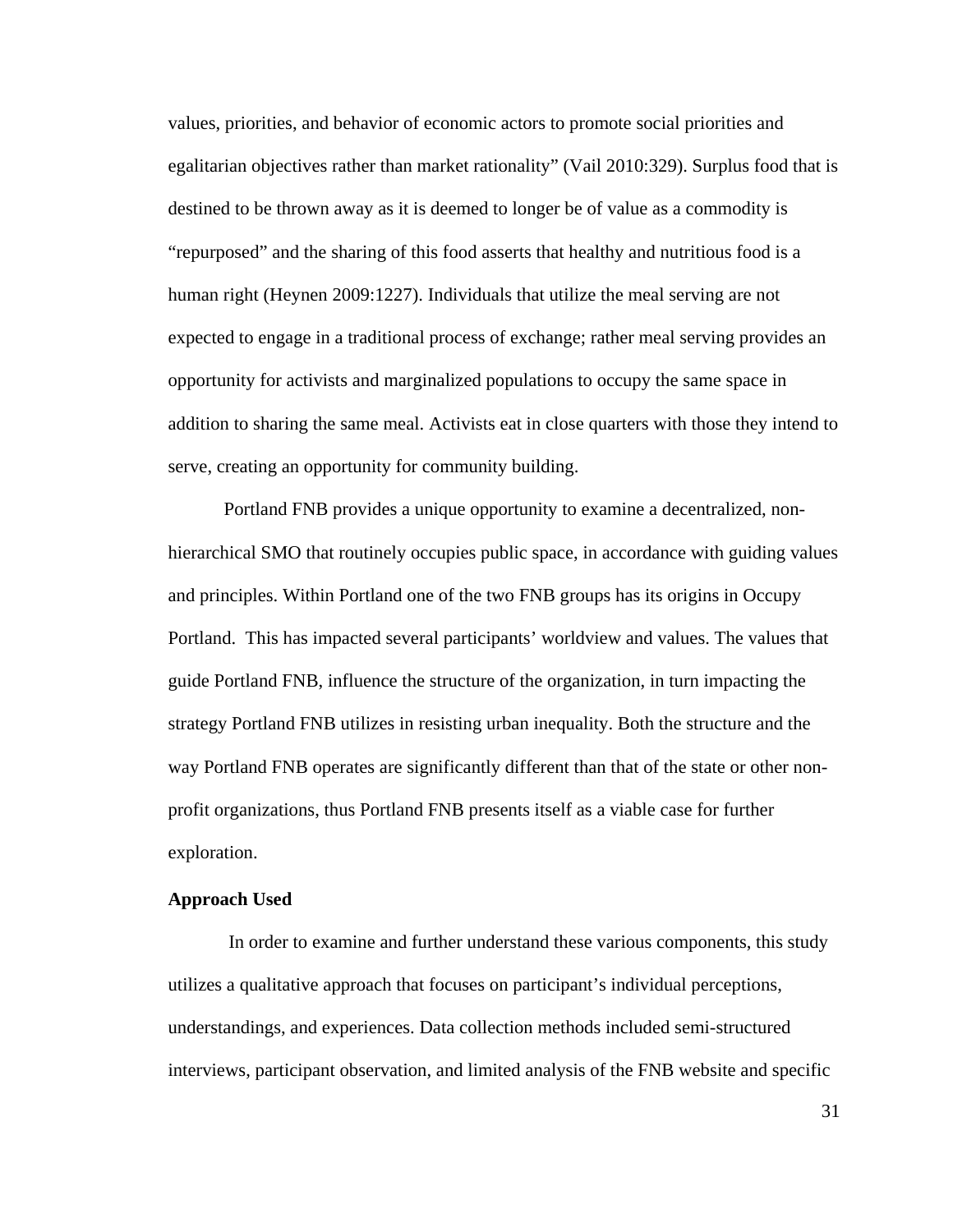values, priorities, and behavior of economic actors to promote social priorities and egalitarian objectives rather than market rationality" (Vail 2010:329). Surplus food that is destined to be thrown away as it is deemed to longer be of value as a commodity is "repurposed" and the sharing of this food asserts that healthy and nutritious food is a human right (Heynen 2009:1227). Individuals that utilize the meal serving are not expected to engage in a traditional process of exchange; rather meal serving provides an opportunity for activists and marginalized populations to occupy the same space in addition to sharing the same meal. Activists eat in close quarters with those they intend to serve, creating an opportunity for community building.

Portland FNB provides a unique opportunity to examine a decentralized, nonhierarchical SMO that routinely occupies public space, in accordance with guiding values and principles. Within Portland one of the two FNB groups has its origins in Occupy Portland. This has impacted several participants' worldview and values. The values that guide Portland FNB, influence the structure of the organization, in turn impacting the strategy Portland FNB utilizes in resisting urban inequality. Both the structure and the way Portland FNB operates are significantly different than that of the state or other nonprofit organizations, thus Portland FNB presents itself as a viable case for further exploration.

### **Approach Used**

 In order to examine and further understand these various components, this study utilizes a qualitative approach that focuses on participant's individual perceptions, understandings, and experiences. Data collection methods included semi-structured interviews, participant observation, and limited analysis of the FNB website and specific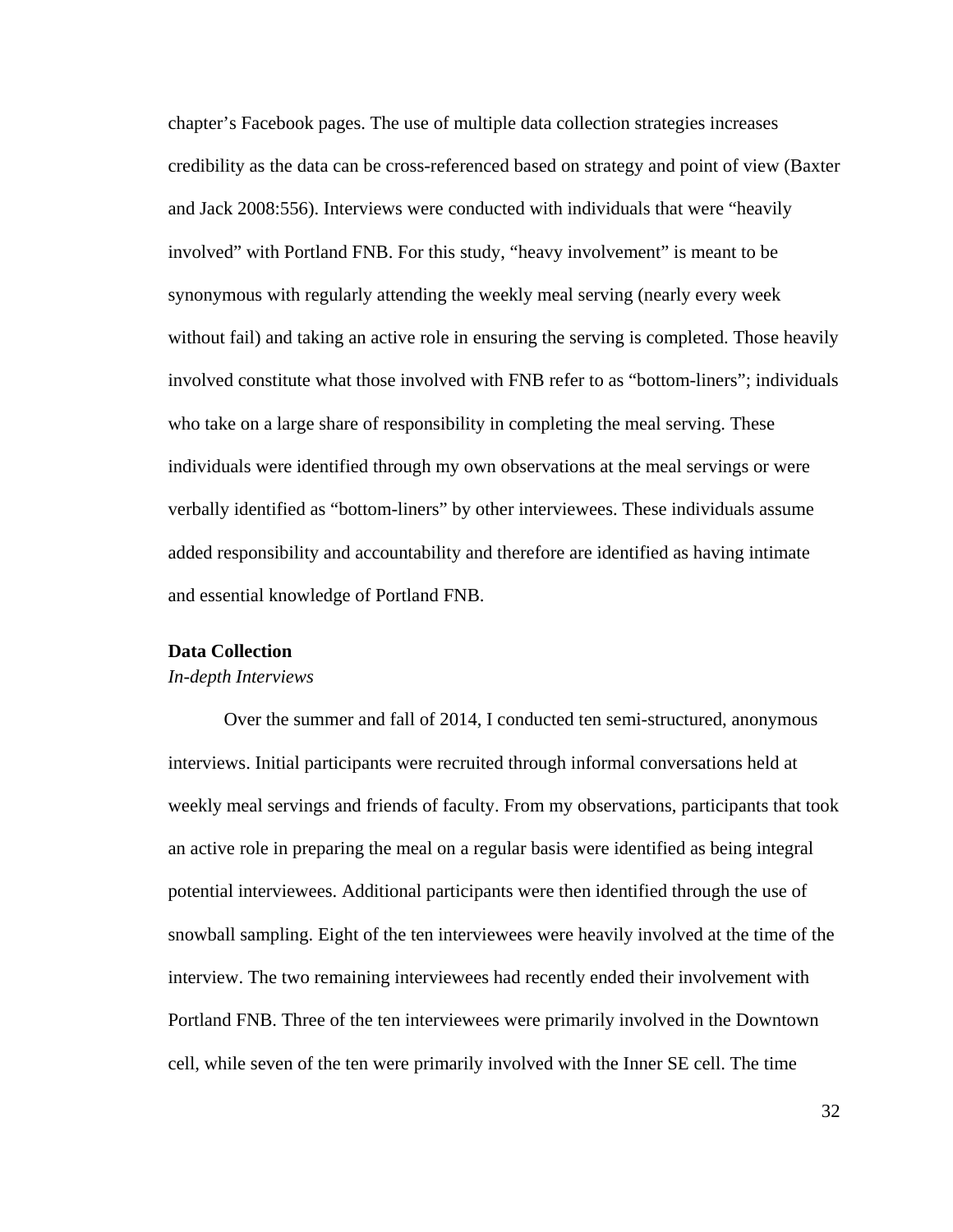chapter's Facebook pages. The use of multiple data collection strategies increases credibility as the data can be cross-referenced based on strategy and point of view (Baxter and Jack 2008:556). Interviews were conducted with individuals that were "heavily involved" with Portland FNB. For this study, "heavy involvement" is meant to be synonymous with regularly attending the weekly meal serving (nearly every week without fail) and taking an active role in ensuring the serving is completed. Those heavily involved constitute what those involved with FNB refer to as "bottom-liners"; individuals who take on a large share of responsibility in completing the meal serving. These individuals were identified through my own observations at the meal servings or were verbally identified as "bottom-liners" by other interviewees. These individuals assume added responsibility and accountability and therefore are identified as having intimate and essential knowledge of Portland FNB.

# **Data Collection**

### *In-depth Interviews*

Over the summer and fall of 2014, I conducted ten semi-structured, anonymous interviews. Initial participants were recruited through informal conversations held at weekly meal servings and friends of faculty. From my observations, participants that took an active role in preparing the meal on a regular basis were identified as being integral potential interviewees. Additional participants were then identified through the use of snowball sampling. Eight of the ten interviewees were heavily involved at the time of the interview. The two remaining interviewees had recently ended their involvement with Portland FNB. Three of the ten interviewees were primarily involved in the Downtown cell, while seven of the ten were primarily involved with the Inner SE cell. The time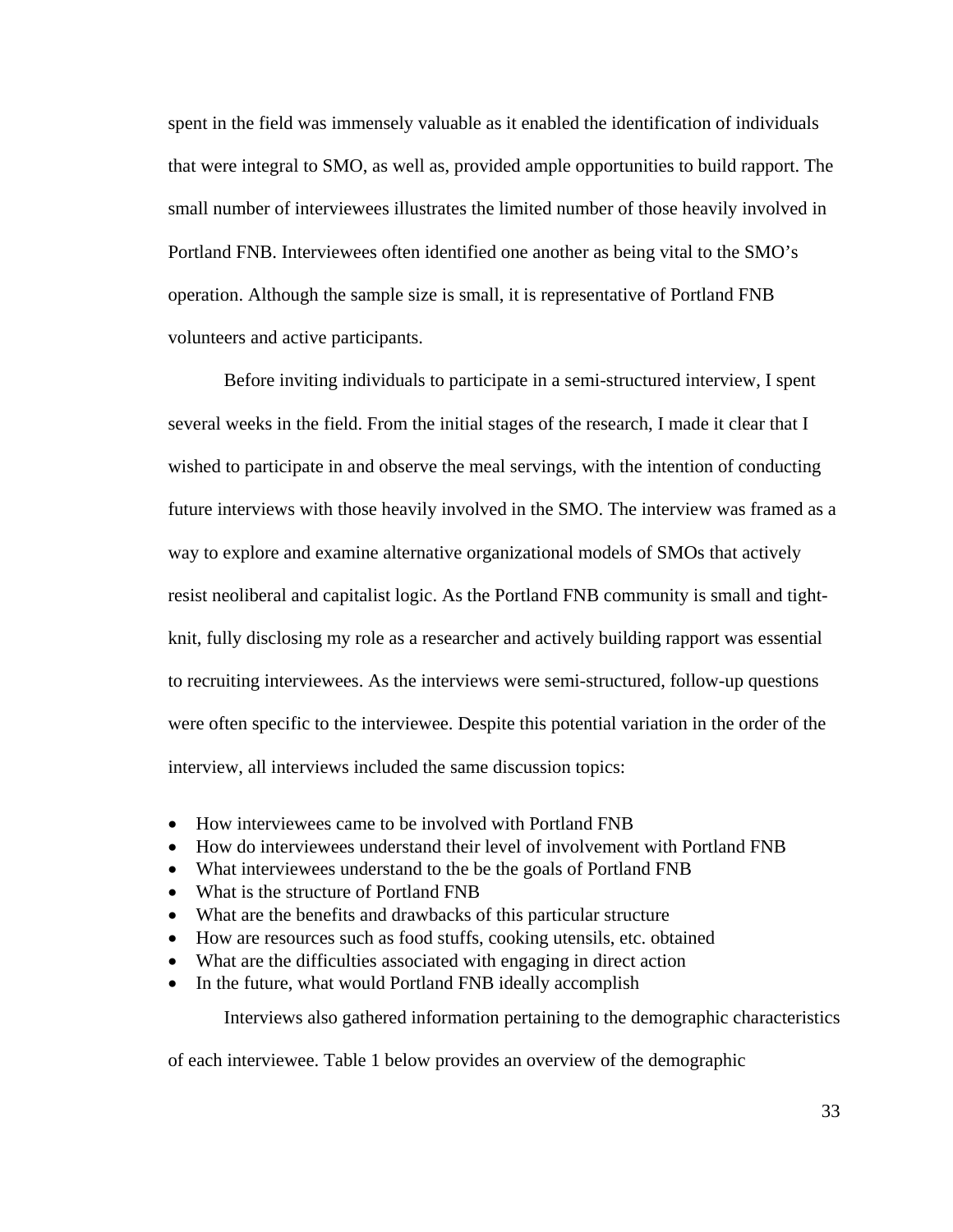spent in the field was immensely valuable as it enabled the identification of individuals that were integral to SMO, as well as, provided ample opportunities to build rapport. The small number of interviewees illustrates the limited number of those heavily involved in Portland FNB. Interviewees often identified one another as being vital to the SMO's operation. Although the sample size is small, it is representative of Portland FNB volunteers and active participants.

 Before inviting individuals to participate in a semi-structured interview, I spent several weeks in the field. From the initial stages of the research, I made it clear that I wished to participate in and observe the meal servings, with the intention of conducting future interviews with those heavily involved in the SMO. The interview was framed as a way to explore and examine alternative organizational models of SMOs that actively resist neoliberal and capitalist logic. As the Portland FNB community is small and tightknit, fully disclosing my role as a researcher and actively building rapport was essential to recruiting interviewees. As the interviews were semi-structured, follow-up questions were often specific to the interviewee. Despite this potential variation in the order of the interview, all interviews included the same discussion topics:

- How interviewees came to be involved with Portland FNB
- How do interviewees understand their level of involvement with Portland FNB
- What interviewees understand to the be the goals of Portland FNB
- What is the structure of Portland FNB
- What are the benefits and drawbacks of this particular structure
- How are resources such as food stuffs, cooking utensils, etc. obtained
- What are the difficulties associated with engaging in direct action
- In the future, what would Portland FNB ideally accomplish

Interviews also gathered information pertaining to the demographic characteristics

of each interviewee. Table 1 below provides an overview of the demographic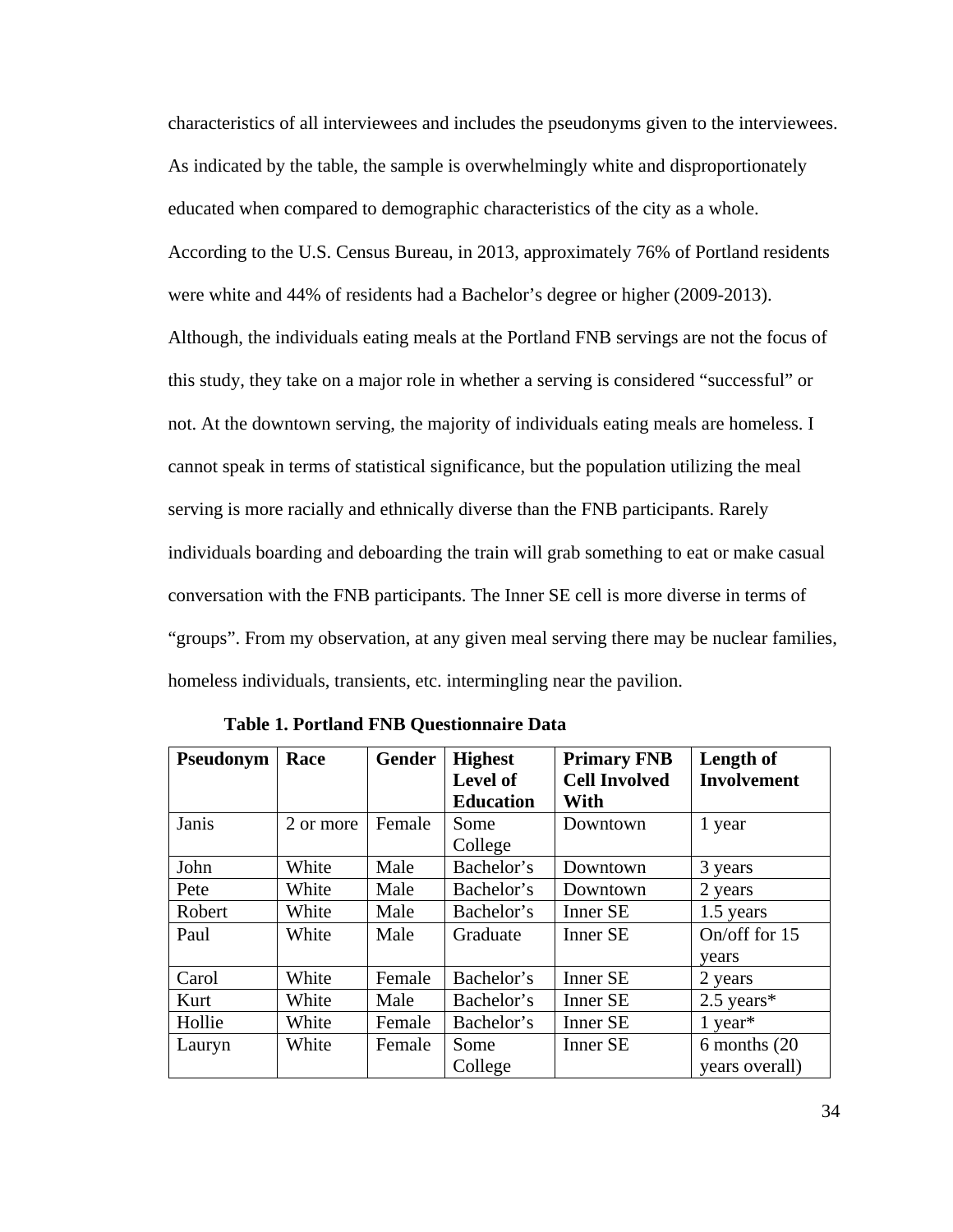characteristics of all interviewees and includes the pseudonyms given to the interviewees. As indicated by the table, the sample is overwhelmingly white and disproportionately educated when compared to demographic characteristics of the city as a whole. According to the U.S. Census Bureau, in 2013, approximately 76% of Portland residents were white and 44% of residents had a Bachelor's degree or higher (2009-2013). Although, the individuals eating meals at the Portland FNB servings are not the focus of this study, they take on a major role in whether a serving is considered "successful" or not. At the downtown serving, the majority of individuals eating meals are homeless. I cannot speak in terms of statistical significance, but the population utilizing the meal serving is more racially and ethnically diverse than the FNB participants. Rarely individuals boarding and deboarding the train will grab something to eat or make casual conversation with the FNB participants. The Inner SE cell is more diverse in terms of "groups". From my observation, at any given meal serving there may be nuclear families, homeless individuals, transients, etc. intermingling near the pavilion.

| Pseudonym | Race      | Gender | <b>Highest</b><br><b>Level of</b><br><b>Education</b> | <b>Primary FNB</b><br><b>Cell Involved</b><br>With | Length of<br><b>Involvement</b> |
|-----------|-----------|--------|-------------------------------------------------------|----------------------------------------------------|---------------------------------|
| Janis     | 2 or more | Female | Some<br>College                                       | Downtown                                           | 1 year                          |
| John      | White     | Male   | Bachelor's                                            | Downtown                                           | 3 years                         |
| Pete      | White     | Male   | Bachelor's                                            | Downtown                                           | 2 years                         |
| Robert    | White     | Male   | Bachelor's                                            | <b>Inner SE</b>                                    | 1.5 years                       |
| Paul      | White     | Male   | Graduate                                              | <b>Inner SE</b>                                    | On/off for 15<br>vears          |
| Carol     | White     | Female | Bachelor's                                            | Inner SE                                           | 2 years                         |
| Kurt      | White     | Male   | Bachelor's                                            | <b>Inner SE</b>                                    | $2.5$ years*                    |
| Hollie    | White     | Female | Bachelor's                                            | <b>Inner SE</b>                                    | $1$ year <sup>*</sup>           |
| Lauryn    | White     | Female | Some<br>College                                       | <b>Inner SE</b>                                    | 6 months (20)<br>years overall) |

**Table 1. Portland FNB Questionnaire Data**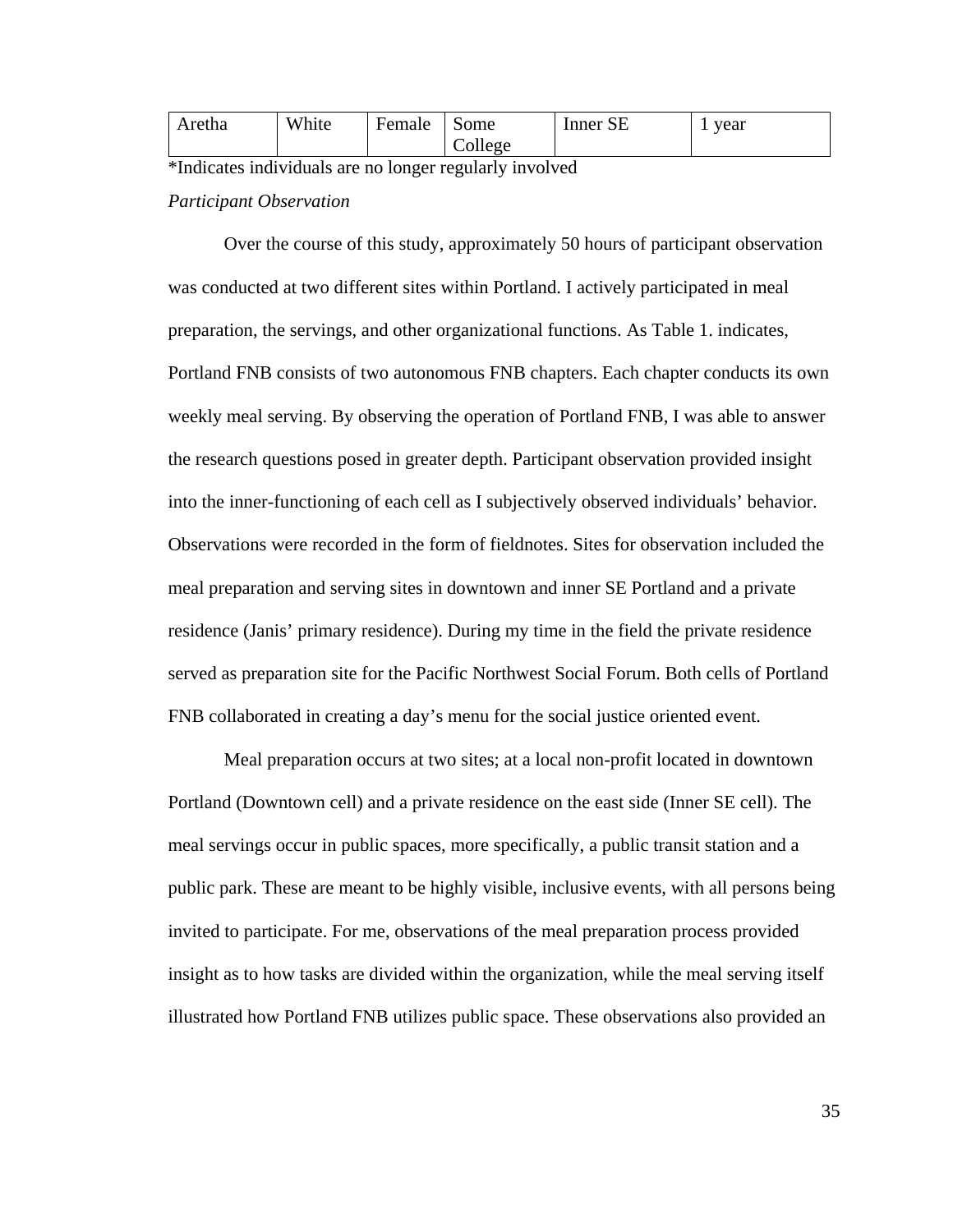| Aretha | White | Female | Some    | Inner SE | year |
|--------|-------|--------|---------|----------|------|
|        |       |        | College |          |      |

\*Indicates individuals are no longer regularly involved *Participant Observation* 

 Over the course of this study, approximately 50 hours of participant observation was conducted at two different sites within Portland. I actively participated in meal preparation, the servings, and other organizational functions. As Table 1. indicates, Portland FNB consists of two autonomous FNB chapters. Each chapter conducts its own weekly meal serving. By observing the operation of Portland FNB, I was able to answer the research questions posed in greater depth. Participant observation provided insight into the inner-functioning of each cell as I subjectively observed individuals' behavior. Observations were recorded in the form of fieldnotes. Sites for observation included the meal preparation and serving sites in downtown and inner SE Portland and a private residence (Janis' primary residence). During my time in the field the private residence served as preparation site for the Pacific Northwest Social Forum. Both cells of Portland FNB collaborated in creating a day's menu for the social justice oriented event.

 Meal preparation occurs at two sites; at a local non-profit located in downtown Portland (Downtown cell) and a private residence on the east side (Inner SE cell). The meal servings occur in public spaces, more specifically, a public transit station and a public park. These are meant to be highly visible, inclusive events, with all persons being invited to participate. For me, observations of the meal preparation process provided insight as to how tasks are divided within the organization, while the meal serving itself illustrated how Portland FNB utilizes public space. These observations also provided an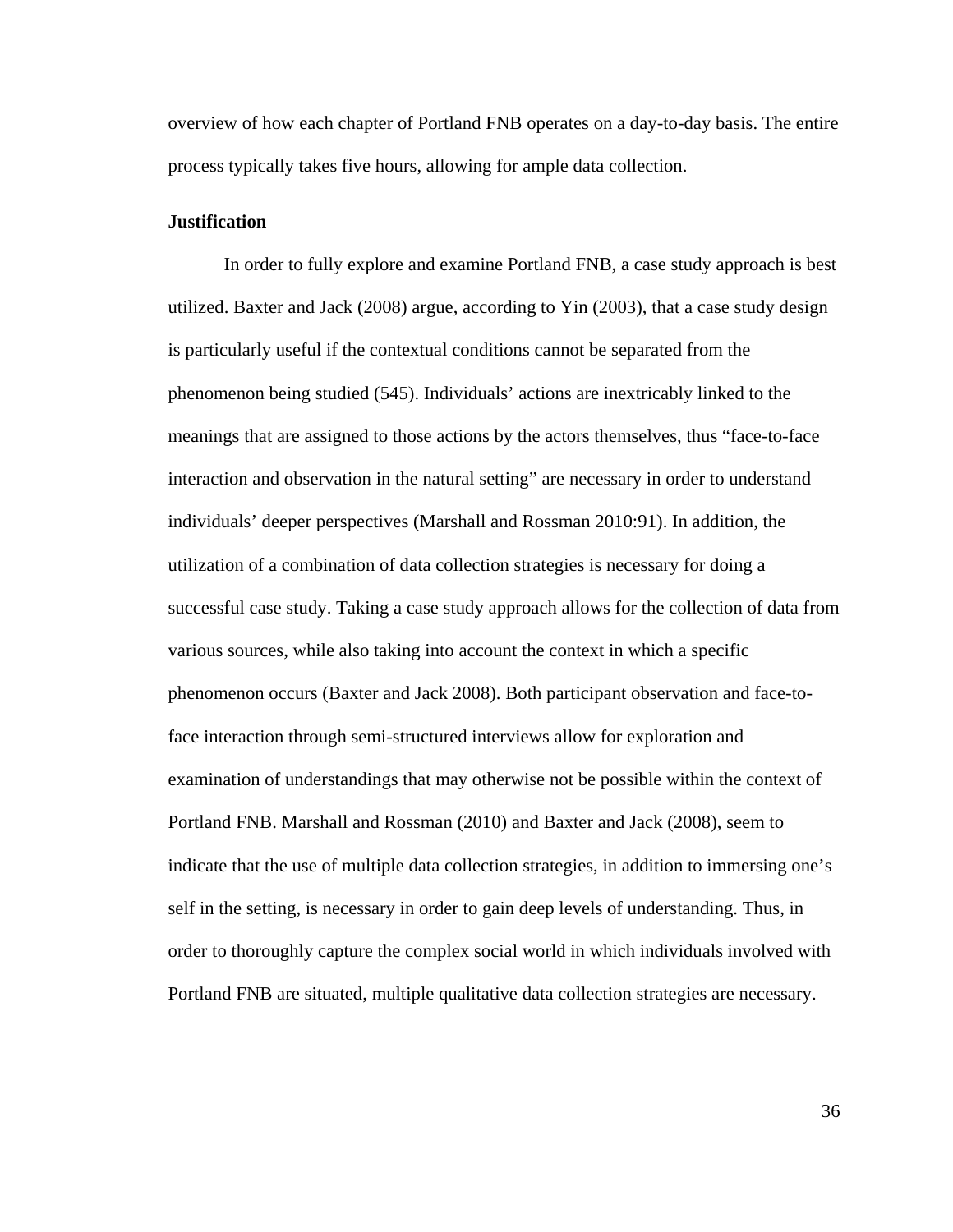overview of how each chapter of Portland FNB operates on a day-to-day basis. The entire process typically takes five hours, allowing for ample data collection.

### **Justification**

In order to fully explore and examine Portland FNB, a case study approach is best utilized. Baxter and Jack (2008) argue, according to Yin (2003), that a case study design is particularly useful if the contextual conditions cannot be separated from the phenomenon being studied (545). Individuals' actions are inextricably linked to the meanings that are assigned to those actions by the actors themselves, thus "face-to-face interaction and observation in the natural setting" are necessary in order to understand individuals' deeper perspectives (Marshall and Rossman 2010:91). In addition, the utilization of a combination of data collection strategies is necessary for doing a successful case study. Taking a case study approach allows for the collection of data from various sources, while also taking into account the context in which a specific phenomenon occurs (Baxter and Jack 2008). Both participant observation and face-toface interaction through semi-structured interviews allow for exploration and examination of understandings that may otherwise not be possible within the context of Portland FNB. Marshall and Rossman (2010) and Baxter and Jack (2008), seem to indicate that the use of multiple data collection strategies, in addition to immersing one's self in the setting, is necessary in order to gain deep levels of understanding. Thus, in order to thoroughly capture the complex social world in which individuals involved with Portland FNB are situated, multiple qualitative data collection strategies are necessary.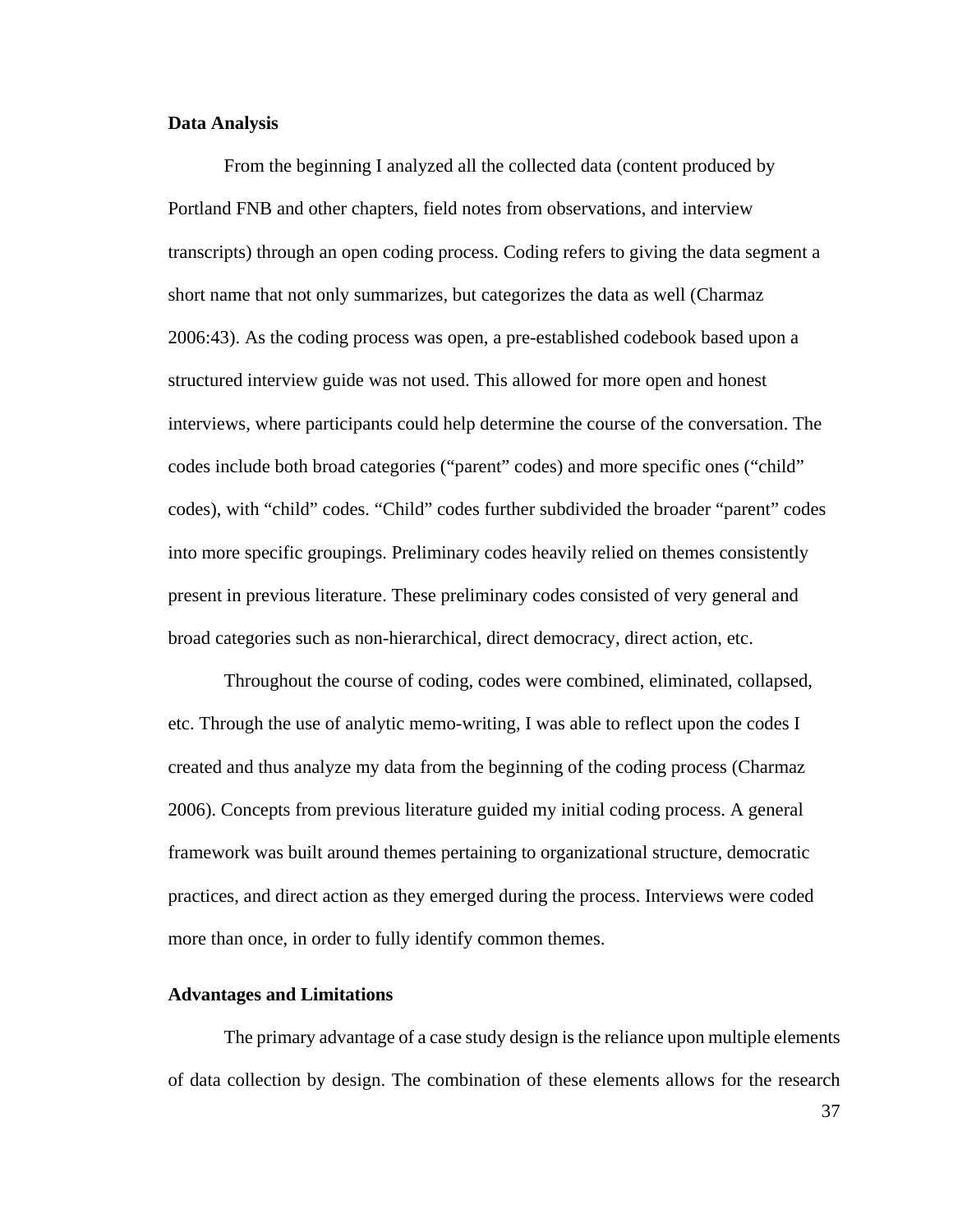### **Data Analysis**

 From the beginning I analyzed all the collected data (content produced by Portland FNB and other chapters, field notes from observations, and interview transcripts) through an open coding process. Coding refers to giving the data segment a short name that not only summarizes, but categorizes the data as well (Charmaz 2006:43). As the coding process was open, a pre-established codebook based upon a structured interview guide was not used. This allowed for more open and honest interviews, where participants could help determine the course of the conversation. The codes include both broad categories ("parent" codes) and more specific ones ("child" codes), with "child" codes. "Child" codes further subdivided the broader "parent" codes into more specific groupings. Preliminary codes heavily relied on themes consistently present in previous literature. These preliminary codes consisted of very general and broad categories such as non-hierarchical, direct democracy, direct action, etc.

 Throughout the course of coding, codes were combined, eliminated, collapsed, etc. Through the use of analytic memo-writing, I was able to reflect upon the codes I created and thus analyze my data from the beginning of the coding process (Charmaz 2006). Concepts from previous literature guided my initial coding process. A general framework was built around themes pertaining to organizational structure, democratic practices, and direct action as they emerged during the process. Interviews were coded more than once, in order to fully identify common themes.

### **Advantages and Limitations**

The primary advantage of a case study design is the reliance upon multiple elements of data collection by design. The combination of these elements allows for the research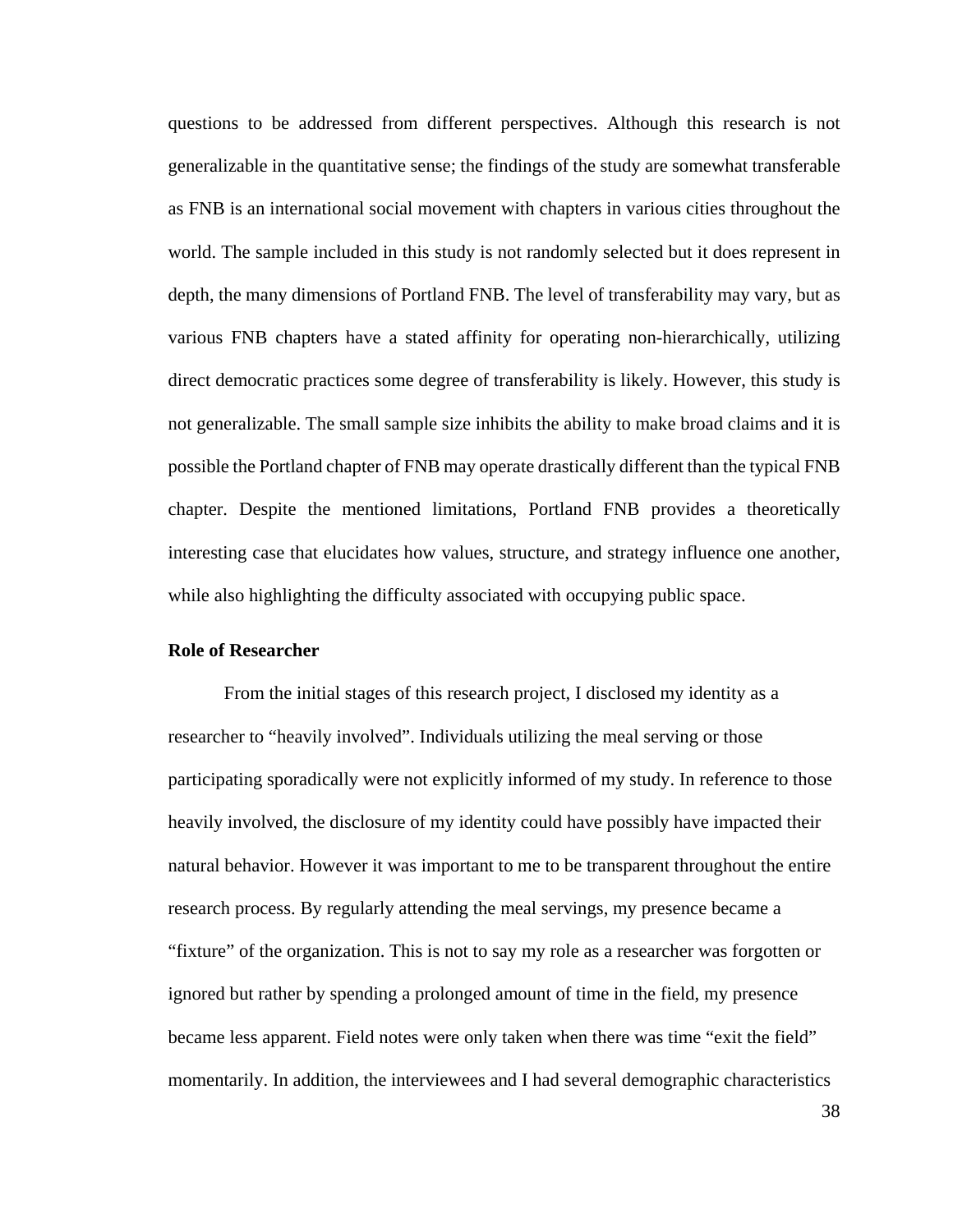questions to be addressed from different perspectives. Although this research is not generalizable in the quantitative sense; the findings of the study are somewhat transferable as FNB is an international social movement with chapters in various cities throughout the world. The sample included in this study is not randomly selected but it does represent in depth, the many dimensions of Portland FNB. The level of transferability may vary, but as various FNB chapters have a stated affinity for operating non-hierarchically, utilizing direct democratic practices some degree of transferability is likely. However, this study is not generalizable. The small sample size inhibits the ability to make broad claims and it is possible the Portland chapter of FNB may operate drastically different than the typical FNB chapter. Despite the mentioned limitations, Portland FNB provides a theoretically interesting case that elucidates how values, structure, and strategy influence one another, while also highlighting the difficulty associated with occupying public space.

# **Role of Researcher**

From the initial stages of this research project, I disclosed my identity as a researcher to "heavily involved". Individuals utilizing the meal serving or those participating sporadically were not explicitly informed of my study. In reference to those heavily involved, the disclosure of my identity could have possibly have impacted their natural behavior. However it was important to me to be transparent throughout the entire research process. By regularly attending the meal servings, my presence became a "fixture" of the organization. This is not to say my role as a researcher was forgotten or ignored but rather by spending a prolonged amount of time in the field, my presence became less apparent. Field notes were only taken when there was time "exit the field" momentarily. In addition, the interviewees and I had several demographic characteristics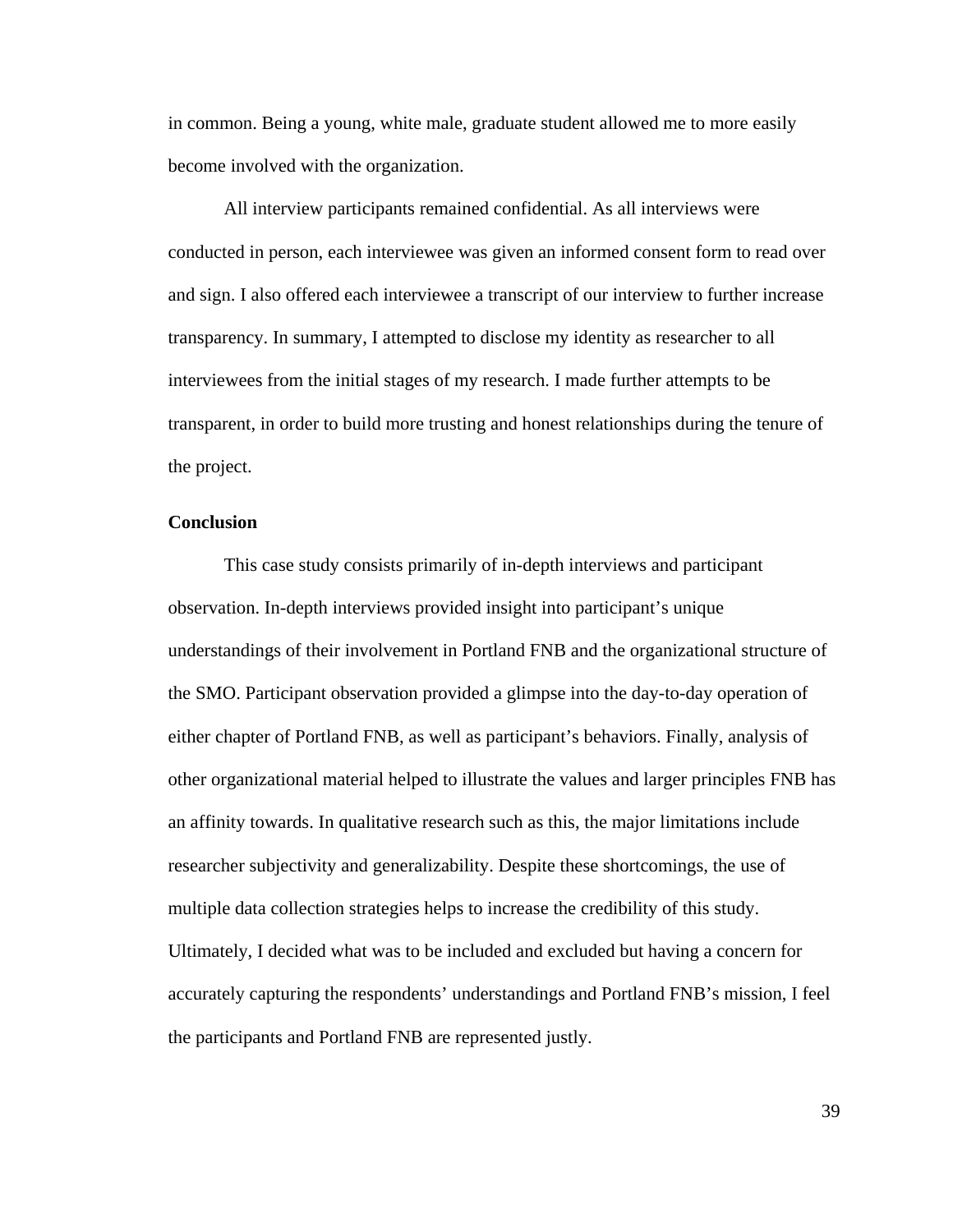in common. Being a young, white male, graduate student allowed me to more easily become involved with the organization.

 All interview participants remained confidential. As all interviews were conducted in person, each interviewee was given an informed consent form to read over and sign. I also offered each interviewee a transcript of our interview to further increase transparency. In summary, I attempted to disclose my identity as researcher to all interviewees from the initial stages of my research. I made further attempts to be transparent, in order to build more trusting and honest relationships during the tenure of the project.

### **Conclusion**

This case study consists primarily of in-depth interviews and participant observation. In-depth interviews provided insight into participant's unique understandings of their involvement in Portland FNB and the organizational structure of the SMO. Participant observation provided a glimpse into the day-to-day operation of either chapter of Portland FNB, as well as participant's behaviors. Finally, analysis of other organizational material helped to illustrate the values and larger principles FNB has an affinity towards. In qualitative research such as this, the major limitations include researcher subjectivity and generalizability. Despite these shortcomings, the use of multiple data collection strategies helps to increase the credibility of this study. Ultimately, I decided what was to be included and excluded but having a concern for accurately capturing the respondents' understandings and Portland FNB's mission, I feel the participants and Portland FNB are represented justly.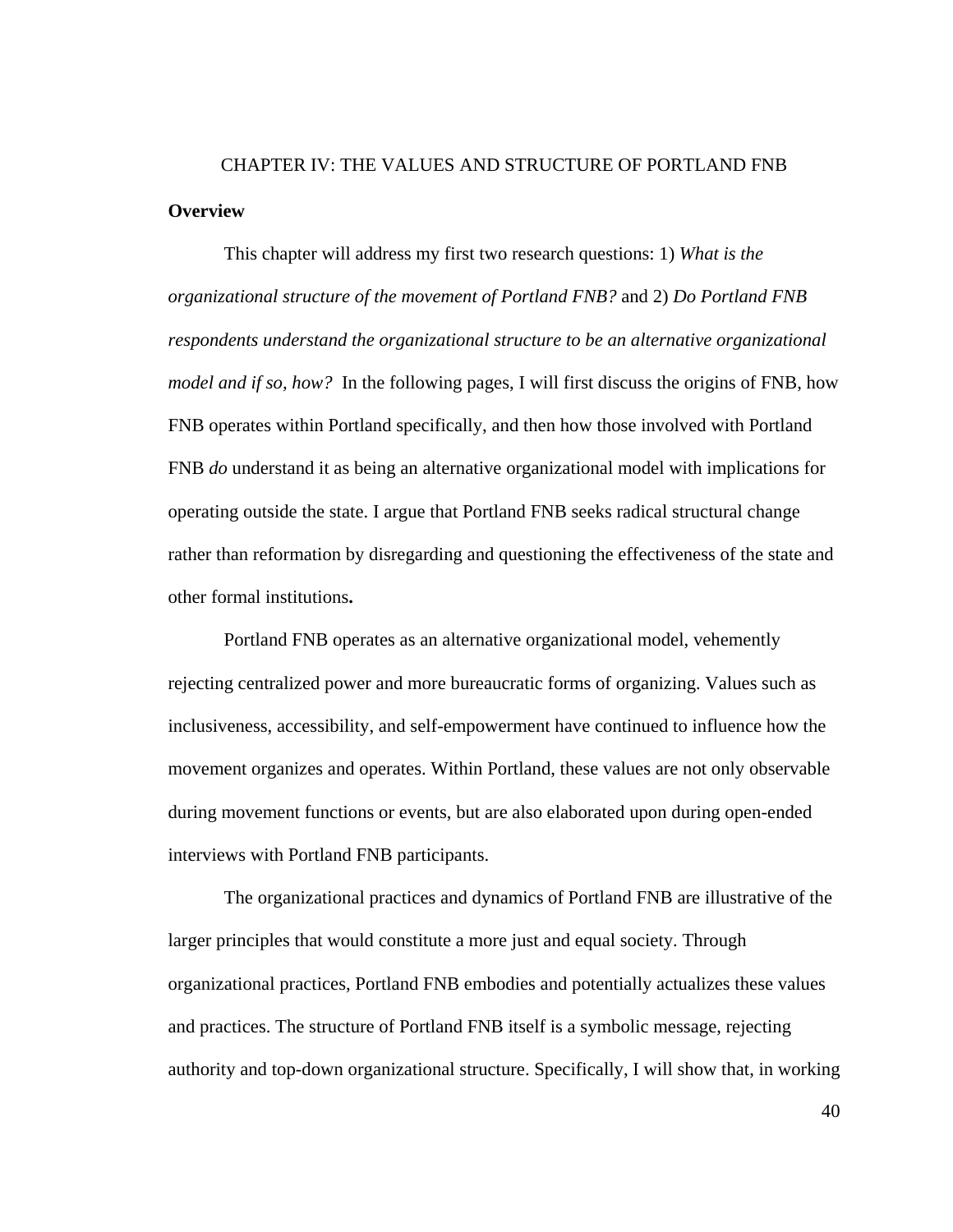# CHAPTER IV: THE VALUES AND STRUCTURE OF PORTLAND FNB **Overview**

 This chapter will address my first two research questions: 1) *What is the organizational structure of the movement of Portland FNB?* and 2) *Do Portland FNB respondents understand the organizational structure to be an alternative organizational model and if so, how?* In the following pages, I will first discuss the origins of FNB, how FNB operates within Portland specifically, and then how those involved with Portland FNB *do* understand it as being an alternative organizational model with implications for operating outside the state. I argue that Portland FNB seeks radical structural change rather than reformation by disregarding and questioning the effectiveness of the state and other formal institutions**.** 

 Portland FNB operates as an alternative organizational model, vehemently rejecting centralized power and more bureaucratic forms of organizing. Values such as inclusiveness, accessibility, and self-empowerment have continued to influence how the movement organizes and operates. Within Portland, these values are not only observable during movement functions or events, but are also elaborated upon during open-ended interviews with Portland FNB participants.

The organizational practices and dynamics of Portland FNB are illustrative of the larger principles that would constitute a more just and equal society. Through organizational practices, Portland FNB embodies and potentially actualizes these values and practices. The structure of Portland FNB itself is a symbolic message, rejecting authority and top-down organizational structure. Specifically, I will show that, in working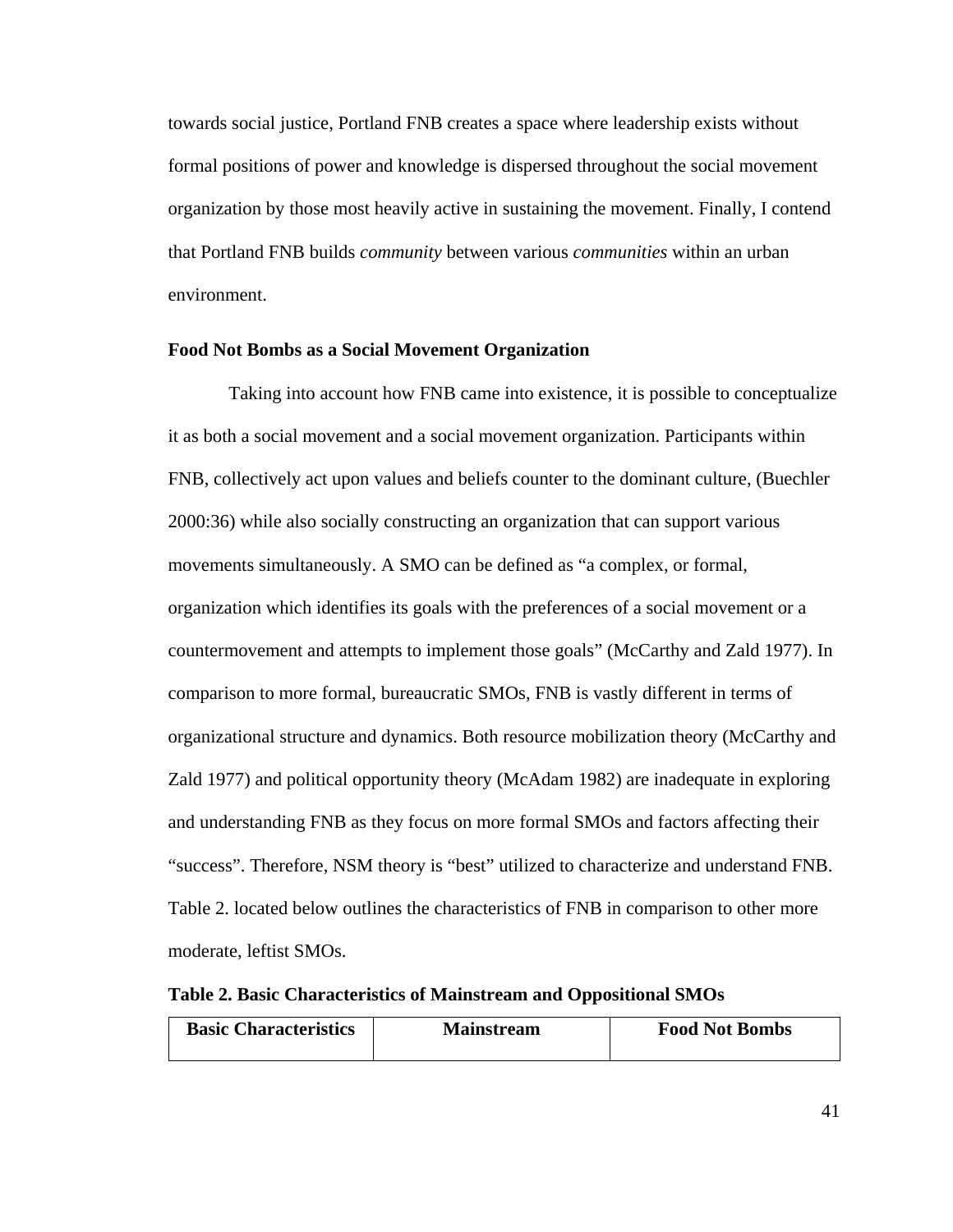towards social justice, Portland FNB creates a space where leadership exists without formal positions of power and knowledge is dispersed throughout the social movement organization by those most heavily active in sustaining the movement. Finally, I contend that Portland FNB builds *community* between various *communities* within an urban environment.

### **Food Not Bombs as a Social Movement Organization**

 Taking into account how FNB came into existence, it is possible to conceptualize it as both a social movement and a social movement organization. Participants within FNB, collectively act upon values and beliefs counter to the dominant culture, (Buechler 2000:36) while also socially constructing an organization that can support various movements simultaneously. A SMO can be defined as "a complex, or formal, organization which identifies its goals with the preferences of a social movement or a countermovement and attempts to implement those goals" (McCarthy and Zald 1977). In comparison to more formal, bureaucratic SMOs, FNB is vastly different in terms of organizational structure and dynamics. Both resource mobilization theory (McCarthy and Zald 1977) and political opportunity theory (McAdam 1982) are inadequate in exploring and understanding FNB as they focus on more formal SMOs and factors affecting their "success". Therefore, NSM theory is "best" utilized to characterize and understand FNB. Table 2. located below outlines the characteristics of FNB in comparison to other more moderate, leftist SMOs.

|  |  |  | Table 2. Basic Characteristics of Mainstream and Oppositional SMOs |
|--|--|--|--------------------------------------------------------------------|
|--|--|--|--------------------------------------------------------------------|

| <b>Basic Characteristics</b> | <b>Mainstream</b> | <b>Food Not Bombs</b> |
|------------------------------|-------------------|-----------------------|
|                              |                   |                       |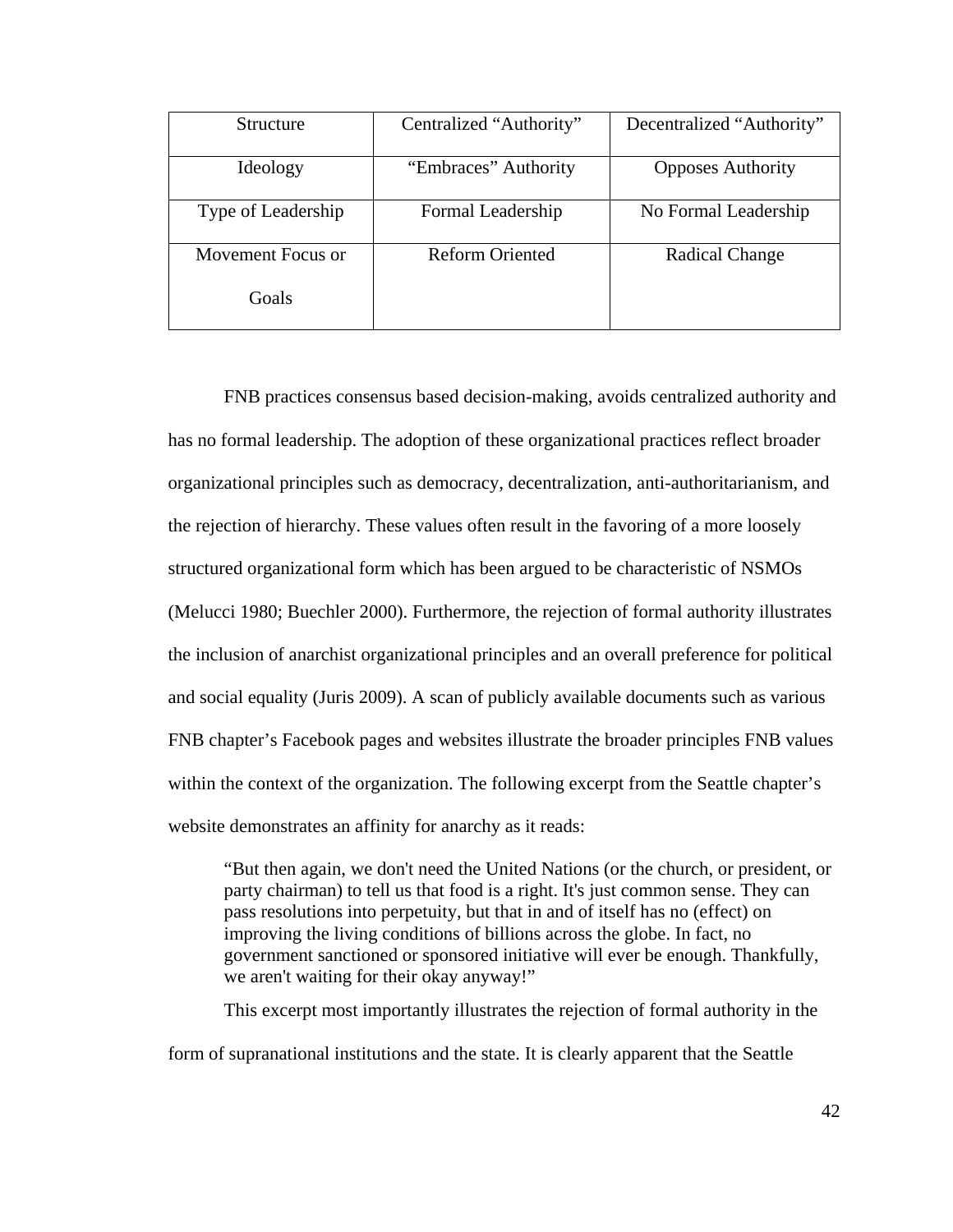| <b>Structure</b>   | Centralized "Authority" | Decentralized "Authority" |
|--------------------|-------------------------|---------------------------|
| Ideology           | "Embraces" Authority    | <b>Opposes Authority</b>  |
| Type of Leadership | Formal Leadership       | No Formal Leadership      |
| Movement Focus or  | <b>Reform Oriented</b>  | Radical Change            |
| Goals              |                         |                           |

 FNB practices consensus based decision-making, avoids centralized authority and has no formal leadership. The adoption of these organizational practices reflect broader organizational principles such as democracy, decentralization, anti-authoritarianism, and the rejection of hierarchy. These values often result in the favoring of a more loosely structured organizational form which has been argued to be characteristic of NSMOs (Melucci 1980; Buechler 2000). Furthermore, the rejection of formal authority illustrates the inclusion of anarchist organizational principles and an overall preference for political and social equality (Juris 2009). A scan of publicly available documents such as various FNB chapter's Facebook pages and websites illustrate the broader principles FNB values within the context of the organization. The following excerpt from the Seattle chapter's website demonstrates an affinity for anarchy as it reads:

 "But then again, we don't need the United Nations (or the church, or president, or party chairman) to tell us that food is a right. It's just common sense. They can pass resolutions into perpetuity, but that in and of itself has no (effect) on improving the living conditions of billions across the globe. In fact, no government sanctioned or sponsored initiative will ever be enough. Thankfully, we aren't waiting for their okay anyway!"

 This excerpt most importantly illustrates the rejection of formal authority in the form of supranational institutions and the state. It is clearly apparent that the Seattle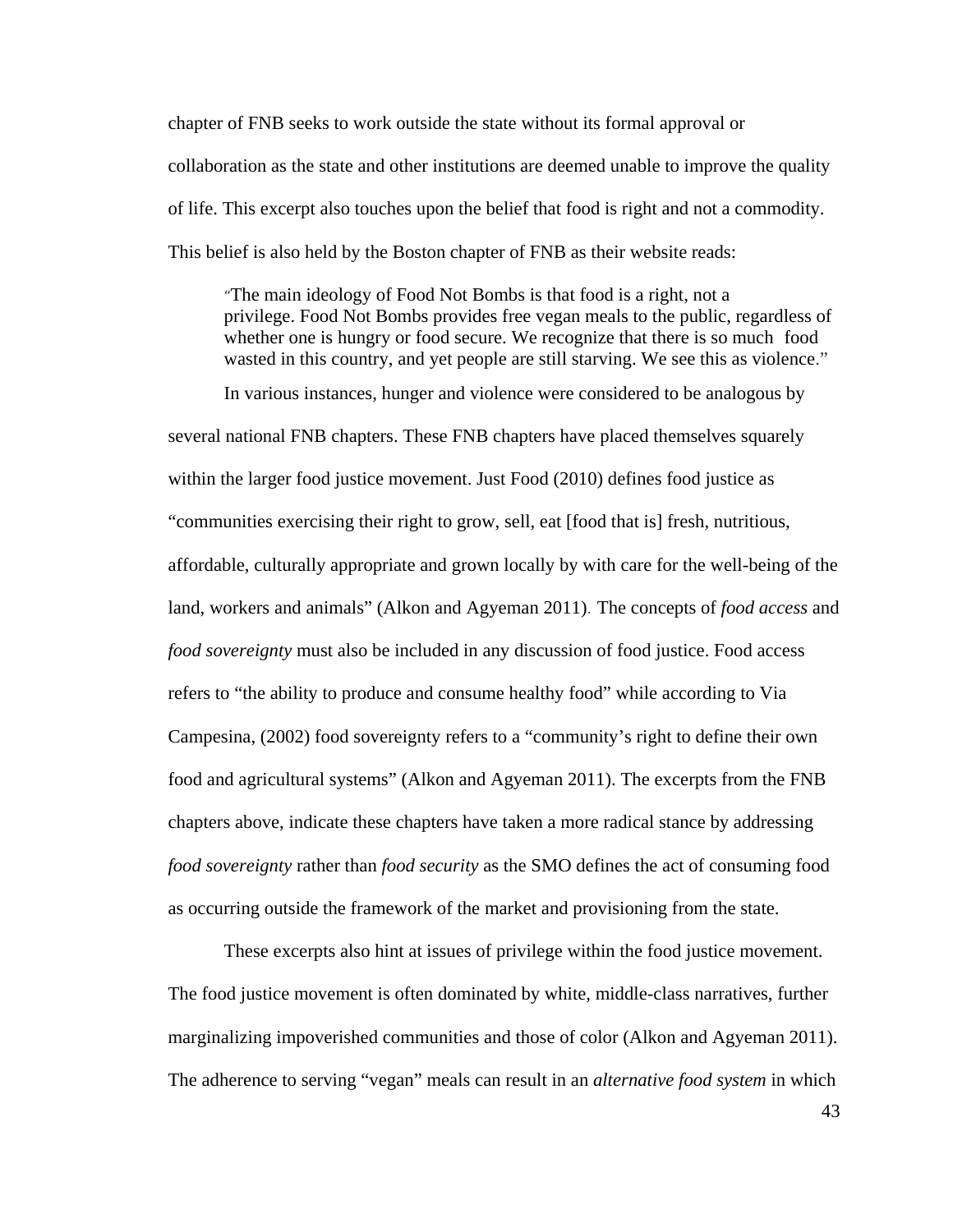chapter of FNB seeks to work outside the state without its formal approval or collaboration as the state and other institutions are deemed unable to improve the quality of life. This excerpt also touches upon the belief that food is right and not a commodity. This belief is also held by the Boston chapter of FNB as their website reads:

 "The main ideology of Food Not Bombs is that food is a right, not a privilege. Food Not Bombs provides free vegan meals to the public, regardless of whether one is hungry or food secure. We recognize that there is so much food wasted in this country, and yet people are still starving. We see this as violence."

 In various instances, hunger and violence were considered to be analogous by several national FNB chapters. These FNB chapters have placed themselves squarely within the larger food justice movement. Just Food (2010) defines food justice as "communities exercising their right to grow, sell, eat [food that is] fresh, nutritious, affordable, culturally appropriate and grown locally by with care for the well-being of the land, workers and animals" (Alkon and Agyeman 2011). The concepts of *food access* and *food sovereignty* must also be included in any discussion of food justice. Food access refers to "the ability to produce and consume healthy food" while according to Via Campesina, (2002) food sovereignty refers to a "community's right to define their own food and agricultural systems" (Alkon and Agyeman 2011). The excerpts from the FNB chapters above, indicate these chapters have taken a more radical stance by addressing *food sovereignty* rather than *food security* as the SMO defines the act of consuming food as occurring outside the framework of the market and provisioning from the state.

 These excerpts also hint at issues of privilege within the food justice movement. The food justice movement is often dominated by white, middle-class narratives, further marginalizing impoverished communities and those of color (Alkon and Agyeman 2011). The adherence to serving "vegan" meals can result in an *alternative food system* in which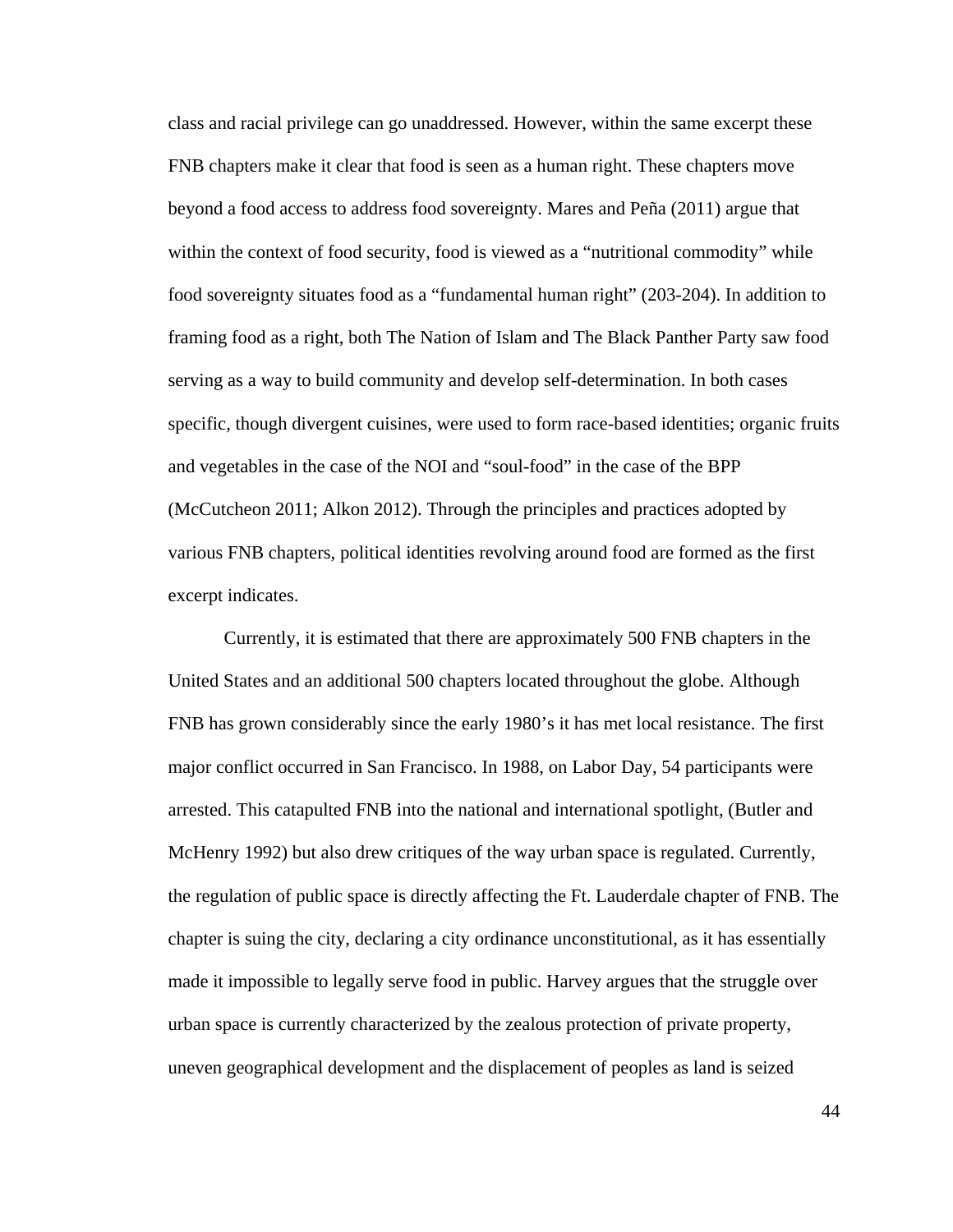class and racial privilege can go unaddressed. However, within the same excerpt these FNB chapters make it clear that food is seen as a human right. These chapters move beyond a food access to address food sovereignty. Mares and Peña (2011) argue that within the context of food security, food is viewed as a "nutritional commodity" while food sovereignty situates food as a "fundamental human right" (203-204). In addition to framing food as a right, both The Nation of Islam and The Black Panther Party saw food serving as a way to build community and develop self-determination. In both cases specific, though divergent cuisines, were used to form race-based identities; organic fruits and vegetables in the case of the NOI and "soul-food" in the case of the BPP (McCutcheon 2011; Alkon 2012). Through the principles and practices adopted by various FNB chapters, political identities revolving around food are formed as the first excerpt indicates.

 Currently, it is estimated that there are approximately 500 FNB chapters in the United States and an additional 500 chapters located throughout the globe. Although FNB has grown considerably since the early 1980's it has met local resistance. The first major conflict occurred in San Francisco. In 1988, on Labor Day, 54 participants were arrested. This catapulted FNB into the national and international spotlight, (Butler and McHenry 1992) but also drew critiques of the way urban space is regulated. Currently, the regulation of public space is directly affecting the Ft. Lauderdale chapter of FNB. The chapter is suing the city, declaring a city ordinance unconstitutional, as it has essentially made it impossible to legally serve food in public. Harvey argues that the struggle over urban space is currently characterized by the zealous protection of private property, uneven geographical development and the displacement of peoples as land is seized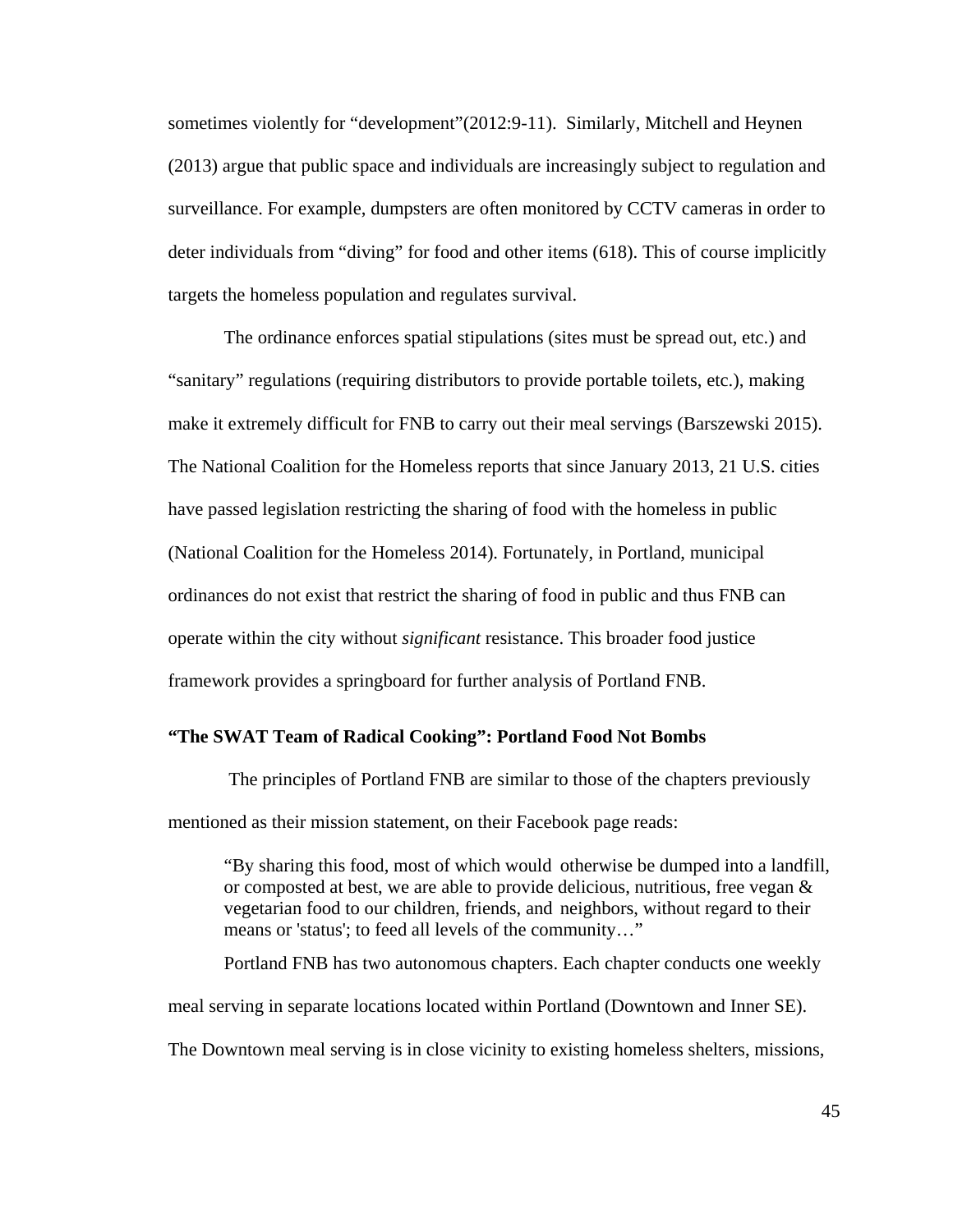sometimes violently for "development"(2012:9-11). Similarly, Mitchell and Heynen (2013) argue that public space and individuals are increasingly subject to regulation and surveillance. For example, dumpsters are often monitored by CCTV cameras in order to deter individuals from "diving" for food and other items (618). This of course implicitly targets the homeless population and regulates survival.

 The ordinance enforces spatial stipulations (sites must be spread out, etc.) and "sanitary" regulations (requiring distributors to provide portable toilets, etc.), making make it extremely difficult for FNB to carry out their meal servings (Barszewski 2015). The National Coalition for the Homeless reports that since January 2013, 21 U.S. cities have passed legislation restricting the sharing of food with the homeless in public (National Coalition for the Homeless 2014). Fortunately, in Portland, municipal ordinances do not exist that restrict the sharing of food in public and thus FNB can operate within the city without *significant* resistance. This broader food justice framework provides a springboard for further analysis of Portland FNB.

# **"The SWAT Team of Radical Cooking": Portland Food Not Bombs**

 The principles of Portland FNB are similar to those of the chapters previously mentioned as their mission statement, on their Facebook page reads:

 "By sharing this food, most of which would otherwise be dumped into a landfill, or composted at best, we are able to provide delicious, nutritious, free vegan  $\&$  vegetarian food to our children, friends, and neighbors, without regard to their means or 'status'; to feed all levels of the community…"

Portland FNB has two autonomous chapters. Each chapter conducts one weekly

The Downtown meal serving is in close vicinity to existing homeless shelters, missions,

meal serving in separate locations located within Portland (Downtown and Inner SE).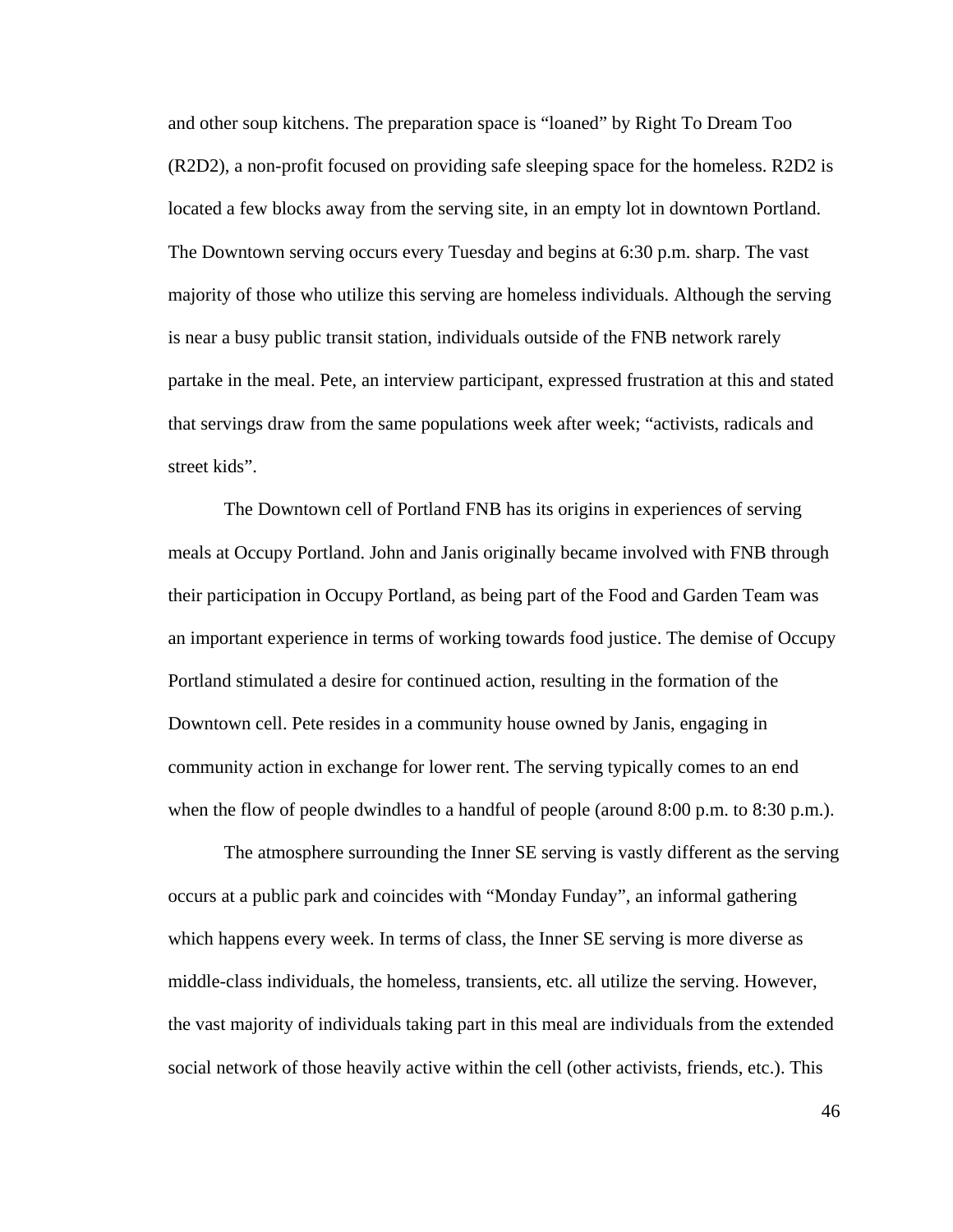and other soup kitchens. The preparation space is "loaned" by Right To Dream Too (R2D2), a non-profit focused on providing safe sleeping space for the homeless. R2D2 is located a few blocks away from the serving site, in an empty lot in downtown Portland. The Downtown serving occurs every Tuesday and begins at 6:30 p.m. sharp. The vast majority of those who utilize this serving are homeless individuals. Although the serving is near a busy public transit station, individuals outside of the FNB network rarely partake in the meal. Pete, an interview participant, expressed frustration at this and stated that servings draw from the same populations week after week; "activists, radicals and street kids".

 The Downtown cell of Portland FNB has its origins in experiences of serving meals at Occupy Portland. John and Janis originally became involved with FNB through their participation in Occupy Portland, as being part of the Food and Garden Team was an important experience in terms of working towards food justice. The demise of Occupy Portland stimulated a desire for continued action, resulting in the formation of the Downtown cell. Pete resides in a community house owned by Janis, engaging in community action in exchange for lower rent. The serving typically comes to an end when the flow of people dwindles to a handful of people (around 8:00 p.m. to 8:30 p.m.).

 The atmosphere surrounding the Inner SE serving is vastly different as the serving occurs at a public park and coincides with "Monday Funday", an informal gathering which happens every week. In terms of class, the Inner SE serving is more diverse as middle-class individuals, the homeless, transients, etc. all utilize the serving. However, the vast majority of individuals taking part in this meal are individuals from the extended social network of those heavily active within the cell (other activists, friends, etc.). This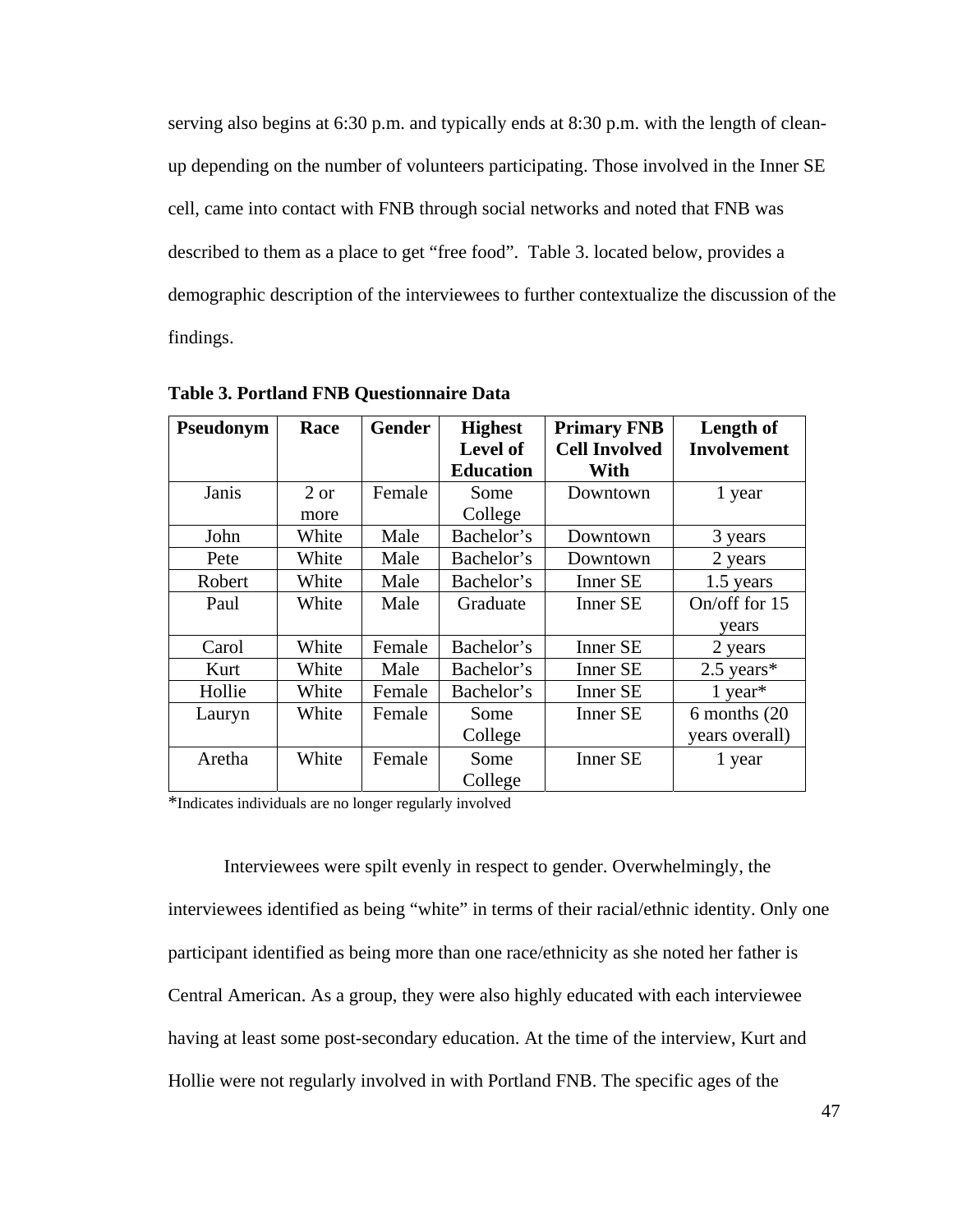serving also begins at 6:30 p.m. and typically ends at 8:30 p.m. with the length of cleanup depending on the number of volunteers participating. Those involved in the Inner SE cell, came into contact with FNB through social networks and noted that FNB was described to them as a place to get "free food". Table 3. located below, provides a demographic description of the interviewees to further contextualize the discussion of the findings.

| Pseudonym | Race  | <b>Gender</b> | <b>Highest</b>   | <b>Primary FNB</b>   | Length of             |
|-----------|-------|---------------|------------------|----------------------|-----------------------|
|           |       |               | <b>Level of</b>  | <b>Cell Involved</b> | <b>Involvement</b>    |
|           |       |               | <b>Education</b> | With                 |                       |
| Janis     | 2 or  | Female        | Some             | Downtown             | 1 year                |
|           | more  |               | College          |                      |                       |
| John      | White | Male          | Bachelor's       | Downtown             | 3 years               |
| Pete      | White | Male          | Bachelor's       | Downtown             | 2 years               |
| Robert    | White | Male          | Bachelor's       | <b>Inner SE</b>      | 1.5 years             |
| Paul      | White | Male          | Graduate         | Inner SE             | On/off for 15         |
|           |       |               |                  |                      | vears                 |
| Carol     | White | Female        | Bachelor's       | <b>Inner SE</b>      | 2 years               |
| Kurt      | White | Male          | Bachelor's       | Inner SE             | $2.5$ years*          |
| Hollie    | White | Female        | Bachelor's       | <b>Inner SE</b>      | $1$ year <sup>*</sup> |
| Lauryn    | White | Female        | Some             | <b>Inner SE</b>      | 6 months (20)         |
|           |       |               | College          |                      | years overall)        |
| Aretha    | White | Female        | Some             | Inner SE             | 1 year                |
|           |       |               | College          |                      |                       |

**Table 3. Portland FNB Questionnaire Data** 

\*Indicates individuals are no longer regularly involved

 Interviewees were spilt evenly in respect to gender. Overwhelmingly, the interviewees identified as being "white" in terms of their racial/ethnic identity. Only one participant identified as being more than one race/ethnicity as she noted her father is Central American. As a group, they were also highly educated with each interviewee having at least some post-secondary education. At the time of the interview, Kurt and Hollie were not regularly involved in with Portland FNB. The specific ages of the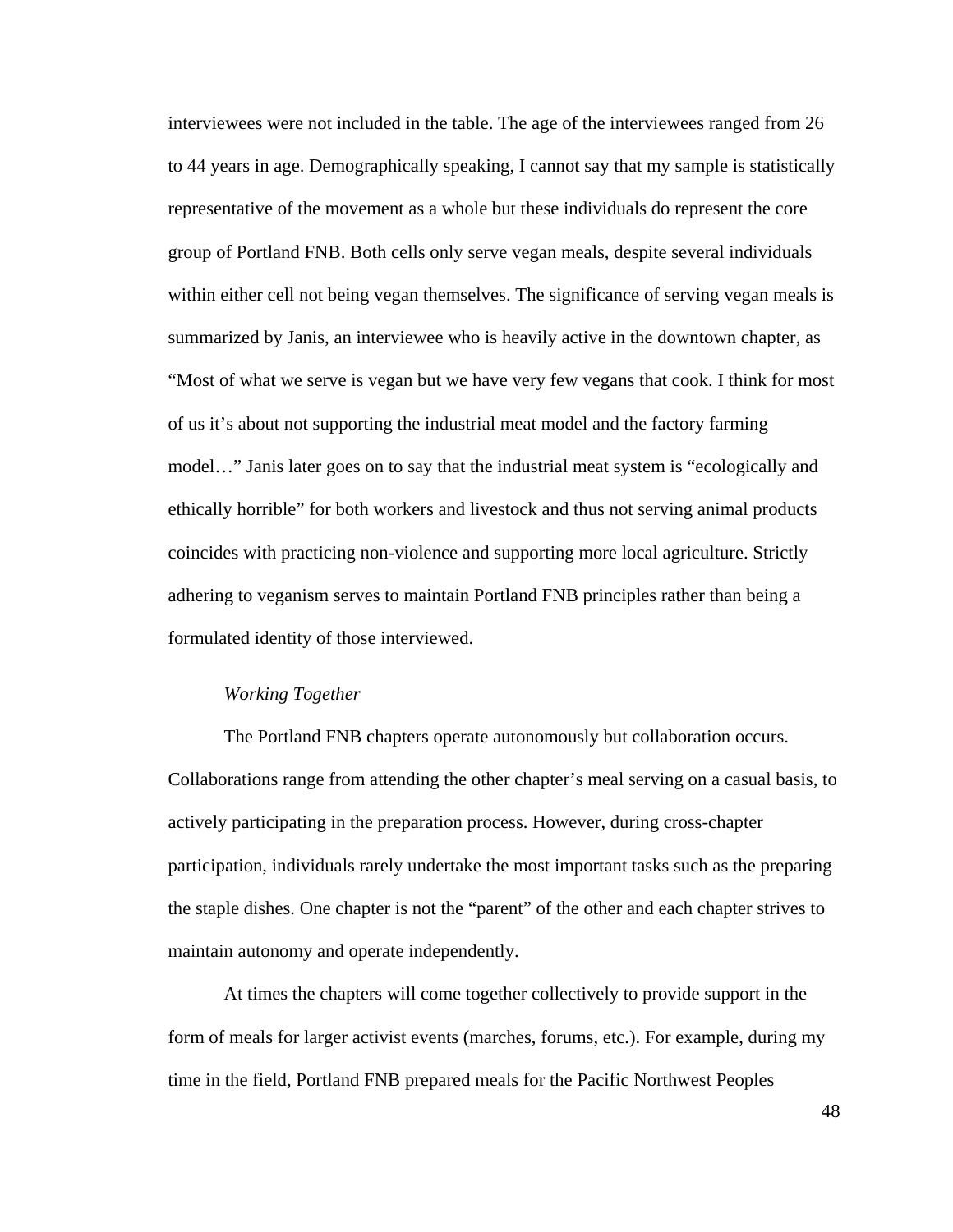interviewees were not included in the table. The age of the interviewees ranged from 26 to 44 years in age. Demographically speaking, I cannot say that my sample is statistically representative of the movement as a whole but these individuals do represent the core group of Portland FNB. Both cells only serve vegan meals, despite several individuals within either cell not being vegan themselves. The significance of serving vegan meals is summarized by Janis, an interviewee who is heavily active in the downtown chapter, as "Most of what we serve is vegan but we have very few vegans that cook. I think for most of us it's about not supporting the industrial meat model and the factory farming model…" Janis later goes on to say that the industrial meat system is "ecologically and ethically horrible" for both workers and livestock and thus not serving animal products coincides with practicing non-violence and supporting more local agriculture. Strictly adhering to veganism serves to maintain Portland FNB principles rather than being a formulated identity of those interviewed.

# *Working Together*

The Portland FNB chapters operate autonomously but collaboration occurs. Collaborations range from attending the other chapter's meal serving on a casual basis, to actively participating in the preparation process. However, during cross-chapter participation, individuals rarely undertake the most important tasks such as the preparing the staple dishes. One chapter is not the "parent" of the other and each chapter strives to maintain autonomy and operate independently.

At times the chapters will come together collectively to provide support in the form of meals for larger activist events (marches, forums, etc.). For example, during my time in the field, Portland FNB prepared meals for the Pacific Northwest Peoples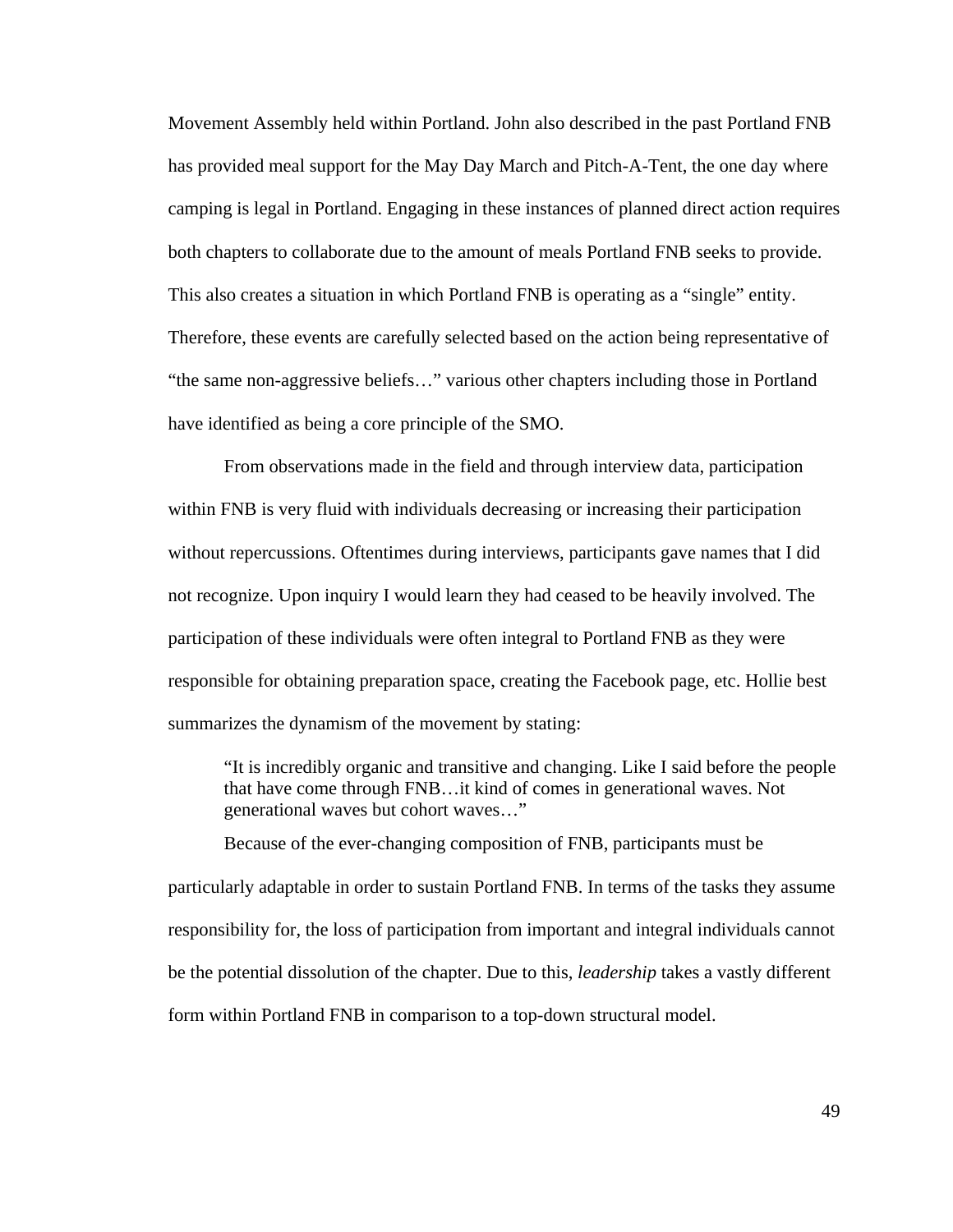Movement Assembly held within Portland. John also described in the past Portland FNB has provided meal support for the May Day March and Pitch-A-Tent, the one day where camping is legal in Portland. Engaging in these instances of planned direct action requires both chapters to collaborate due to the amount of meals Portland FNB seeks to provide. This also creates a situation in which Portland FNB is operating as a "single" entity. Therefore, these events are carefully selected based on the action being representative of "the same non-aggressive beliefs…" various other chapters including those in Portland have identified as being a core principle of the SMO.

 From observations made in the field and through interview data, participation within FNB is very fluid with individuals decreasing or increasing their participation without repercussions. Oftentimes during interviews, participants gave names that I did not recognize. Upon inquiry I would learn they had ceased to be heavily involved. The participation of these individuals were often integral to Portland FNB as they were responsible for obtaining preparation space, creating the Facebook page, etc. Hollie best summarizes the dynamism of the movement by stating:

 "It is incredibly organic and transitive and changing. Like I said before the people that have come through FNB…it kind of comes in generational waves. Not generational waves but cohort waves…"

 Because of the ever-changing composition of FNB, participants must be particularly adaptable in order to sustain Portland FNB. In terms of the tasks they assume responsibility for, the loss of participation from important and integral individuals cannot be the potential dissolution of the chapter. Due to this, *leadership* takes a vastly different form within Portland FNB in comparison to a top-down structural model.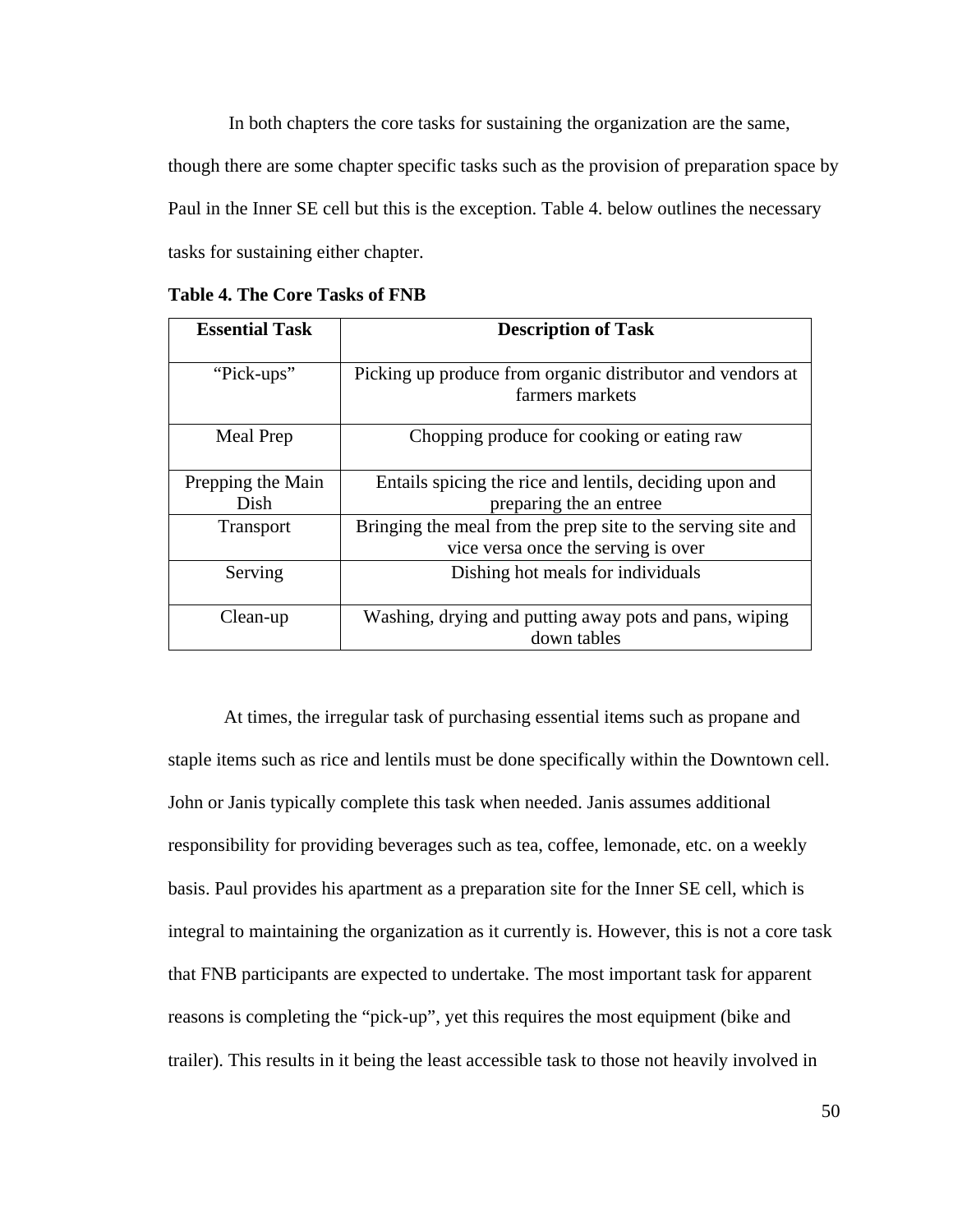In both chapters the core tasks for sustaining the organization are the same, though there are some chapter specific tasks such as the provision of preparation space by Paul in the Inner SE cell but this is the exception. Table 4. below outlines the necessary tasks for sustaining either chapter.

| <b>Essential Task</b>     | <b>Description of Task</b>                                                                          |
|---------------------------|-----------------------------------------------------------------------------------------------------|
| "Pick-ups"                | Picking up produce from organic distributor and vendors at<br>farmers markets                       |
| Meal Prep                 | Chopping produce for cooking or eating raw                                                          |
| Prepping the Main<br>Dish | Entails spicing the rice and lentils, deciding upon and<br>preparing the an entree                  |
| <b>Transport</b>          | Bringing the meal from the prep site to the serving site and<br>vice versa once the serving is over |
| Serving                   | Dishing hot meals for individuals                                                                   |
| Clean-up                  | Washing, drying and putting away pots and pans, wiping<br>down tables                               |

**Table 4. The Core Tasks of FNB**

 At times, the irregular task of purchasing essential items such as propane and staple items such as rice and lentils must be done specifically within the Downtown cell. John or Janis typically complete this task when needed. Janis assumes additional responsibility for providing beverages such as tea, coffee, lemonade, etc. on a weekly basis. Paul provides his apartment as a preparation site for the Inner SE cell, which is integral to maintaining the organization as it currently is. However, this is not a core task that FNB participants are expected to undertake. The most important task for apparent reasons is completing the "pick-up", yet this requires the most equipment (bike and trailer). This results in it being the least accessible task to those not heavily involved in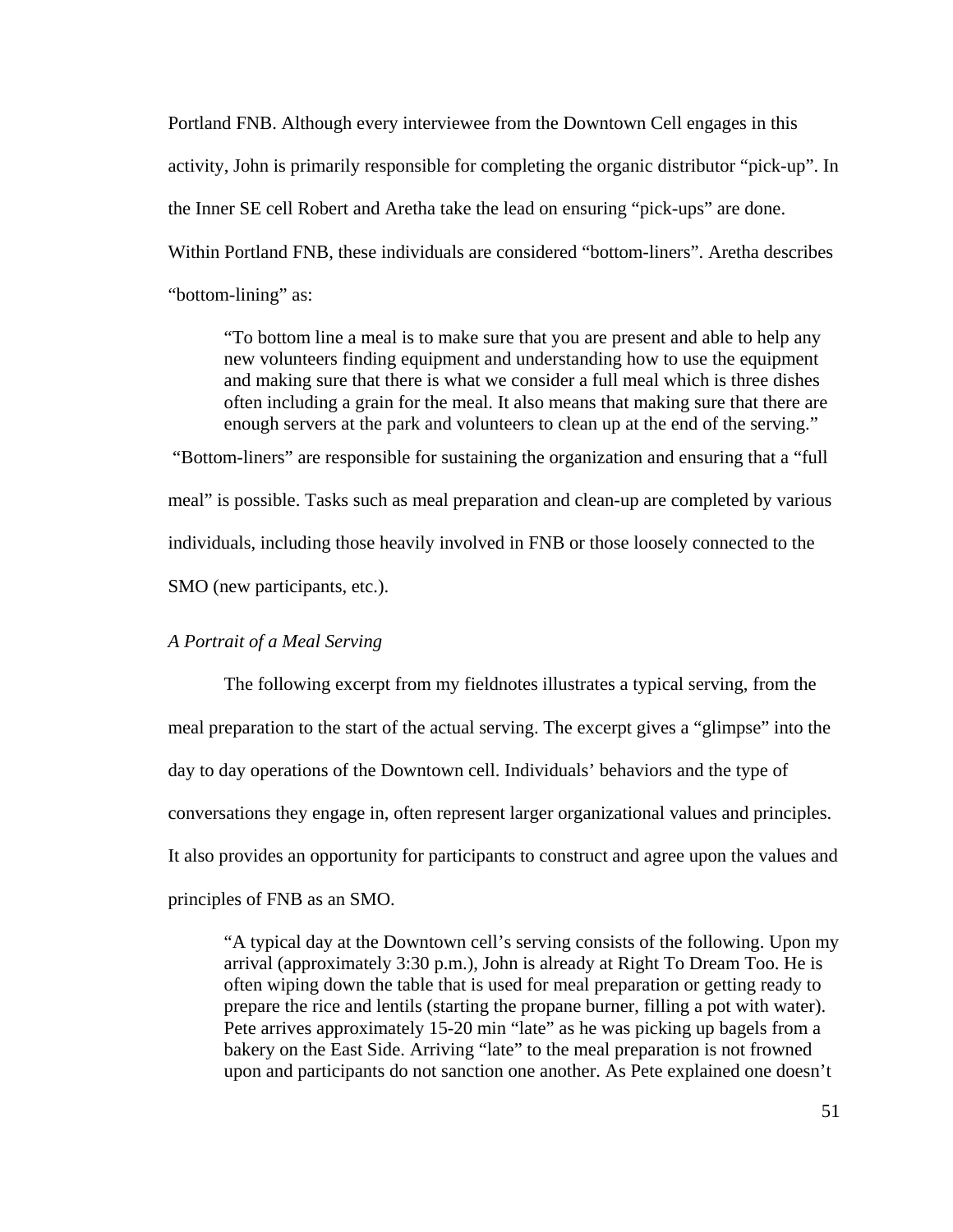Portland FNB. Although every interviewee from the Downtown Cell engages in this activity, John is primarily responsible for completing the organic distributor "pick-up". In the Inner SE cell Robert and Aretha take the lead on ensuring "pick-ups" are done. Within Portland FNB, these individuals are considered "bottom-liners". Aretha describes "bottom-lining" as:

 "To bottom line a meal is to make sure that you are present and able to help any new volunteers finding equipment and understanding how to use the equipment and making sure that there is what we consider a full meal which is three dishes often including a grain for the meal. It also means that making sure that there are enough servers at the park and volunteers to clean up at the end of the serving."

 "Bottom-liners" are responsible for sustaining the organization and ensuring that a "full meal" is possible. Tasks such as meal preparation and clean-up are completed by various individuals, including those heavily involved in FNB or those loosely connected to the SMO (new participants, etc.).

# *A Portrait of a Meal Serving*

 The following excerpt from my fieldnotes illustrates a typical serving, from the meal preparation to the start of the actual serving. The excerpt gives a "glimpse" into the day to day operations of the Downtown cell. Individuals' behaviors and the type of conversations they engage in, often represent larger organizational values and principles. It also provides an opportunity for participants to construct and agree upon the values and principles of FNB as an SMO.

 "A typical day at the Downtown cell's serving consists of the following. Upon my arrival (approximately 3:30 p.m.), John is already at Right To Dream Too. He is often wiping down the table that is used for meal preparation or getting ready to prepare the rice and lentils (starting the propane burner, filling a pot with water). Pete arrives approximately 15-20 min "late" as he was picking up bagels from a bakery on the East Side. Arriving "late" to the meal preparation is not frowned upon and participants do not sanction one another. As Pete explained one doesn't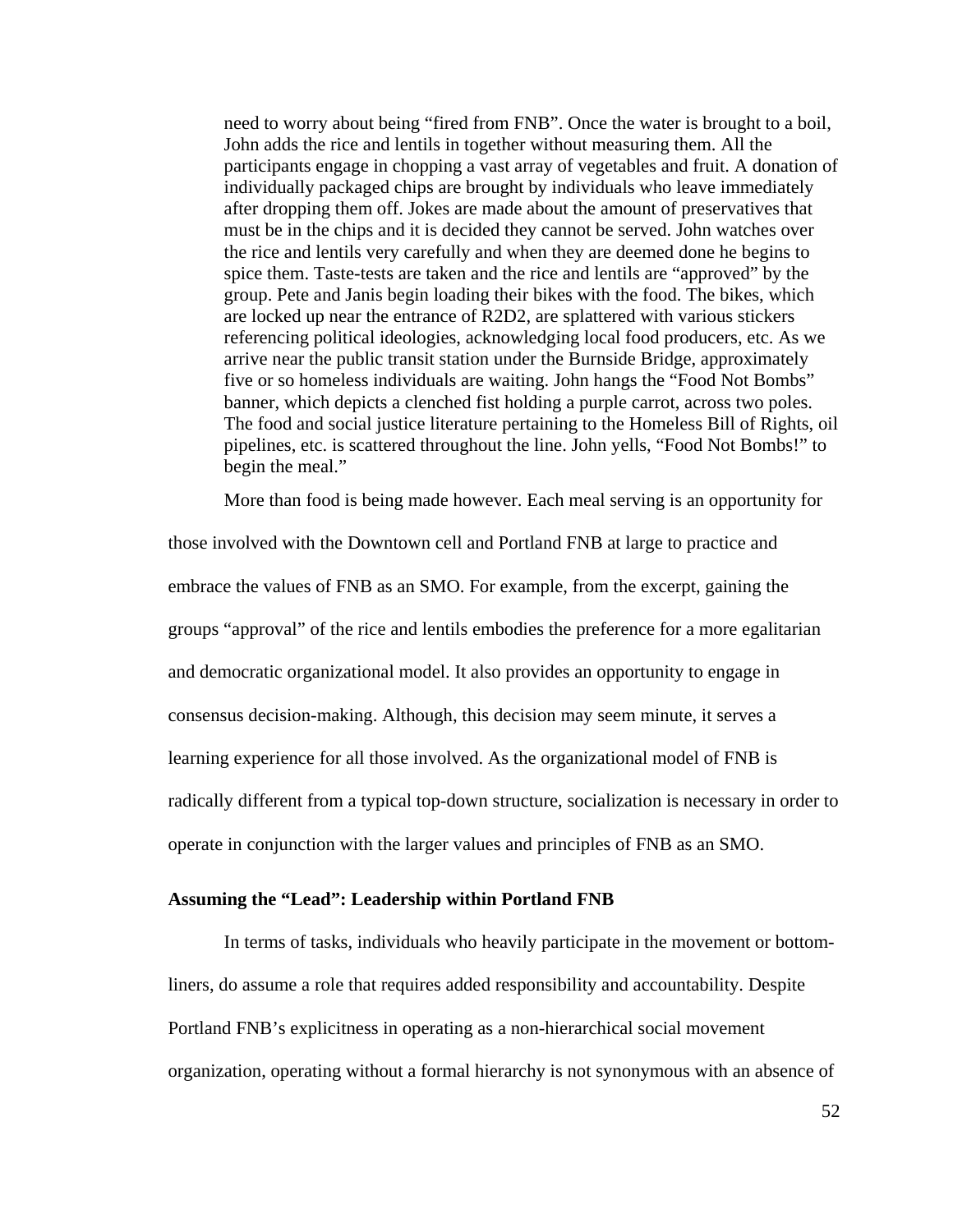need to worry about being "fired from FNB". Once the water is brought to a boil, John adds the rice and lentils in together without measuring them. All the participants engage in chopping a vast array of vegetables and fruit. A donation of individually packaged chips are brought by individuals who leave immediately after dropping them off. Jokes are made about the amount of preservatives that must be in the chips and it is decided they cannot be served. John watches over the rice and lentils very carefully and when they are deemed done he begins to spice them. Taste-tests are taken and the rice and lentils are "approved" by the group. Pete and Janis begin loading their bikes with the food. The bikes, which are locked up near the entrance of R2D2, are splattered with various stickers referencing political ideologies, acknowledging local food producers, etc. As we arrive near the public transit station under the Burnside Bridge, approximately five or so homeless individuals are waiting. John hangs the "Food Not Bombs" banner, which depicts a clenched fist holding a purple carrot, across two poles. The food and social justice literature pertaining to the Homeless Bill of Rights, oil pipelines, etc. is scattered throughout the line. John yells, "Food Not Bombs!" to begin the meal."

More than food is being made however. Each meal serving is an opportunity for

those involved with the Downtown cell and Portland FNB at large to practice and embrace the values of FNB as an SMO. For example, from the excerpt, gaining the groups "approval" of the rice and lentils embodies the preference for a more egalitarian and democratic organizational model. It also provides an opportunity to engage in consensus decision-making. Although, this decision may seem minute, it serves a learning experience for all those involved. As the organizational model of FNB is radically different from a typical top-down structure, socialization is necessary in order to operate in conjunction with the larger values and principles of FNB as an SMO.

### **Assuming the "Lead": Leadership within Portland FNB**

In terms of tasks, individuals who heavily participate in the movement or bottomliners, do assume a role that requires added responsibility and accountability. Despite Portland FNB's explicitness in operating as a non-hierarchical social movement organization, operating without a formal hierarchy is not synonymous with an absence of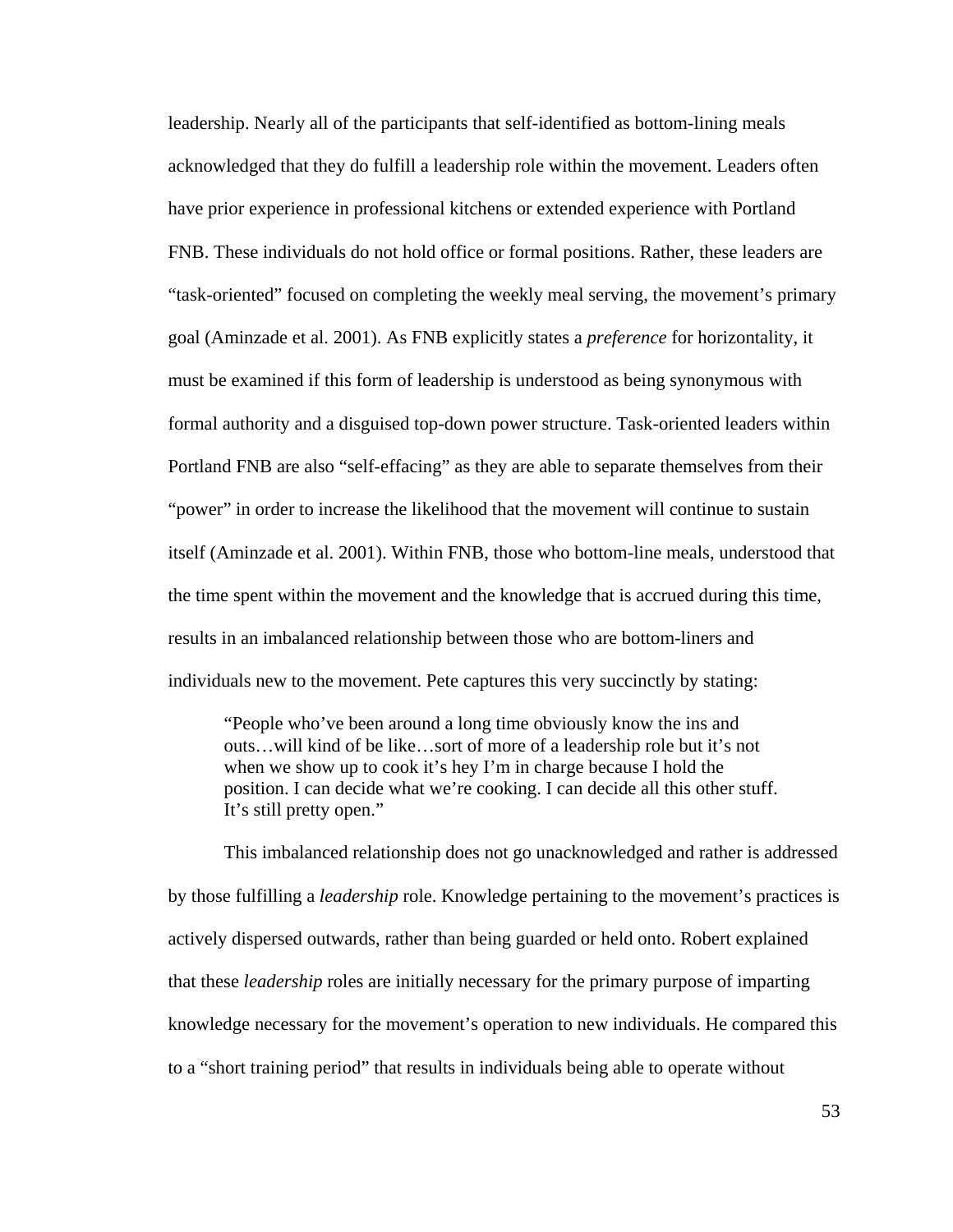leadership. Nearly all of the participants that self-identified as bottom-lining meals acknowledged that they do fulfill a leadership role within the movement. Leaders often have prior experience in professional kitchens or extended experience with Portland FNB. These individuals do not hold office or formal positions. Rather, these leaders are "task-oriented" focused on completing the weekly meal serving, the movement's primary goal (Aminzade et al. 2001). As FNB explicitly states a *preference* for horizontality, it must be examined if this form of leadership is understood as being synonymous with formal authority and a disguised top-down power structure. Task-oriented leaders within Portland FNB are also "self-effacing" as they are able to separate themselves from their "power" in order to increase the likelihood that the movement will continue to sustain itself (Aminzade et al. 2001). Within FNB, those who bottom-line meals, understood that the time spent within the movement and the knowledge that is accrued during this time, results in an imbalanced relationship between those who are bottom-liners and individuals new to the movement. Pete captures this very succinctly by stating:

 "People who've been around a long time obviously know the ins and outs…will kind of be like…sort of more of a leadership role but it's not when we show up to cook it's hey I'm in charge because I hold the position. I can decide what we're cooking. I can decide all this other stuff. It's still pretty open."

 This imbalanced relationship does not go unacknowledged and rather is addressed by those fulfilling a *leadership* role. Knowledge pertaining to the movement's practices is actively dispersed outwards, rather than being guarded or held onto. Robert explained that these *leadership* roles are initially necessary for the primary purpose of imparting knowledge necessary for the movement's operation to new individuals. He compared this to a "short training period" that results in individuals being able to operate without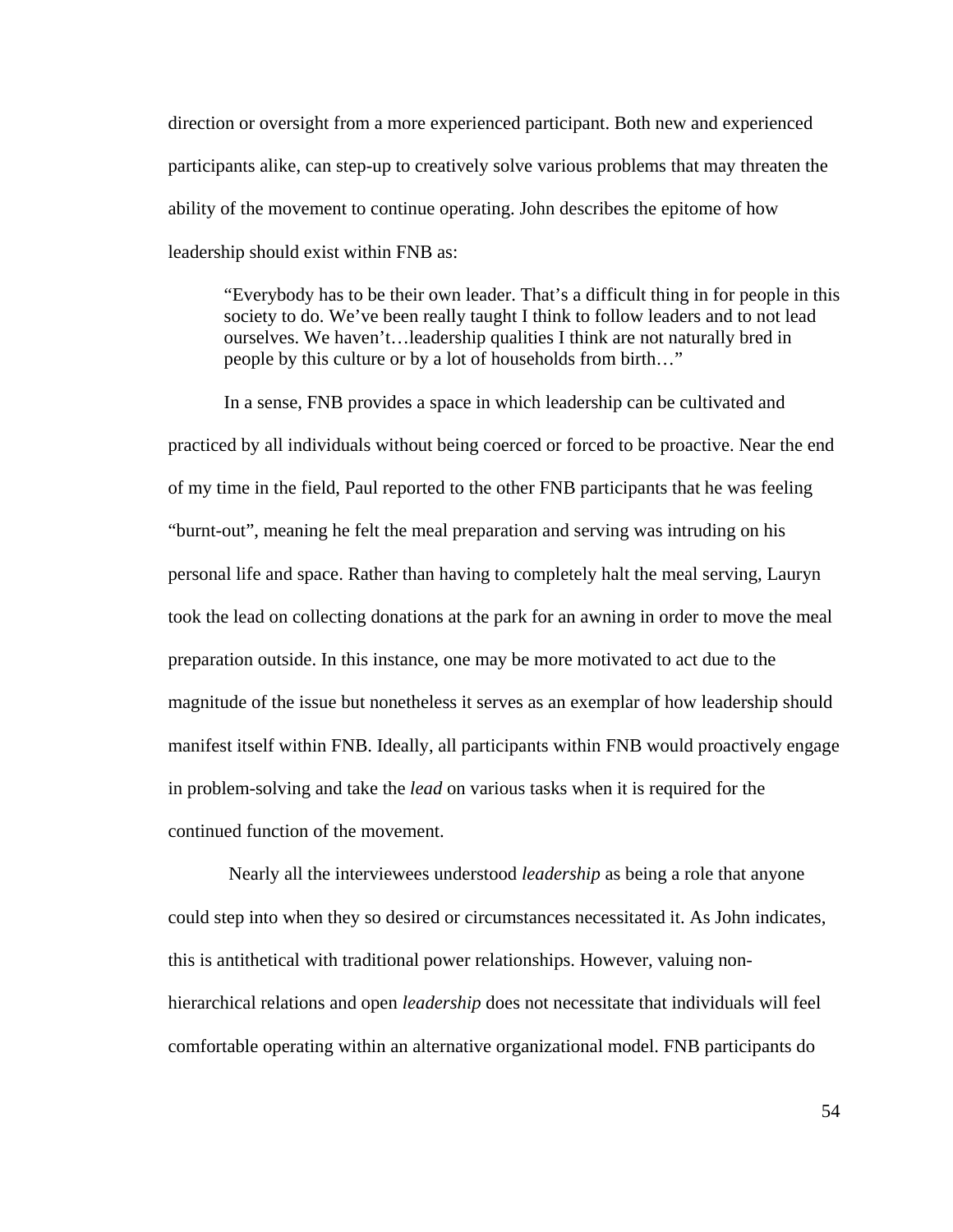direction or oversight from a more experienced participant. Both new and experienced participants alike, can step-up to creatively solve various problems that may threaten the ability of the movement to continue operating. John describes the epitome of how leadership should exist within FNB as:

 "Everybody has to be their own leader. That's a difficult thing in for people in this society to do. We've been really taught I think to follow leaders and to not lead ourselves. We haven't…leadership qualities I think are not naturally bred in people by this culture or by a lot of households from birth…"

 In a sense, FNB provides a space in which leadership can be cultivated and practiced by all individuals without being coerced or forced to be proactive. Near the end of my time in the field, Paul reported to the other FNB participants that he was feeling "burnt-out", meaning he felt the meal preparation and serving was intruding on his personal life and space. Rather than having to completely halt the meal serving, Lauryn took the lead on collecting donations at the park for an awning in order to move the meal preparation outside. In this instance, one may be more motivated to act due to the magnitude of the issue but nonetheless it serves as an exemplar of how leadership should manifest itself within FNB. Ideally, all participants within FNB would proactively engage in problem-solving and take the *lead* on various tasks when it is required for the continued function of the movement.

 Nearly all the interviewees understood *leadership* as being a role that anyone could step into when they so desired or circumstances necessitated it. As John indicates, this is antithetical with traditional power relationships. However, valuing nonhierarchical relations and open *leadership* does not necessitate that individuals will feel comfortable operating within an alternative organizational model. FNB participants do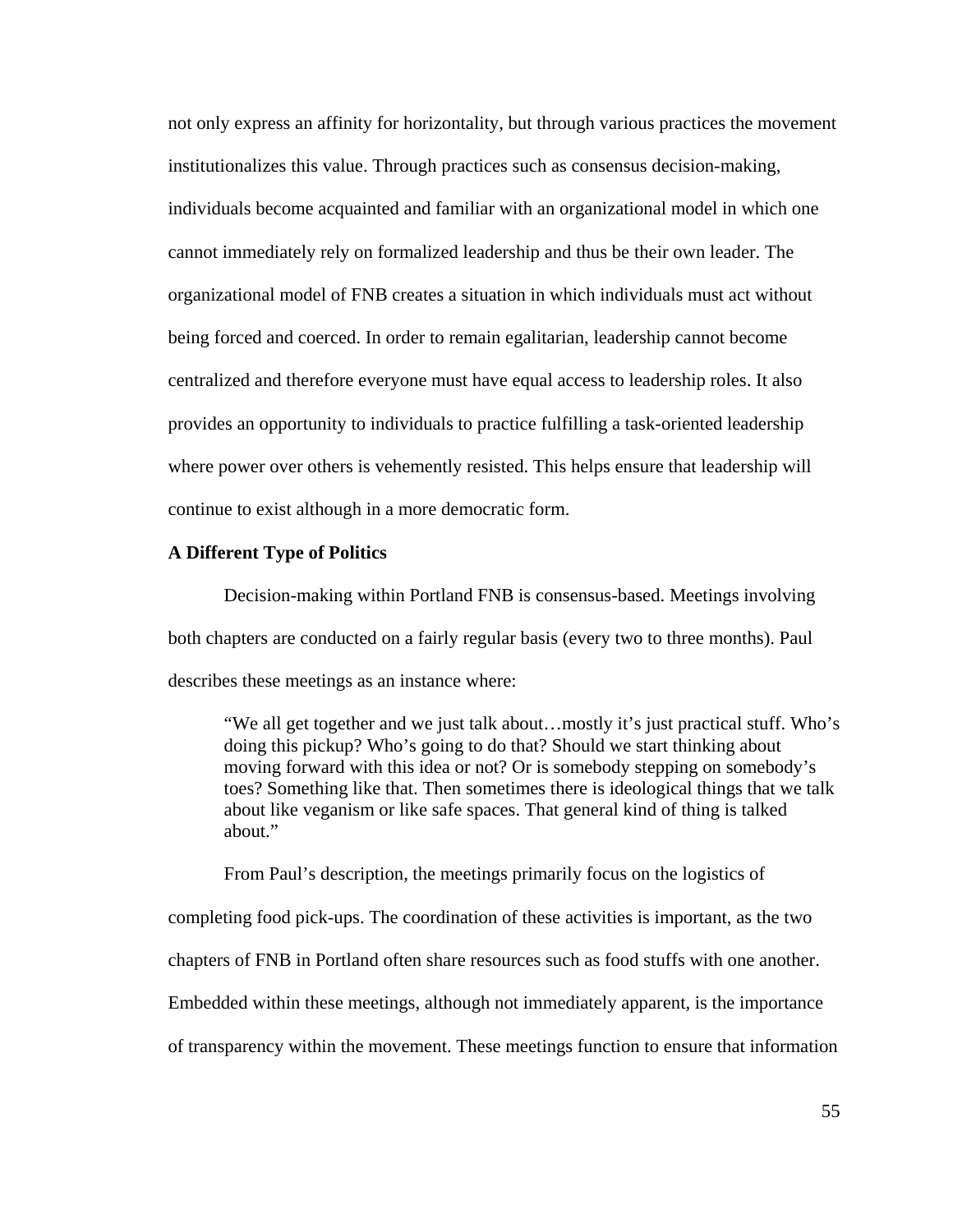not only express an affinity for horizontality, but through various practices the movement institutionalizes this value. Through practices such as consensus decision-making, individuals become acquainted and familiar with an organizational model in which one cannot immediately rely on formalized leadership and thus be their own leader. The organizational model of FNB creates a situation in which individuals must act without being forced and coerced. In order to remain egalitarian, leadership cannot become centralized and therefore everyone must have equal access to leadership roles. It also provides an opportunity to individuals to practice fulfilling a task-oriented leadership where power over others is vehemently resisted. This helps ensure that leadership will continue to exist although in a more democratic form.

### **A Different Type of Politics**

Decision-making within Portland FNB is consensus-based. Meetings involving both chapters are conducted on a fairly regular basis (every two to three months). Paul describes these meetings as an instance where:

 "We all get together and we just talk about…mostly it's just practical stuff. Who's doing this pickup? Who's going to do that? Should we start thinking about moving forward with this idea or not? Or is somebody stepping on somebody's toes? Something like that. Then sometimes there is ideological things that we talk about like veganism or like safe spaces. That general kind of thing is talked about."

 From Paul's description, the meetings primarily focus on the logistics of completing food pick-ups. The coordination of these activities is important, as the two chapters of FNB in Portland often share resources such as food stuffs with one another. Embedded within these meetings, although not immediately apparent, is the importance of transparency within the movement. These meetings function to ensure that information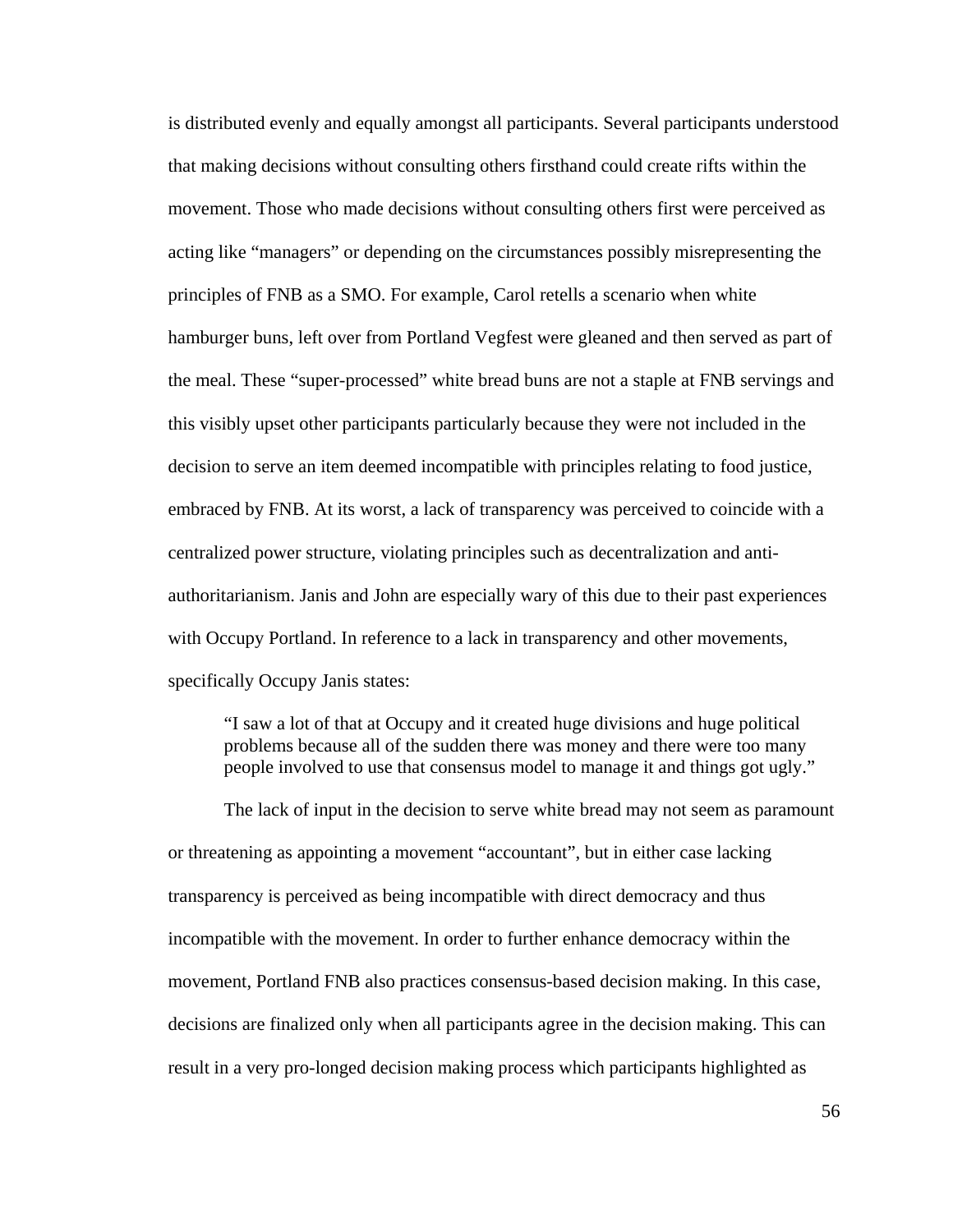is distributed evenly and equally amongst all participants. Several participants understood that making decisions without consulting others firsthand could create rifts within the movement. Those who made decisions without consulting others first were perceived as acting like "managers" or depending on the circumstances possibly misrepresenting the principles of FNB as a SMO. For example, Carol retells a scenario when white hamburger buns, left over from Portland Vegfest were gleaned and then served as part of the meal. These "super-processed" white bread buns are not a staple at FNB servings and this visibly upset other participants particularly because they were not included in the decision to serve an item deemed incompatible with principles relating to food justice, embraced by FNB. At its worst, a lack of transparency was perceived to coincide with a centralized power structure, violating principles such as decentralization and antiauthoritarianism. Janis and John are especially wary of this due to their past experiences with Occupy Portland. In reference to a lack in transparency and other movements, specifically Occupy Janis states:

 "I saw a lot of that at Occupy and it created huge divisions and huge political problems because all of the sudden there was money and there were too many people involved to use that consensus model to manage it and things got ugly."

 The lack of input in the decision to serve white bread may not seem as paramount or threatening as appointing a movement "accountant", but in either case lacking transparency is perceived as being incompatible with direct democracy and thus incompatible with the movement. In order to further enhance democracy within the movement, Portland FNB also practices consensus-based decision making. In this case, decisions are finalized only when all participants agree in the decision making. This can result in a very pro-longed decision making process which participants highlighted as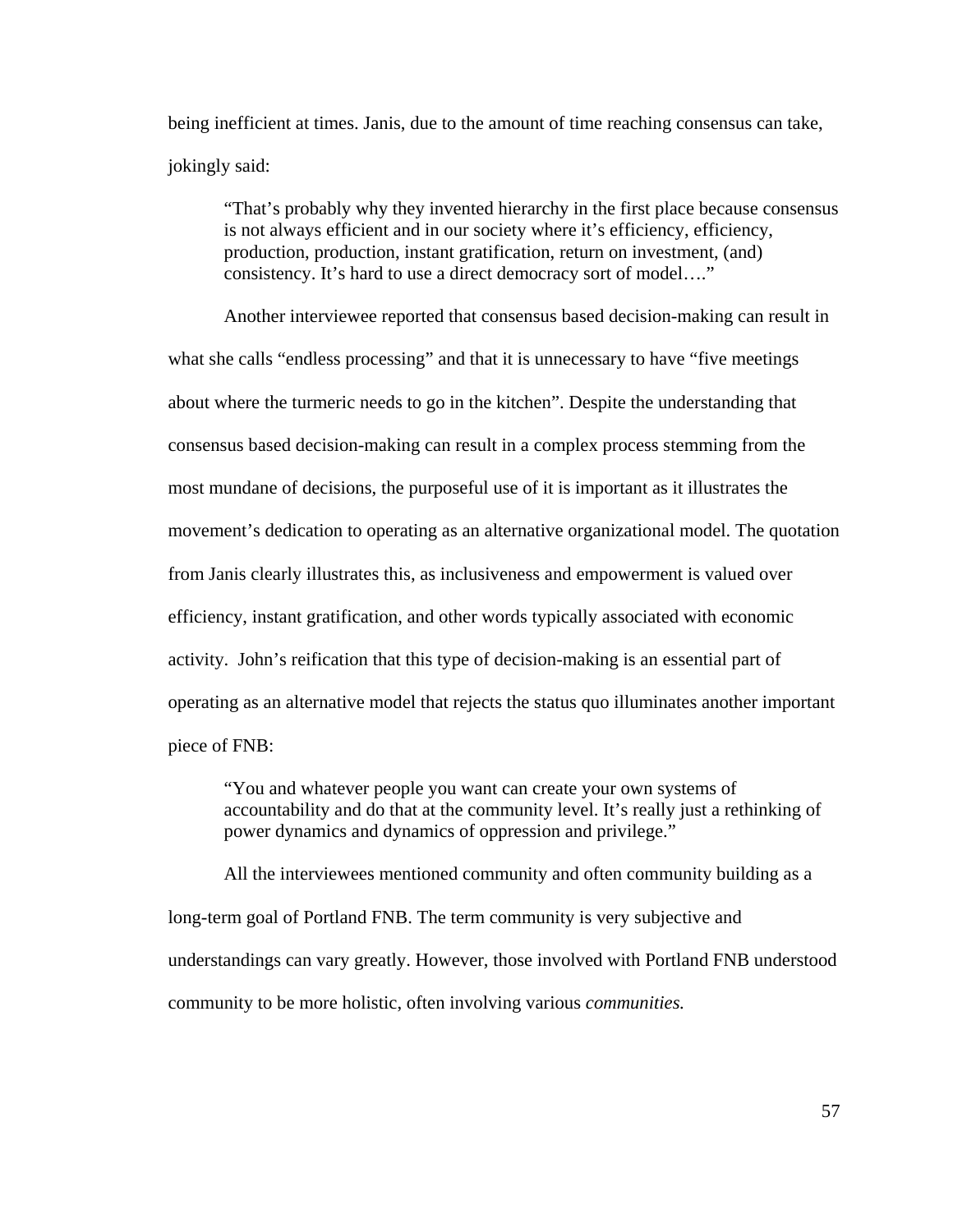being inefficient at times. Janis, due to the amount of time reaching consensus can take, jokingly said:

 "That's probably why they invented hierarchy in the first place because consensus is not always efficient and in our society where it's efficiency, efficiency, production, production, instant gratification, return on investment, (and) consistency. It's hard to use a direct democracy sort of model…."

 Another interviewee reported that consensus based decision-making can result in what she calls "endless processing" and that it is unnecessary to have "five meetings" about where the turmeric needs to go in the kitchen". Despite the understanding that consensus based decision-making can result in a complex process stemming from the most mundane of decisions, the purposeful use of it is important as it illustrates the movement's dedication to operating as an alternative organizational model. The quotation from Janis clearly illustrates this, as inclusiveness and empowerment is valued over efficiency, instant gratification, and other words typically associated with economic activity. John's reification that this type of decision-making is an essential part of operating as an alternative model that rejects the status quo illuminates another important piece of FNB:

 "You and whatever people you want can create your own systems of accountability and do that at the community level. It's really just a rethinking of power dynamics and dynamics of oppression and privilege."

 All the interviewees mentioned community and often community building as a long-term goal of Portland FNB. The term community is very subjective and understandings can vary greatly. However, those involved with Portland FNB understood community to be more holistic, often involving various *communities.*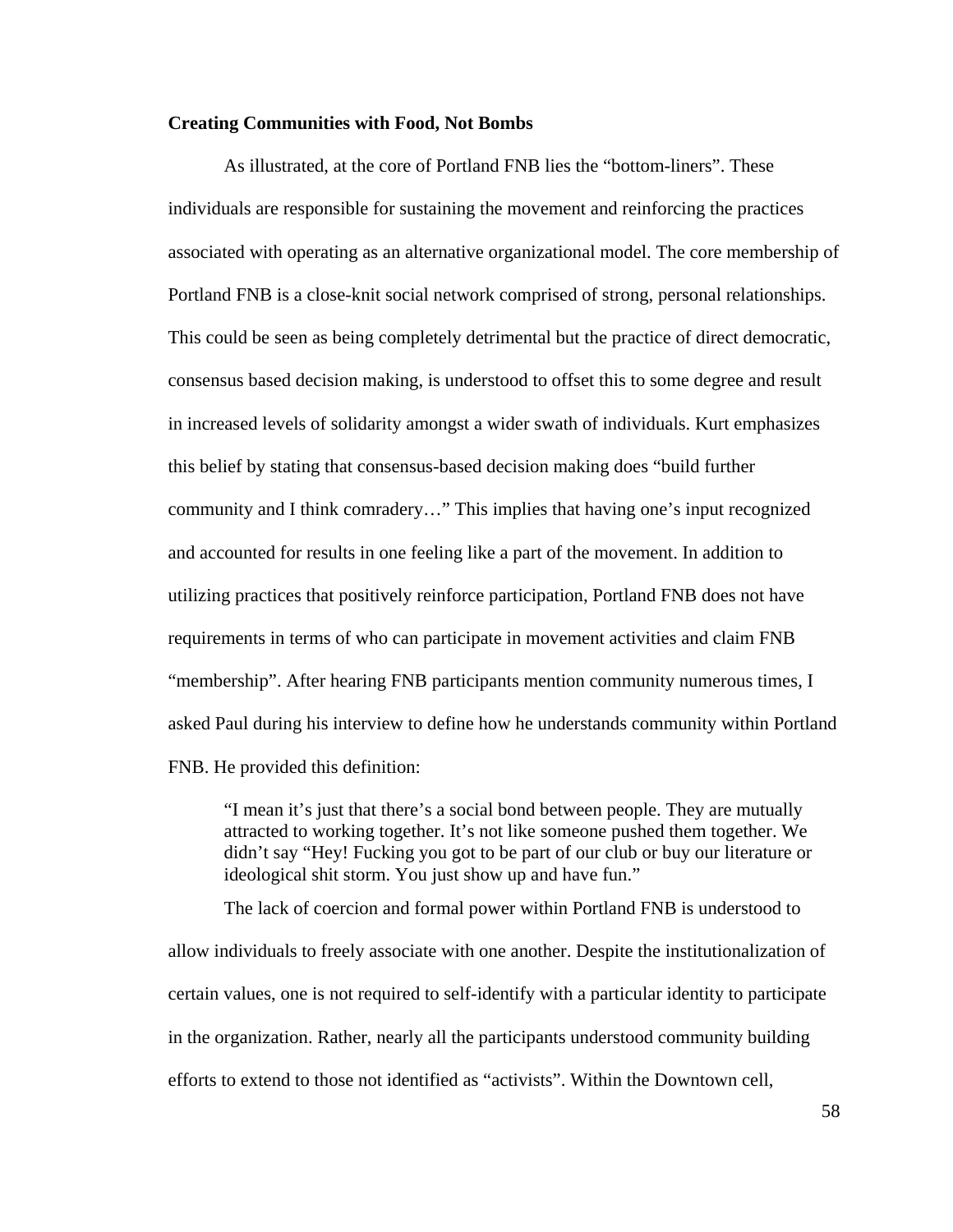### **Creating Communities with Food, Not Bombs**

 As illustrated, at the core of Portland FNB lies the "bottom-liners". These individuals are responsible for sustaining the movement and reinforcing the practices associated with operating as an alternative organizational model. The core membership of Portland FNB is a close-knit social network comprised of strong, personal relationships. This could be seen as being completely detrimental but the practice of direct democratic, consensus based decision making, is understood to offset this to some degree and result in increased levels of solidarity amongst a wider swath of individuals. Kurt emphasizes this belief by stating that consensus-based decision making does "build further community and I think comradery…" This implies that having one's input recognized and accounted for results in one feeling like a part of the movement. In addition to utilizing practices that positively reinforce participation, Portland FNB does not have requirements in terms of who can participate in movement activities and claim FNB "membership". After hearing FNB participants mention community numerous times, I asked Paul during his interview to define how he understands community within Portland FNB. He provided this definition:

 "I mean it's just that there's a social bond between people. They are mutually attracted to working together. It's not like someone pushed them together. We didn't say "Hey! Fucking you got to be part of our club or buy our literature or ideological shit storm. You just show up and have fun."

 The lack of coercion and formal power within Portland FNB is understood to allow individuals to freely associate with one another. Despite the institutionalization of certain values, one is not required to self-identify with a particular identity to participate in the organization. Rather, nearly all the participants understood community building efforts to extend to those not identified as "activists". Within the Downtown cell,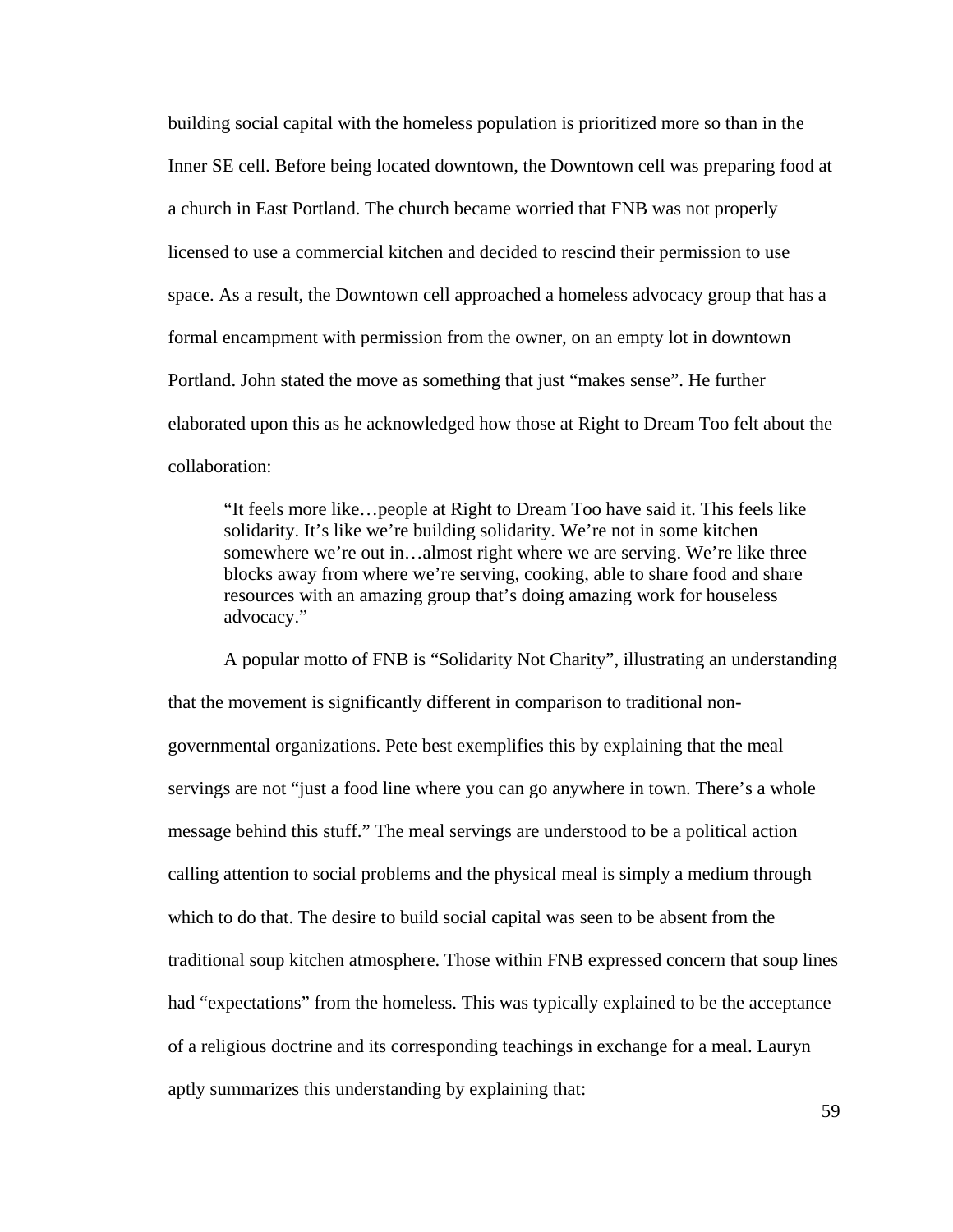building social capital with the homeless population is prioritized more so than in the Inner SE cell. Before being located downtown, the Downtown cell was preparing food at a church in East Portland. The church became worried that FNB was not properly licensed to use a commercial kitchen and decided to rescind their permission to use space. As a result, the Downtown cell approached a homeless advocacy group that has a formal encampment with permission from the owner, on an empty lot in downtown Portland. John stated the move as something that just "makes sense". He further elaborated upon this as he acknowledged how those at Right to Dream Too felt about the collaboration:

 "It feels more like…people at Right to Dream Too have said it. This feels like solidarity. It's like we're building solidarity. We're not in some kitchen somewhere we're out in…almost right where we are serving. We're like three blocks away from where we're serving, cooking, able to share food and share resources with an amazing group that's doing amazing work for houseless advocacy."

 A popular motto of FNB is "Solidarity Not Charity", illustrating an understanding that the movement is significantly different in comparison to traditional nongovernmental organizations. Pete best exemplifies this by explaining that the meal servings are not "just a food line where you can go anywhere in town. There's a whole message behind this stuff." The meal servings are understood to be a political action calling attention to social problems and the physical meal is simply a medium through which to do that. The desire to build social capital was seen to be absent from the traditional soup kitchen atmosphere. Those within FNB expressed concern that soup lines had "expectations" from the homeless. This was typically explained to be the acceptance of a religious doctrine and its corresponding teachings in exchange for a meal. Lauryn aptly summarizes this understanding by explaining that: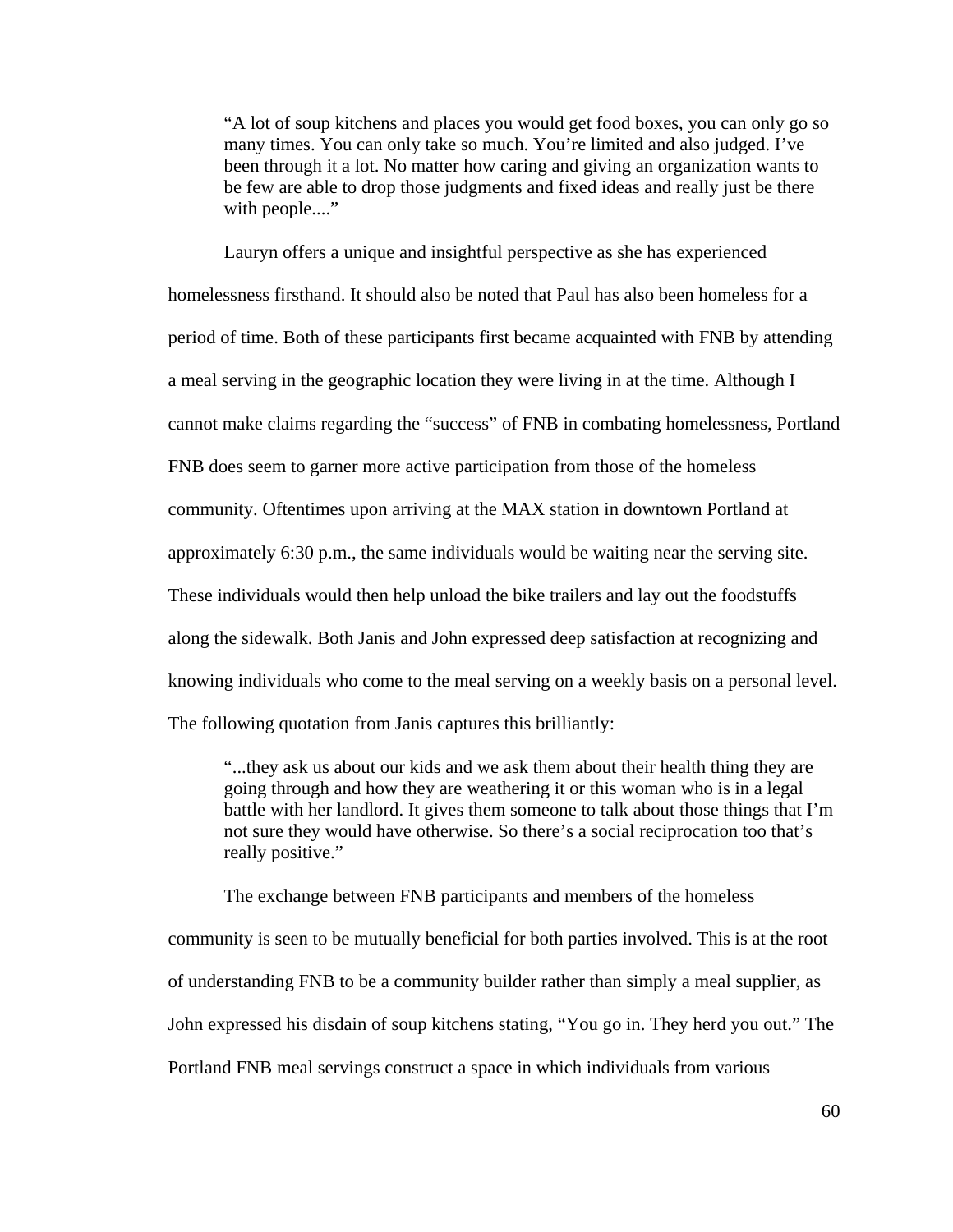"A lot of soup kitchens and places you would get food boxes, you can only go so many times. You can only take so much. You're limited and also judged. I've been through it a lot. No matter how caring and giving an organization wants to be few are able to drop those judgments and fixed ideas and really just be there with people...."

 Lauryn offers a unique and insightful perspective as she has experienced homelessness firsthand. It should also be noted that Paul has also been homeless for a period of time. Both of these participants first became acquainted with FNB by attending a meal serving in the geographic location they were living in at the time. Although I cannot make claims regarding the "success" of FNB in combating homelessness, Portland FNB does seem to garner more active participation from those of the homeless community. Oftentimes upon arriving at the MAX station in downtown Portland at approximately 6:30 p.m., the same individuals would be waiting near the serving site. These individuals would then help unload the bike trailers and lay out the foodstuffs along the sidewalk. Both Janis and John expressed deep satisfaction at recognizing and knowing individuals who come to the meal serving on a weekly basis on a personal level. The following quotation from Janis captures this brilliantly:

 "...they ask us about our kids and we ask them about their health thing they are going through and how they are weathering it or this woman who is in a legal battle with her landlord. It gives them someone to talk about those things that I'm not sure they would have otherwise. So there's a social reciprocation too that's really positive."

The exchange between FNB participants and members of the homeless

community is seen to be mutually beneficial for both parties involved. This is at the root of understanding FNB to be a community builder rather than simply a meal supplier, as John expressed his disdain of soup kitchens stating, "You go in. They herd you out." The Portland FNB meal servings construct a space in which individuals from various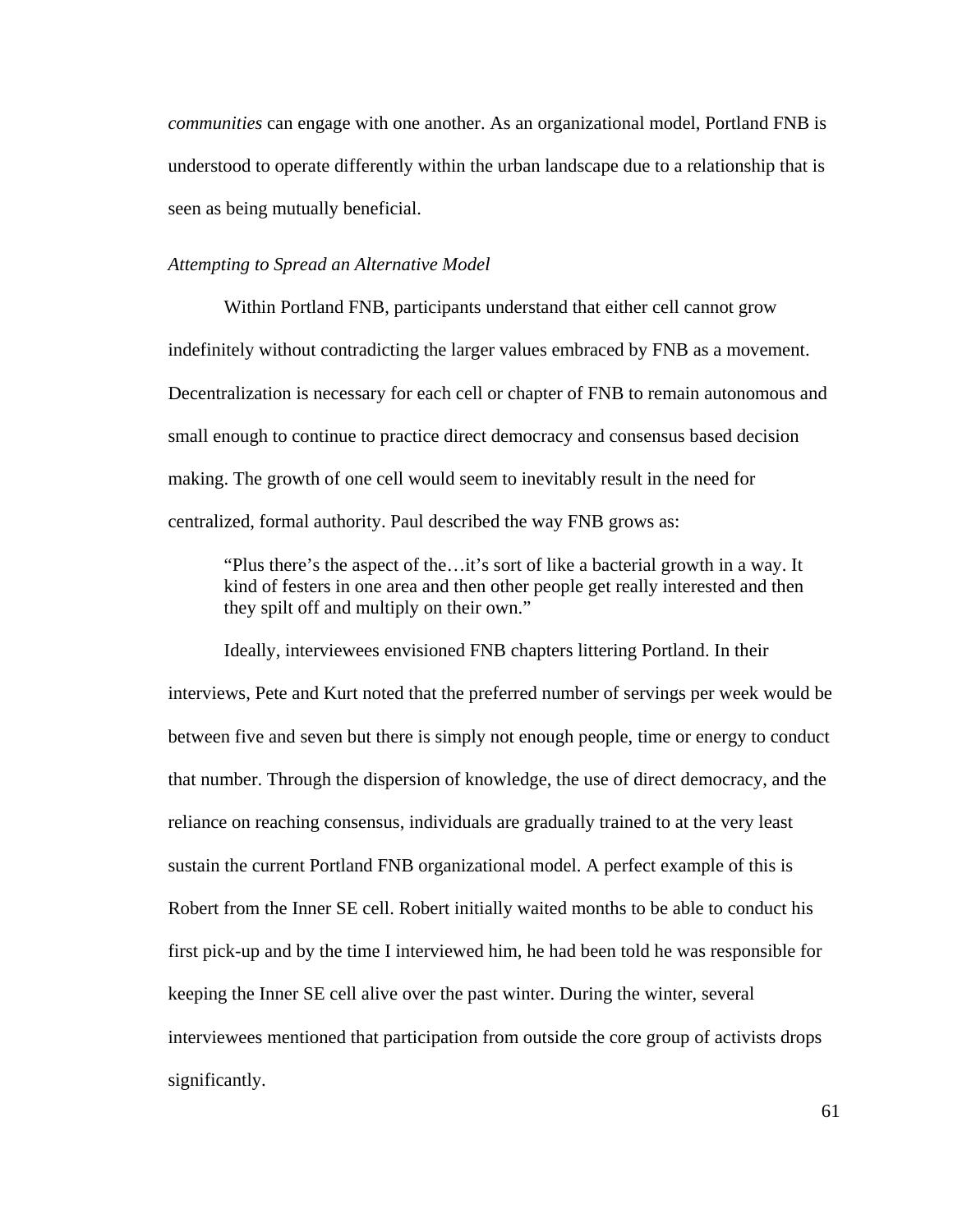*communities* can engage with one another. As an organizational model, Portland FNB is understood to operate differently within the urban landscape due to a relationship that is seen as being mutually beneficial.

### *Attempting to Spread an Alternative Model*

Within Portland FNB, participants understand that either cell cannot grow indefinitely without contradicting the larger values embraced by FNB as a movement. Decentralization is necessary for each cell or chapter of FNB to remain autonomous and small enough to continue to practice direct democracy and consensus based decision making. The growth of one cell would seem to inevitably result in the need for centralized, formal authority. Paul described the way FNB grows as:

 "Plus there's the aspect of the…it's sort of like a bacterial growth in a way. It kind of festers in one area and then other people get really interested and then they spilt off and multiply on their own."

 Ideally, interviewees envisioned FNB chapters littering Portland. In their interviews, Pete and Kurt noted that the preferred number of servings per week would be between five and seven but there is simply not enough people, time or energy to conduct that number. Through the dispersion of knowledge, the use of direct democracy, and the reliance on reaching consensus, individuals are gradually trained to at the very least sustain the current Portland FNB organizational model. A perfect example of this is Robert from the Inner SE cell. Robert initially waited months to be able to conduct his first pick-up and by the time I interviewed him, he had been told he was responsible for keeping the Inner SE cell alive over the past winter. During the winter, several interviewees mentioned that participation from outside the core group of activists drops significantly.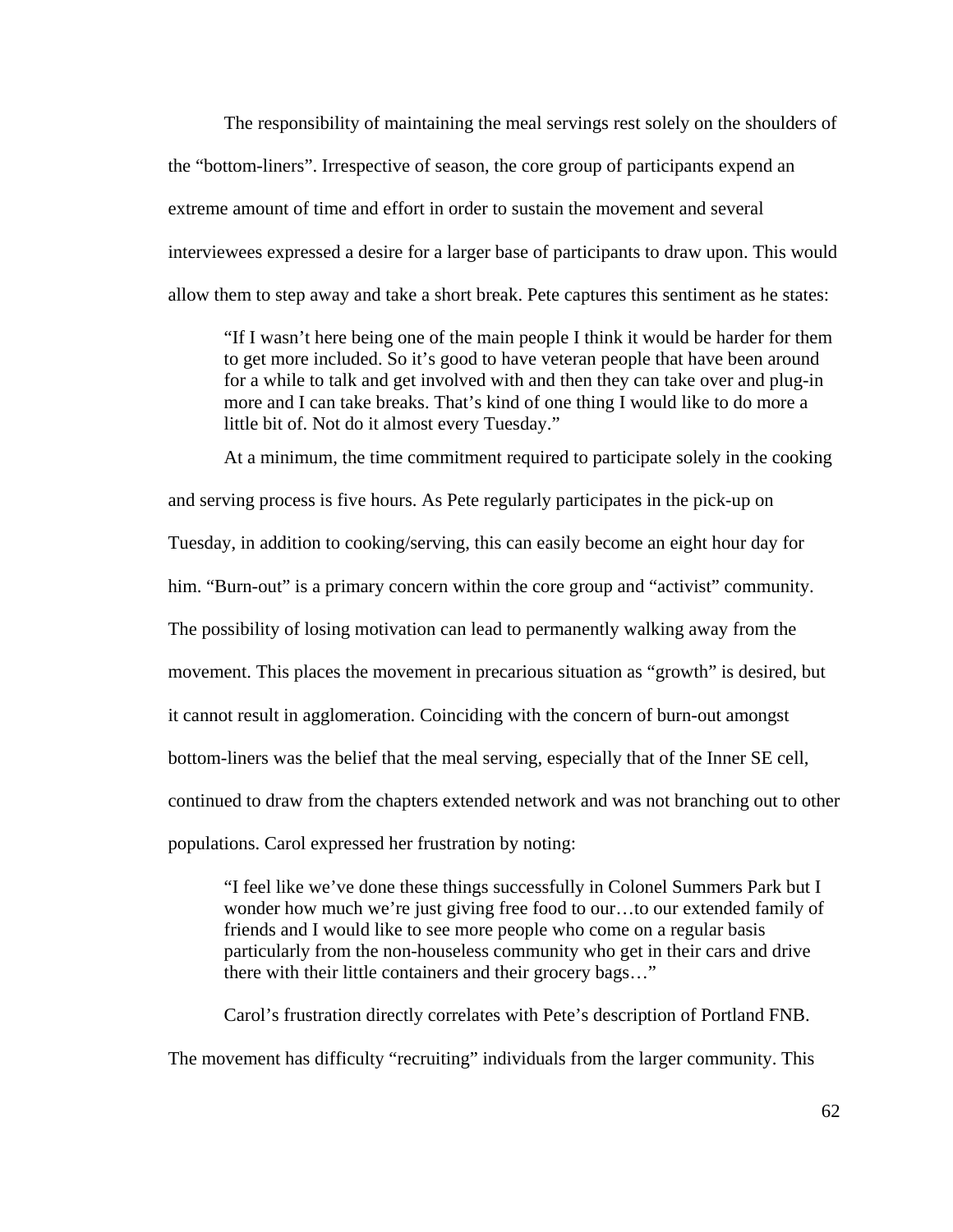The responsibility of maintaining the meal servings rest solely on the shoulders of the "bottom-liners". Irrespective of season, the core group of participants expend an extreme amount of time and effort in order to sustain the movement and several interviewees expressed a desire for a larger base of participants to draw upon. This would allow them to step away and take a short break. Pete captures this sentiment as he states:

 "If I wasn't here being one of the main people I think it would be harder for them to get more included. So it's good to have veteran people that have been around for a while to talk and get involved with and then they can take over and plug-in more and I can take breaks. That's kind of one thing I would like to do more a little bit of. Not do it almost every Tuesday."

 At a minimum, the time commitment required to participate solely in the cooking and serving process is five hours. As Pete regularly participates in the pick-up on Tuesday, in addition to cooking/serving, this can easily become an eight hour day for him. "Burn-out" is a primary concern within the core group and "activist" community. The possibility of losing motivation can lead to permanently walking away from the movement. This places the movement in precarious situation as "growth" is desired, but it cannot result in agglomeration. Coinciding with the concern of burn-out amongst bottom-liners was the belief that the meal serving, especially that of the Inner SE cell, continued to draw from the chapters extended network and was not branching out to other populations. Carol expressed her frustration by noting:

 "I feel like we've done these things successfully in Colonel Summers Park but I wonder how much we're just giving free food to our…to our extended family of friends and I would like to see more people who come on a regular basis particularly from the non-houseless community who get in their cars and drive there with their little containers and their grocery bags…"

 Carol's frustration directly correlates with Pete's description of Portland FNB. The movement has difficulty "recruiting" individuals from the larger community. This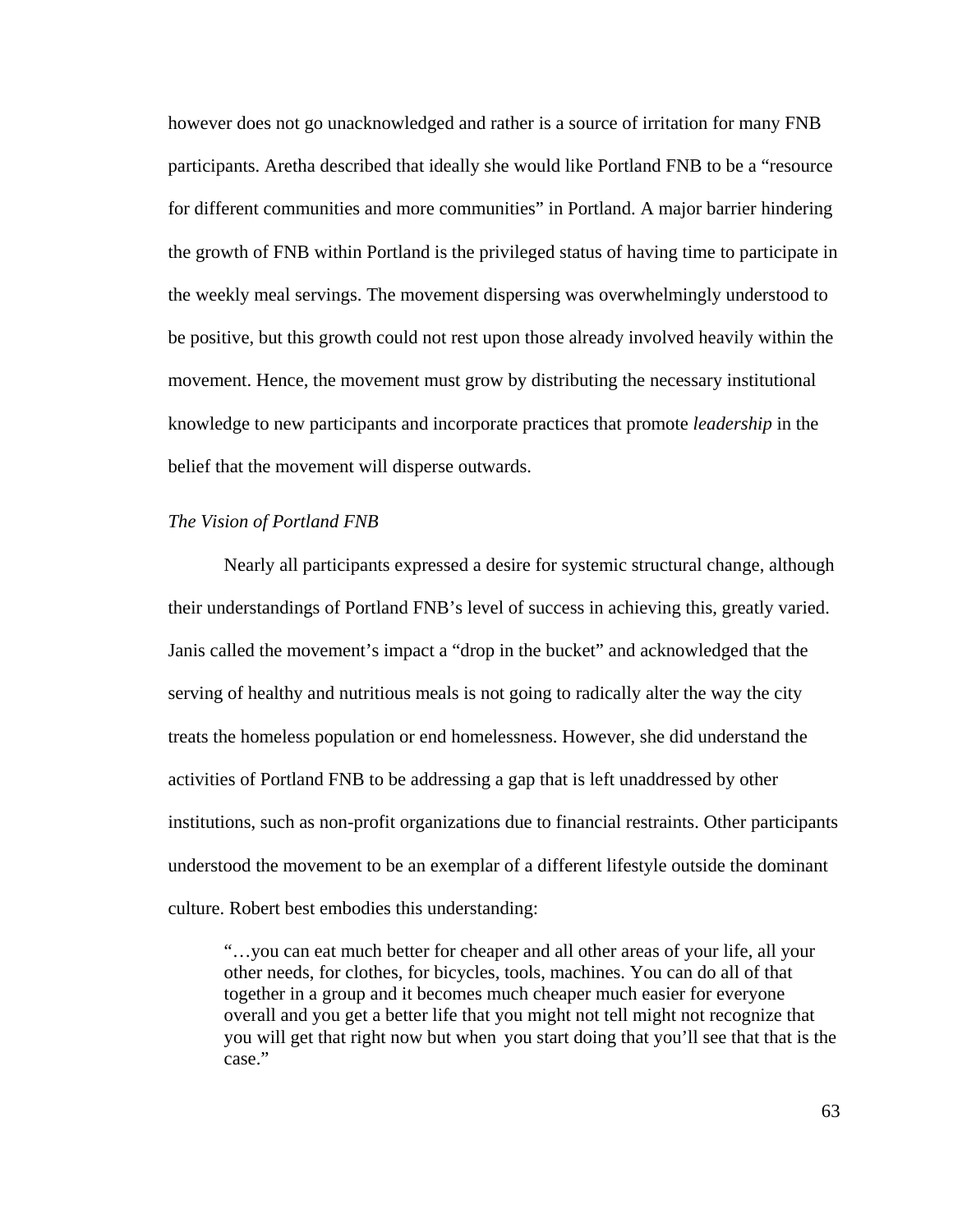however does not go unacknowledged and rather is a source of irritation for many FNB participants. Aretha described that ideally she would like Portland FNB to be a "resource for different communities and more communities" in Portland. A major barrier hindering the growth of FNB within Portland is the privileged status of having time to participate in the weekly meal servings. The movement dispersing was overwhelmingly understood to be positive, but this growth could not rest upon those already involved heavily within the movement. Hence, the movement must grow by distributing the necessary institutional knowledge to new participants and incorporate practices that promote *leadership* in the belief that the movement will disperse outwards.

### *The Vision of Portland FNB*

 Nearly all participants expressed a desire for systemic structural change, although their understandings of Portland FNB's level of success in achieving this, greatly varied. Janis called the movement's impact a "drop in the bucket" and acknowledged that the serving of healthy and nutritious meals is not going to radically alter the way the city treats the homeless population or end homelessness. However, she did understand the activities of Portland FNB to be addressing a gap that is left unaddressed by other institutions, such as non-profit organizations due to financial restraints. Other participants understood the movement to be an exemplar of a different lifestyle outside the dominant culture. Robert best embodies this understanding:

 "…you can eat much better for cheaper and all other areas of your life, all your other needs, for clothes, for bicycles, tools, machines. You can do all of that together in a group and it becomes much cheaper much easier for everyone overall and you get a better life that you might not tell might not recognize that you will get that right now but when you start doing that you'll see that that is the case."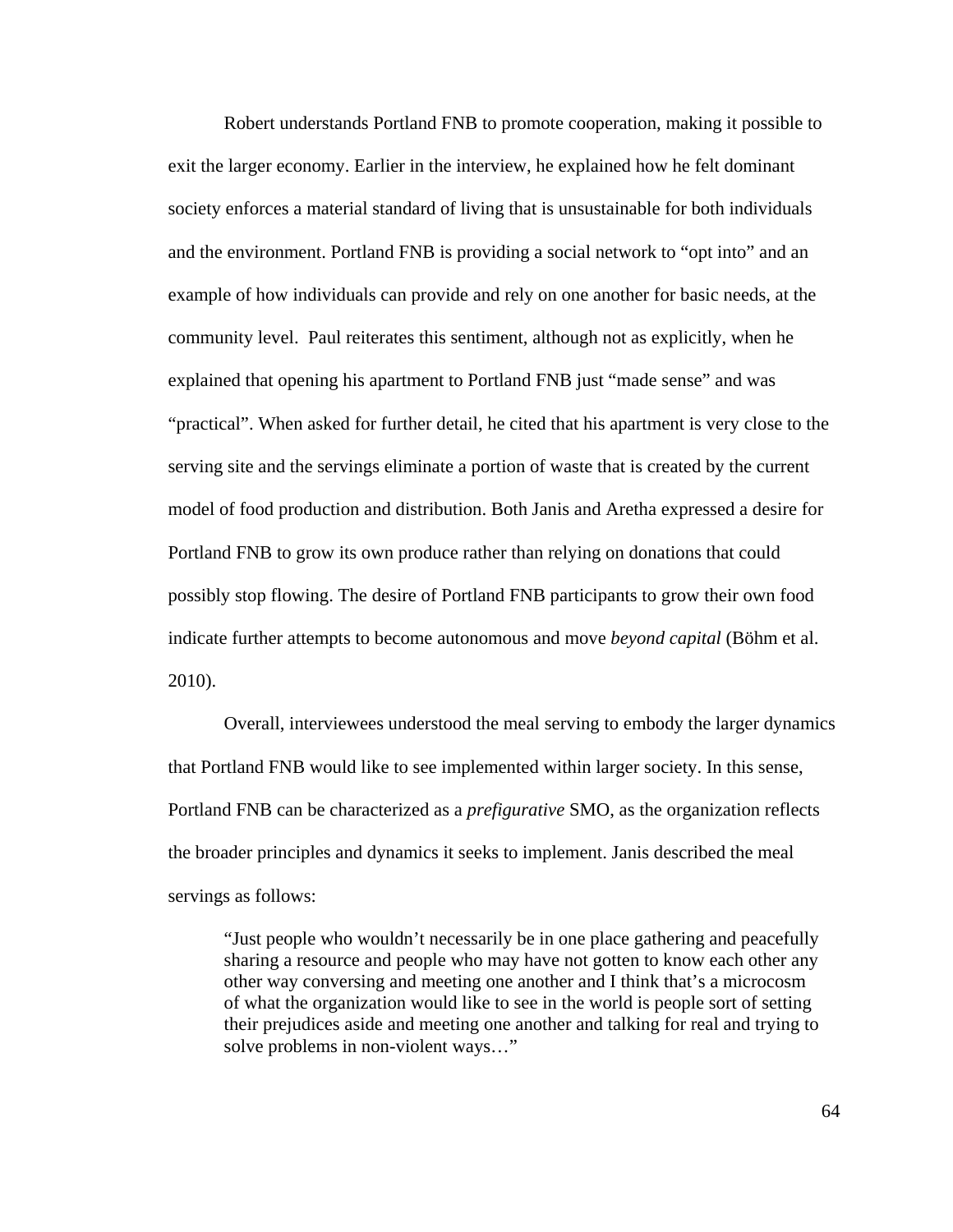Robert understands Portland FNB to promote cooperation, making it possible to exit the larger economy. Earlier in the interview, he explained how he felt dominant society enforces a material standard of living that is unsustainable for both individuals and the environment. Portland FNB is providing a social network to "opt into" and an example of how individuals can provide and rely on one another for basic needs, at the community level. Paul reiterates this sentiment, although not as explicitly, when he explained that opening his apartment to Portland FNB just "made sense" and was "practical". When asked for further detail, he cited that his apartment is very close to the serving site and the servings eliminate a portion of waste that is created by the current model of food production and distribution. Both Janis and Aretha expressed a desire for Portland FNB to grow its own produce rather than relying on donations that could possibly stop flowing. The desire of Portland FNB participants to grow their own food indicate further attempts to become autonomous and move *beyond capital* (Böhm et al. 2010).

 Overall, interviewees understood the meal serving to embody the larger dynamics that Portland FNB would like to see implemented within larger society. In this sense, Portland FNB can be characterized as a *prefigurative* SMO, as the organization reflects the broader principles and dynamics it seeks to implement. Janis described the meal servings as follows:

 "Just people who wouldn't necessarily be in one place gathering and peacefully sharing a resource and people who may have not gotten to know each other any other way conversing and meeting one another and I think that's a microcosm of what the organization would like to see in the world is people sort of setting their prejudices aside and meeting one another and talking for real and trying to solve problems in non-violent ways…"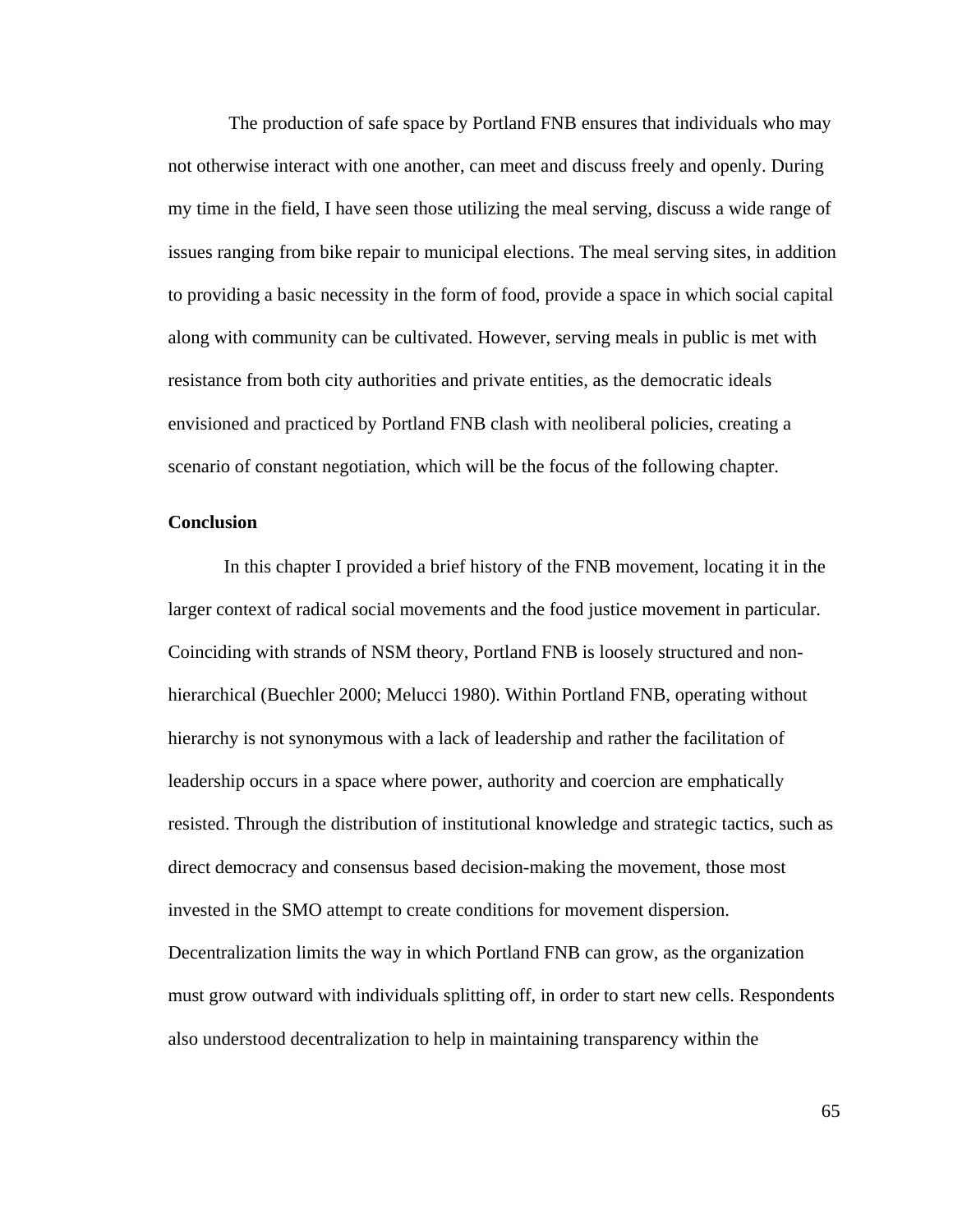The production of safe space by Portland FNB ensures that individuals who may not otherwise interact with one another, can meet and discuss freely and openly. During my time in the field, I have seen those utilizing the meal serving, discuss a wide range of issues ranging from bike repair to municipal elections. The meal serving sites, in addition to providing a basic necessity in the form of food, provide a space in which social capital along with community can be cultivated. However, serving meals in public is met with resistance from both city authorities and private entities, as the democratic ideals envisioned and practiced by Portland FNB clash with neoliberal policies, creating a scenario of constant negotiation, which will be the focus of the following chapter.

## **Conclusion**

In this chapter I provided a brief history of the FNB movement, locating it in the larger context of radical social movements and the food justice movement in particular. Coinciding with strands of NSM theory, Portland FNB is loosely structured and nonhierarchical (Buechler 2000; Melucci 1980). Within Portland FNB, operating without hierarchy is not synonymous with a lack of leadership and rather the facilitation of leadership occurs in a space where power, authority and coercion are emphatically resisted. Through the distribution of institutional knowledge and strategic tactics, such as direct democracy and consensus based decision-making the movement, those most invested in the SMO attempt to create conditions for movement dispersion. Decentralization limits the way in which Portland FNB can grow, as the organization must grow outward with individuals splitting off, in order to start new cells. Respondents also understood decentralization to help in maintaining transparency within the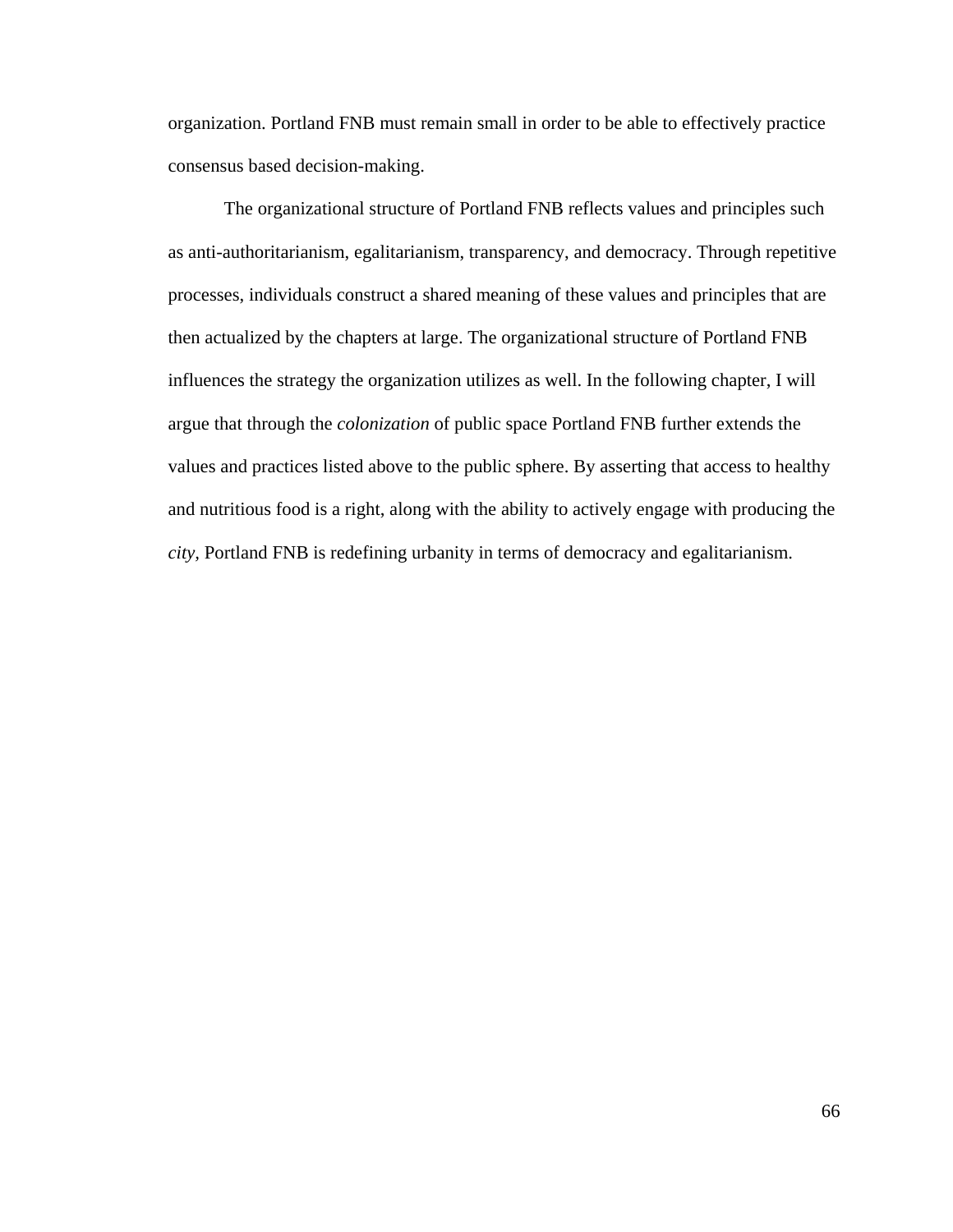organization. Portland FNB must remain small in order to be able to effectively practice consensus based decision-making.

 The organizational structure of Portland FNB reflects values and principles such as anti-authoritarianism, egalitarianism, transparency, and democracy. Through repetitive processes, individuals construct a shared meaning of these values and principles that are then actualized by the chapters at large. The organizational structure of Portland FNB influences the strategy the organization utilizes as well. In the following chapter, I will argue that through the *colonization* of public space Portland FNB further extends the values and practices listed above to the public sphere. By asserting that access to healthy and nutritious food is a right, along with the ability to actively engage with producing the *city,* Portland FNB is redefining urbanity in terms of democracy and egalitarianism.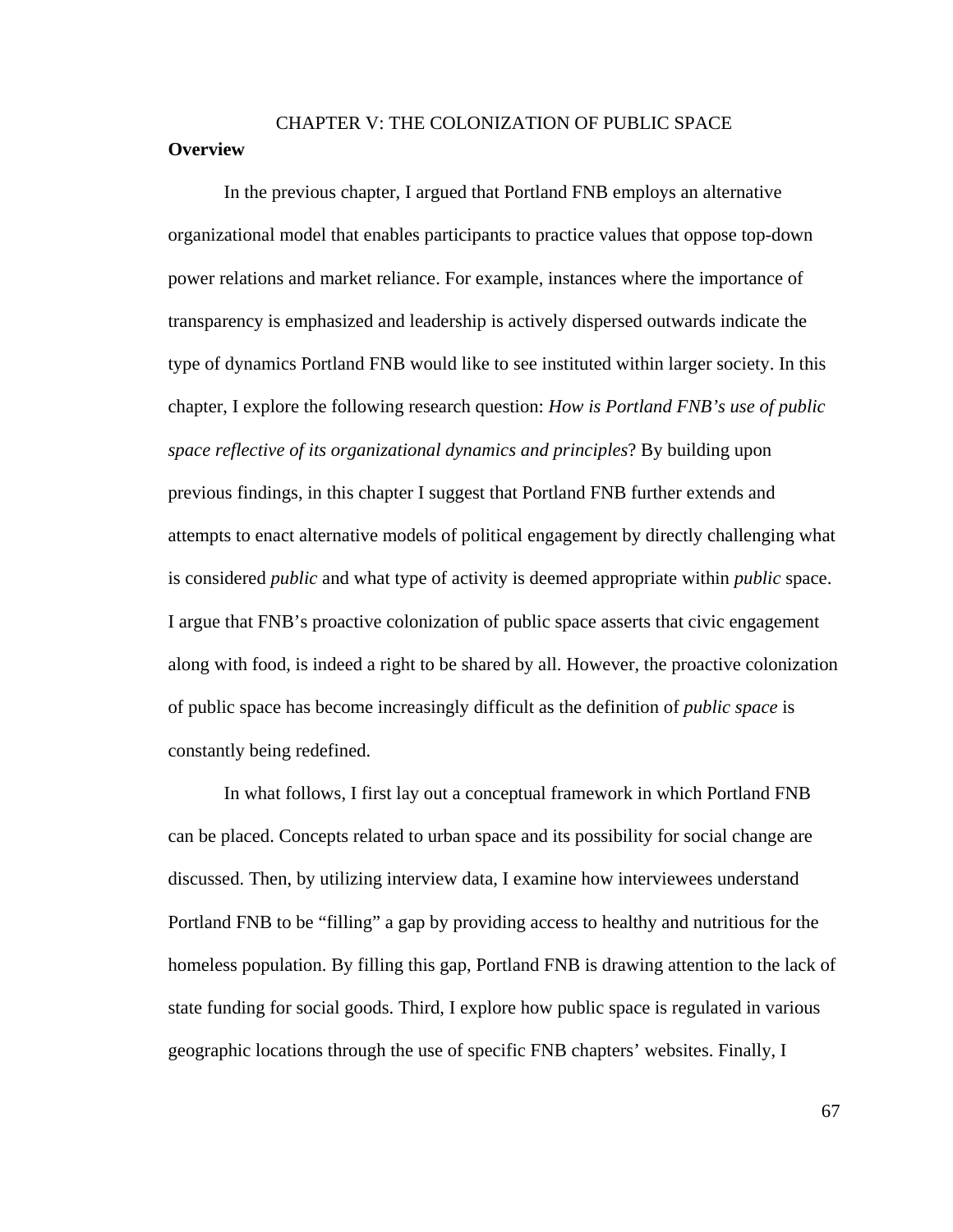# CHAPTER V: THE COLONIZATION OF PUBLIC SPACE **Overview**

 In the previous chapter, I argued that Portland FNB employs an alternative organizational model that enables participants to practice values that oppose top-down power relations and market reliance. For example, instances where the importance of transparency is emphasized and leadership is actively dispersed outwards indicate the type of dynamics Portland FNB would like to see instituted within larger society. In this chapter, I explore the following research question: *How is Portland FNB's use of public space reflective of its organizational dynamics and principles*? By building upon previous findings, in this chapter I suggest that Portland FNB further extends and attempts to enact alternative models of political engagement by directly challenging what is considered *public* and what type of activity is deemed appropriate within *public* space. I argue that FNB's proactive colonization of public space asserts that civic engagement along with food, is indeed a right to be shared by all. However, the proactive colonization of public space has become increasingly difficult as the definition of *public space* is constantly being redefined.

 In what follows, I first lay out a conceptual framework in which Portland FNB can be placed. Concepts related to urban space and its possibility for social change are discussed. Then, by utilizing interview data, I examine how interviewees understand Portland FNB to be "filling" a gap by providing access to healthy and nutritious for the homeless population. By filling this gap, Portland FNB is drawing attention to the lack of state funding for social goods. Third, I explore how public space is regulated in various geographic locations through the use of specific FNB chapters' websites. Finally, I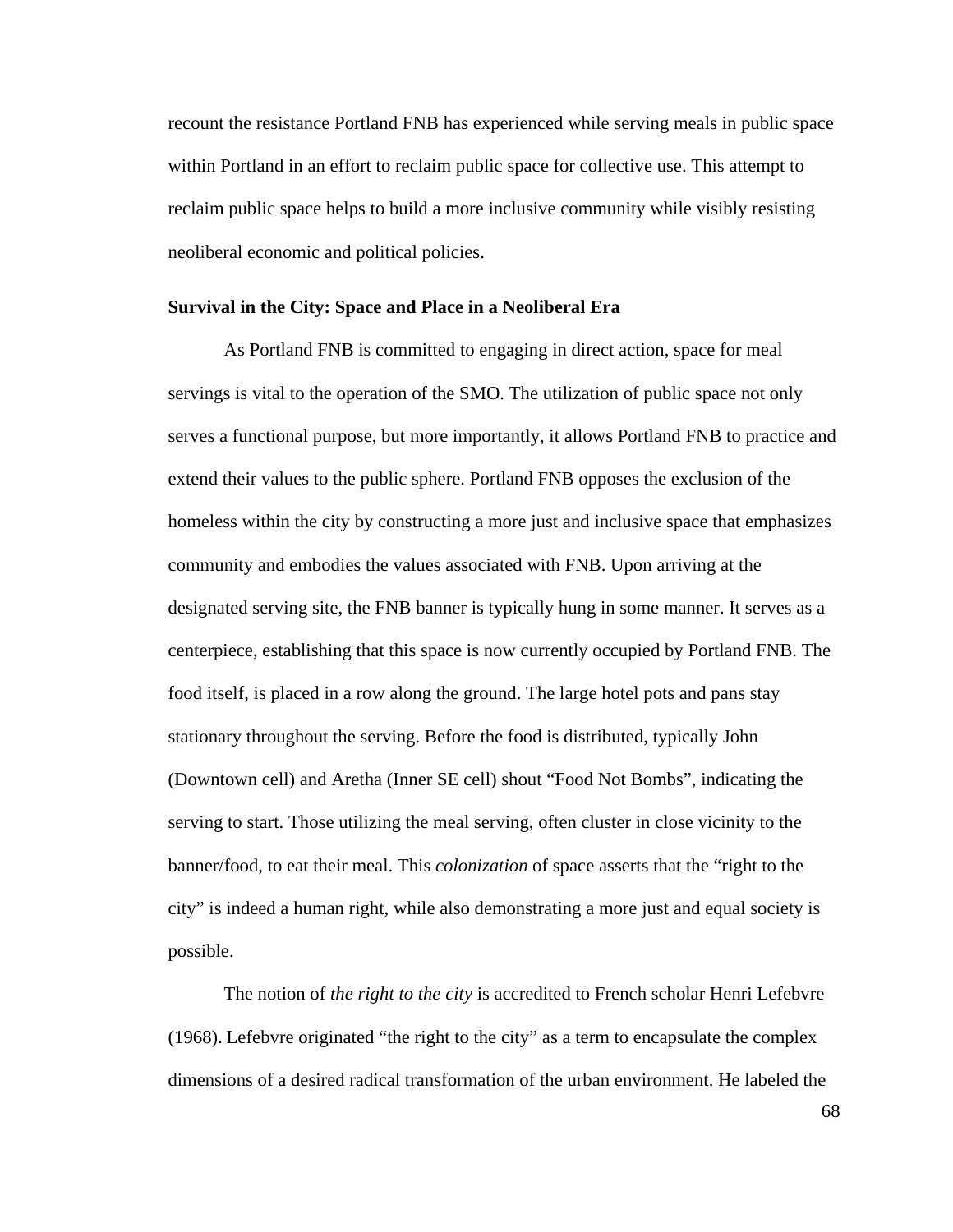recount the resistance Portland FNB has experienced while serving meals in public space within Portland in an effort to reclaim public space for collective use. This attempt to reclaim public space helps to build a more inclusive community while visibly resisting neoliberal economic and political policies.

#### **Survival in the City: Space and Place in a Neoliberal Era**

As Portland FNB is committed to engaging in direct action, space for meal servings is vital to the operation of the SMO. The utilization of public space not only serves a functional purpose, but more importantly, it allows Portland FNB to practice and extend their values to the public sphere. Portland FNB opposes the exclusion of the homeless within the city by constructing a more just and inclusive space that emphasizes community and embodies the values associated with FNB. Upon arriving at the designated serving site, the FNB banner is typically hung in some manner. It serves as a centerpiece, establishing that this space is now currently occupied by Portland FNB. The food itself, is placed in a row along the ground. The large hotel pots and pans stay stationary throughout the serving. Before the food is distributed, typically John (Downtown cell) and Aretha (Inner SE cell) shout "Food Not Bombs", indicating the serving to start. Those utilizing the meal serving, often cluster in close vicinity to the banner/food, to eat their meal. This *colonization* of space asserts that the "right to the city" is indeed a human right, while also demonstrating a more just and equal society is possible.

 The notion of *the right to the city* is accredited to French scholar Henri Lefebvre (1968). Lefebvre originated "the right to the city" as a term to encapsulate the complex dimensions of a desired radical transformation of the urban environment. He labeled the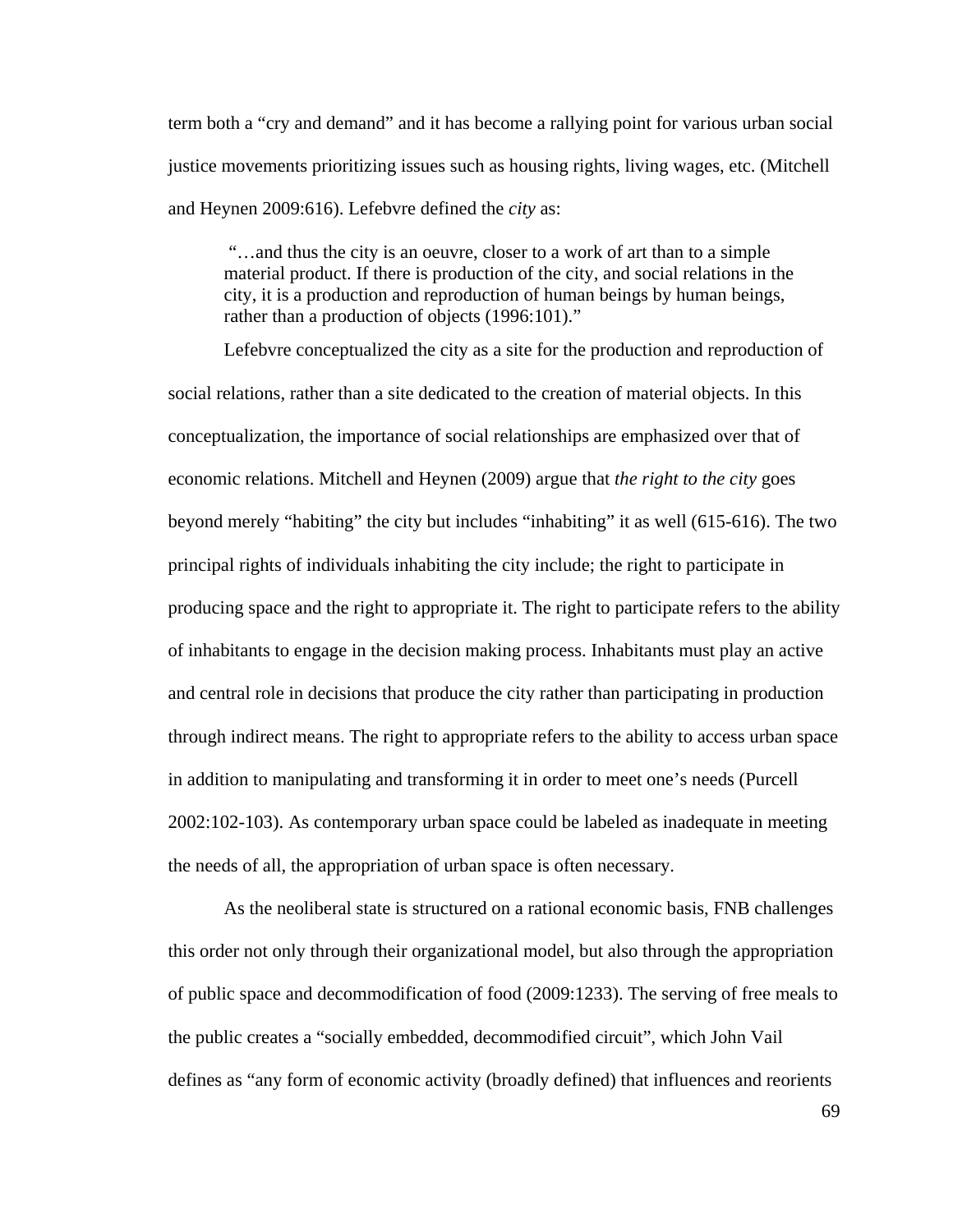term both a "cry and demand" and it has become a rallying point for various urban social justice movements prioritizing issues such as housing rights, living wages, etc. (Mitchell and Heynen 2009:616). Lefebvre defined the *city* as:

 "…and thus the city is an oeuvre, closer to a work of art than to a simple material product. If there is production of the city, and social relations in the city, it is a production and reproduction of human beings by human beings, rather than a production of objects (1996:101)."

 Lefebvre conceptualized the city as a site for the production and reproduction of social relations, rather than a site dedicated to the creation of material objects. In this conceptualization, the importance of social relationships are emphasized over that of economic relations. Mitchell and Heynen (2009) argue that *the right to the city* goes beyond merely "habiting" the city but includes "inhabiting" it as well (615-616). The two principal rights of individuals inhabiting the city include; the right to participate in producing space and the right to appropriate it. The right to participate refers to the ability of inhabitants to engage in the decision making process. Inhabitants must play an active and central role in decisions that produce the city rather than participating in production through indirect means. The right to appropriate refers to the ability to access urban space in addition to manipulating and transforming it in order to meet one's needs (Purcell 2002:102-103). As contemporary urban space could be labeled as inadequate in meeting the needs of all, the appropriation of urban space is often necessary.

As the neoliberal state is structured on a rational economic basis, FNB challenges this order not only through their organizational model, but also through the appropriation of public space and decommodification of food (2009:1233). The serving of free meals to the public creates a "socially embedded, decommodified circuit", which John Vail defines as "any form of economic activity (broadly defined) that influences and reorients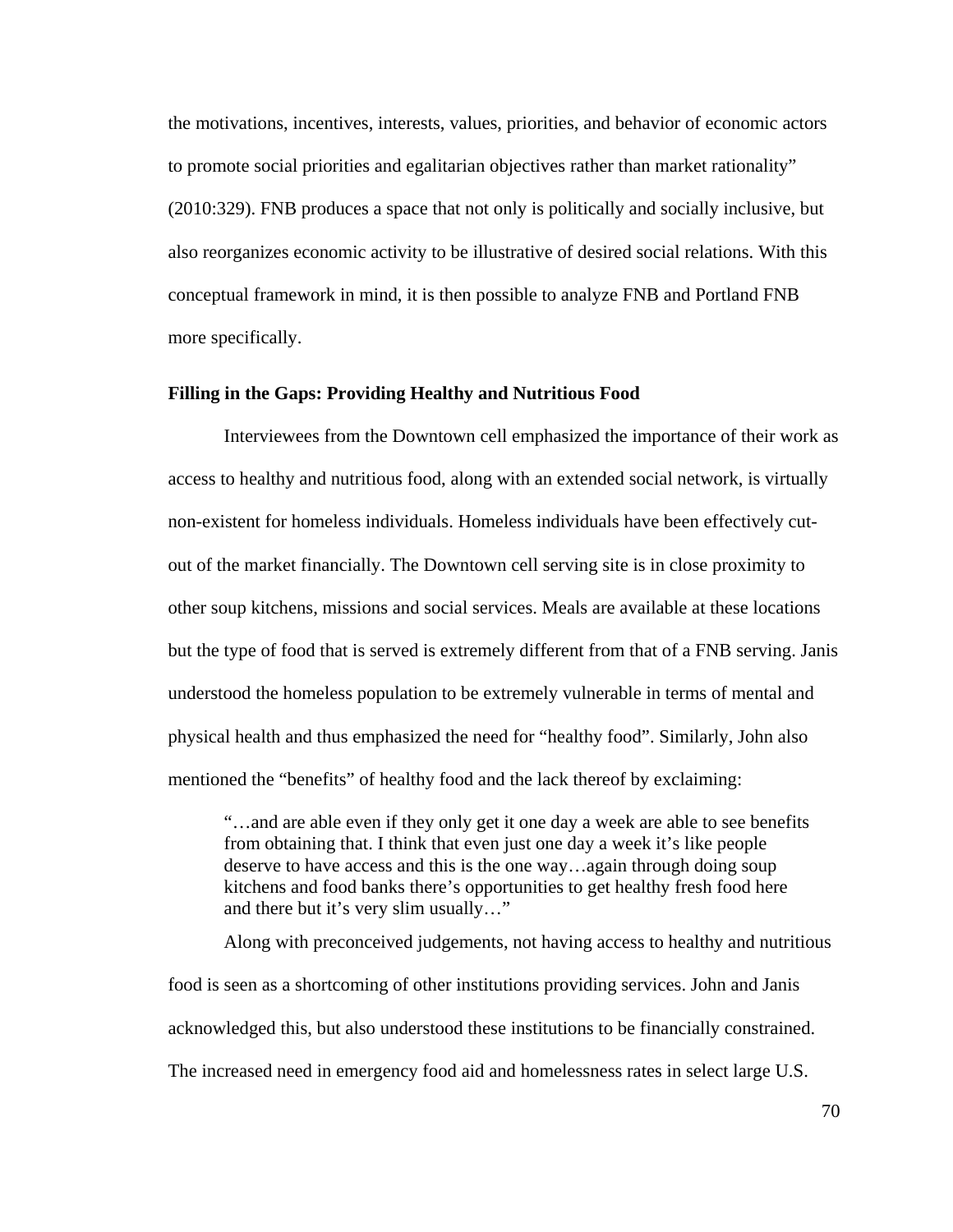the motivations, incentives, interests, values, priorities, and behavior of economic actors to promote social priorities and egalitarian objectives rather than market rationality" (2010:329). FNB produces a space that not only is politically and socially inclusive, but also reorganizes economic activity to be illustrative of desired social relations. With this conceptual framework in mind, it is then possible to analyze FNB and Portland FNB more specifically.

## **Filling in the Gaps: Providing Healthy and Nutritious Food**

Interviewees from the Downtown cell emphasized the importance of their work as access to healthy and nutritious food, along with an extended social network, is virtually non-existent for homeless individuals. Homeless individuals have been effectively cutout of the market financially. The Downtown cell serving site is in close proximity to other soup kitchens, missions and social services. Meals are available at these locations but the type of food that is served is extremely different from that of a FNB serving. Janis understood the homeless population to be extremely vulnerable in terms of mental and physical health and thus emphasized the need for "healthy food". Similarly, John also mentioned the "benefits" of healthy food and the lack thereof by exclaiming:

 "…and are able even if they only get it one day a week are able to see benefits from obtaining that. I think that even just one day a week it's like people deserve to have access and this is the one way…again through doing soup kitchens and food banks there's opportunities to get healthy fresh food here and there but it's very slim usually…"

 Along with preconceived judgements, not having access to healthy and nutritious food is seen as a shortcoming of other institutions providing services. John and Janis acknowledged this, but also understood these institutions to be financially constrained. The increased need in emergency food aid and homelessness rates in select large U.S.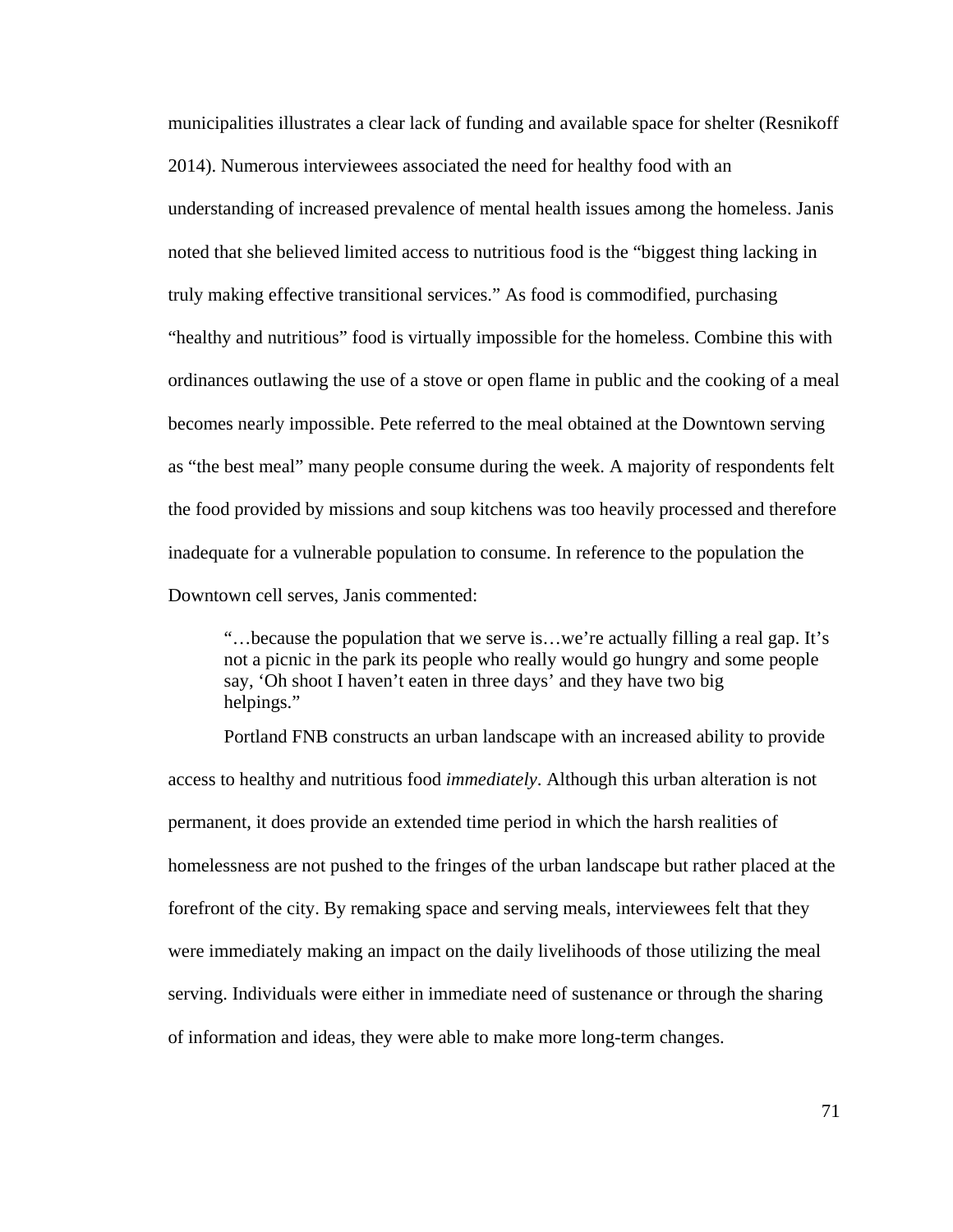municipalities illustrates a clear lack of funding and available space for shelter (Resnikoff 2014). Numerous interviewees associated the need for healthy food with an understanding of increased prevalence of mental health issues among the homeless. Janis noted that she believed limited access to nutritious food is the "biggest thing lacking in truly making effective transitional services." As food is commodified, purchasing "healthy and nutritious" food is virtually impossible for the homeless. Combine this with ordinances outlawing the use of a stove or open flame in public and the cooking of a meal becomes nearly impossible. Pete referred to the meal obtained at the Downtown serving as "the best meal" many people consume during the week. A majority of respondents felt the food provided by missions and soup kitchens was too heavily processed and therefore inadequate for a vulnerable population to consume. In reference to the population the Downtown cell serves, Janis commented:

 "…because the population that we serve is…we're actually filling a real gap. It's not a picnic in the park its people who really would go hungry and some people say, 'Oh shoot I haven't eaten in three days' and they have two big helpings."

 Portland FNB constructs an urban landscape with an increased ability to provide access to healthy and nutritious food *immediately*. Although this urban alteration is not permanent, it does provide an extended time period in which the harsh realities of homelessness are not pushed to the fringes of the urban landscape but rather placed at the forefront of the city. By remaking space and serving meals, interviewees felt that they were immediately making an impact on the daily livelihoods of those utilizing the meal serving. Individuals were either in immediate need of sustenance or through the sharing of information and ideas, they were able to make more long-term changes.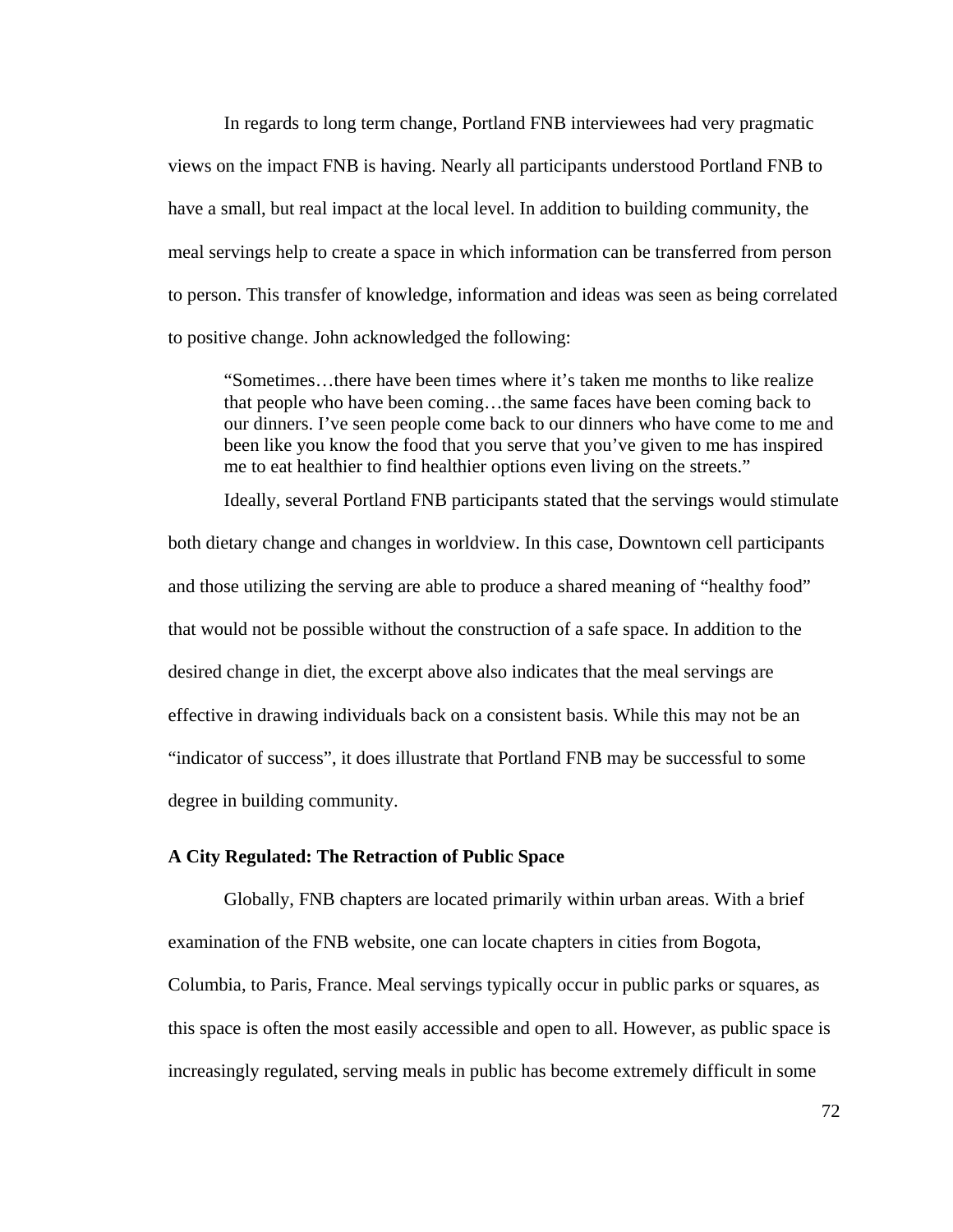In regards to long term change, Portland FNB interviewees had very pragmatic views on the impact FNB is having. Nearly all participants understood Portland FNB to have a small, but real impact at the local level. In addition to building community, the meal servings help to create a space in which information can be transferred from person to person. This transfer of knowledge, information and ideas was seen as being correlated to positive change. John acknowledged the following:

 "Sometimes…there have been times where it's taken me months to like realize that people who have been coming…the same faces have been coming back to our dinners. I've seen people come back to our dinners who have come to me and been like you know the food that you serve that you've given to me has inspired me to eat healthier to find healthier options even living on the streets."

Ideally, several Portland FNB participants stated that the servings would stimulate

both dietary change and changes in worldview. In this case, Downtown cell participants and those utilizing the serving are able to produce a shared meaning of "healthy food" that would not be possible without the construction of a safe space. In addition to the desired change in diet, the excerpt above also indicates that the meal servings are effective in drawing individuals back on a consistent basis. While this may not be an "indicator of success", it does illustrate that Portland FNB may be successful to some degree in building community.

## **A City Regulated: The Retraction of Public Space**

 Globally, FNB chapters are located primarily within urban areas. With a brief examination of the FNB website, one can locate chapters in cities from Bogota, Columbia, to Paris, France. Meal servings typically occur in public parks or squares, as this space is often the most easily accessible and open to all. However, as public space is increasingly regulated, serving meals in public has become extremely difficult in some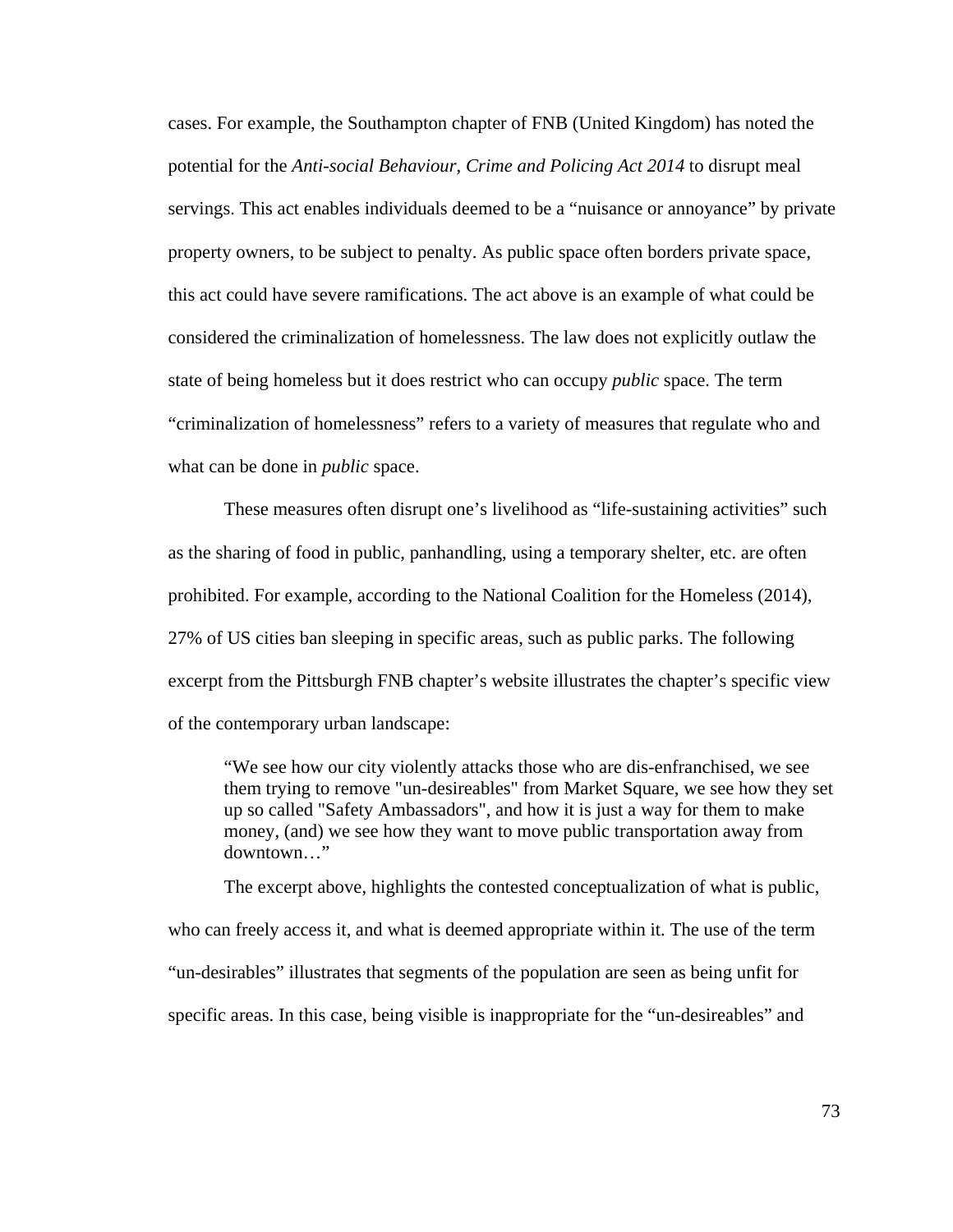cases. For example, the Southampton chapter of FNB (United Kingdom) has noted the potential for the *Anti-social Behaviour, Crime and Policing Act 2014* to disrupt meal servings. This act enables individuals deemed to be a "nuisance or annoyance" by private property owners, to be subject to penalty. As public space often borders private space, this act could have severe ramifications. The act above is an example of what could be considered the criminalization of homelessness. The law does not explicitly outlaw the state of being homeless but it does restrict who can occupy *public* space. The term "criminalization of homelessness" refers to a variety of measures that regulate who and what can be done in *public* space.

These measures often disrupt one's livelihood as "life-sustaining activities" such as the sharing of food in public, panhandling, using a temporary shelter, etc. are often prohibited. For example, according to the National Coalition for the Homeless (2014), 27% of US cities ban sleeping in specific areas, such as public parks. The following excerpt from the Pittsburgh FNB chapter's website illustrates the chapter's specific view of the contemporary urban landscape:

 "We see how our city violently attacks those who are dis-enfranchised, we see them trying to remove "un-desireables" from Market Square, we see how they set up so called "Safety Ambassadors", and how it is just a way for them to make money, (and) we see how they want to move public transportation away from downtown…"

 The excerpt above, highlights the contested conceptualization of what is public, who can freely access it, and what is deemed appropriate within it. The use of the term "un-desirables" illustrates that segments of the population are seen as being unfit for specific areas. In this case, being visible is inappropriate for the "un-desireables" and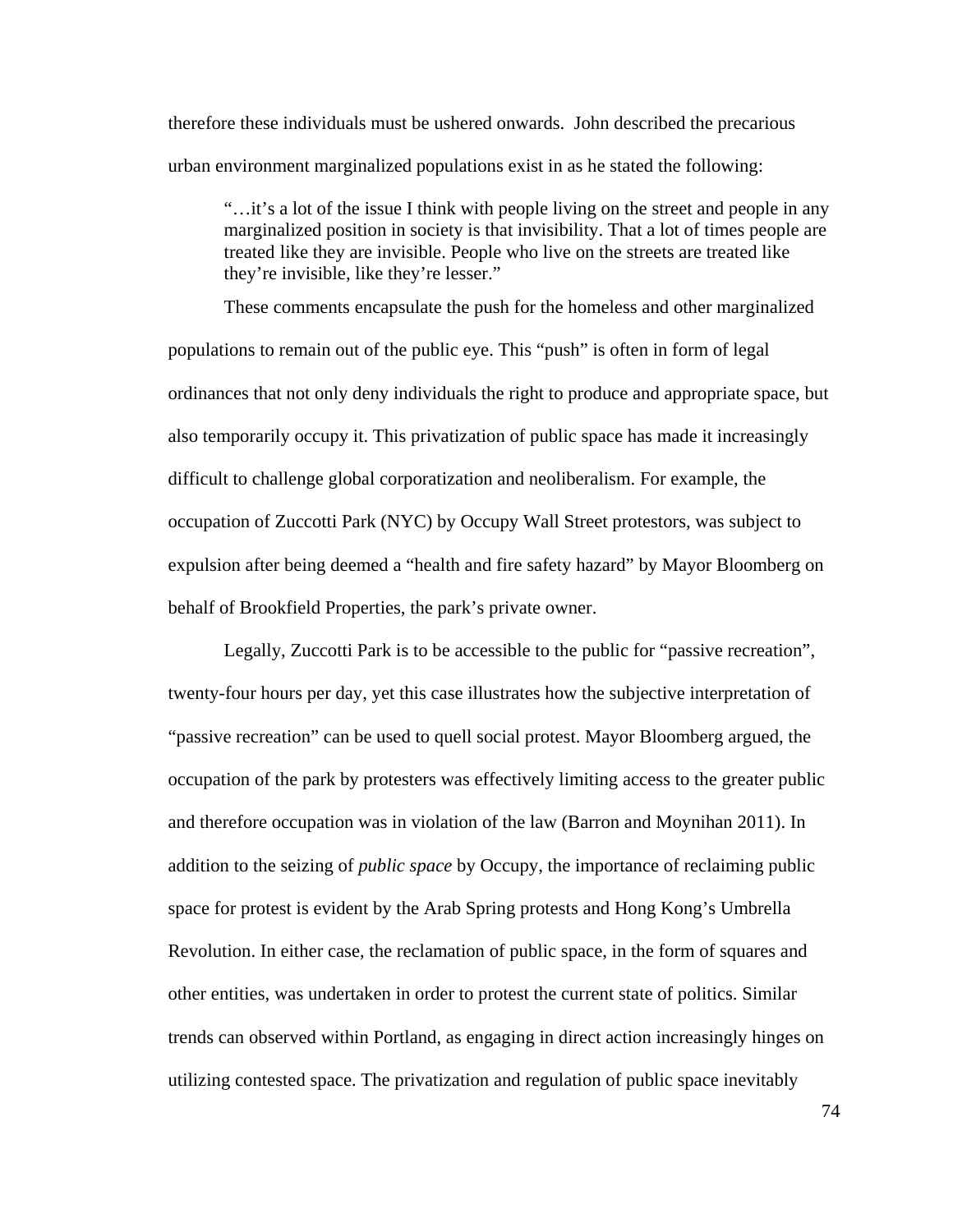therefore these individuals must be ushered onwards. John described the precarious urban environment marginalized populations exist in as he stated the following:

 "…it's a lot of the issue I think with people living on the street and people in any marginalized position in society is that invisibility. That a lot of times people are treated like they are invisible. People who live on the streets are treated like they're invisible, like they're lesser."

 These comments encapsulate the push for the homeless and other marginalized populations to remain out of the public eye. This "push" is often in form of legal ordinances that not only deny individuals the right to produce and appropriate space, but also temporarily occupy it. This privatization of public space has made it increasingly difficult to challenge global corporatization and neoliberalism. For example, the occupation of Zuccotti Park (NYC) by Occupy Wall Street protestors, was subject to expulsion after being deemed a "health and fire safety hazard" by Mayor Bloomberg on behalf of Brookfield Properties, the park's private owner.

 Legally, Zuccotti Park is to be accessible to the public for "passive recreation", twenty-four hours per day, yet this case illustrates how the subjective interpretation of "passive recreation" can be used to quell social protest. Mayor Bloomberg argued, the occupation of the park by protesters was effectively limiting access to the greater public and therefore occupation was in violation of the law (Barron and Moynihan 2011). In addition to the seizing of *public space* by Occupy, the importance of reclaiming public space for protest is evident by the Arab Spring protests and Hong Kong's Umbrella Revolution. In either case, the reclamation of public space, in the form of squares and other entities, was undertaken in order to protest the current state of politics. Similar trends can observed within Portland, as engaging in direct action increasingly hinges on utilizing contested space. The privatization and regulation of public space inevitably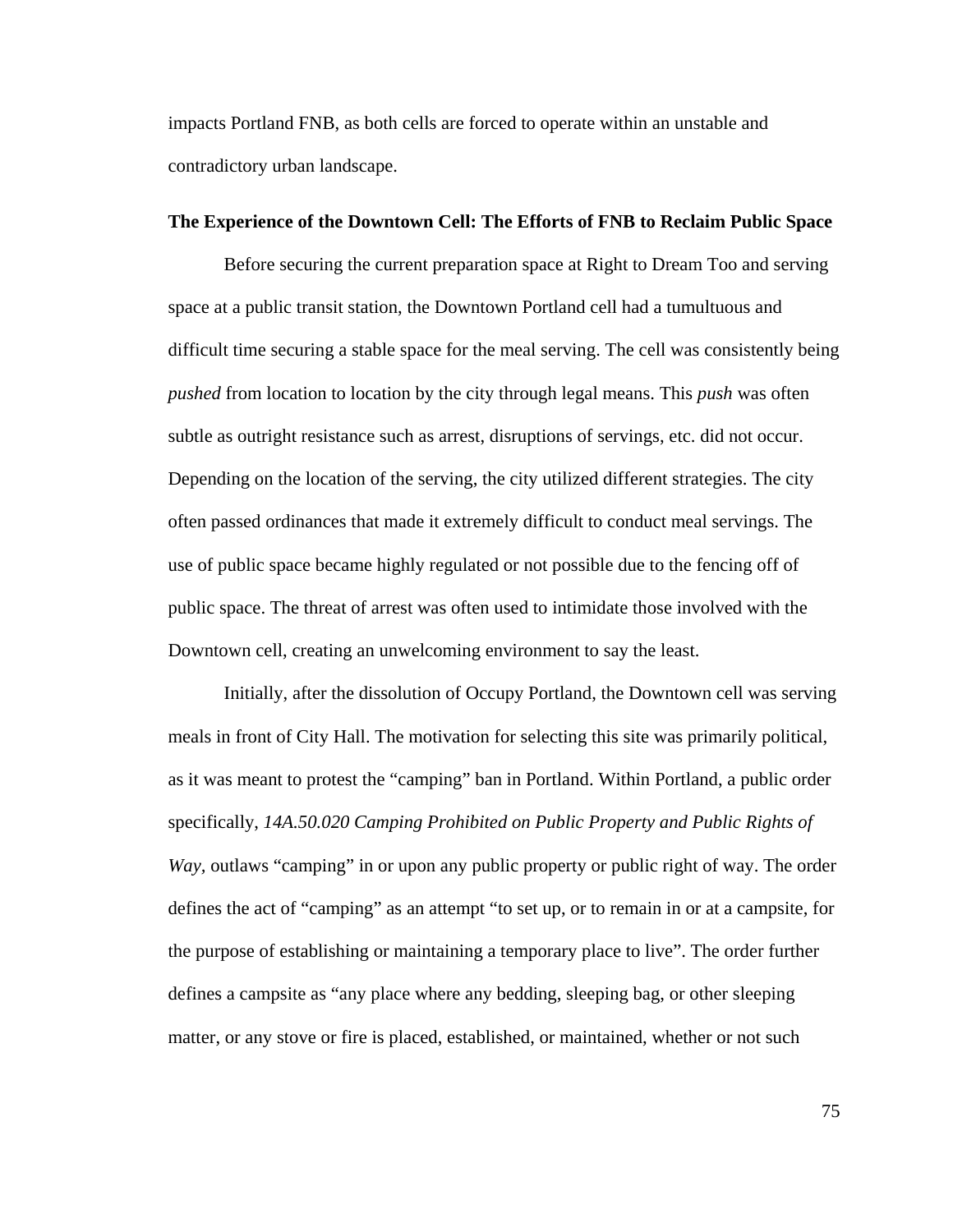impacts Portland FNB, as both cells are forced to operate within an unstable and contradictory urban landscape.

#### **The Experience of the Downtown Cell: The Efforts of FNB to Reclaim Public Space**

 Before securing the current preparation space at Right to Dream Too and serving space at a public transit station, the Downtown Portland cell had a tumultuous and difficult time securing a stable space for the meal serving. The cell was consistently being *pushed* from location to location by the city through legal means. This *push* was often subtle as outright resistance such as arrest, disruptions of servings, etc. did not occur. Depending on the location of the serving, the city utilized different strategies. The city often passed ordinances that made it extremely difficult to conduct meal servings. The use of public space became highly regulated or not possible due to the fencing off of public space. The threat of arrest was often used to intimidate those involved with the Downtown cell, creating an unwelcoming environment to say the least.

 Initially, after the dissolution of Occupy Portland, the Downtown cell was serving meals in front of City Hall. The motivation for selecting this site was primarily political, as it was meant to protest the "camping" ban in Portland. Within Portland, a public order specifically, *14A.50.020 Camping Prohibited on Public Property and Public Rights of Way,* outlaws "camping" in or upon any public property or public right of way. The order defines the act of "camping" as an attempt "to set up, or to remain in or at a campsite, for the purpose of establishing or maintaining a temporary place to live". The order further defines a campsite as "any place where any bedding, sleeping bag, or other sleeping matter, or any stove or fire is placed, established, or maintained, whether or not such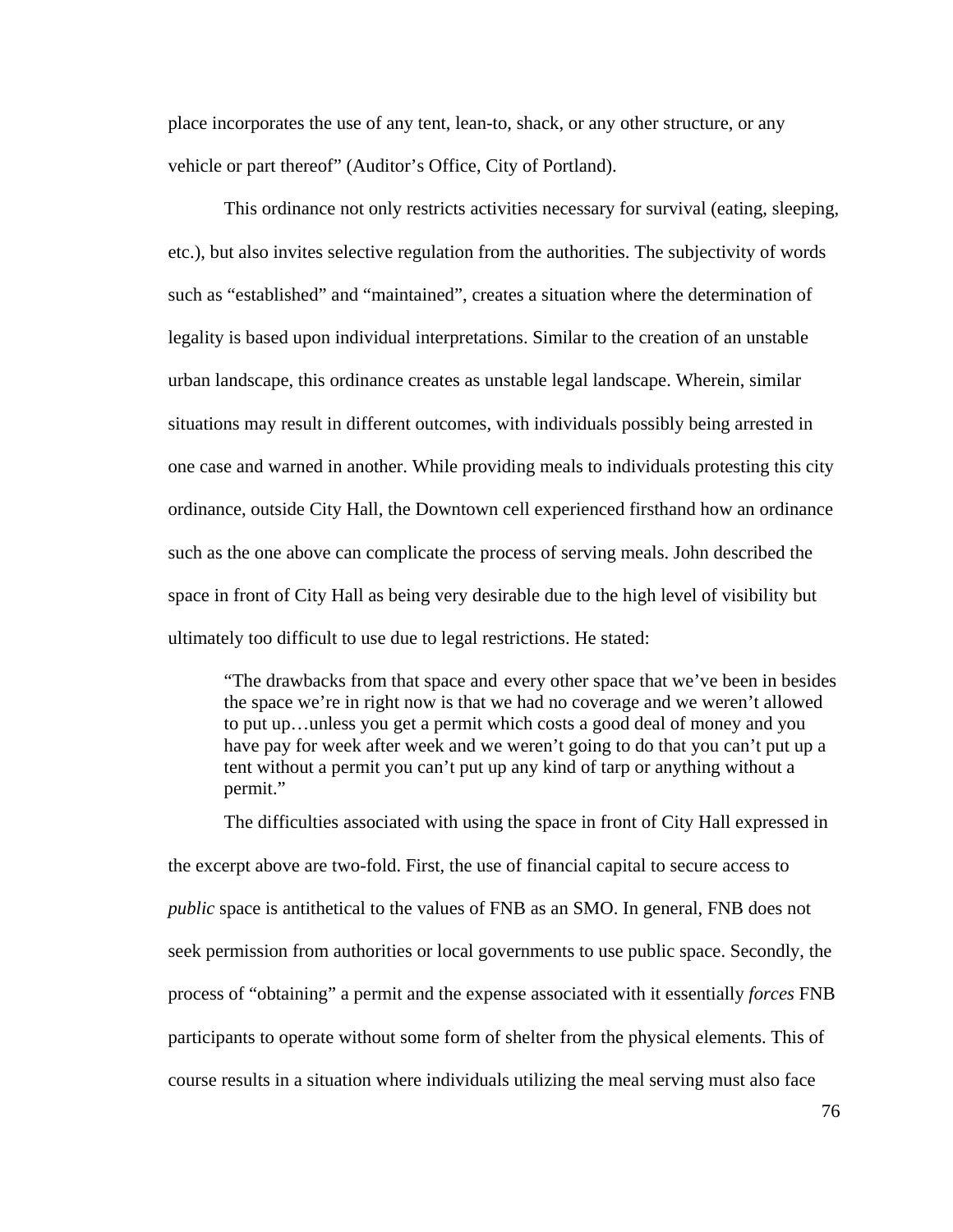place incorporates the use of any tent, lean-to, shack, or any other structure, or any vehicle or part thereof" (Auditor's Office, City of Portland).

 This ordinance not only restricts activities necessary for survival (eating, sleeping, etc.), but also invites selective regulation from the authorities. The subjectivity of words such as "established" and "maintained", creates a situation where the determination of legality is based upon individual interpretations. Similar to the creation of an unstable urban landscape, this ordinance creates as unstable legal landscape. Wherein, similar situations may result in different outcomes, with individuals possibly being arrested in one case and warned in another. While providing meals to individuals protesting this city ordinance, outside City Hall, the Downtown cell experienced firsthand how an ordinance such as the one above can complicate the process of serving meals. John described the space in front of City Hall as being very desirable due to the high level of visibility but ultimately too difficult to use due to legal restrictions. He stated:

 "The drawbacks from that space and every other space that we've been in besides the space we're in right now is that we had no coverage and we weren't allowed to put up…unless you get a permit which costs a good deal of money and you have pay for week after week and we weren't going to do that you can't put up a tent without a permit you can't put up any kind of tarp or anything without a permit."

 The difficulties associated with using the space in front of City Hall expressed in the excerpt above are two-fold. First, the use of financial capital to secure access to *public* space is antithetical to the values of FNB as an SMO. In general, FNB does not seek permission from authorities or local governments to use public space. Secondly, the process of "obtaining" a permit and the expense associated with it essentially *forces* FNB participants to operate without some form of shelter from the physical elements. This of course results in a situation where individuals utilizing the meal serving must also face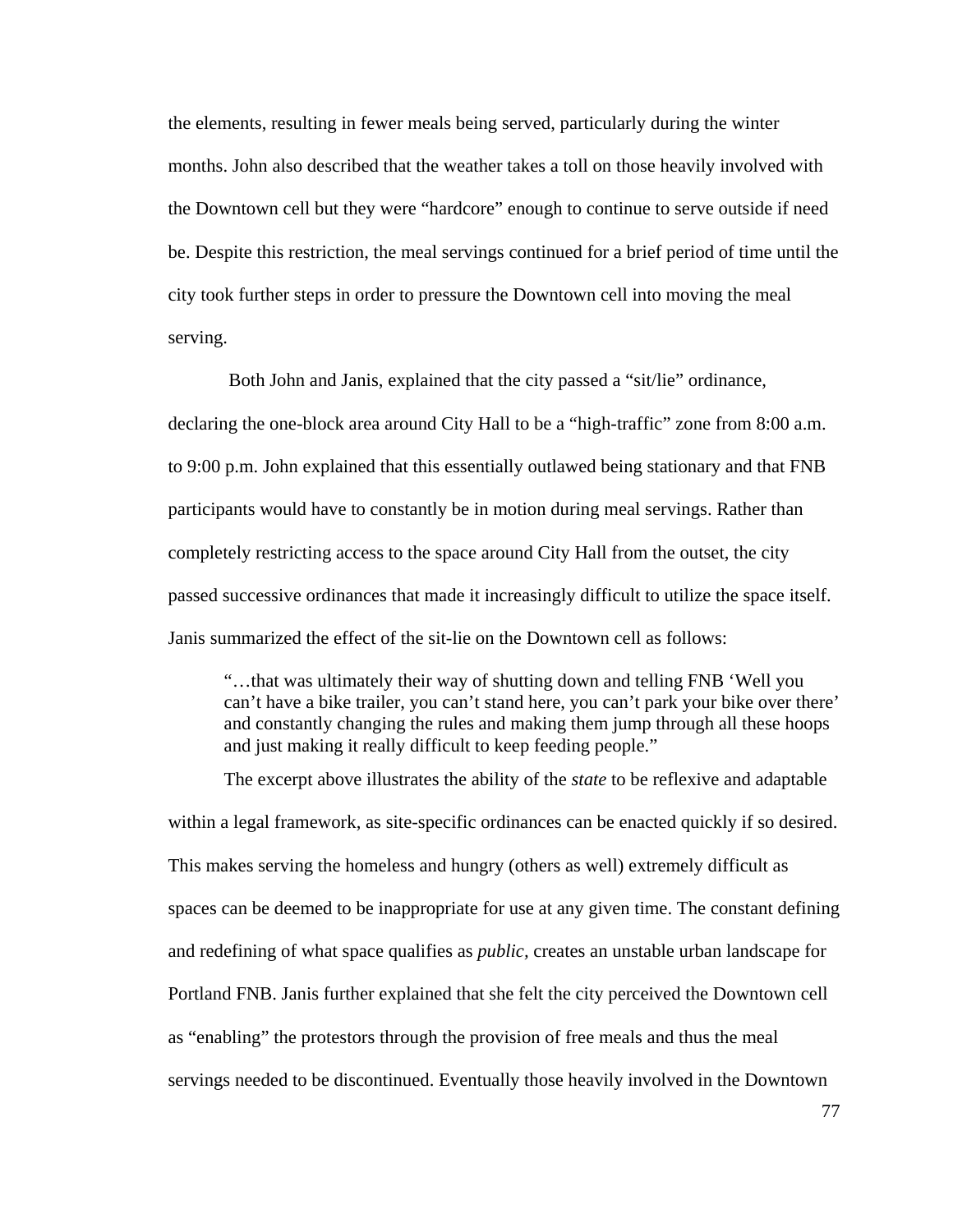the elements, resulting in fewer meals being served, particularly during the winter months. John also described that the weather takes a toll on those heavily involved with the Downtown cell but they were "hardcore" enough to continue to serve outside if need be. Despite this restriction, the meal servings continued for a brief period of time until the city took further steps in order to pressure the Downtown cell into moving the meal serving.

 Both John and Janis, explained that the city passed a "sit/lie" ordinance, declaring the one-block area around City Hall to be a "high-traffic" zone from 8:00 a.m. to 9:00 p.m. John explained that this essentially outlawed being stationary and that FNB participants would have to constantly be in motion during meal servings. Rather than completely restricting access to the space around City Hall from the outset, the city passed successive ordinances that made it increasingly difficult to utilize the space itself. Janis summarized the effect of the sit-lie on the Downtown cell as follows:

 "…that was ultimately their way of shutting down and telling FNB 'Well you can't have a bike trailer, you can't stand here, you can't park your bike over there' and constantly changing the rules and making them jump through all these hoops and just making it really difficult to keep feeding people."

 The excerpt above illustrates the ability of the *state* to be reflexive and adaptable within a legal framework, as site-specific ordinances can be enacted quickly if so desired. This makes serving the homeless and hungry (others as well) extremely difficult as spaces can be deemed to be inappropriate for use at any given time. The constant defining and redefining of what space qualifies as *public,* creates an unstable urban landscape for Portland FNB. Janis further explained that she felt the city perceived the Downtown cell as "enabling" the protestors through the provision of free meals and thus the meal servings needed to be discontinued. Eventually those heavily involved in the Downtown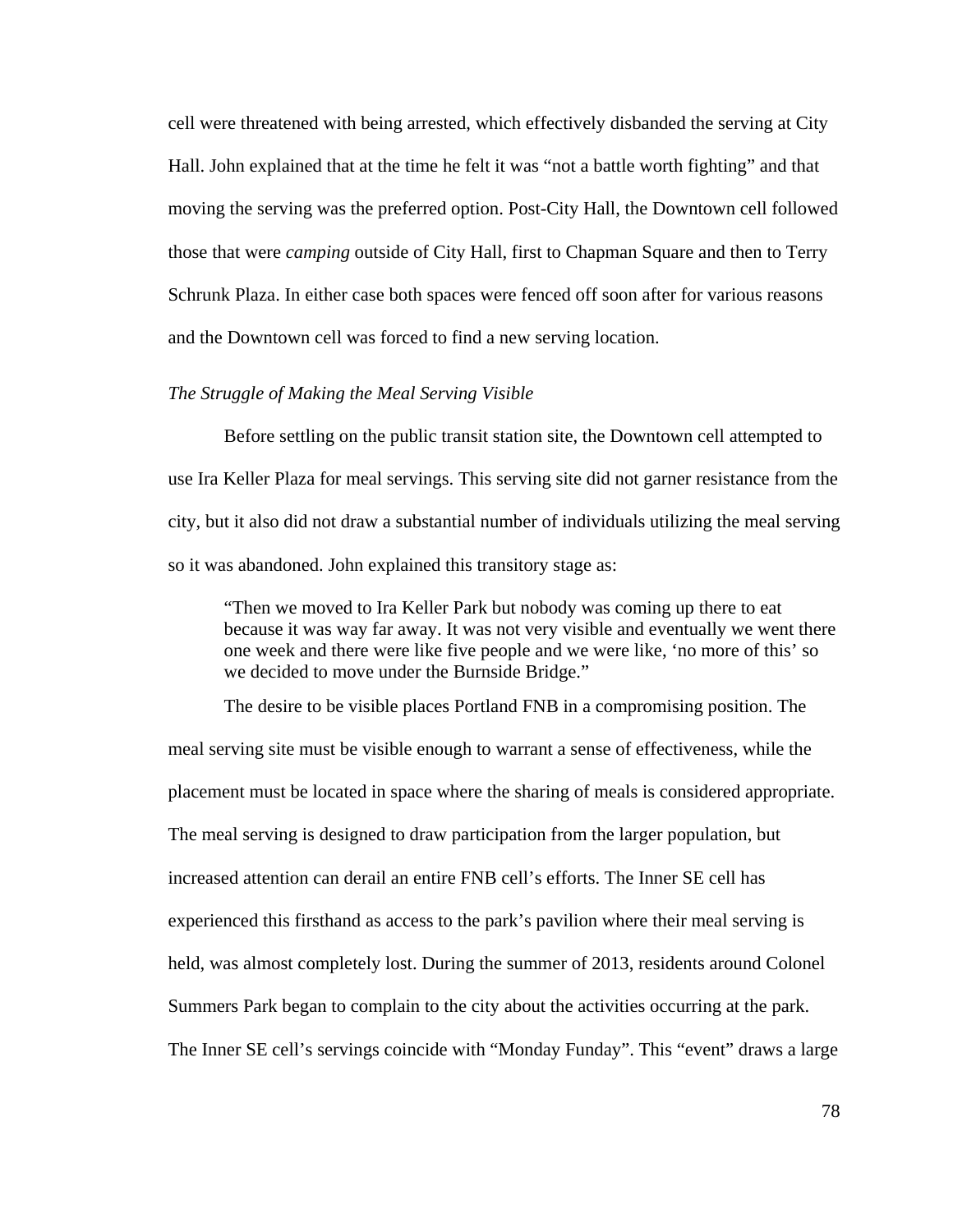cell were threatened with being arrested, which effectively disbanded the serving at City Hall. John explained that at the time he felt it was "not a battle worth fighting" and that moving the serving was the preferred option. Post-City Hall, the Downtown cell followed those that were *camping* outside of City Hall, first to Chapman Square and then to Terry Schrunk Plaza. In either case both spaces were fenced off soon after for various reasons and the Downtown cell was forced to find a new serving location.

## *The Struggle of Making the Meal Serving Visible*

Before settling on the public transit station site, the Downtown cell attempted to use Ira Keller Plaza for meal servings. This serving site did not garner resistance from the city, but it also did not draw a substantial number of individuals utilizing the meal serving so it was abandoned. John explained this transitory stage as:

 "Then we moved to Ira Keller Park but nobody was coming up there to eat because it was way far away. It was not very visible and eventually we went there one week and there were like five people and we were like, 'no more of this' so we decided to move under the Burnside Bridge."

 The desire to be visible places Portland FNB in a compromising position. The meal serving site must be visible enough to warrant a sense of effectiveness, while the placement must be located in space where the sharing of meals is considered appropriate. The meal serving is designed to draw participation from the larger population, but increased attention can derail an entire FNB cell's efforts. The Inner SE cell has experienced this firsthand as access to the park's pavilion where their meal serving is held, was almost completely lost. During the summer of 2013, residents around Colonel Summers Park began to complain to the city about the activities occurring at the park. The Inner SE cell's servings coincide with "Monday Funday". This "event" draws a large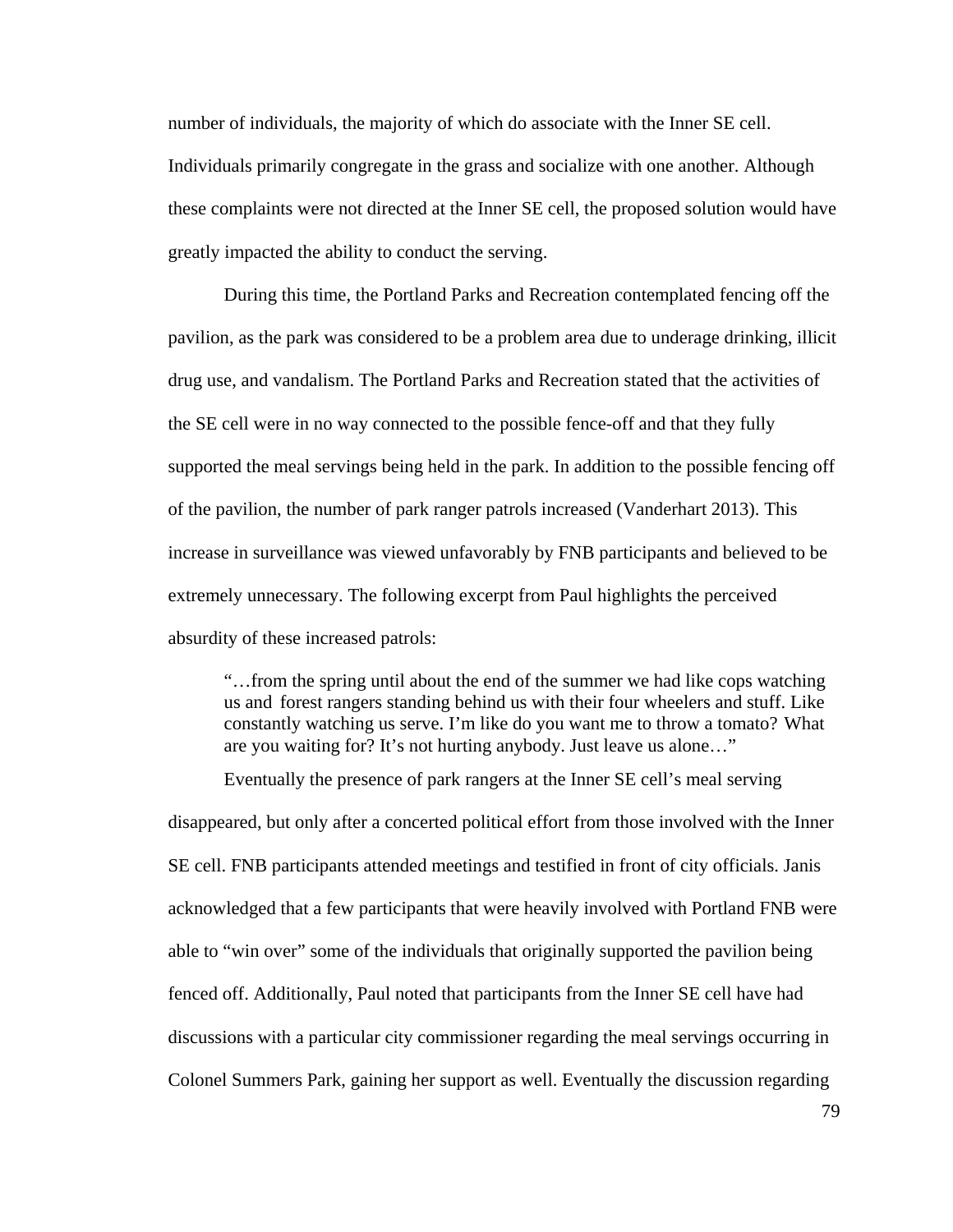number of individuals, the majority of which do associate with the Inner SE cell. Individuals primarily congregate in the grass and socialize with one another. Although these complaints were not directed at the Inner SE cell, the proposed solution would have greatly impacted the ability to conduct the serving.

 During this time, the Portland Parks and Recreation contemplated fencing off the pavilion, as the park was considered to be a problem area due to underage drinking, illicit drug use, and vandalism. The Portland Parks and Recreation stated that the activities of the SE cell were in no way connected to the possible fence-off and that they fully supported the meal servings being held in the park. In addition to the possible fencing off of the pavilion, the number of park ranger patrols increased (Vanderhart 2013). This increase in surveillance was viewed unfavorably by FNB participants and believed to be extremely unnecessary. The following excerpt from Paul highlights the perceived absurdity of these increased patrols:

 "…from the spring until about the end of the summer we had like cops watching us and forest rangers standing behind us with their four wheelers and stuff. Like constantly watching us serve. I'm like do you want me to throw a tomato? What are you waiting for? It's not hurting anybody. Just leave us alone…"

Eventually the presence of park rangers at the Inner SE cell's meal serving

disappeared, but only after a concerted political effort from those involved with the Inner SE cell. FNB participants attended meetings and testified in front of city officials. Janis acknowledged that a few participants that were heavily involved with Portland FNB were able to "win over" some of the individuals that originally supported the pavilion being fenced off. Additionally, Paul noted that participants from the Inner SE cell have had discussions with a particular city commissioner regarding the meal servings occurring in Colonel Summers Park, gaining her support as well. Eventually the discussion regarding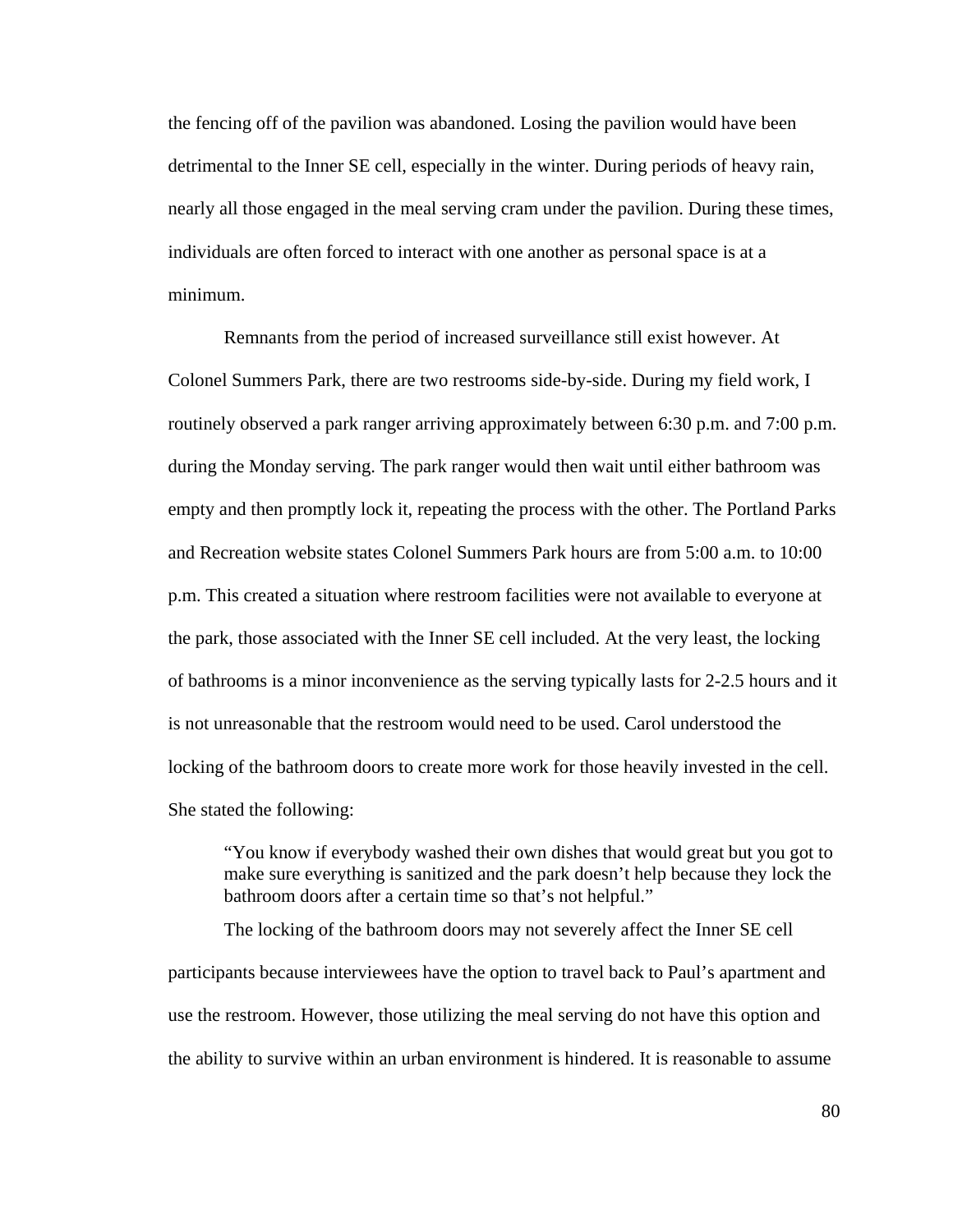the fencing off of the pavilion was abandoned. Losing the pavilion would have been detrimental to the Inner SE cell, especially in the winter. During periods of heavy rain, nearly all those engaged in the meal serving cram under the pavilion. During these times, individuals are often forced to interact with one another as personal space is at a minimum.

 Remnants from the period of increased surveillance still exist however. At Colonel Summers Park, there are two restrooms side-by-side. During my field work, I routinely observed a park ranger arriving approximately between 6:30 p.m. and 7:00 p.m. during the Monday serving. The park ranger would then wait until either bathroom was empty and then promptly lock it, repeating the process with the other. The Portland Parks and Recreation website states Colonel Summers Park hours are from 5:00 a.m. to 10:00 p.m. This created a situation where restroom facilities were not available to everyone at the park, those associated with the Inner SE cell included. At the very least, the locking of bathrooms is a minor inconvenience as the serving typically lasts for 2-2.5 hours and it is not unreasonable that the restroom would need to be used. Carol understood the locking of the bathroom doors to create more work for those heavily invested in the cell. She stated the following:

 "You know if everybody washed their own dishes that would great but you got to make sure everything is sanitized and the park doesn't help because they lock the bathroom doors after a certain time so that's not helpful."

 The locking of the bathroom doors may not severely affect the Inner SE cell participants because interviewees have the option to travel back to Paul's apartment and use the restroom. However, those utilizing the meal serving do not have this option and the ability to survive within an urban environment is hindered. It is reasonable to assume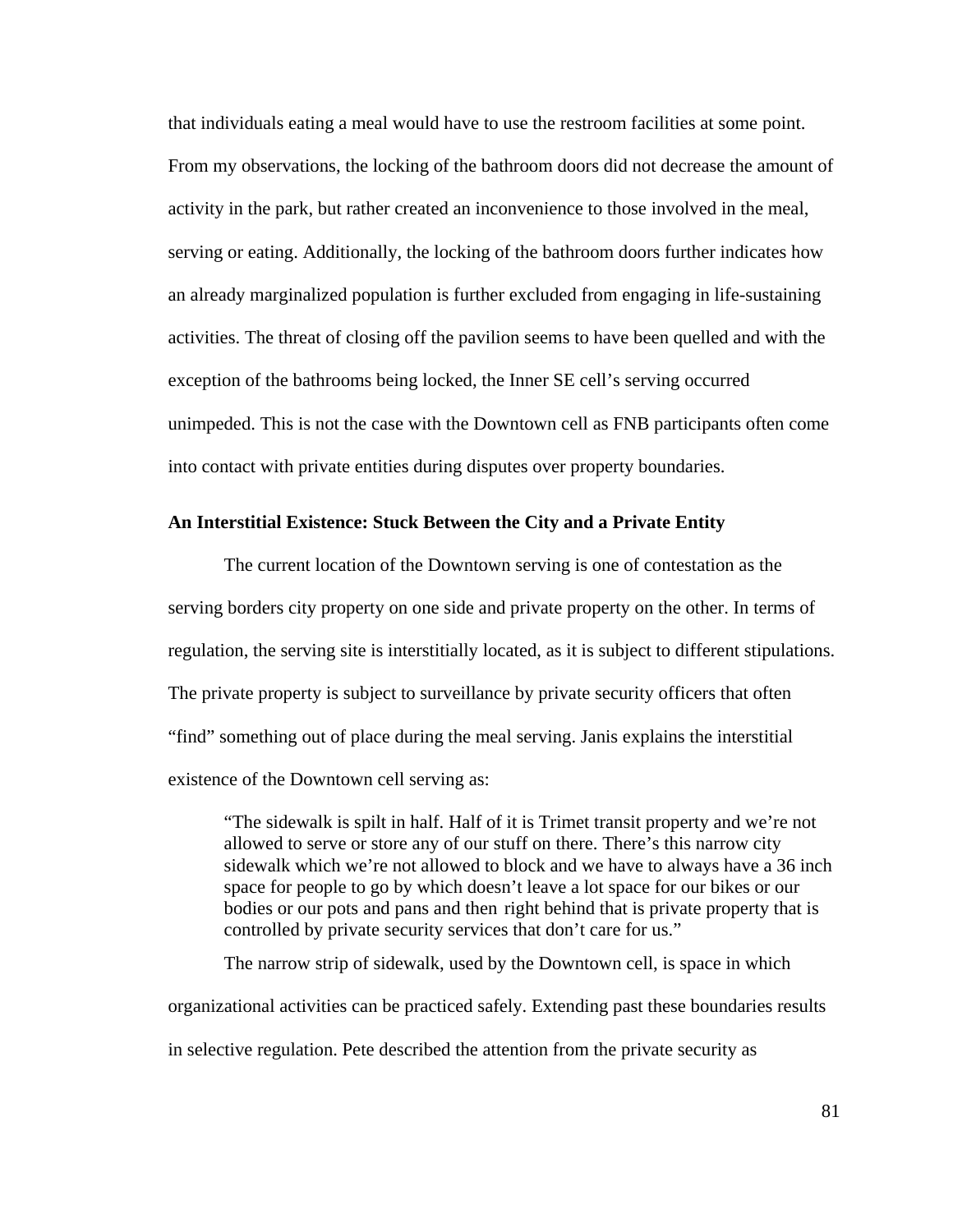that individuals eating a meal would have to use the restroom facilities at some point. From my observations, the locking of the bathroom doors did not decrease the amount of activity in the park, but rather created an inconvenience to those involved in the meal, serving or eating. Additionally, the locking of the bathroom doors further indicates how an already marginalized population is further excluded from engaging in life-sustaining activities. The threat of closing off the pavilion seems to have been quelled and with the exception of the bathrooms being locked, the Inner SE cell's serving occurred unimpeded. This is not the case with the Downtown cell as FNB participants often come into contact with private entities during disputes over property boundaries.

# **An Interstitial Existence: Stuck Between the City and a Private Entity**

The current location of the Downtown serving is one of contestation as the serving borders city property on one side and private property on the other. In terms of regulation, the serving site is interstitially located, as it is subject to different stipulations. The private property is subject to surveillance by private security officers that often "find" something out of place during the meal serving. Janis explains the interstitial existence of the Downtown cell serving as:

 "The sidewalk is spilt in half. Half of it is Trimet transit property and we're not allowed to serve or store any of our stuff on there. There's this narrow city sidewalk which we're not allowed to block and we have to always have a 36 inch space for people to go by which doesn't leave a lot space for our bikes or our bodies or our pots and pans and then right behind that is private property that is controlled by private security services that don't care for us."

 The narrow strip of sidewalk, used by the Downtown cell, is space in which organizational activities can be practiced safely. Extending past these boundaries results in selective regulation. Pete described the attention from the private security as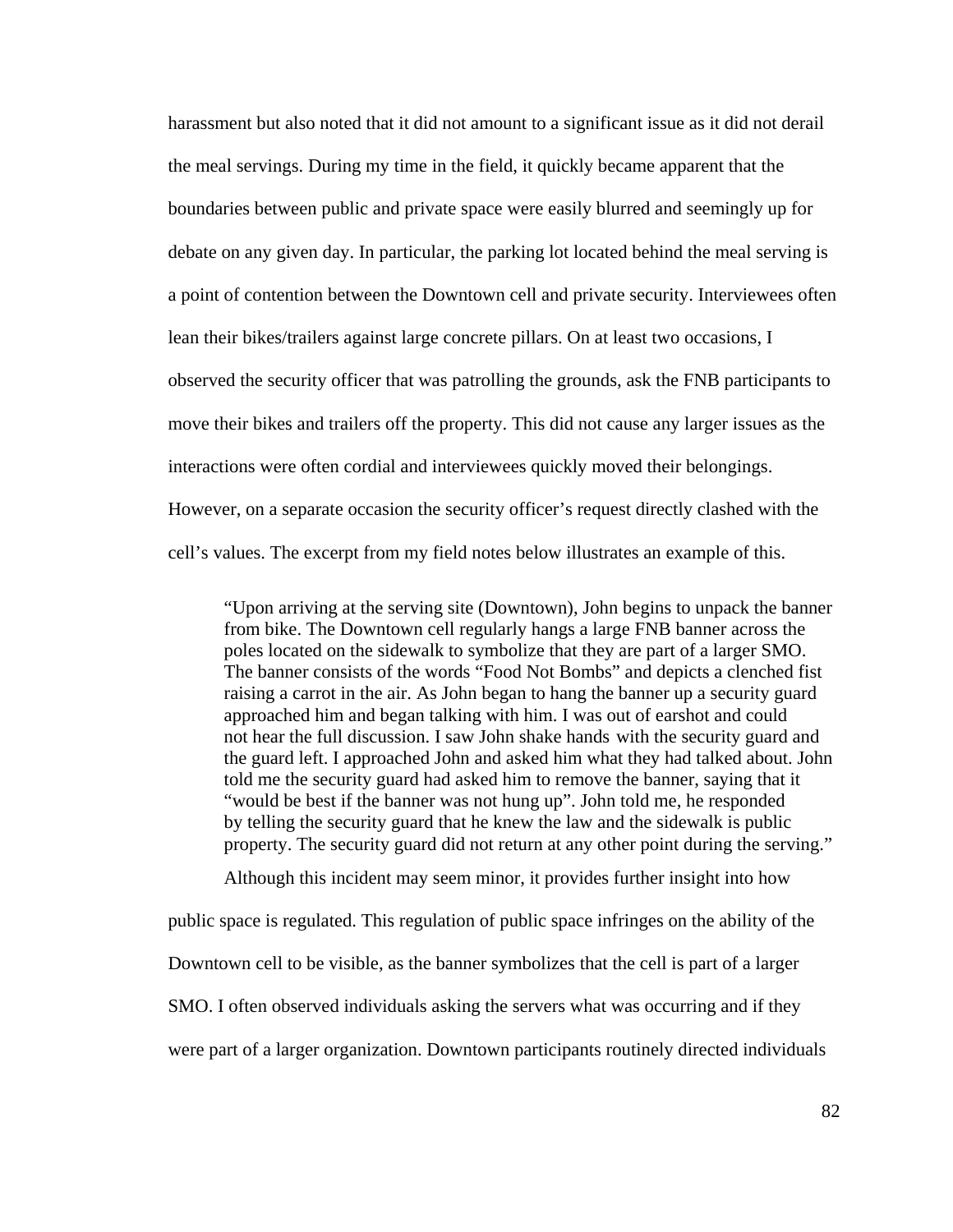harassment but also noted that it did not amount to a significant issue as it did not derail the meal servings. During my time in the field, it quickly became apparent that the boundaries between public and private space were easily blurred and seemingly up for debate on any given day. In particular, the parking lot located behind the meal serving is a point of contention between the Downtown cell and private security. Interviewees often lean their bikes/trailers against large concrete pillars. On at least two occasions, I observed the security officer that was patrolling the grounds, ask the FNB participants to move their bikes and trailers off the property. This did not cause any larger issues as the interactions were often cordial and interviewees quickly moved their belongings. However, on a separate occasion the security officer's request directly clashed with the cell's values. The excerpt from my field notes below illustrates an example of this.

 "Upon arriving at the serving site (Downtown), John begins to unpack the banner from bike. The Downtown cell regularly hangs a large FNB banner across the poles located on the sidewalk to symbolize that they are part of a larger SMO. The banner consists of the words "Food Not Bombs" and depicts a clenched fist raising a carrot in the air. As John began to hang the banner up a security guard approached him and began talking with him. I was out of earshot and could not hear the full discussion. I saw John shake hands with the security guard and the guard left. I approached John and asked him what they had talked about. John told me the security guard had asked him to remove the banner, saying that it "would be best if the banner was not hung up". John told me, he responded by telling the security guard that he knew the law and the sidewalk is public property. The security guard did not return at any other point during the serving."

Although this incident may seem minor, it provides further insight into how

public space is regulated. This regulation of public space infringes on the ability of the

Downtown cell to be visible, as the banner symbolizes that the cell is part of a larger

SMO. I often observed individuals asking the servers what was occurring and if they

were part of a larger organization. Downtown participants routinely directed individuals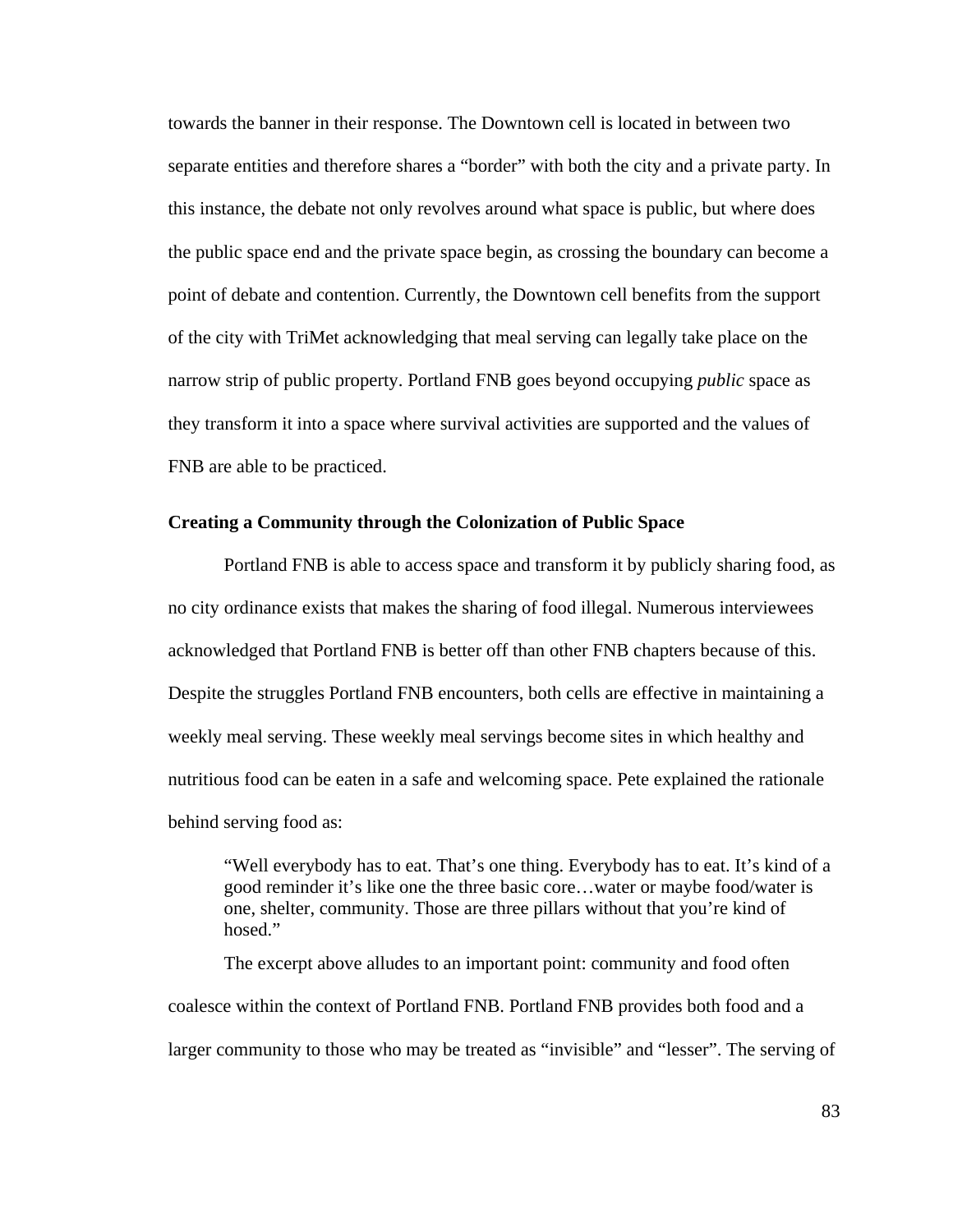towards the banner in their response. The Downtown cell is located in between two separate entities and therefore shares a "border" with both the city and a private party. In this instance, the debate not only revolves around what space is public, but where does the public space end and the private space begin, as crossing the boundary can become a point of debate and contention. Currently, the Downtown cell benefits from the support of the city with TriMet acknowledging that meal serving can legally take place on the narrow strip of public property. Portland FNB goes beyond occupying *public* space as they transform it into a space where survival activities are supported and the values of FNB are able to be practiced.

## **Creating a Community through the Colonization of Public Space**

Portland FNB is able to access space and transform it by publicly sharing food, as no city ordinance exists that makes the sharing of food illegal. Numerous interviewees acknowledged that Portland FNB is better off than other FNB chapters because of this. Despite the struggles Portland FNB encounters, both cells are effective in maintaining a weekly meal serving. These weekly meal servings become sites in which healthy and nutritious food can be eaten in a safe and welcoming space. Pete explained the rationale behind serving food as:

 "Well everybody has to eat. That's one thing. Everybody has to eat. It's kind of a good reminder it's like one the three basic core…water or maybe food/water is one, shelter, community. Those are three pillars without that you're kind of hosed."

 The excerpt above alludes to an important point: community and food often coalesce within the context of Portland FNB. Portland FNB provides both food and a larger community to those who may be treated as "invisible" and "lesser". The serving of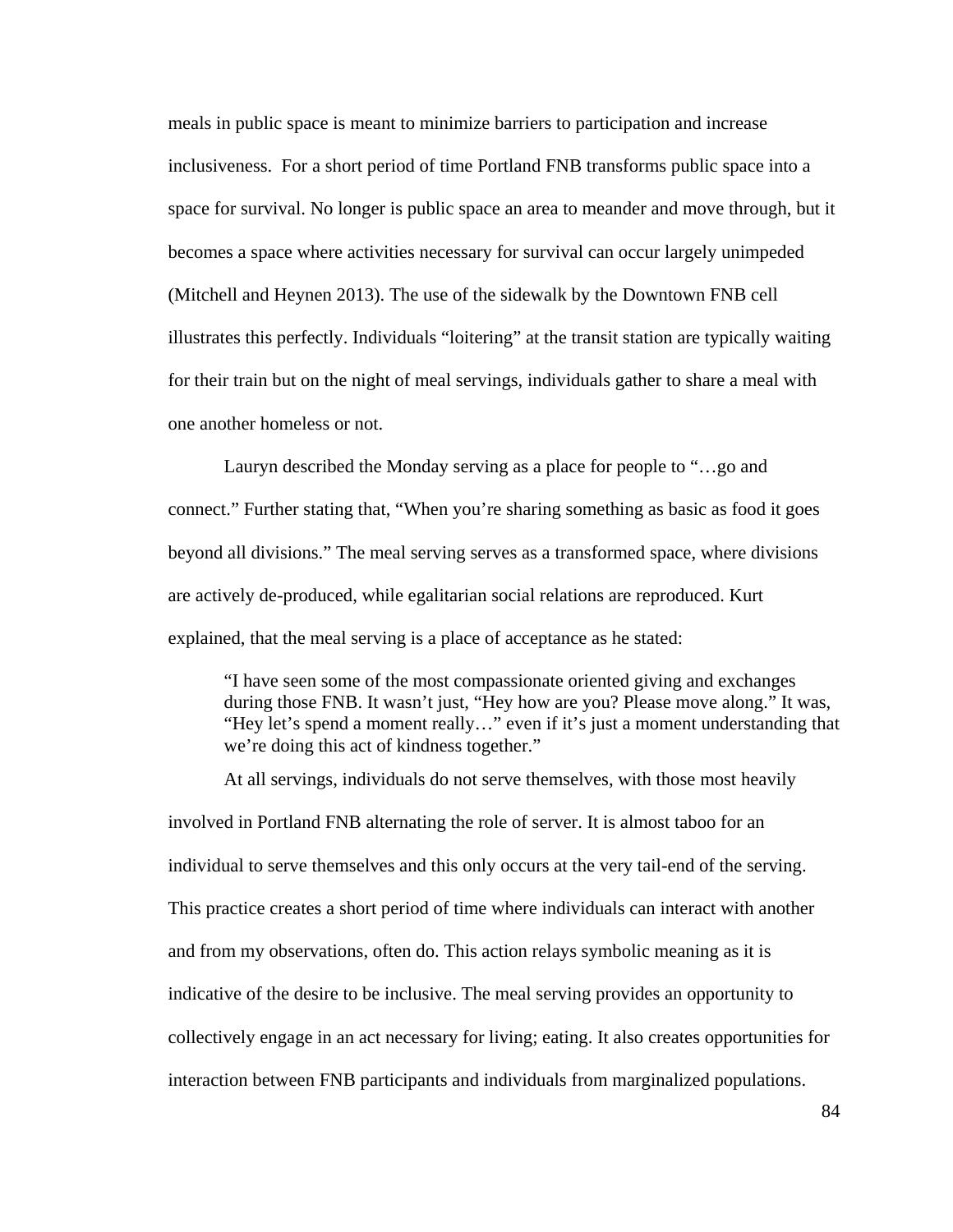meals in public space is meant to minimize barriers to participation and increase inclusiveness. For a short period of time Portland FNB transforms public space into a space for survival. No longer is public space an area to meander and move through, but it becomes a space where activities necessary for survival can occur largely unimpeded (Mitchell and Heynen 2013). The use of the sidewalk by the Downtown FNB cell illustrates this perfectly. Individuals "loitering" at the transit station are typically waiting for their train but on the night of meal servings, individuals gather to share a meal with one another homeless or not.

 Lauryn described the Monday serving as a place for people to "…go and connect." Further stating that, "When you're sharing something as basic as food it goes beyond all divisions." The meal serving serves as a transformed space, where divisions are actively de-produced, while egalitarian social relations are reproduced. Kurt explained, that the meal serving is a place of acceptance as he stated:

 "I have seen some of the most compassionate oriented giving and exchanges during those FNB. It wasn't just, "Hey how are you? Please move along." It was, "Hey let's spend a moment really…" even if it's just a moment understanding that we're doing this act of kindness together."

 At all servings, individuals do not serve themselves, with those most heavily involved in Portland FNB alternating the role of server. It is almost taboo for an individual to serve themselves and this only occurs at the very tail-end of the serving. This practice creates a short period of time where individuals can interact with another and from my observations, often do. This action relays symbolic meaning as it is indicative of the desire to be inclusive. The meal serving provides an opportunity to collectively engage in an act necessary for living; eating. It also creates opportunities for interaction between FNB participants and individuals from marginalized populations.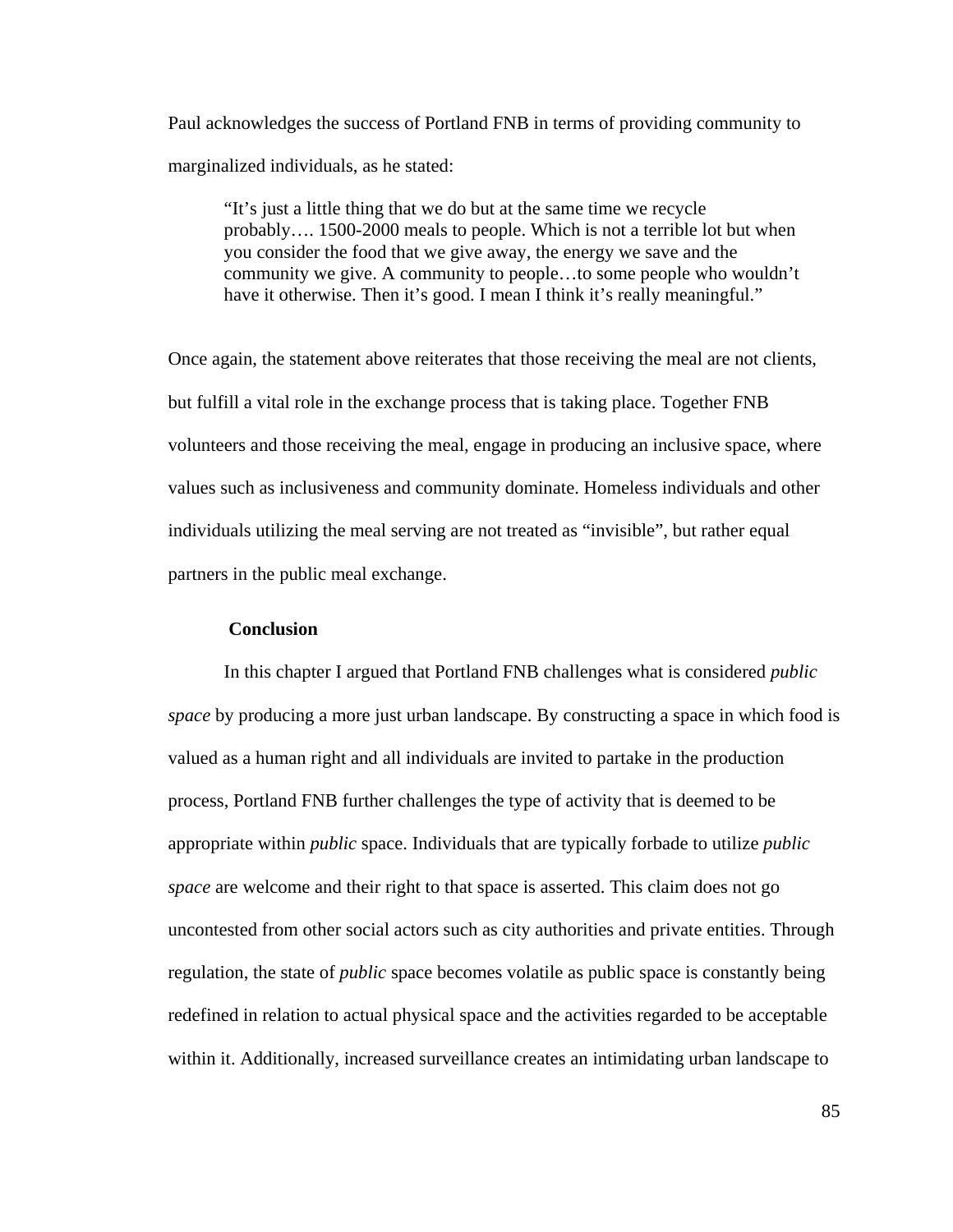Paul acknowledges the success of Portland FNB in terms of providing community to marginalized individuals, as he stated:

 "It's just a little thing that we do but at the same time we recycle probably…. 1500-2000 meals to people. Which is not a terrible lot but when you consider the food that we give away, the energy we save and the community we give. A community to people…to some people who wouldn't have it otherwise. Then it's good. I mean I think it's really meaningful."

Once again, the statement above reiterates that those receiving the meal are not clients, but fulfill a vital role in the exchange process that is taking place. Together FNB volunteers and those receiving the meal, engage in producing an inclusive space, where values such as inclusiveness and community dominate. Homeless individuals and other individuals utilizing the meal serving are not treated as "invisible", but rather equal partners in the public meal exchange.

## **Conclusion**

 In this chapter I argued that Portland FNB challenges what is considered *public space* by producing a more just urban landscape. By constructing a space in which food is valued as a human right and all individuals are invited to partake in the production process, Portland FNB further challenges the type of activity that is deemed to be appropriate within *public* space. Individuals that are typically forbade to utilize *public space* are welcome and their right to that space is asserted. This claim does not go uncontested from other social actors such as city authorities and private entities. Through regulation, the state of *public* space becomes volatile as public space is constantly being redefined in relation to actual physical space and the activities regarded to be acceptable within it. Additionally, increased surveillance creates an intimidating urban landscape to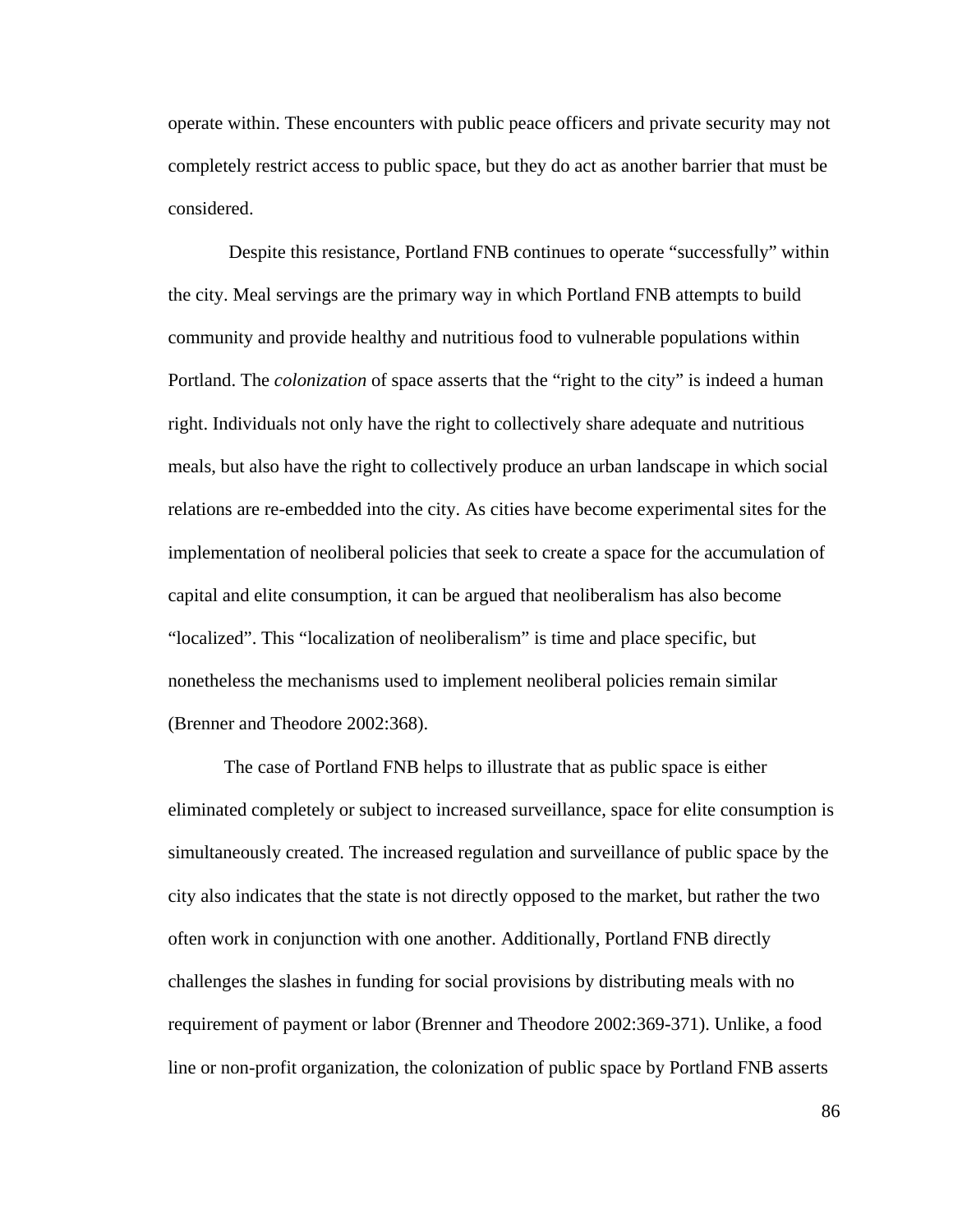operate within. These encounters with public peace officers and private security may not completely restrict access to public space, but they do act as another barrier that must be considered.

 Despite this resistance, Portland FNB continues to operate "successfully" within the city. Meal servings are the primary way in which Portland FNB attempts to build community and provide healthy and nutritious food to vulnerable populations within Portland. The *colonization* of space asserts that the "right to the city" is indeed a human right. Individuals not only have the right to collectively share adequate and nutritious meals, but also have the right to collectively produce an urban landscape in which social relations are re-embedded into the city. As cities have become experimental sites for the implementation of neoliberal policies that seek to create a space for the accumulation of capital and elite consumption, it can be argued that neoliberalism has also become "localized". This "localization of neoliberalism" is time and place specific, but nonetheless the mechanisms used to implement neoliberal policies remain similar (Brenner and Theodore 2002:368).

 The case of Portland FNB helps to illustrate that as public space is either eliminated completely or subject to increased surveillance, space for elite consumption is simultaneously created. The increased regulation and surveillance of public space by the city also indicates that the state is not directly opposed to the market, but rather the two often work in conjunction with one another. Additionally, Portland FNB directly challenges the slashes in funding for social provisions by distributing meals with no requirement of payment or labor (Brenner and Theodore 2002:369-371). Unlike, a food line or non-profit organization, the colonization of public space by Portland FNB asserts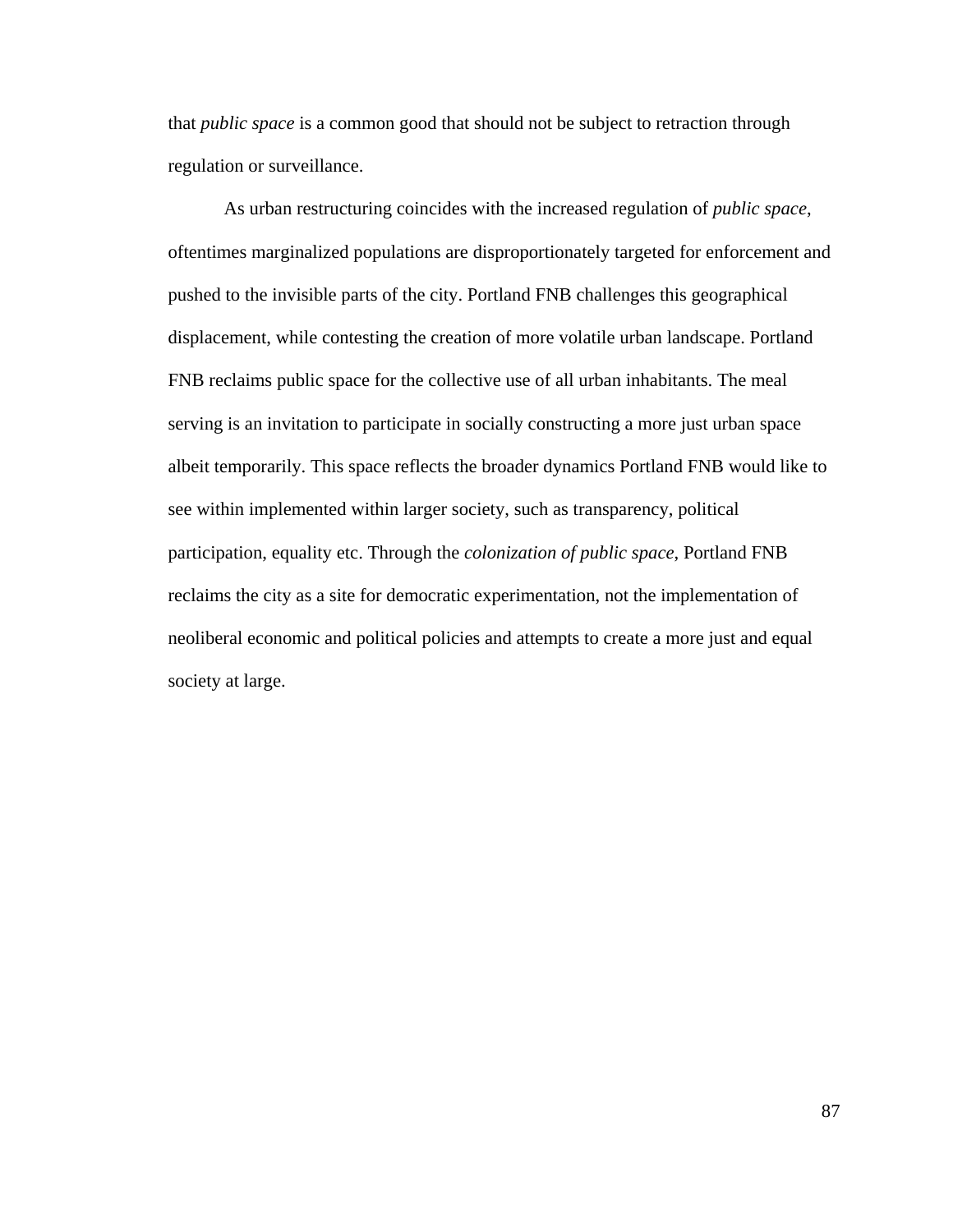that *public space* is a common good that should not be subject to retraction through regulation or surveillance.

 As urban restructuring coincides with the increased regulation of *public space*, oftentimes marginalized populations are disproportionately targeted for enforcement and pushed to the invisible parts of the city. Portland FNB challenges this geographical displacement, while contesting the creation of more volatile urban landscape. Portland FNB reclaims public space for the collective use of all urban inhabitants. The meal serving is an invitation to participate in socially constructing a more just urban space albeit temporarily. This space reflects the broader dynamics Portland FNB would like to see within implemented within larger society, such as transparency, political participation, equality etc. Through the *colonization of public space*, Portland FNB reclaims the city as a site for democratic experimentation, not the implementation of neoliberal economic and political policies and attempts to create a more just and equal society at large.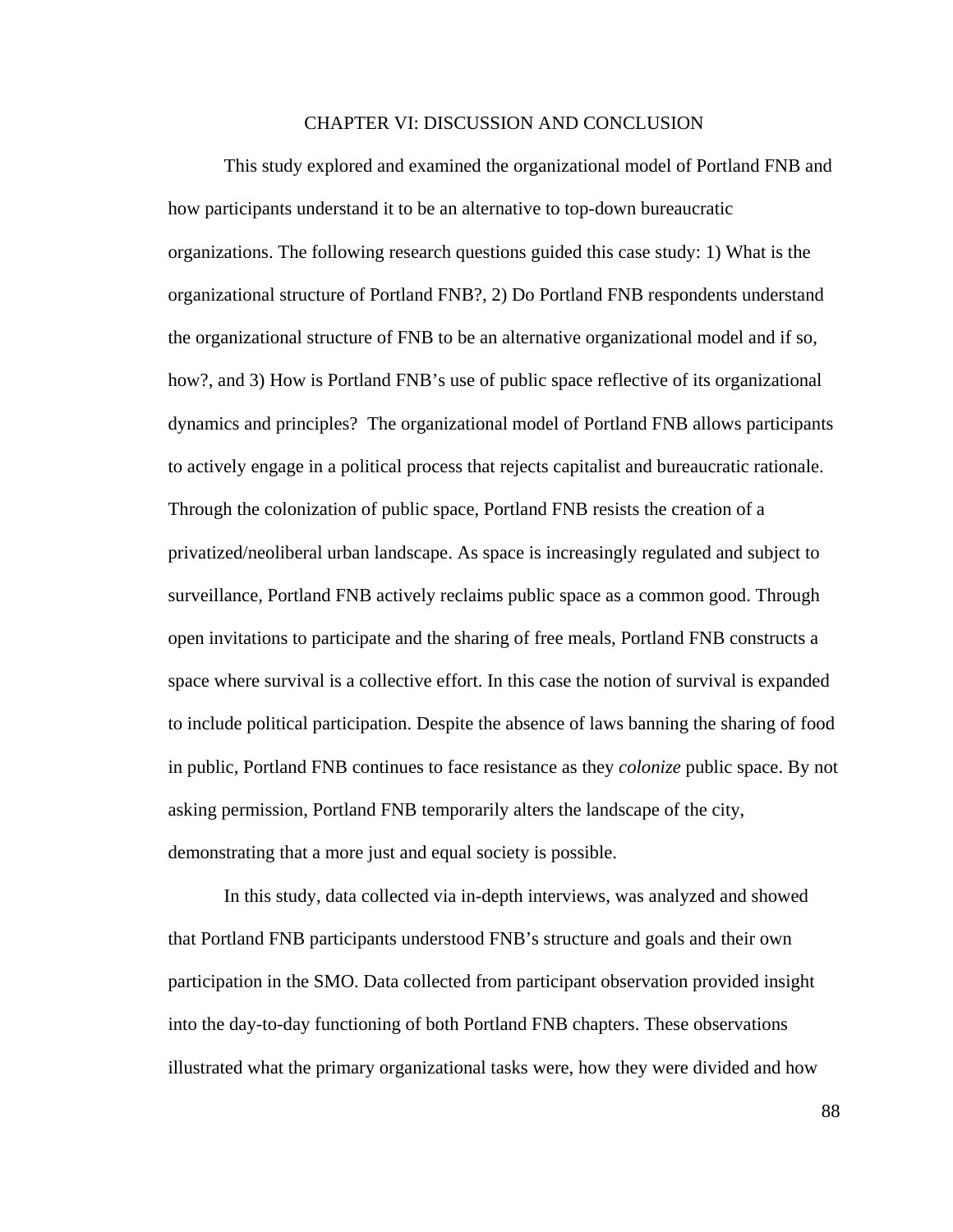#### CHAPTER VI: DISCUSSION AND CONCLUSION

 This study explored and examined the organizational model of Portland FNB and how participants understand it to be an alternative to top-down bureaucratic organizations. The following research questions guided this case study: 1) What is the organizational structure of Portland FNB?, 2) Do Portland FNB respondents understand the organizational structure of FNB to be an alternative organizational model and if so, how?, and 3) How is Portland FNB's use of public space reflective of its organizational dynamics and principles? The organizational model of Portland FNB allows participants to actively engage in a political process that rejects capitalist and bureaucratic rationale. Through the colonization of public space, Portland FNB resists the creation of a privatized/neoliberal urban landscape. As space is increasingly regulated and subject to surveillance, Portland FNB actively reclaims public space as a common good. Through open invitations to participate and the sharing of free meals, Portland FNB constructs a space where survival is a collective effort. In this case the notion of survival is expanded to include political participation. Despite the absence of laws banning the sharing of food in public, Portland FNB continues to face resistance as they *colonize* public space. By not asking permission, Portland FNB temporarily alters the landscape of the city, demonstrating that a more just and equal society is possible.

 In this study, data collected via in-depth interviews, was analyzed and showed that Portland FNB participants understood FNB's structure and goals and their own participation in the SMO. Data collected from participant observation provided insight into the day-to-day functioning of both Portland FNB chapters. These observations illustrated what the primary organizational tasks were, how they were divided and how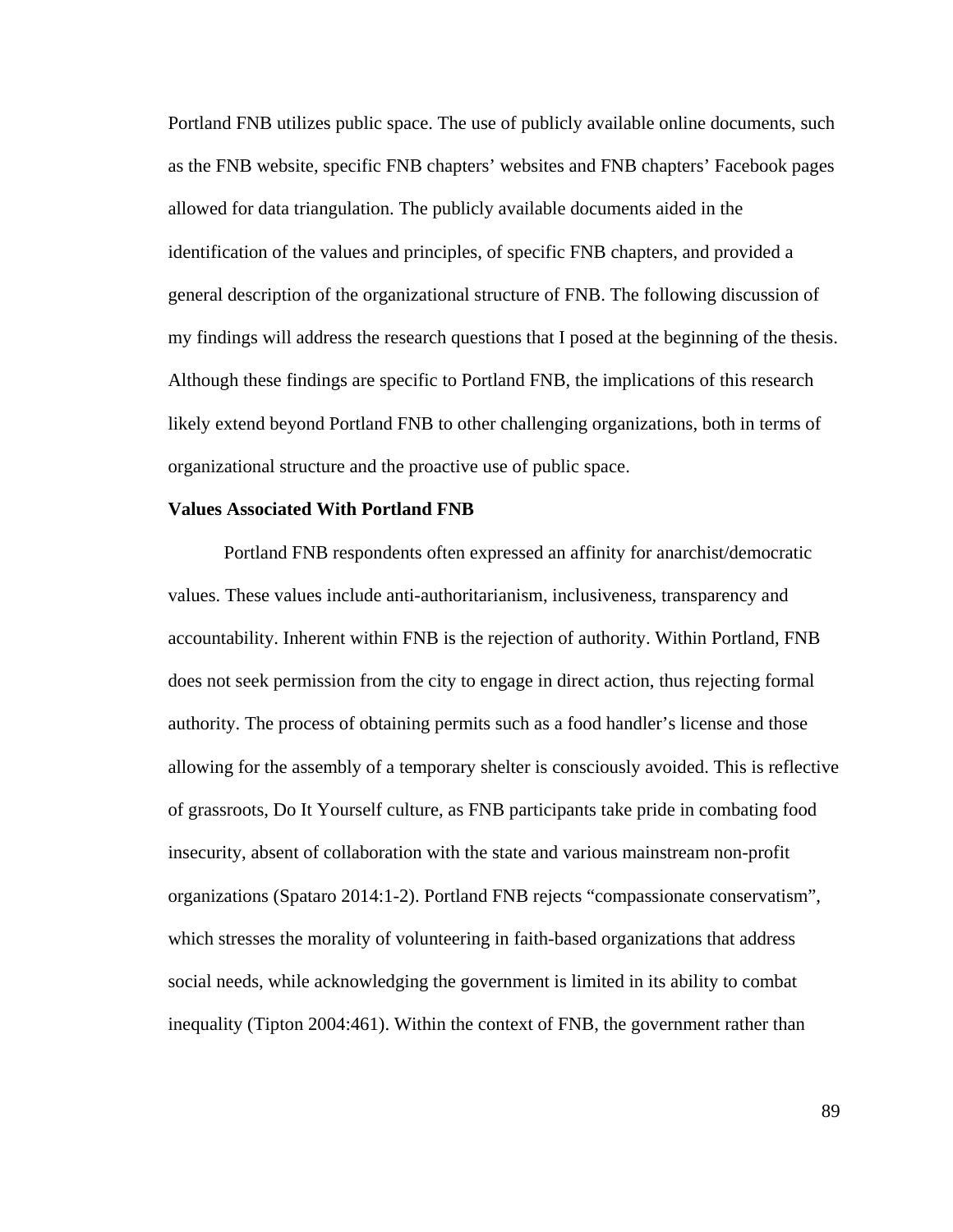Portland FNB utilizes public space. The use of publicly available online documents, such as the FNB website, specific FNB chapters' websites and FNB chapters' Facebook pages allowed for data triangulation. The publicly available documents aided in the identification of the values and principles, of specific FNB chapters, and provided a general description of the organizational structure of FNB. The following discussion of my findings will address the research questions that I posed at the beginning of the thesis. Although these findings are specific to Portland FNB, the implications of this research likely extend beyond Portland FNB to other challenging organizations, both in terms of organizational structure and the proactive use of public space.

#### **Values Associated With Portland FNB**

Portland FNB respondents often expressed an affinity for anarchist/democratic values. These values include anti-authoritarianism, inclusiveness, transparency and accountability. Inherent within FNB is the rejection of authority. Within Portland, FNB does not seek permission from the city to engage in direct action, thus rejecting formal authority. The process of obtaining permits such as a food handler's license and those allowing for the assembly of a temporary shelter is consciously avoided. This is reflective of grassroots, Do It Yourself culture, as FNB participants take pride in combating food insecurity, absent of collaboration with the state and various mainstream non-profit organizations (Spataro 2014:1-2). Portland FNB rejects "compassionate conservatism", which stresses the morality of volunteering in faith-based organizations that address social needs, while acknowledging the government is limited in its ability to combat inequality (Tipton 2004:461). Within the context of FNB, the government rather than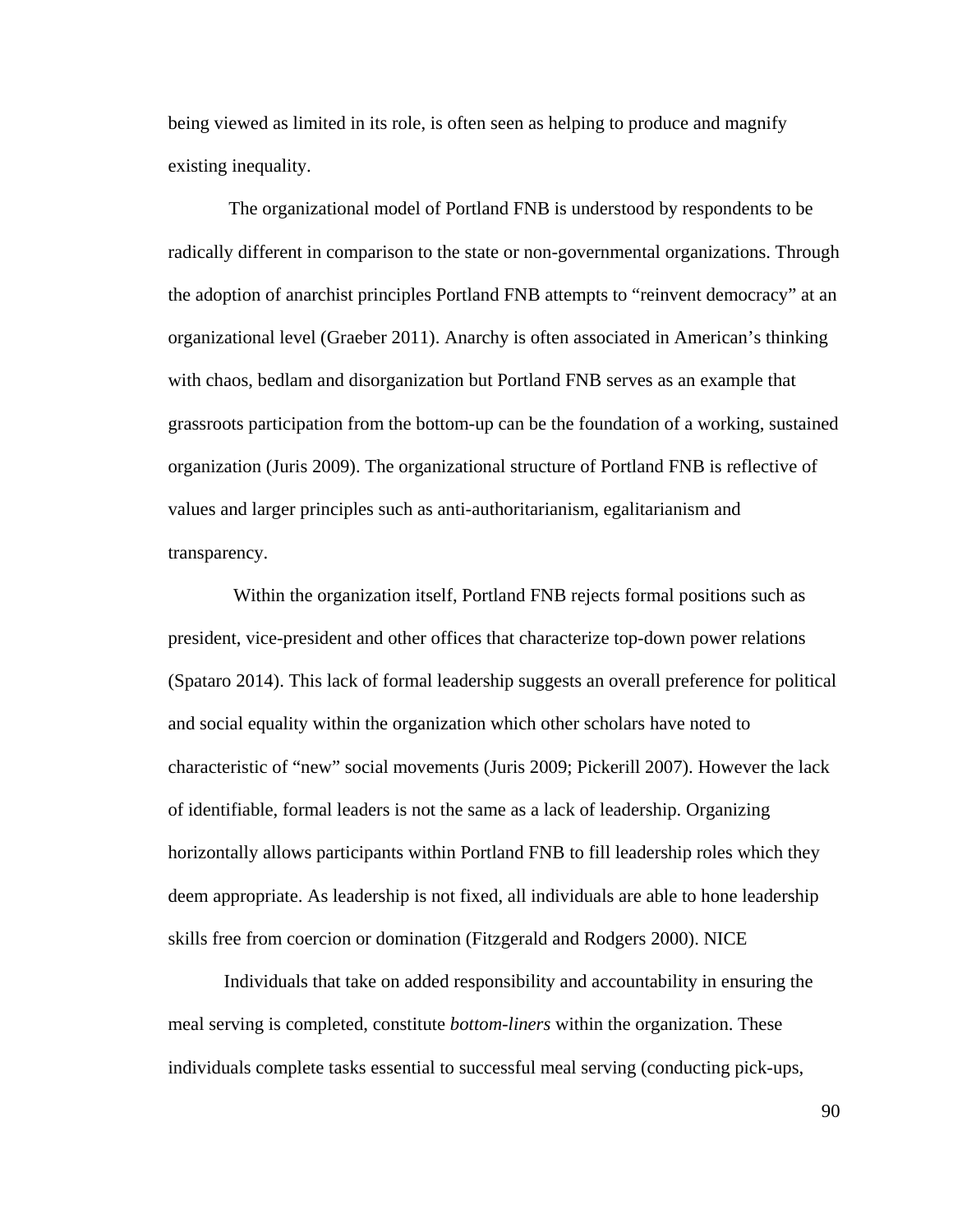being viewed as limited in its role, is often seen as helping to produce and magnify existing inequality.

 The organizational model of Portland FNB is understood by respondents to be radically different in comparison to the state or non-governmental organizations. Through the adoption of anarchist principles Portland FNB attempts to "reinvent democracy" at an organizational level (Graeber 2011). Anarchy is often associated in American's thinking with chaos, bedlam and disorganization but Portland FNB serves as an example that grassroots participation from the bottom-up can be the foundation of a working, sustained organization (Juris 2009). The organizational structure of Portland FNB is reflective of values and larger principles such as anti-authoritarianism, egalitarianism and transparency.

 Within the organization itself, Portland FNB rejects formal positions such as president, vice-president and other offices that characterize top-down power relations (Spataro 2014). This lack of formal leadership suggests an overall preference for political and social equality within the organization which other scholars have noted to characteristic of "new" social movements (Juris 2009; Pickerill 2007). However the lack of identifiable, formal leaders is not the same as a lack of leadership. Organizing horizontally allows participants within Portland FNB to fill leadership roles which they deem appropriate. As leadership is not fixed, all individuals are able to hone leadership skills free from coercion or domination (Fitzgerald and Rodgers 2000). NICE

 Individuals that take on added responsibility and accountability in ensuring the meal serving is completed, constitute *bottom-liners* within the organization. These individuals complete tasks essential to successful meal serving (conducting pick-ups,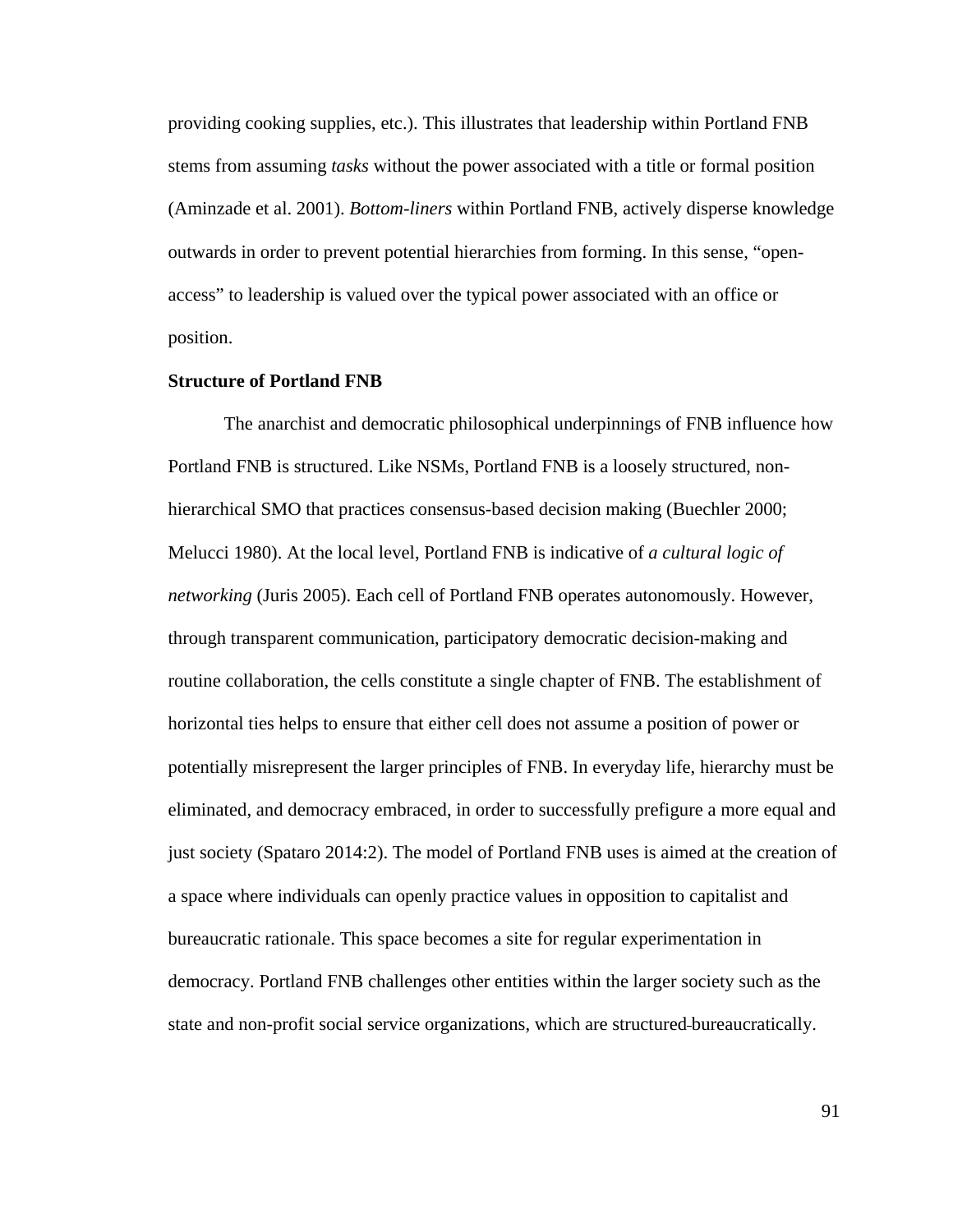providing cooking supplies, etc.). This illustrates that leadership within Portland FNB stems from assuming *tasks* without the power associated with a title or formal position (Aminzade et al. 2001). *Bottom-liners* within Portland FNB, actively disperse knowledge outwards in order to prevent potential hierarchies from forming. In this sense, "openaccess" to leadership is valued over the typical power associated with an office or position.

## **Structure of Portland FNB**

 The anarchist and democratic philosophical underpinnings of FNB influence how Portland FNB is structured. Like NSMs, Portland FNB is a loosely structured, nonhierarchical SMO that practices consensus-based decision making (Buechler 2000; Melucci 1980). At the local level, Portland FNB is indicative of *a cultural logic of networking* (Juris 2005). Each cell of Portland FNB operates autonomously. However, through transparent communication, participatory democratic decision-making and routine collaboration, the cells constitute a single chapter of FNB. The establishment of horizontal ties helps to ensure that either cell does not assume a position of power or potentially misrepresent the larger principles of FNB. In everyday life, hierarchy must be eliminated, and democracy embraced, in order to successfully prefigure a more equal and just society (Spataro 2014:2). The model of Portland FNB uses is aimed at the creation of a space where individuals can openly practice values in opposition to capitalist and bureaucratic rationale. This space becomes a site for regular experimentation in democracy. Portland FNB challenges other entities within the larger society such as the state and non-profit social service organizations, which are structured bureaucratically.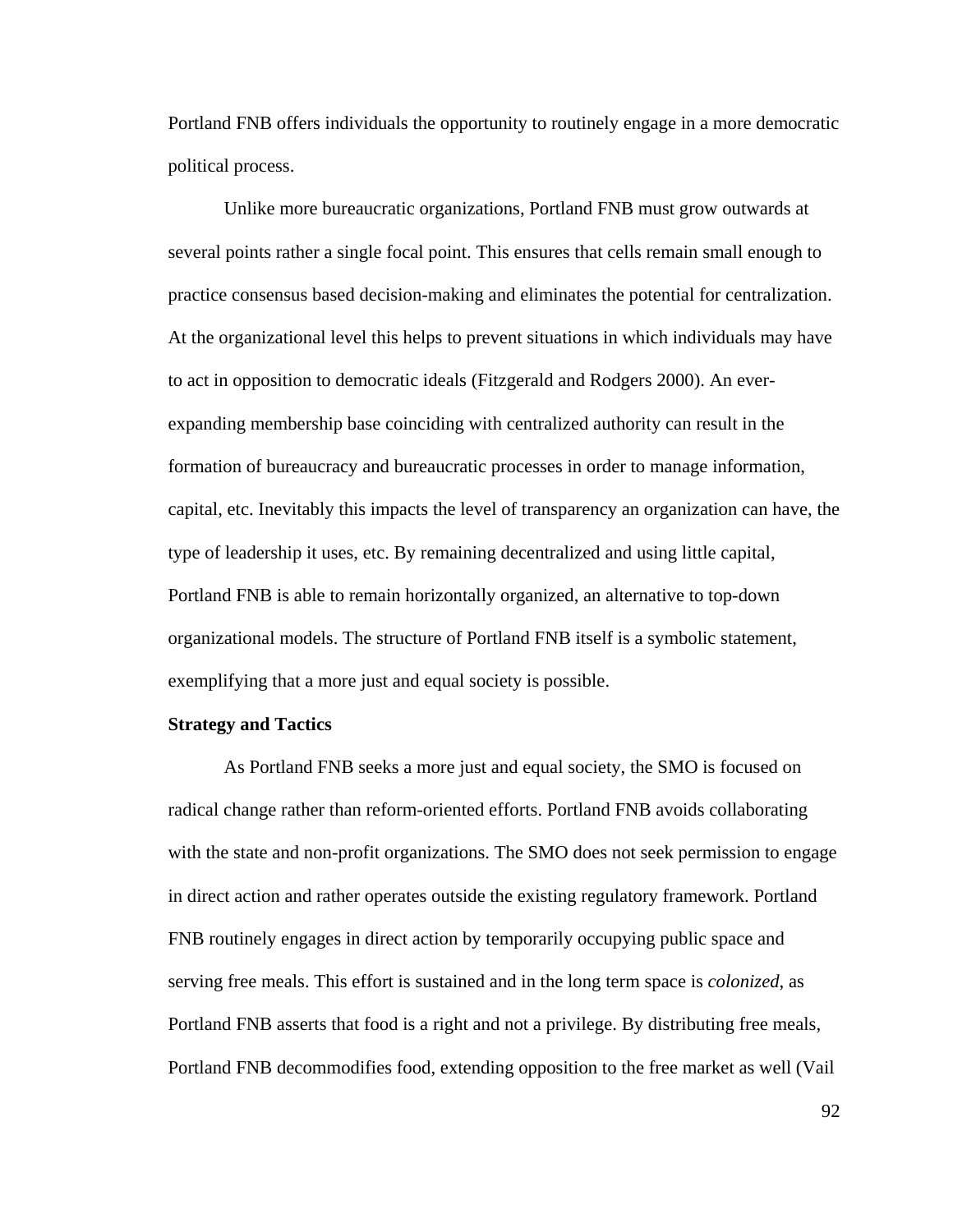Portland FNB offers individuals the opportunity to routinely engage in a more democratic political process.

 Unlike more bureaucratic organizations, Portland FNB must grow outwards at several points rather a single focal point. This ensures that cells remain small enough to practice consensus based decision-making and eliminates the potential for centralization. At the organizational level this helps to prevent situations in which individuals may have to act in opposition to democratic ideals (Fitzgerald and Rodgers 2000). An everexpanding membership base coinciding with centralized authority can result in the formation of bureaucracy and bureaucratic processes in order to manage information, capital, etc. Inevitably this impacts the level of transparency an organization can have, the type of leadership it uses, etc. By remaining decentralized and using little capital, Portland FNB is able to remain horizontally organized, an alternative to top-down organizational models. The structure of Portland FNB itself is a symbolic statement, exemplifying that a more just and equal society is possible.

## **Strategy and Tactics**

 As Portland FNB seeks a more just and equal society, the SMO is focused on radical change rather than reform-oriented efforts. Portland FNB avoids collaborating with the state and non-profit organizations. The SMO does not seek permission to engage in direct action and rather operates outside the existing regulatory framework. Portland FNB routinely engages in direct action by temporarily occupying public space and serving free meals. This effort is sustained and in the long term space is *colonized*, as Portland FNB asserts that food is a right and not a privilege. By distributing free meals, Portland FNB decommodifies food, extending opposition to the free market as well (Vail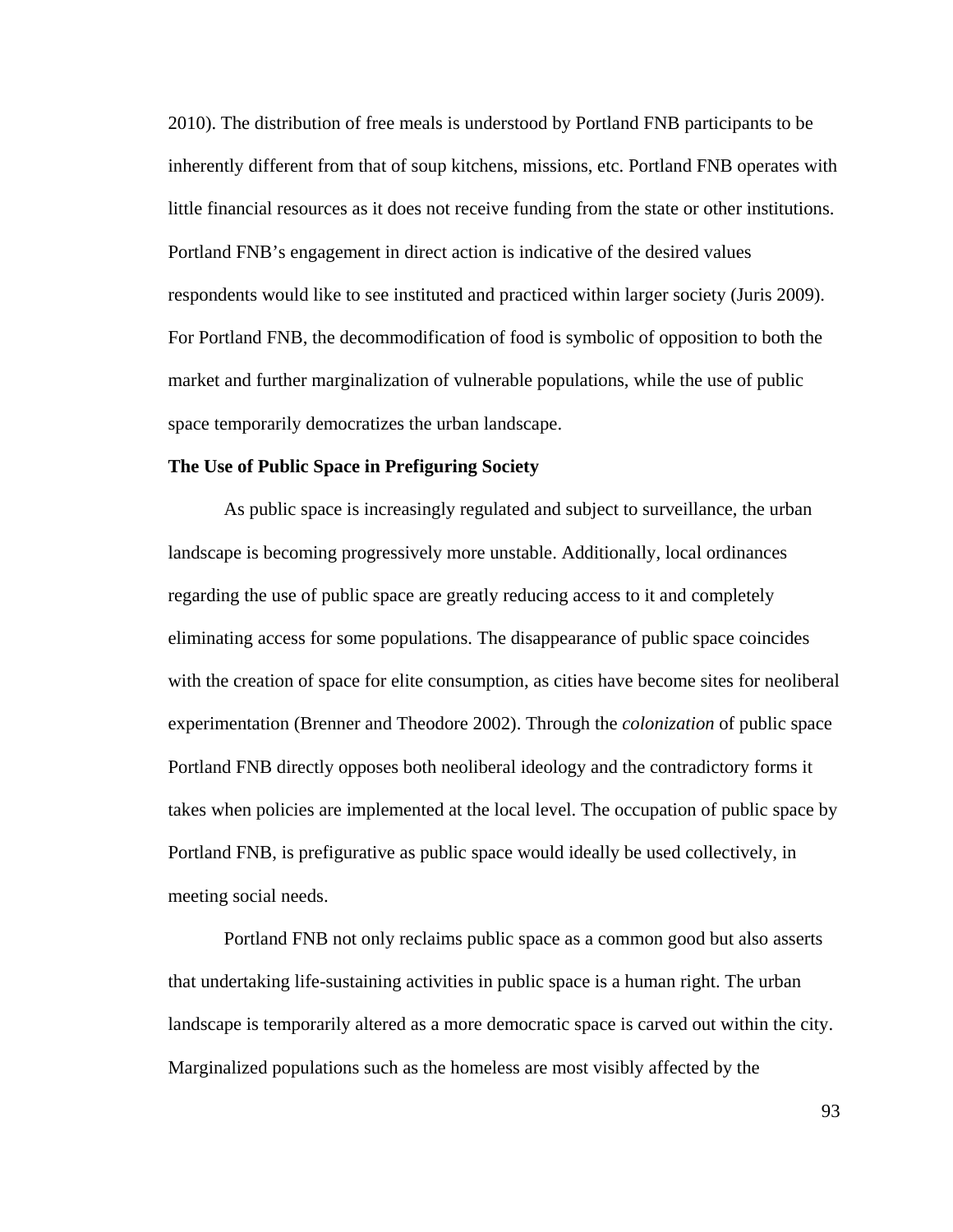2010). The distribution of free meals is understood by Portland FNB participants to be inherently different from that of soup kitchens, missions, etc. Portland FNB operates with little financial resources as it does not receive funding from the state or other institutions. Portland FNB's engagement in direct action is indicative of the desired values respondents would like to see instituted and practiced within larger society (Juris 2009). For Portland FNB, the decommodification of food is symbolic of opposition to both the market and further marginalization of vulnerable populations, while the use of public space temporarily democratizes the urban landscape.

#### **The Use of Public Space in Prefiguring Society**

 As public space is increasingly regulated and subject to surveillance, the urban landscape is becoming progressively more unstable. Additionally, local ordinances regarding the use of public space are greatly reducing access to it and completely eliminating access for some populations. The disappearance of public space coincides with the creation of space for elite consumption, as cities have become sites for neoliberal experimentation (Brenner and Theodore 2002). Through the *colonization* of public space Portland FNB directly opposes both neoliberal ideology and the contradictory forms it takes when policies are implemented at the local level. The occupation of public space by Portland FNB, is prefigurative as public space would ideally be used collectively, in meeting social needs.

 Portland FNB not only reclaims public space as a common good but also asserts that undertaking life-sustaining activities in public space is a human right. The urban landscape is temporarily altered as a more democratic space is carved out within the city. Marginalized populations such as the homeless are most visibly affected by the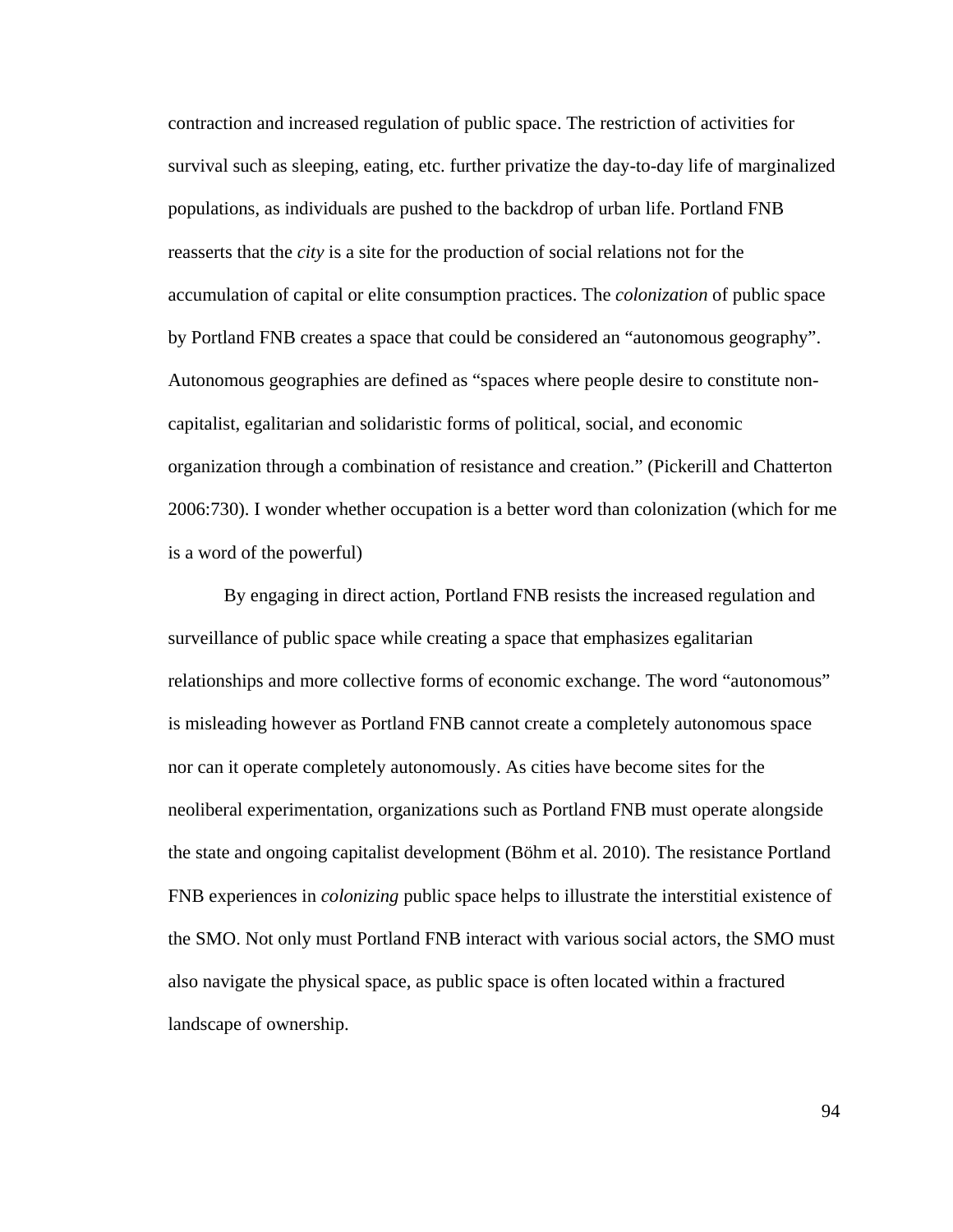contraction and increased regulation of public space. The restriction of activities for survival such as sleeping, eating, etc. further privatize the day-to-day life of marginalized populations, as individuals are pushed to the backdrop of urban life. Portland FNB reasserts that the *city* is a site for the production of social relations not for the accumulation of capital or elite consumption practices. The *colonization* of public space by Portland FNB creates a space that could be considered an "autonomous geography". Autonomous geographies are defined as "spaces where people desire to constitute noncapitalist, egalitarian and solidaristic forms of political, social, and economic organization through a combination of resistance and creation." (Pickerill and Chatterton 2006:730). I wonder whether occupation is a better word than colonization (which for me is a word of the powerful)

 By engaging in direct action, Portland FNB resists the increased regulation and surveillance of public space while creating a space that emphasizes egalitarian relationships and more collective forms of economic exchange. The word "autonomous" is misleading however as Portland FNB cannot create a completely autonomous space nor can it operate completely autonomously. As cities have become sites for the neoliberal experimentation, organizations such as Portland FNB must operate alongside the state and ongoing capitalist development (Böhm et al. 2010). The resistance Portland FNB experiences in *colonizing* public space helps to illustrate the interstitial existence of the SMO. Not only must Portland FNB interact with various social actors, the SMO must also navigate the physical space, as public space is often located within a fractured landscape of ownership.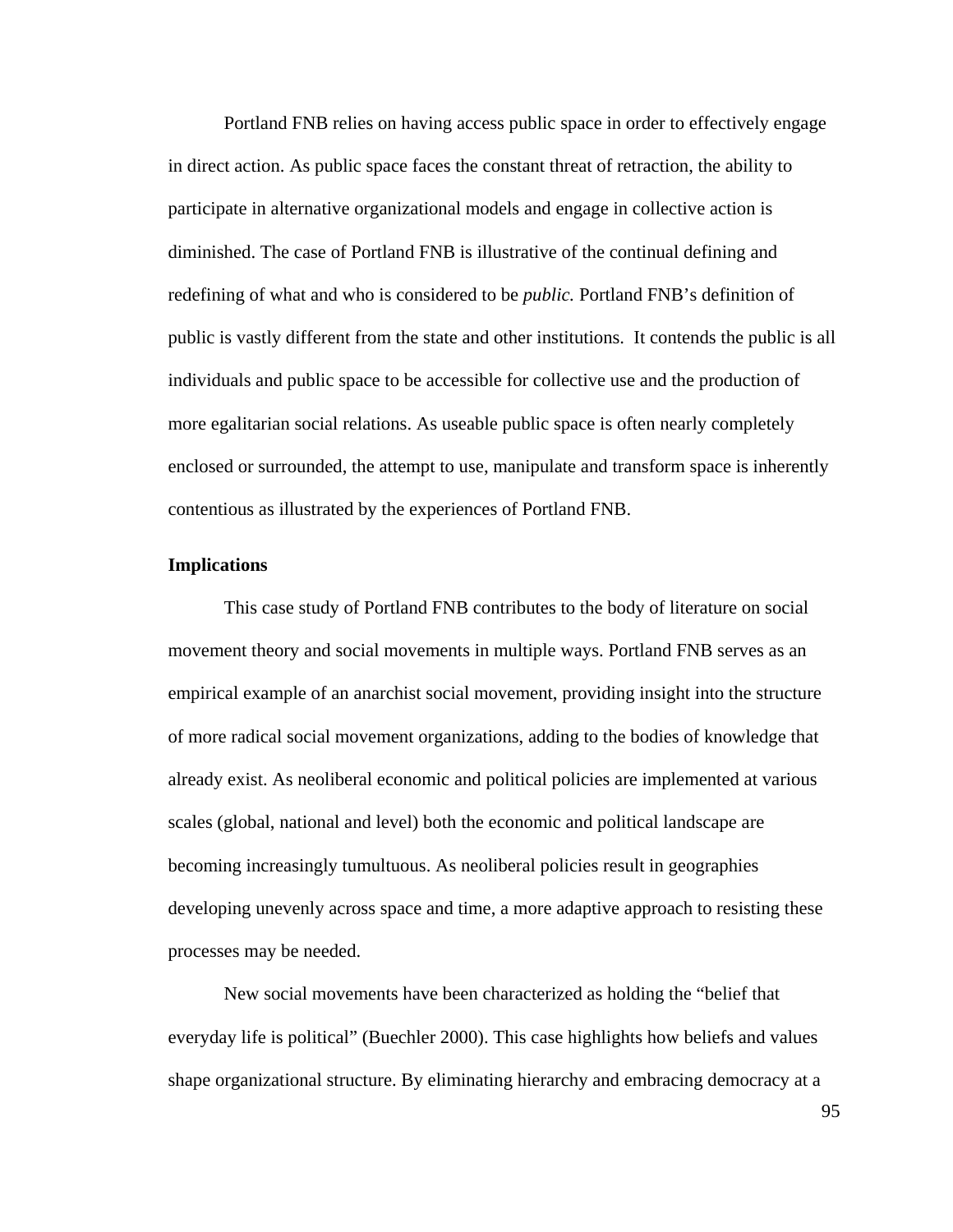Portland FNB relies on having access public space in order to effectively engage in direct action. As public space faces the constant threat of retraction, the ability to participate in alternative organizational models and engage in collective action is diminished. The case of Portland FNB is illustrative of the continual defining and redefining of what and who is considered to be *public.* Portland FNB's definition of public is vastly different from the state and other institutions. It contends the public is all individuals and public space to be accessible for collective use and the production of more egalitarian social relations. As useable public space is often nearly completely enclosed or surrounded, the attempt to use, manipulate and transform space is inherently contentious as illustrated by the experiences of Portland FNB.

# **Implications**

This case study of Portland FNB contributes to the body of literature on social movement theory and social movements in multiple ways. Portland FNB serves as an empirical example of an anarchist social movement, providing insight into the structure of more radical social movement organizations, adding to the bodies of knowledge that already exist. As neoliberal economic and political policies are implemented at various scales (global, national and level) both the economic and political landscape are becoming increasingly tumultuous. As neoliberal policies result in geographies developing unevenly across space and time, a more adaptive approach to resisting these processes may be needed.

 New social movements have been characterized as holding the "belief that everyday life is political" (Buechler 2000). This case highlights how beliefs and values shape organizational structure. By eliminating hierarchy and embracing democracy at a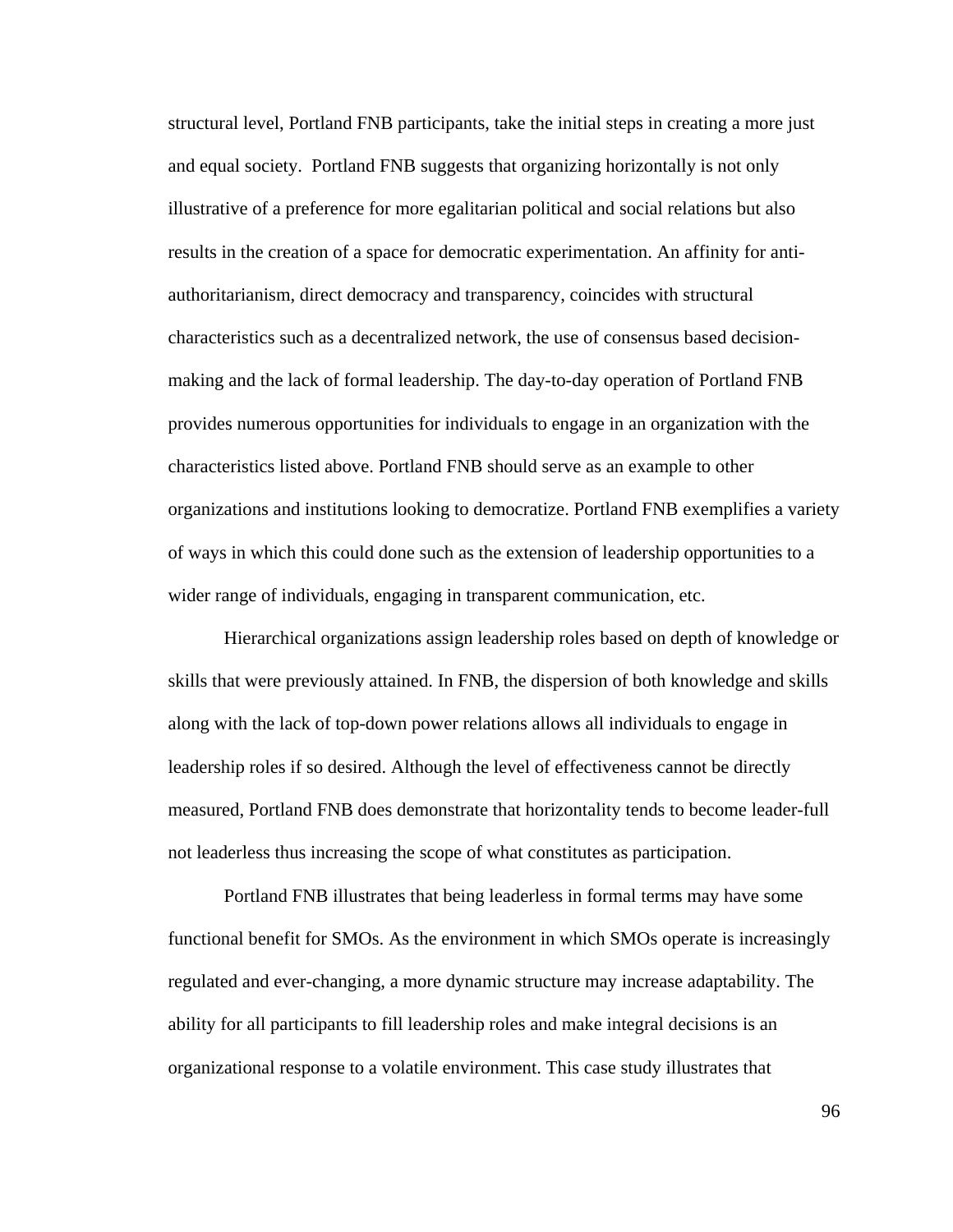structural level, Portland FNB participants, take the initial steps in creating a more just and equal society. Portland FNB suggests that organizing horizontally is not only illustrative of a preference for more egalitarian political and social relations but also results in the creation of a space for democratic experimentation. An affinity for antiauthoritarianism, direct democracy and transparency, coincides with structural characteristics such as a decentralized network, the use of consensus based decisionmaking and the lack of formal leadership. The day-to-day operation of Portland FNB provides numerous opportunities for individuals to engage in an organization with the characteristics listed above. Portland FNB should serve as an example to other organizations and institutions looking to democratize. Portland FNB exemplifies a variety of ways in which this could done such as the extension of leadership opportunities to a wider range of individuals, engaging in transparent communication, etc.

 Hierarchical organizations assign leadership roles based on depth of knowledge or skills that were previously attained. In FNB, the dispersion of both knowledge and skills along with the lack of top-down power relations allows all individuals to engage in leadership roles if so desired. Although the level of effectiveness cannot be directly measured, Portland FNB does demonstrate that horizontality tends to become leader-full not leaderless thus increasing the scope of what constitutes as participation.

 Portland FNB illustrates that being leaderless in formal terms may have some functional benefit for SMOs. As the environment in which SMOs operate is increasingly regulated and ever-changing, a more dynamic structure may increase adaptability. The ability for all participants to fill leadership roles and make integral decisions is an organizational response to a volatile environment. This case study illustrates that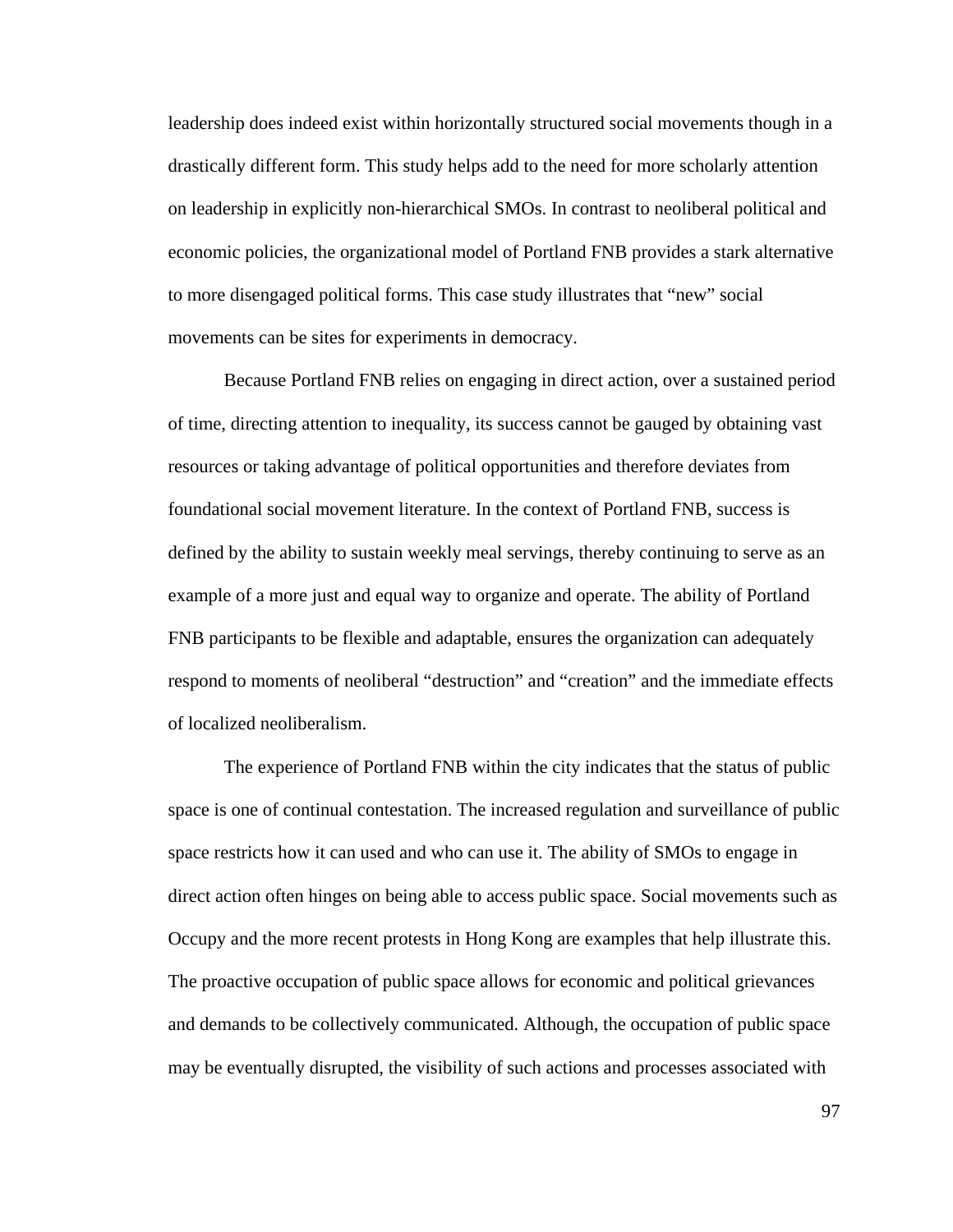leadership does indeed exist within horizontally structured social movements though in a drastically different form. This study helps add to the need for more scholarly attention on leadership in explicitly non-hierarchical SMOs. In contrast to neoliberal political and economic policies, the organizational model of Portland FNB provides a stark alternative to more disengaged political forms. This case study illustrates that "new" social movements can be sites for experiments in democracy.

 Because Portland FNB relies on engaging in direct action, over a sustained period of time, directing attention to inequality, its success cannot be gauged by obtaining vast resources or taking advantage of political opportunities and therefore deviates from foundational social movement literature. In the context of Portland FNB, success is defined by the ability to sustain weekly meal servings, thereby continuing to serve as an example of a more just and equal way to organize and operate. The ability of Portland FNB participants to be flexible and adaptable, ensures the organization can adequately respond to moments of neoliberal "destruction" and "creation" and the immediate effects of localized neoliberalism.

 The experience of Portland FNB within the city indicates that the status of public space is one of continual contestation. The increased regulation and surveillance of public space restricts how it can used and who can use it. The ability of SMOs to engage in direct action often hinges on being able to access public space. Social movements such as Occupy and the more recent protests in Hong Kong are examples that help illustrate this. The proactive occupation of public space allows for economic and political grievances and demands to be collectively communicated. Although, the occupation of public space may be eventually disrupted, the visibility of such actions and processes associated with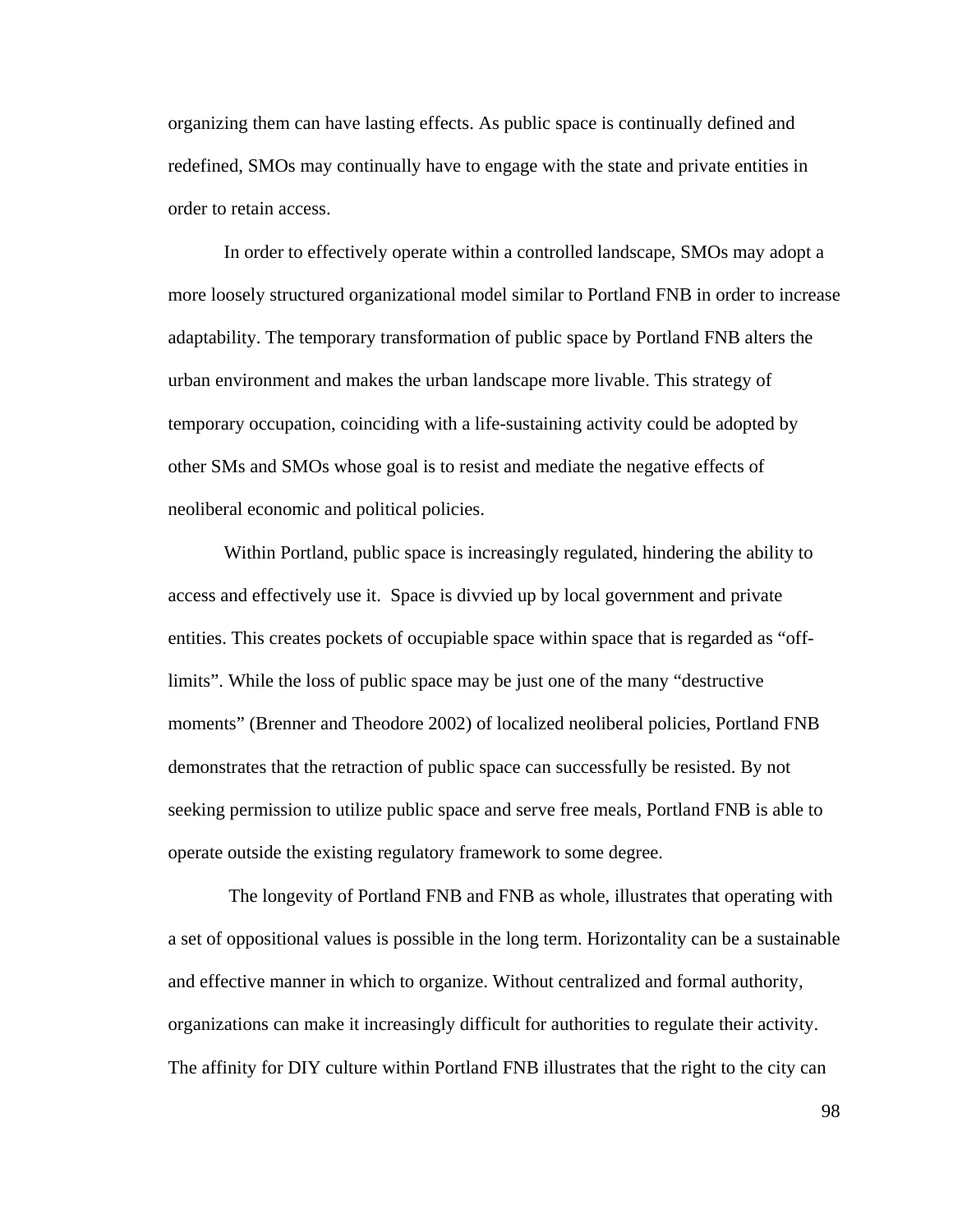organizing them can have lasting effects. As public space is continually defined and redefined, SMOs may continually have to engage with the state and private entities in order to retain access.

 In order to effectively operate within a controlled landscape, SMOs may adopt a more loosely structured organizational model similar to Portland FNB in order to increase adaptability. The temporary transformation of public space by Portland FNB alters the urban environment and makes the urban landscape more livable. This strategy of temporary occupation, coinciding with a life-sustaining activity could be adopted by other SMs and SMOs whose goal is to resist and mediate the negative effects of neoliberal economic and political policies.

 Within Portland, public space is increasingly regulated, hindering the ability to access and effectively use it. Space is divvied up by local government and private entities. This creates pockets of occupiable space within space that is regarded as "offlimits". While the loss of public space may be just one of the many "destructive moments" (Brenner and Theodore 2002) of localized neoliberal policies, Portland FNB demonstrates that the retraction of public space can successfully be resisted. By not seeking permission to utilize public space and serve free meals, Portland FNB is able to operate outside the existing regulatory framework to some degree.

 The longevity of Portland FNB and FNB as whole, illustrates that operating with a set of oppositional values is possible in the long term. Horizontality can be a sustainable and effective manner in which to organize. Without centralized and formal authority, organizations can make it increasingly difficult for authorities to regulate their activity. The affinity for DIY culture within Portland FNB illustrates that the right to the city can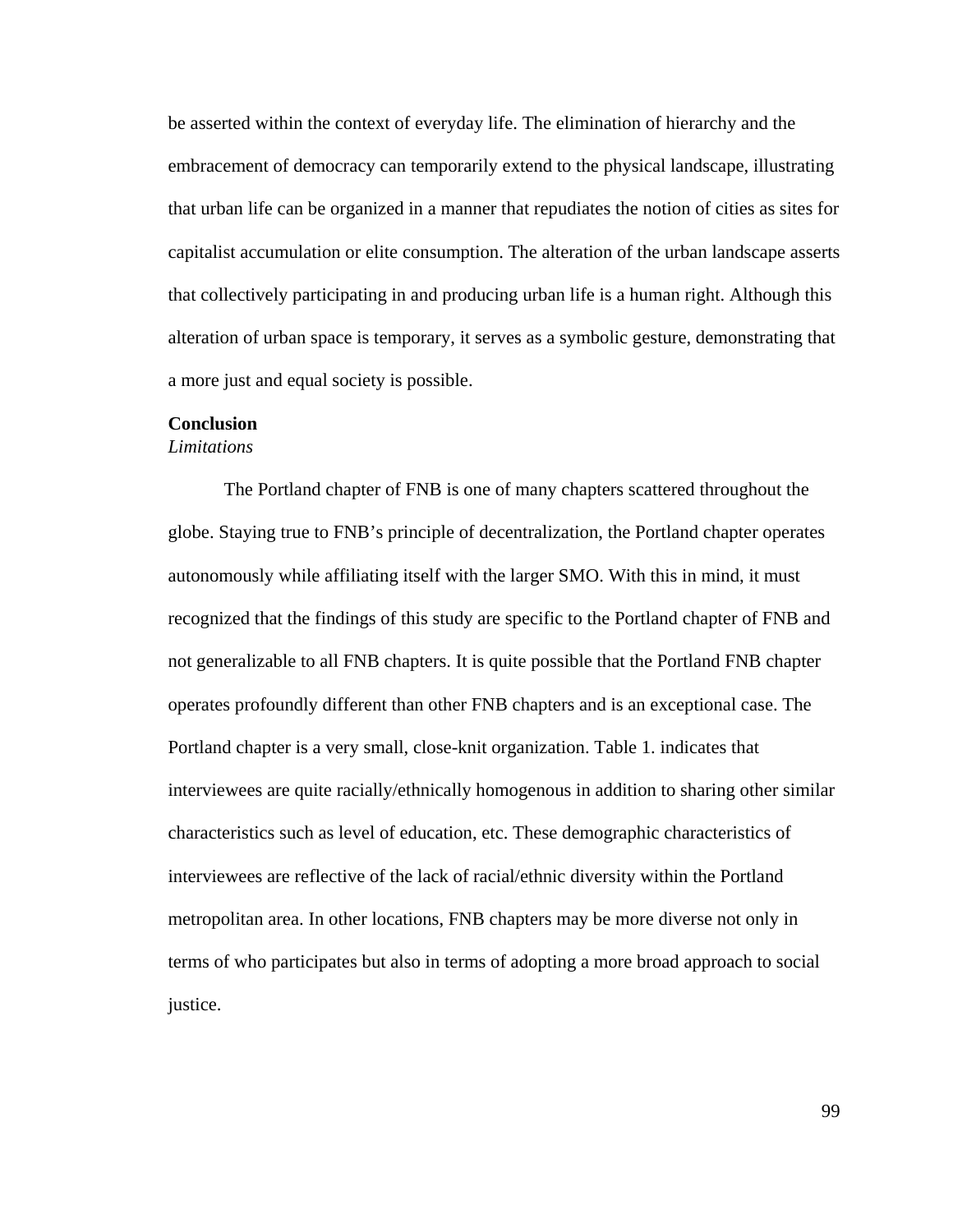be asserted within the context of everyday life. The elimination of hierarchy and the embracement of democracy can temporarily extend to the physical landscape, illustrating that urban life can be organized in a manner that repudiates the notion of cities as sites for capitalist accumulation or elite consumption. The alteration of the urban landscape asserts that collectively participating in and producing urban life is a human right. Although this alteration of urban space is temporary, it serves as a symbolic gesture, demonstrating that a more just and equal society is possible.

# **Conclusion**

# *Limitations*

The Portland chapter of FNB is one of many chapters scattered throughout the globe. Staying true to FNB's principle of decentralization, the Portland chapter operates autonomously while affiliating itself with the larger SMO. With this in mind, it must recognized that the findings of this study are specific to the Portland chapter of FNB and not generalizable to all FNB chapters. It is quite possible that the Portland FNB chapter operates profoundly different than other FNB chapters and is an exceptional case. The Portland chapter is a very small, close-knit organization. Table 1. indicates that interviewees are quite racially/ethnically homogenous in addition to sharing other similar characteristics such as level of education, etc. These demographic characteristics of interviewees are reflective of the lack of racial/ethnic diversity within the Portland metropolitan area. In other locations, FNB chapters may be more diverse not only in terms of who participates but also in terms of adopting a more broad approach to social justice.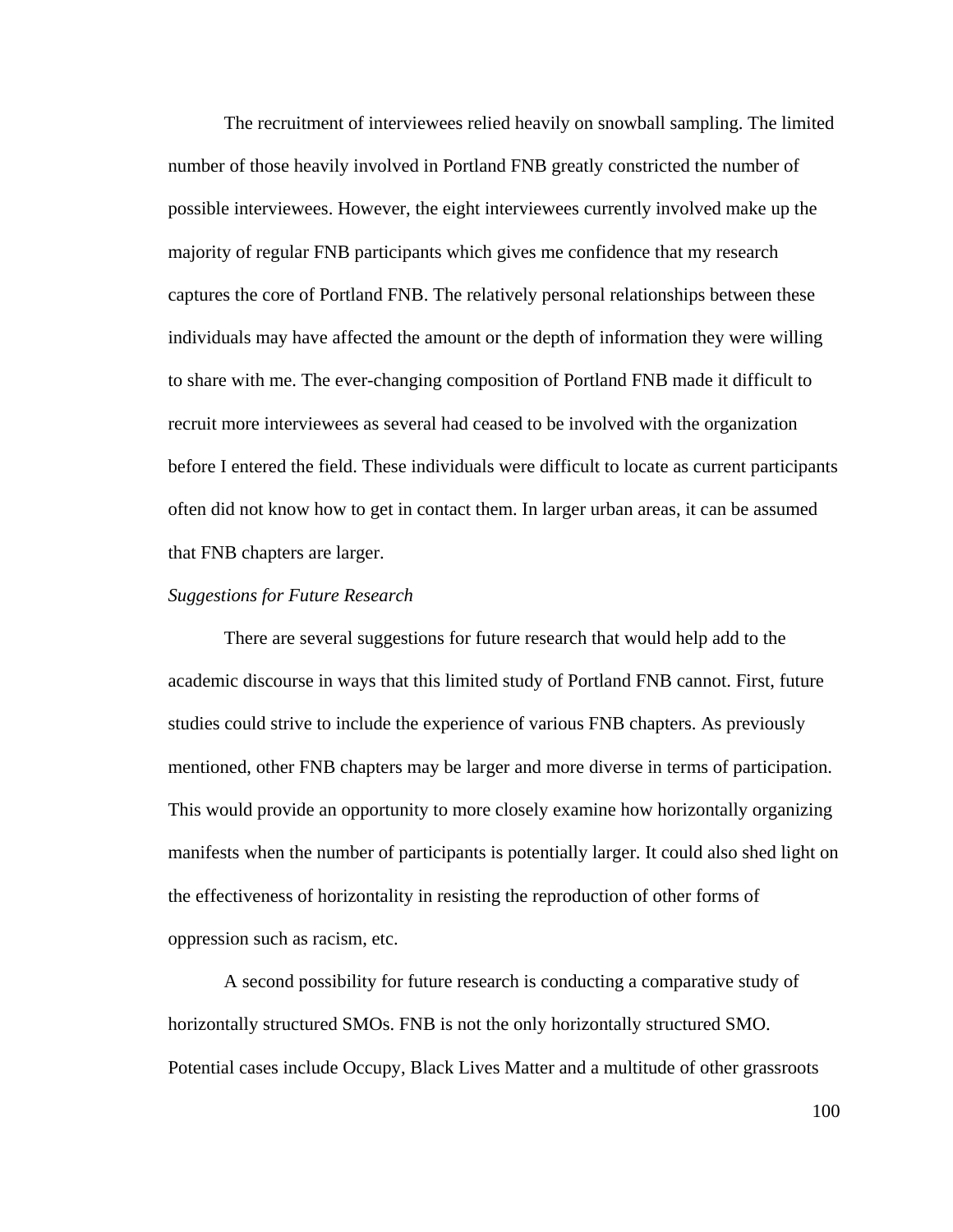The recruitment of interviewees relied heavily on snowball sampling. The limited number of those heavily involved in Portland FNB greatly constricted the number of possible interviewees. However, the eight interviewees currently involved make up the majority of regular FNB participants which gives me confidence that my research captures the core of Portland FNB. The relatively personal relationships between these individuals may have affected the amount or the depth of information they were willing to share with me. The ever-changing composition of Portland FNB made it difficult to recruit more interviewees as several had ceased to be involved with the organization before I entered the field. These individuals were difficult to locate as current participants often did not know how to get in contact them. In larger urban areas, it can be assumed that FNB chapters are larger.

#### *Suggestions for Future Research*

There are several suggestions for future research that would help add to the academic discourse in ways that this limited study of Portland FNB cannot. First, future studies could strive to include the experience of various FNB chapters. As previously mentioned, other FNB chapters may be larger and more diverse in terms of participation. This would provide an opportunity to more closely examine how horizontally organizing manifests when the number of participants is potentially larger. It could also shed light on the effectiveness of horizontality in resisting the reproduction of other forms of oppression such as racism, etc.

 A second possibility for future research is conducting a comparative study of horizontally structured SMOs. FNB is not the only horizontally structured SMO. Potential cases include Occupy, Black Lives Matter and a multitude of other grassroots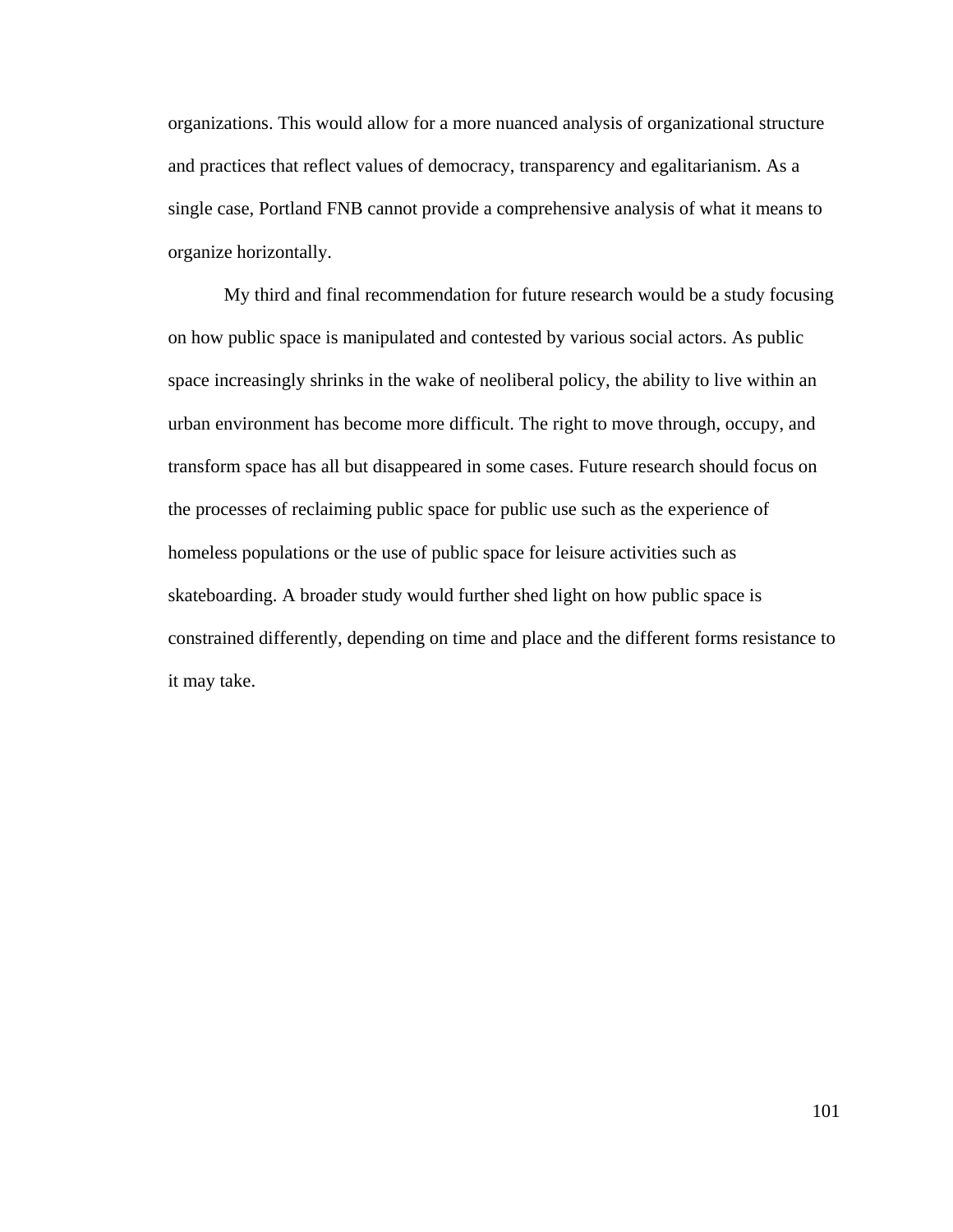organizations. This would allow for a more nuanced analysis of organizational structure and practices that reflect values of democracy, transparency and egalitarianism. As a single case, Portland FNB cannot provide a comprehensive analysis of what it means to organize horizontally.

 My third and final recommendation for future research would be a study focusing on how public space is manipulated and contested by various social actors. As public space increasingly shrinks in the wake of neoliberal policy, the ability to live within an urban environment has become more difficult. The right to move through, occupy, and transform space has all but disappeared in some cases. Future research should focus on the processes of reclaiming public space for public use such as the experience of homeless populations or the use of public space for leisure activities such as skateboarding. A broader study would further shed light on how public space is constrained differently, depending on time and place and the different forms resistance to it may take.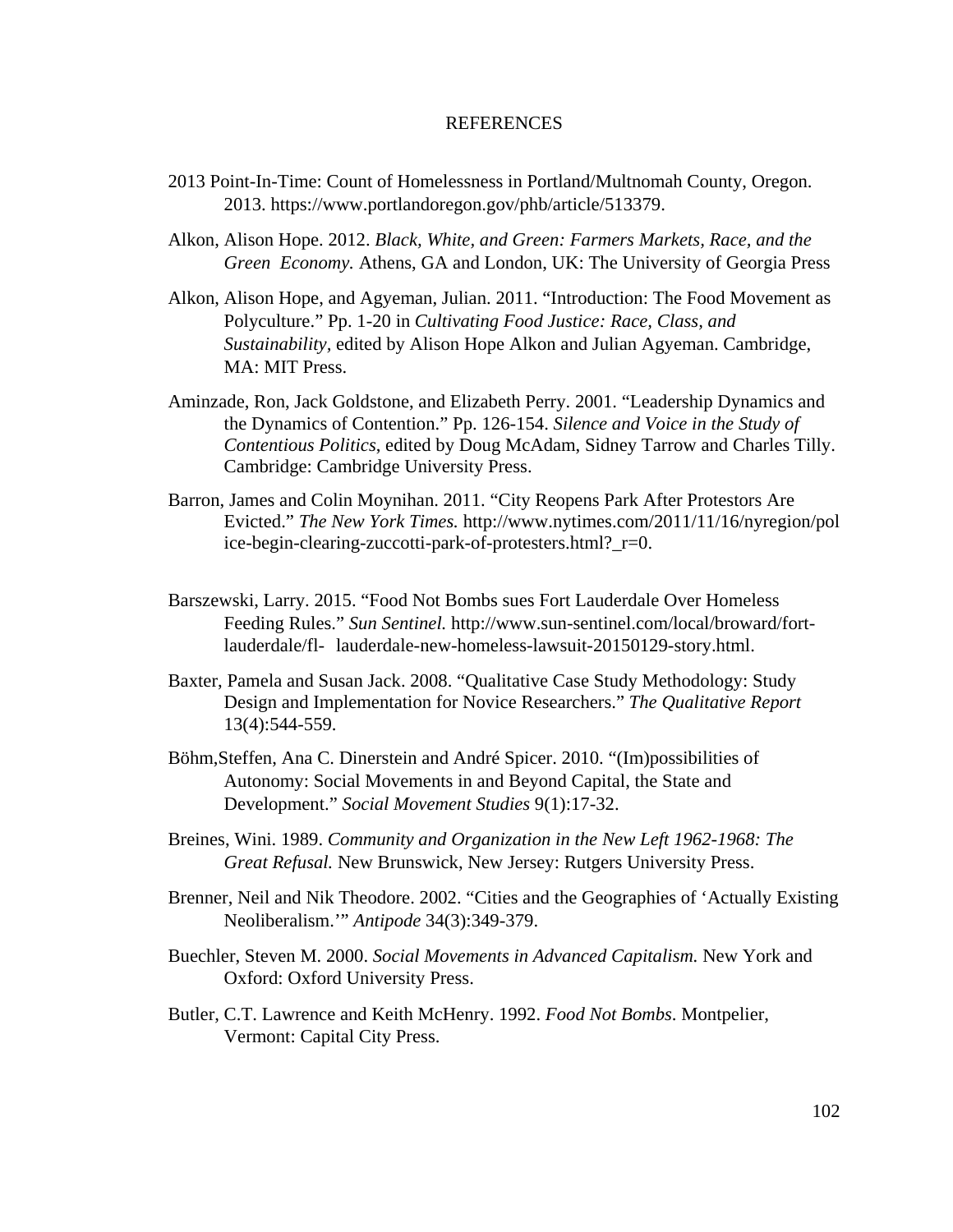## REFERENCES

- 2013 Point-In-Time: Count of Homelessness in Portland/Multnomah County, Oregon. 2013. https://www.portlandoregon.gov/phb/article/513379.
- Alkon, Alison Hope. 2012. *Black, White, and Green: Farmers Markets, Race, and the Green Economy.* Athens, GA and London, UK: The University of Georgia Press
- Alkon, Alison Hope, and Agyeman, Julian. 2011. "Introduction: The Food Movement as Polyculture." Pp. 1-20 in *Cultivating Food Justice: Race, Class, and Sustainability,* edited by Alison Hope Alkon and Julian Agyeman. Cambridge, MA: MIT Press.
- Aminzade, Ron, Jack Goldstone, and Elizabeth Perry. 2001. "Leadership Dynamics and the Dynamics of Contention." Pp. 126-154. *Silence and Voice in the Study of Contentious Politics*, edited by Doug McAdam, Sidney Tarrow and Charles Tilly. Cambridge: Cambridge University Press.
- Barron, James and Colin Moynihan. 2011. "City Reopens Park After Protestors Are Evicted." *The New York Times.* http://www.nytimes.com/2011/11/16/nyregion/pol ice-begin-clearing-zuccotti-park-of-protesters.html?\_r=0.
- Barszewski, Larry. 2015. "Food Not Bombs sues Fort Lauderdale Over Homeless Feeding Rules." *Sun Sentinel.* http://www.sun-sentinel.com/local/broward/fort lauderdale/fl- lauderdale-new-homeless-lawsuit-20150129-story.html.
- Baxter, Pamela and Susan Jack. 2008. "Qualitative Case Study Methodology: Study Design and Implementation for Novice Researchers." *The Qualitative Report*  13(4):544-559.
- Böhm,Steffen, Ana C. Dinerstein and André Spicer. 2010. "(Im)possibilities of Autonomy: Social Movements in and Beyond Capital, the State and Development." *Social Movement Studies* 9(1):17-32.
- Breines, Wini. 1989. *Community and Organization in the New Left 1962-1968: The Great Refusal.* New Brunswick, New Jersey: Rutgers University Press.
- Brenner, Neil and Nik Theodore. 2002. "Cities and the Geographies of 'Actually Existing Neoliberalism.'" *Antipode* 34(3):349-379.
- Buechler, Steven M. 2000. *Social Movements in Advanced Capitalism.* New York and Oxford: Oxford University Press.
- Butler, C.T. Lawrence and Keith McHenry. 1992. *Food Not Bombs*. Montpelier, Vermont: Capital City Press.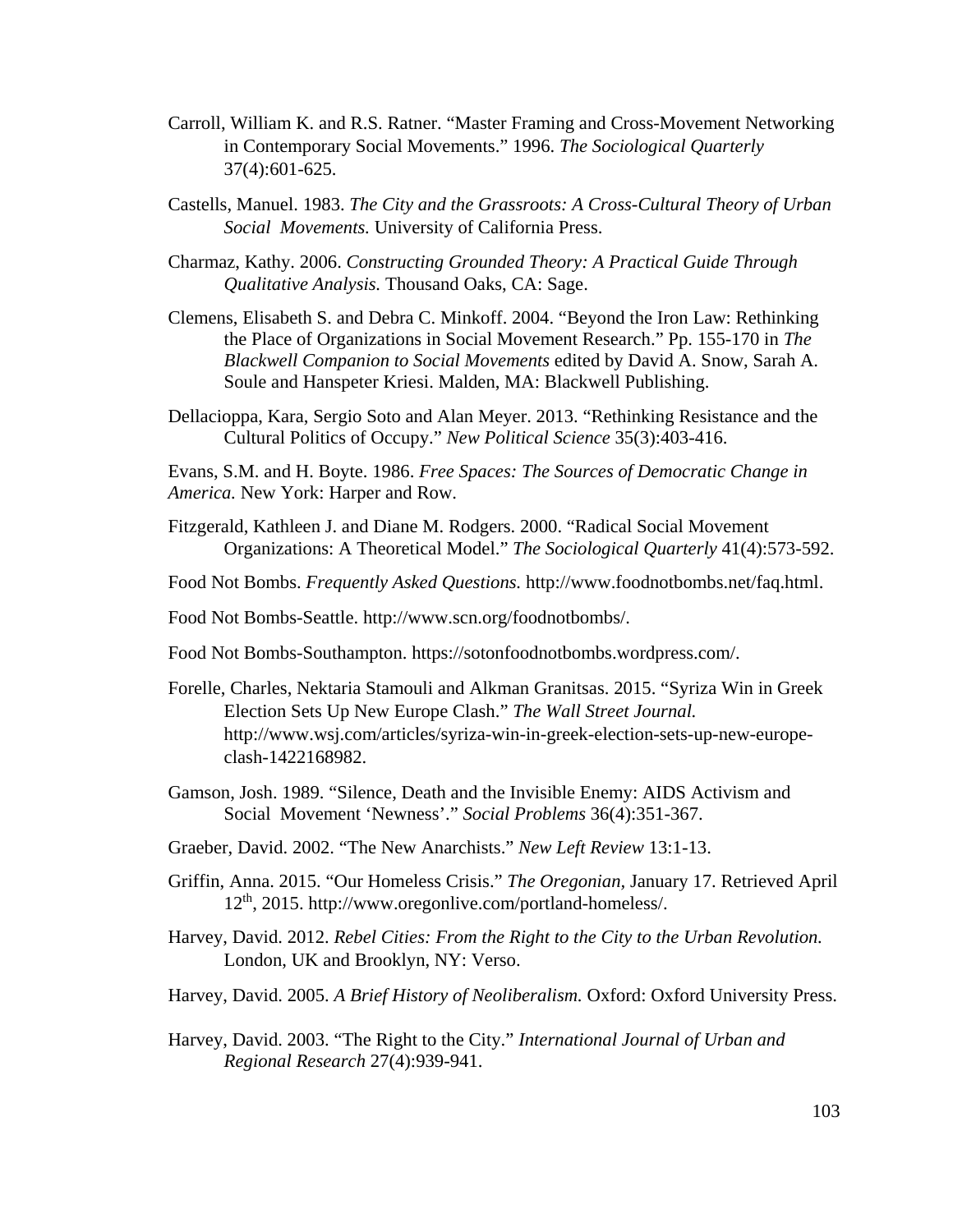- Carroll, William K. and R.S. Ratner. "Master Framing and Cross-Movement Networking in Contemporary Social Movements." 1996. *The Sociological Quarterly*  37(4):601-625.
- Castells, Manuel. 1983. *The City and the Grassroots: A Cross-Cultural Theory of Urban Social Movements.* University of California Press.
- Charmaz, Kathy. 2006. *Constructing Grounded Theory: A Practical Guide Through Qualitative Analysis.* Thousand Oaks, CA: Sage.
- Clemens, Elisabeth S. and Debra C. Minkoff. 2004. "Beyond the Iron Law: Rethinking the Place of Organizations in Social Movement Research." Pp. 155-170 in *The Blackwell Companion to Social Movements* edited by David A. Snow, Sarah A. Soule and Hanspeter Kriesi. Malden, MA: Blackwell Publishing.
- Dellacioppa, Kara, Sergio Soto and Alan Meyer. 2013. "Rethinking Resistance and the Cultural Politics of Occupy." *New Political Science* 35(3):403-416.

Evans, S.M. and H. Boyte. 1986. *Free Spaces: The Sources of Democratic Change in America.* New York: Harper and Row.

- Fitzgerald, Kathleen J. and Diane M. Rodgers. 2000. "Radical Social Movement Organizations: A Theoretical Model." *The Sociological Quarterly* 41(4):573-592.
- Food Not Bombs. *Frequently Asked Questions.* http://www.foodnotbombs.net/faq.html.
- Food Not Bombs-Seattle. http://www.scn.org/foodnotbombs/.
- Food Not Bombs-Southampton. https://sotonfoodnotbombs.wordpress.com/.
- Forelle, Charles, Nektaria Stamouli and Alkman Granitsas. 2015. "Syriza Win in Greek Election Sets Up New Europe Clash." *The Wall Street Journal.*  http://www.wsj.com/articles/syriza*-*win-in-greek-election-sets-up-new-europe clash-1422168982.
- Gamson, Josh. 1989. "Silence, Death and the Invisible Enemy: AIDS Activism and Social Movement 'Newness'." *Social Problems* 36(4):351-367.
- Graeber, David. 2002. "The New Anarchists." *New Left Review* 13:1-13.
- Griffin, Anna. 2015. "Our Homeless Crisis." *The Oregonian,* January 17. Retrieved April 12th, 2015. http://www.oregonlive.com/portland-homeless/.
- Harvey, David. 2012. *Rebel Cities: From the Right to the City to the Urban Revolution.*  London, UK and Brooklyn, NY: Verso.
- Harvey, David. 2005. *A Brief History of Neoliberalism.* Oxford: Oxford University Press.
- Harvey, David. 2003. "The Right to the City." *International Journal of Urban and Regional Research* 27(4):939-941.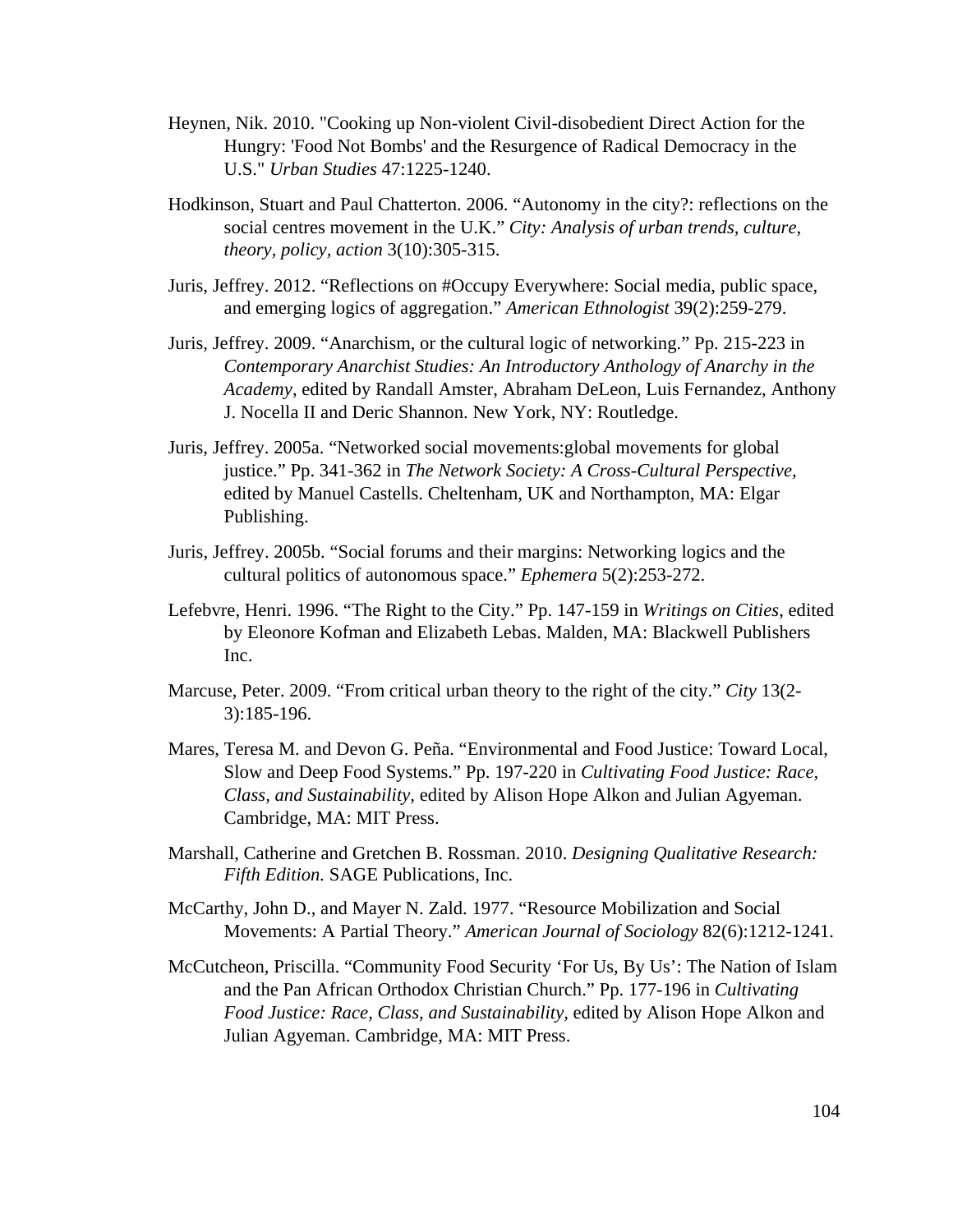- Heynen, Nik. 2010. "Cooking up Non-violent Civil-disobedient Direct Action for the Hungry: 'Food Not Bombs' and the Resurgence of Radical Democracy in the U.S." *Urban Studies* 47:1225-1240.
- Hodkinson, Stuart and Paul Chatterton. 2006. "Autonomy in the city?: reflections on the social centres movement in the U.K." *City: Analysis of urban trends, culture, theory, policy, action* 3(10):305-315.
- Juris, Jeffrey. 2012. "Reflections on #Occupy Everywhere: Social media, public space, and emerging logics of aggregation." *American Ethnologist* 39(2):259-279.
- Juris, Jeffrey. 2009. "Anarchism, or the cultural logic of networking." Pp. 215-223 in *Contemporary Anarchist Studies: An Introductory Anthology of Anarchy in the Academy*, edited by Randall Amster, Abraham DeLeon, Luis Fernandez, Anthony J. Nocella II and Deric Shannon. New York, NY: Routledge.
- Juris, Jeffrey. 2005a. "Networked social movements:global movements for global justice." Pp. 341-362 in *The Network Society: A Cross-Cultural Perspective,*  edited by Manuel Castells. Cheltenham, UK and Northampton, MA: Elgar Publishing.
- Juris, Jeffrey. 2005b. "Social forums and their margins: Networking logics and the cultural politics of autonomous space." *Ephemera* 5(2):253-272.
- Lefebvre, Henri. 1996. "The Right to the City." Pp. 147-159 in *Writings on Cities*, edited by Eleonore Kofman and Elizabeth Lebas. Malden, MA: Blackwell Publishers Inc.
- Marcuse, Peter. 2009. "From critical urban theory to the right of the city." *City* 13(2- 3):185-196.
- Mares, Teresa M. and Devon G. Peña. "Environmental and Food Justice: Toward Local, Slow and Deep Food Systems." Pp. 197-220 in *Cultivating Food Justice: Race, Class, and Sustainability,* edited by Alison Hope Alkon and Julian Agyeman. Cambridge, MA: MIT Press.
- Marshall, Catherine and Gretchen B. Rossman. 2010. *Designing Qualitative Research: Fifth Edition.* SAGE Publications, Inc.
- McCarthy, John D., and Mayer N. Zald. 1977. "Resource Mobilization and Social Movements: A Partial Theory." *American Journal of Sociology* 82(6):1212-1241.
- McCutcheon, Priscilla. "Community Food Security 'For Us, By Us': The Nation of Islam and the Pan African Orthodox Christian Church." Pp. 177-196 in *Cultivating Food Justice: Race, Class, and Sustainability,* edited by Alison Hope Alkon and Julian Agyeman. Cambridge, MA: MIT Press.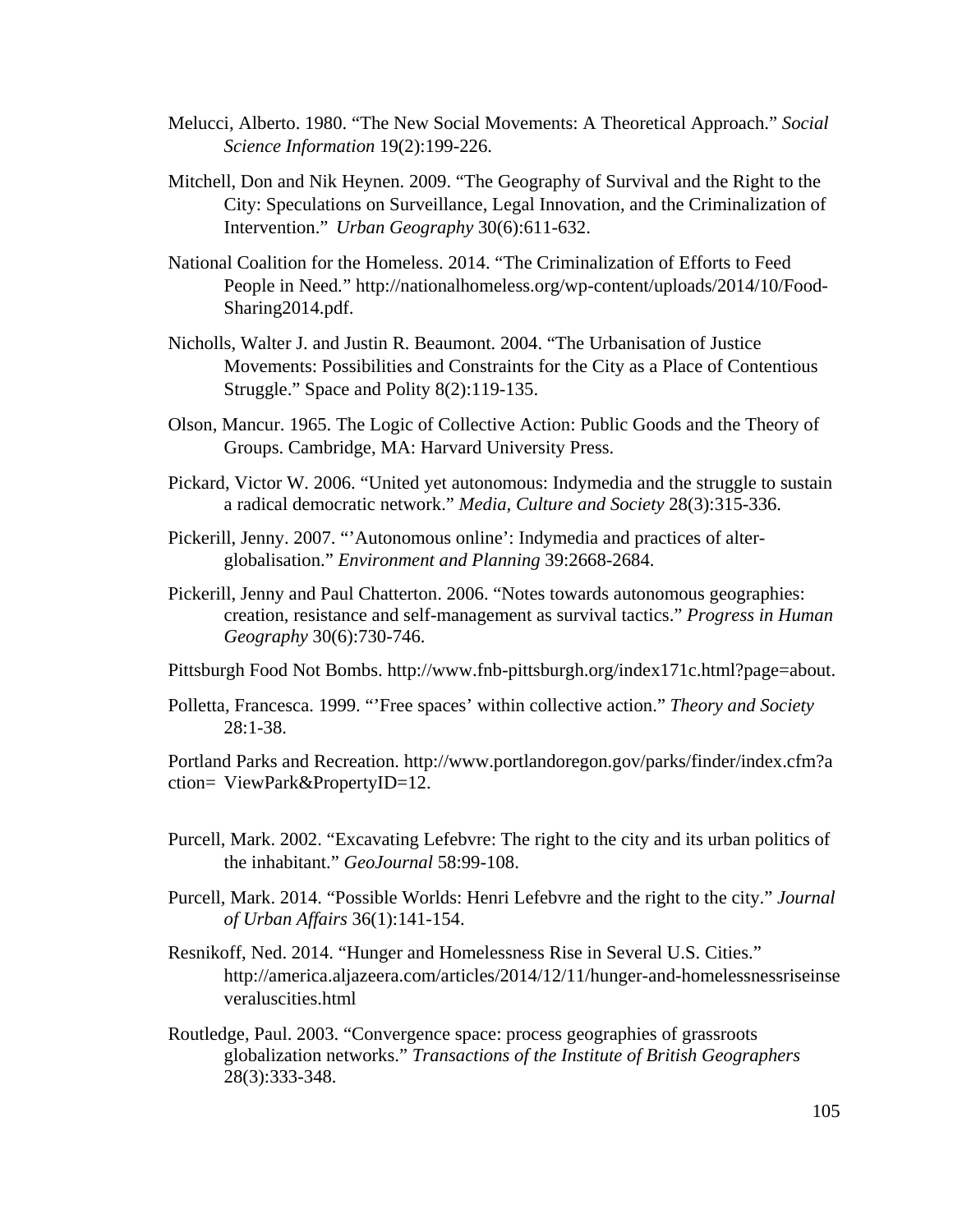- Melucci, Alberto. 1980. "The New Social Movements: A Theoretical Approach." *Social Science Information* 19(2):199-226.
- Mitchell, Don and Nik Heynen. 2009. "The Geography of Survival and the Right to the City: Speculations on Surveillance, Legal Innovation, and the Criminalization of Intervention." *Urban Geography* 30(6):611-632.
- National Coalition for the Homeless. 2014. "The Criminalization of Efforts to Feed People in Need*.*" http://nationalhomeless.org/wp-content/uploads/2014/10/Food- Sharing2014.pdf.
- Nicholls, Walter J. and Justin R. Beaumont. 2004. "The Urbanisation of Justice Movements: Possibilities and Constraints for the City as a Place of Contentious Struggle." Space and Polity 8(2):119-135.
- Olson, Mancur. 1965. The Logic of Collective Action: Public Goods and the Theory of Groups. Cambridge, MA: Harvard University Press.
- Pickard, Victor W. 2006. "United yet autonomous: Indymedia and the struggle to sustain a radical democratic network." *Media, Culture and Society* 28(3):315-336.
- Pickerill, Jenny. 2007. "'Autonomous online': Indymedia and practices of alter globalisation." *Environment and Planning* 39:2668-2684.
- Pickerill, Jenny and Paul Chatterton. 2006. "Notes towards autonomous geographies: creation, resistance and self-management as survival tactics." *Progress in Human Geography* 30(6):730-746.
- Pittsburgh Food Not Bombs. http://www.fnb-pittsburgh.org/index171c.html?page=about.
- Polletta, Francesca. 1999. "'Free spaces' within collective action." *Theory and Society*  28:1-38.

Portland Parks and Recreation. http://www.portlandoregon.gov/parks/finder/index.cfm?a ction= ViewPark&PropertyID=12.

- Purcell, Mark. 2002. "Excavating Lefebvre: The right to the city and its urban politics of the inhabitant." *GeoJournal* 58:99-108.
- Purcell, Mark. 2014. "Possible Worlds: Henri Lefebvre and the right to the city." *Journal of Urban Affairs* 36(1):141-154.
- Resnikoff, Ned. 2014. "Hunger and Homelessness Rise in Several U.S. Cities." http://america.aljazeera.com/articles/2014/12/11/hunger-and-homelessnessriseinse veraluscities.html
- Routledge, Paul. 2003. "Convergence space: process geographies of grassroots globalization networks." *Transactions of the Institute of British Geographers*  28(3):333-348.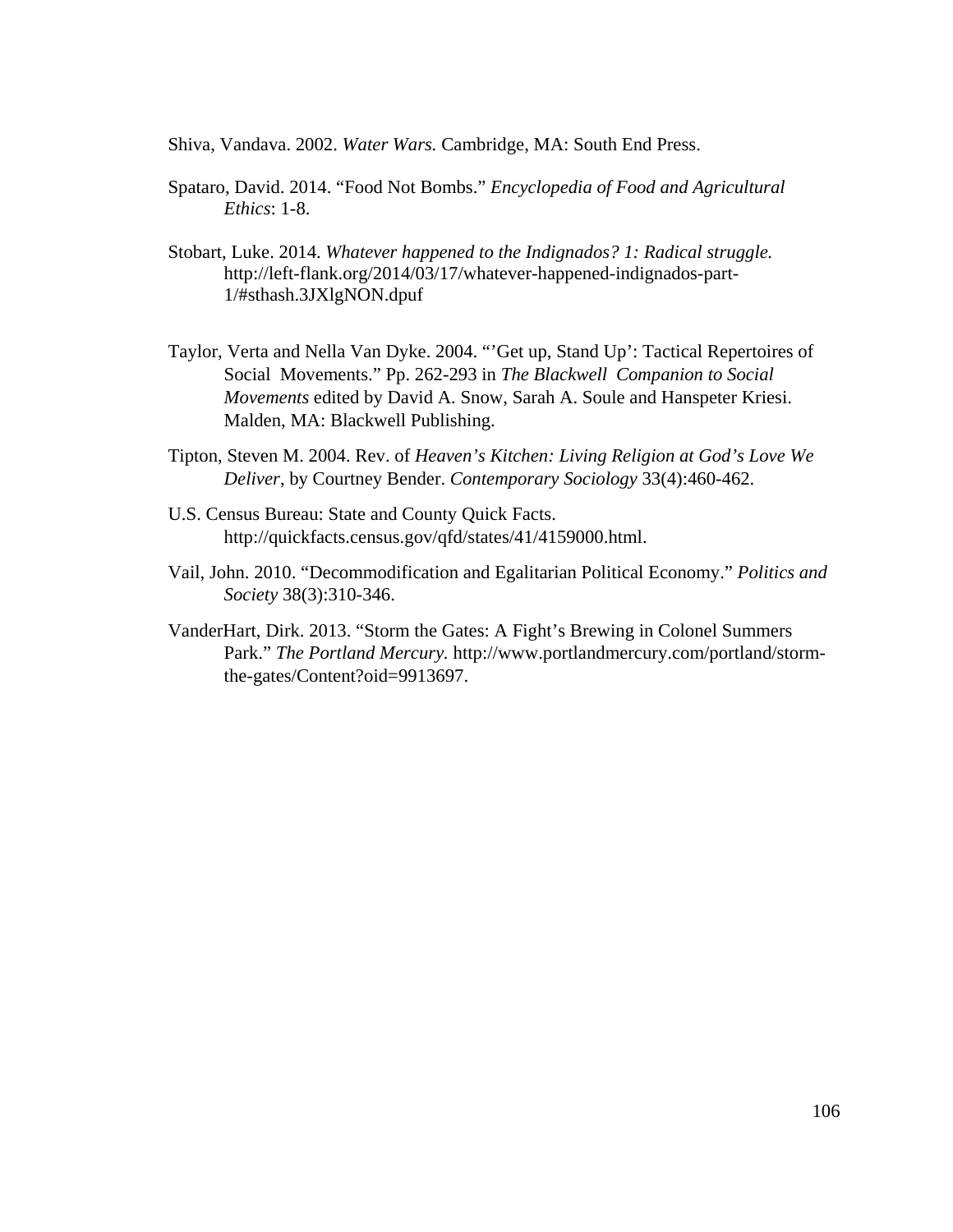Shiva, Vandava. 2002. *Water Wars.* Cambridge, MA: South End Press.

- Spataro, David. 2014. "Food Not Bombs." *Encyclopedia of Food and Agricultural Ethics*: 1-8.
- Stobart, Luke. 2014. *Whatever happened to the Indignados? 1: Radical struggle.* http://left-flank.org/2014/03/17/whatever-happened-indignados-part- 1/#sthash.3JXlgNON.dpuf
- Taylor, Verta and Nella Van Dyke. 2004. "'Get up, Stand Up': Tactical Repertoires of Social Movements." Pp. 262-293 in *The Blackwell Companion to Social Movements* edited by David A. Snow, Sarah A. Soule and Hanspeter Kriesi. Malden, MA: Blackwell Publishing.
- Tipton, Steven M. 2004. Rev. of *Heaven's Kitchen: Living Religion at God's Love We Deliver*, by Courtney Bender. *Contemporary Sociology* 33(4):460-462.
- U.S. Census Bureau: State and County Quick Facts. http://quickfacts.census.gov/qfd/states/41/4159000.html.
- Vail, John. 2010. "Decommodification and Egalitarian Political Economy." *Politics and Society* 38(3):310-346.
- VanderHart, Dirk. 2013. "Storm the Gates: A Fight's Brewing in Colonel Summers Park." *The Portland Mercury.* http://www.portlandmercury.com/portland/storm the-gates/Content?oid=9913697.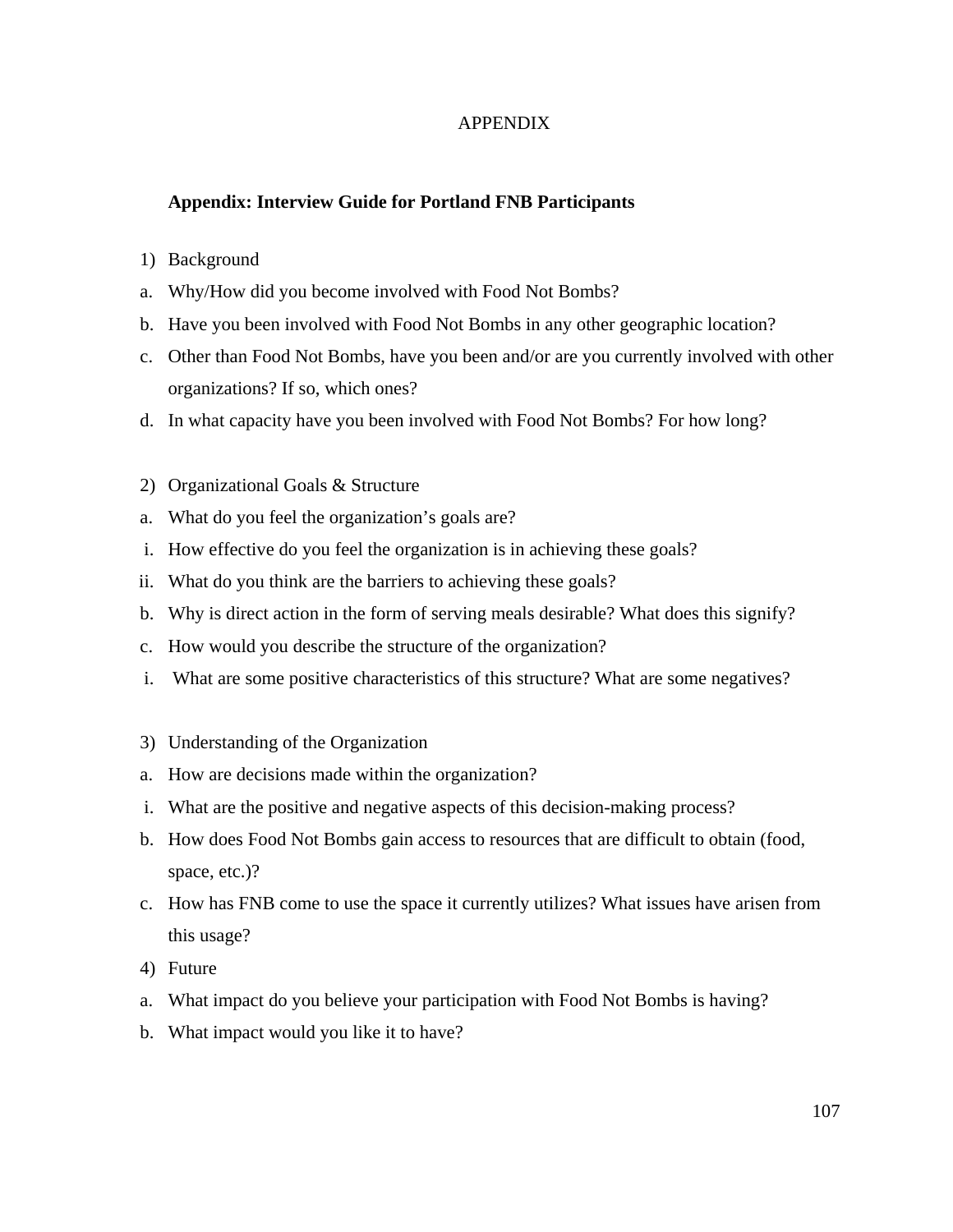## APPENDIX

## **Appendix: Interview Guide for Portland FNB Participants**

## 1) Background

- a. Why/How did you become involved with Food Not Bombs?
- b. Have you been involved with Food Not Bombs in any other geographic location?
- c. Other than Food Not Bombs, have you been and/or are you currently involved with other organizations? If so, which ones?
- d. In what capacity have you been involved with Food Not Bombs? For how long?
- 2) Organizational Goals & Structure
- a. What do you feel the organization's goals are?
- i. How effective do you feel the organization is in achieving these goals?
- ii. What do you think are the barriers to achieving these goals?
- b. Why is direct action in the form of serving meals desirable? What does this signify?
- c. How would you describe the structure of the organization?
- i. What are some positive characteristics of this structure? What are some negatives?
- 3) Understanding of the Organization
- a. How are decisions made within the organization?
- i. What are the positive and negative aspects of this decision-making process?
- b. How does Food Not Bombs gain access to resources that are difficult to obtain (food, space, etc.)?
- c. How has FNB come to use the space it currently utilizes? What issues have arisen from this usage?
- 4) Future
- a. What impact do you believe your participation with Food Not Bombs is having?
- b. What impact would you like it to have?